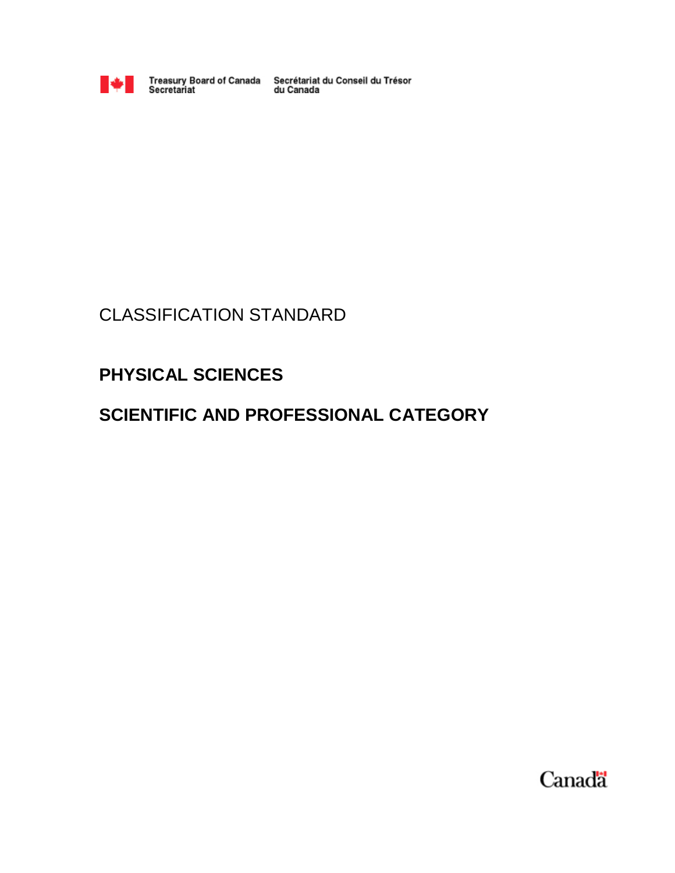

Treasury Board of Canada Secrétariat du Conseil du Trésor<br>Secretariat du Canada

# CLASSIFICATION STANDARD

# **PHYSICAL SCIENCES**

## **SCIENTIFIC AND PROFESSIONAL CATEGORY**

Canada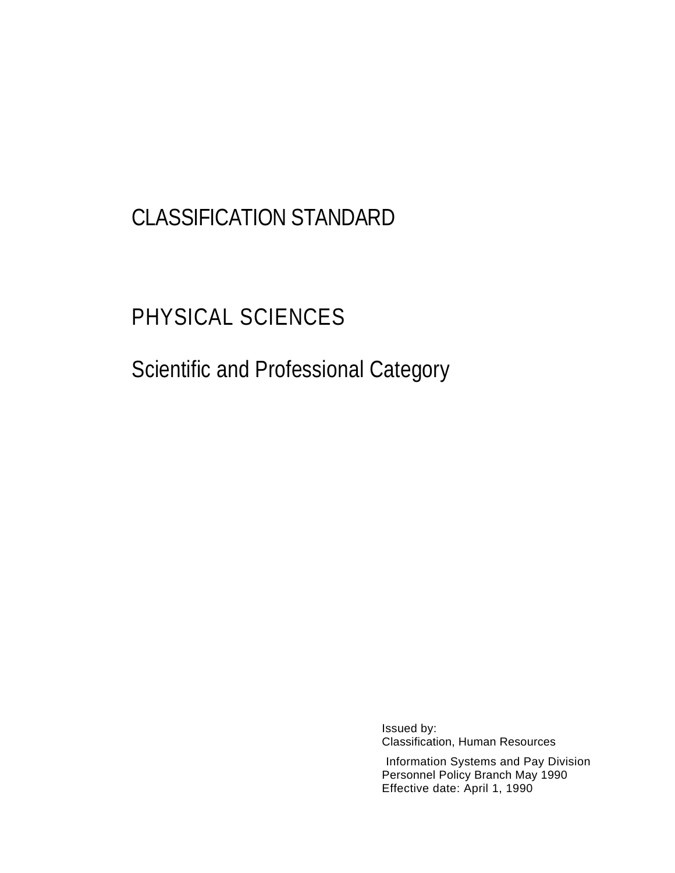# CLASSIFICATION STANDARD

# PHYSICAL SCIENCES

Scientific and Professional Category

Issued by: Classification, Human Resources

Information Systems and Pay Division Personnel Policy Branch May 1990 Effective date: April 1, 1990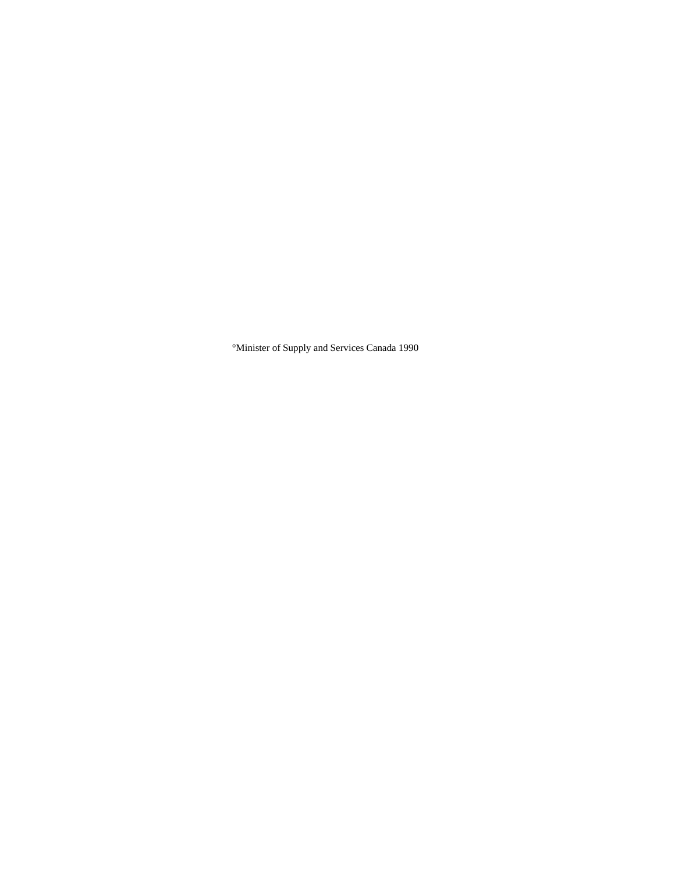°Minister of Supply and Services Canada 1990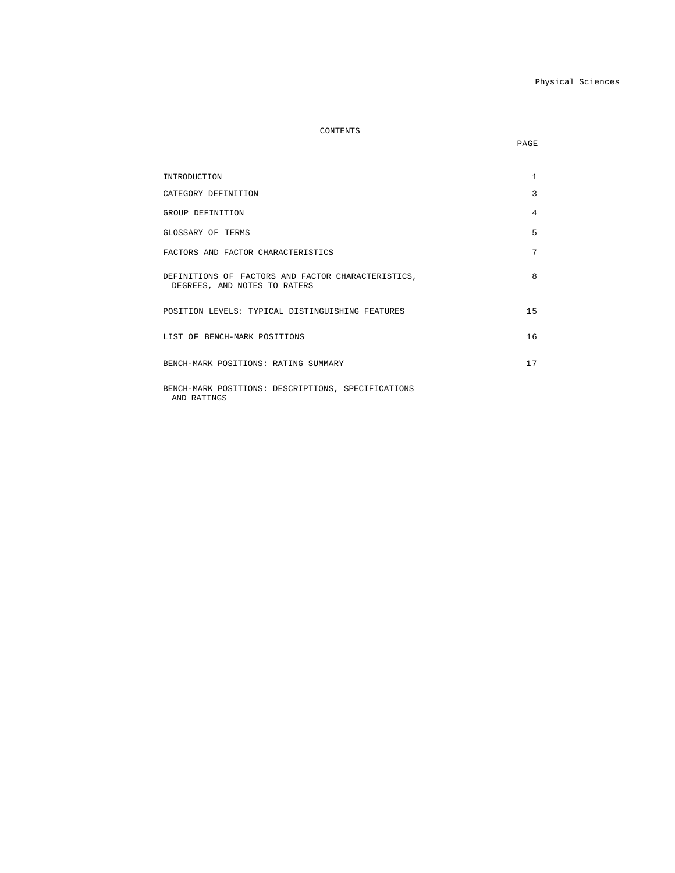### CONTENTS

### PAGE

|                                                                                                                                                                                                                                                              | $\mathbf{1}$ |  |  |  |  |  |  |
|--------------------------------------------------------------------------------------------------------------------------------------------------------------------------------------------------------------------------------------------------------------|--------------|--|--|--|--|--|--|
|                                                                                                                                                                                                                                                              | 3            |  |  |  |  |  |  |
|                                                                                                                                                                                                                                                              | 4            |  |  |  |  |  |  |
| INTRODUCTION<br>CATEGORY DEFINITION<br>GROUP DEFINITION<br>GLOSSARY OF TERMS<br>FACTORS AND FACTOR CHARACTERISTICS<br>DEFINITIONS OF FACTORS AND FACTOR CHARACTERISTICS,<br>DEGREES, AND NOTES TO RATERS<br>POSITION LEVELS: TYPICAL DISTINGUISHING FEATURES |              |  |  |  |  |  |  |
|                                                                                                                                                                                                                                                              |              |  |  |  |  |  |  |
| R                                                                                                                                                                                                                                                            |              |  |  |  |  |  |  |
|                                                                                                                                                                                                                                                              | 15           |  |  |  |  |  |  |
| LIST OF BENCH-MARK POSITIONS                                                                                                                                                                                                                                 | 16           |  |  |  |  |  |  |
| BENCH-MARK POSITIONS: RATING SUMMARY                                                                                                                                                                                                                         | 17           |  |  |  |  |  |  |
| BENCH-MARK POSITIONS: DESCRIPTIONS, SPECIFICATIONS                                                                                                                                                                                                           |              |  |  |  |  |  |  |

AND RATINGS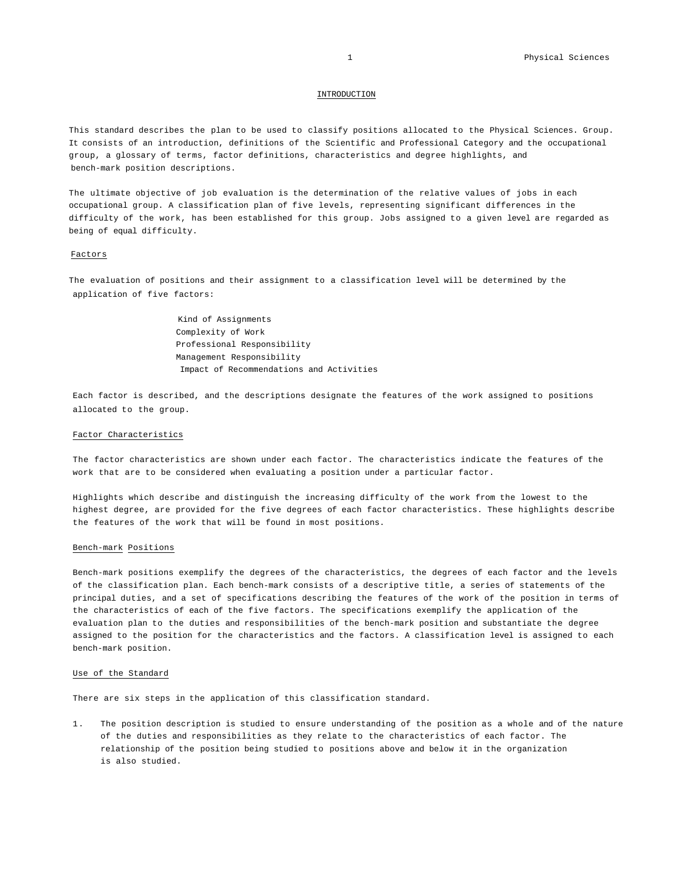### INTRODUCTION

This standard describes the plan to be used to classify positions allocated to the Physical Sciences. Group. It consists of an introduction, definitions of the Scientific and Professional Category and the occupational group, a glossary of terms, factor definitions, characteristics and degree highlights, and bench-mark position descriptions.

The ultimate objective of job evaluation is the determination of the relative values of jobs in each occupational group. A classification plan of five levels, representing significant differences in the difficulty of the work, has been established for this group. Jobs assigned to a given level are regarded as being of equal difficulty.

#### Factors

The evaluation of positions and their assignment to a classification level will be determined by the application of five factors:

> Kind of Assignments Complexity of Work Professional Responsibility Management Responsibility Impact of Recommendations and Activities

Each factor is described, and the descriptions designate the features of the work assigned to positions allocated to the group.

### Factor Characteristics

The factor characteristics are shown under each factor. The characteristics indicate the features of the work that are to be considered when evaluating a position under a particular factor.

Highlights which describe and distinguish the increasing difficulty of the work from the lowest to the highest degree, are provided for the five degrees of each factor characteristics. These highlights describe the features of the work that will be found in most positions.

### Bench-mark Positions

Bench-mark positions exemplify the degrees of the characteristics, the degrees of each factor and the levels of the classification plan. Each bench-mark consists of a descriptive title, a series of statements of the principal duties, and a set of specifications describing the features of the work of the position in terms of the characteristics of each of the five factors. The specifications exemplify the application of the evaluation plan to the duties and responsibilities of the bench-mark position and substantiate the degree assigned to the position for the characteristics and the factors. A classification level is assigned to each bench-mark position.

### Use of the Standard

There are six steps in the application of this classification standard.

1. The position description is studied to ensure understanding of the position as a whole and of the nature of the duties and responsibilities as they relate to the characteristics of each factor. The relationship of the position being studied to positions above and below it in the organization is also studied.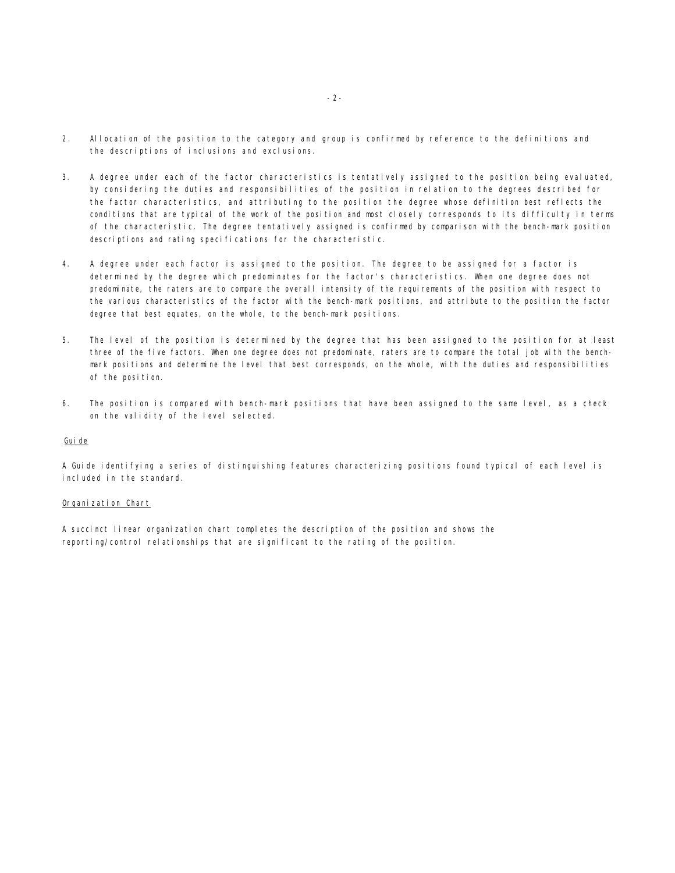- 2. Allocation of the position to the category and group is confirmed by reference to the definitions and the descriptions of inclusions and exclusions.
- 3. A degree under each of the factor characteristics is tentatively assigned to the position being evaluated, by considering the duties and responsibilities of the position in relation to the degrees described for the factor characteristics, and attributing to the position the degree whose definition best reflects the conditions that are typical of the work of the position and most closely corresponds to its difficulty in terms of the characteristic. The degree tentatively assigned is confirmed by comparison with the bench-mark position descriptions and rating specifications for the characteristic.
- 4. A degree under each factor is assigned to the position. The degree to be assigned for a factor is determined by the degree which predominates for the factor's characteristics. When one degree does not predominate, the raters are to compare the overall intensity of the requirements of the position with respect to the various characteristics of the factor with the bench-mark positions, and attribute to the position the factor degree that best equates, on the whole, to the bench-mark positions.
- 5. The level of the position is determined by the degree that has been assigned to the position for at least three of the five factors. When one degree does not predominate, raters are to compare the total job with the benchmark positions and determine the level that best corresponds, on the whole, with the duties and responsibilities of the position.
- 6. The position is compared with bench-mark positions that have been assigned to the same level, as a check on the validity of the level selected.

### Gui de

A Guide identifying a series of distinguishing features characterizing positions found typical of each level is included in the standard.

### Organization Chart

A succinct linear organization chart completes the description of the position and shows the reporting/control relationships that are significant to the rating of the position.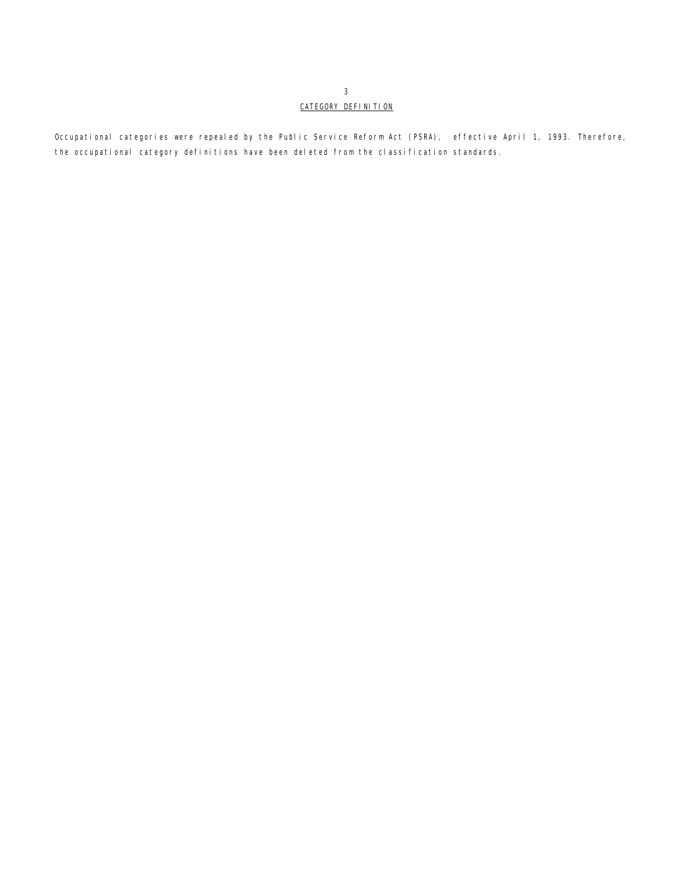### CATEGORY DEFINITION

Occupational categories were repealed by the Public Service Reform Act (PSRA), effective April 1, 1993. Therefore, the occupational category definitions have been deleted from the classification standards.

### 3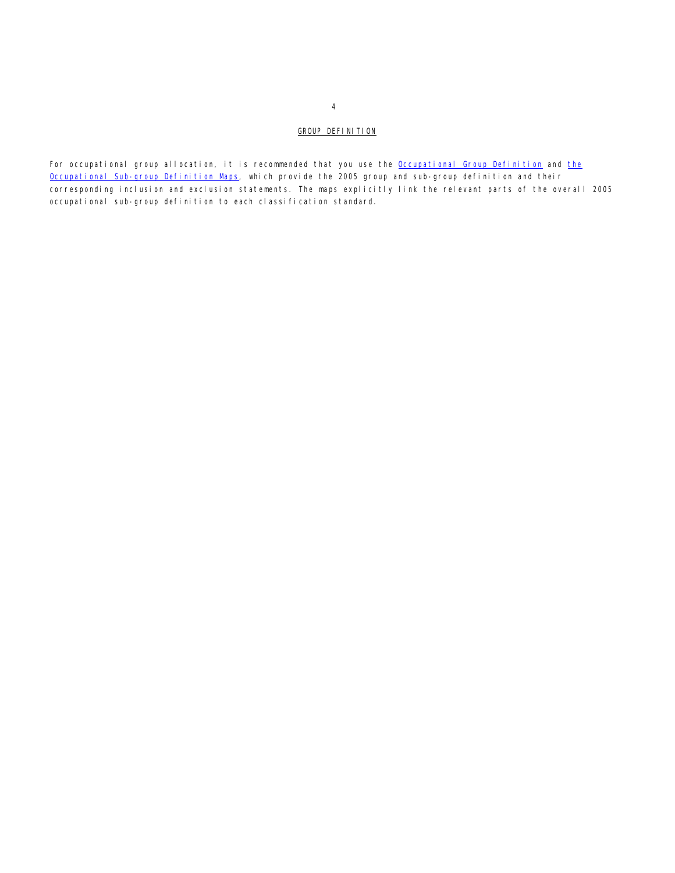### GROUP DEFINITION

For occupational group allocation, it is recommended that you use the Occupational Group Definition and the Occupational Sub-group Definition Maps, which provide the 2005 group and sub-group definition and their corresponding inclusion and exclusion statements. The maps explicitly link the relevant parts of the overall 2005 occupational sub-group definition to each classification standard.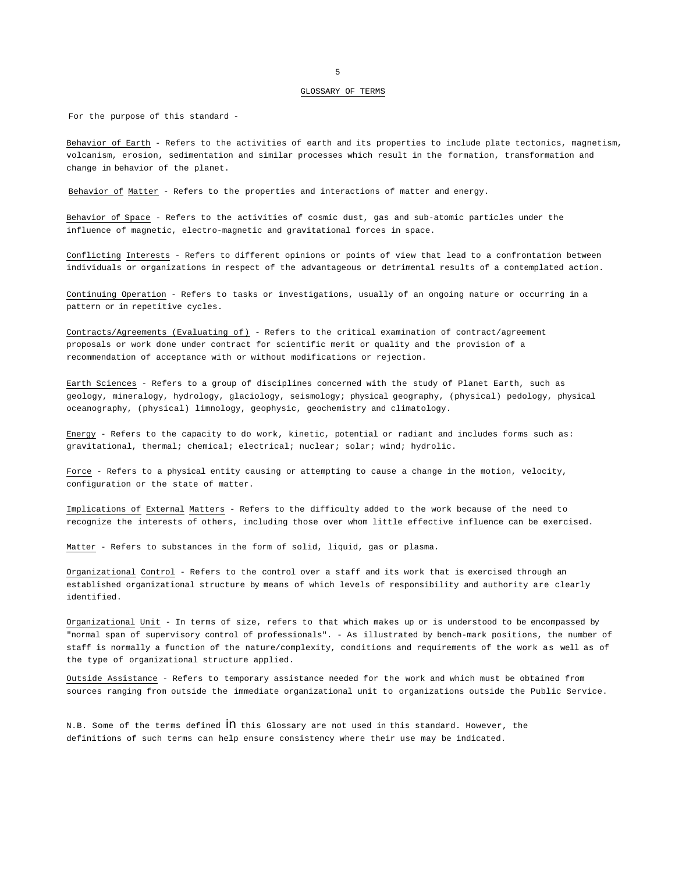### GLOSSARY OF TERMS

For the purpose of this standard -

Behavior of Earth - Refers to the activities of earth and its properties to include plate tectonics, magnetism, volcanism, erosion, sedimentation and similar processes which result in the formation, transformation and change in behavior of the planet.

Behavior of Matter - Refers to the properties and interactions of matter and energy.

Behavior of Space - Refers to the activities of cosmic dust, gas and sub-atomic particles under the influence of magnetic, electro-magnetic and gravitational forces in space.

Conflicting Interests - Refers to different opinions or points of view that lead to a confrontation between individuals or organizations in respect of the advantageous or detrimental results of a contemplated action.

Continuing Operation - Refers to tasks or investigations, usually of an ongoing nature or occurring in a pattern or in repetitive cycles.

Contracts/Agreements (Evaluating of) - Refers to the critical examination of contract/agreement proposals or work done under contract for scientific merit or quality and the provision of a recommendation of acceptance with or without modifications or rejection.

Earth Sciences - Refers to a group of disciplines concerned with the study of Planet Earth, such as geology, mineralogy, hydrology, glaciology, seismology; physical geography, (physical) pedology, physical oceanography, (physical) limnology, geophysic, geochemistry and climatology.

Energy - Refers to the capacity to do work, kinetic, potential or radiant and includes forms such as: gravitational, thermal; chemical; electrical; nuclear; solar; wind; hydrolic.

Force - Refers to a physical entity causing or attempting to cause a change in the motion, velocity, configuration or the state of matter.

Implications of External Matters - Refers to the difficulty added to the work because of the need to recognize the interests of others, including those over whom little effective influence can be exercised.

Matter - Refers to substances in the form of solid, liquid, gas or plasma.

Organizational Control - Refers to the control over a staff and its work that is exercised through an established organizational structure by means of which levels of responsibility and authority are clearly identified.

Organizational Unit - In terms of size, refers to that which makes up or is understood to be encompassed by "normal span of supervisory control of professionals". - As illustrated by bench-mark positions, the number of staff is normally a function of the nature/complexity, conditions and requirements of the work as well as of the type of organizational structure applied.

Outside Assistance - Refers to temporary assistance needed for the work and which must be obtained from sources ranging from outside the immediate organizational unit to organizations outside the Public Service.

N.B. Some of the terms defined  $\ln$  this Glossary are not used in this standard. However, the definitions of such terms can help ensure consistency where their use may be indicated.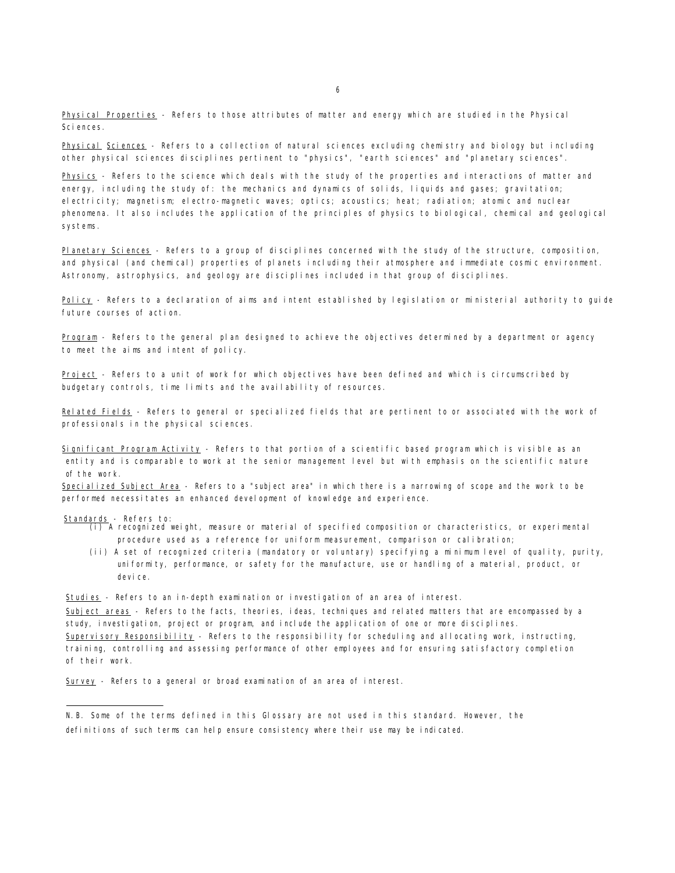Physical Properties - Refers to those attributes of matter and energy which are studied in the Physical Sciences.

Physical Sciences - Refers to a collection of natural sciences excluding chemistry and biology but including other physical sciences disciplines pertinent to "physics", "earth sciences" and "planetary sciences".

Physics - Refers to the science which deals with the study of the properties and interactions of matter and energy, including the study of: the mechanics and dynamics of solids, liquids and gases; gravitation; electricity; magnetism; electro-magnetic waves; optics; acoustics; heat; radiation; atomic and nuclear phenomena. It also includes the application of the principles of physics to biological, chemical and geological systems.

Planetary Sciences - Refers to a group of disciplines concerned with the study of the structure, composition, and physical (and chemical) properties of planets including their atmosphere and immediate cosmic environment. Astronomy, astrophysics, and geology are disciplines included in that group of disciplines.

Policy - Refers to a declaration of aims and intent established by legislation or ministerial authority to guide future courses of action.

Program - Refers to the general plan designed to achieve the objectives determined by a department or agency to meet the aims and intent of policy.

Project - Refers to a unit of work for which objectives have been defined and which is circumscribed by budgetary controls, time limits and the availability of resources.

Related Fields - Refers to general or specialized fields that are pertinent to or associated with the work of professionals in the physical sciences.

Significant Program Activity - Refers to that portion of a scientific based program which is visible as an entity and is comparable to work at the senior management level but with emphasis on the scientific nature of the work.

Specialized Subject Area - Refers to a "subject area" in which there is a narrowing of scope and the work to be performed necessitates an enhanced development of knowledge and experience.

### Standards - Refers to:

- $\frac{\overline{11}}{11}$  A recognized weight, measure or material of specified composition or characteristics, or experimental procedure used as a reference for uniform measurement, comparison or calibration;
- (ii) A set of recognized criteria (mandatory or voluntary) specifying a minimum level of quality, purity, uniformity, performance, or safety for the manufacture, use or handling of a material, product, or devi ce.

Studies - Refers to an in-depth examination or investigation of an area of interest.

Subject areas - Refers to the facts, theories, ideas, techniques and related matters that are encompassed by a study, investigation, project or program, and include the application of one or more disciplines. Supervisory Responsibility - Refers to the responsibility for scheduling and allocating work, instructing,

training, controlling and assessing performance of other employees and for ensuring satisfactory completion of their work.

Survey - Refers to a general or broad examination of an area of interest.

N.B. Some of the terms defined in this Glossary are not used in this standard. However, the definitions of such terms can help ensure consistency where their use may be indicated.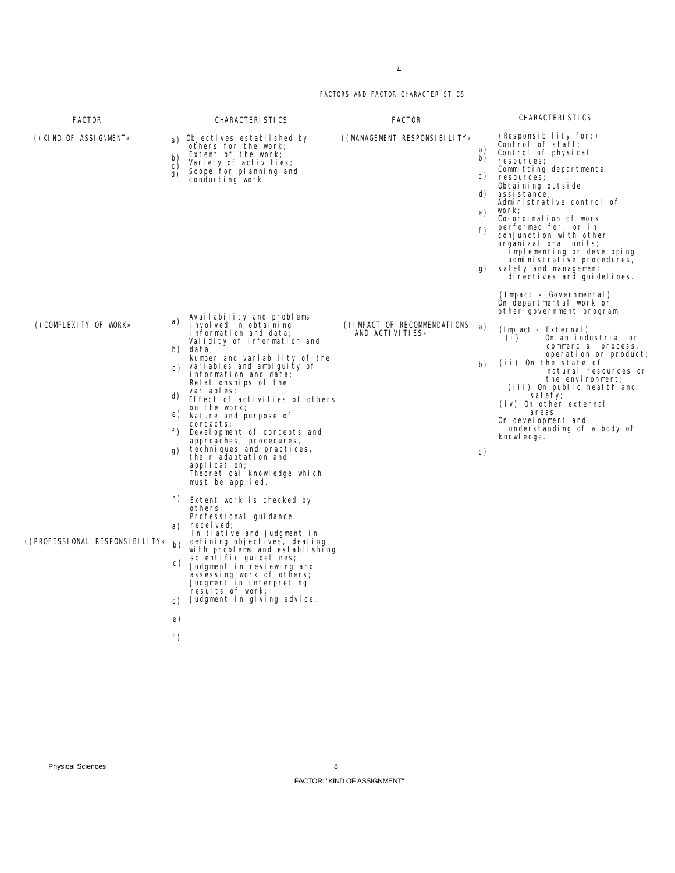### FACTORS AND FACTOR CHARACTERISTICS

| <b>FACTOR</b>                                            | <b>CHARACTERI STICS</b>                                                                                                                                                                                                                                                                                                                                                                                                                                                                                                                                                                                                                                                                                                                                                                                                                                                                                                                                         | <b>FACTOR</b>                                  | CHARACTERI STI CS                                                                                                                                                                                                                                                                                                                                                                                                                                                                                   |
|----------------------------------------------------------|-----------------------------------------------------------------------------------------------------------------------------------------------------------------------------------------------------------------------------------------------------------------------------------------------------------------------------------------------------------------------------------------------------------------------------------------------------------------------------------------------------------------------------------------------------------------------------------------------------------------------------------------------------------------------------------------------------------------------------------------------------------------------------------------------------------------------------------------------------------------------------------------------------------------------------------------------------------------|------------------------------------------------|-----------------------------------------------------------------------------------------------------------------------------------------------------------------------------------------------------------------------------------------------------------------------------------------------------------------------------------------------------------------------------------------------------------------------------------------------------------------------------------------------------|
| ((KIND OF ASSIGNMENT»                                    | $\alpha$ ) Objectives established by<br>others for the work;<br>Extent of the work;<br>b)<br>Variety of activities;<br>C)<br>Scope for planning and<br>d)<br>conducting work.                                                                                                                                                                                                                                                                                                                                                                                                                                                                                                                                                                                                                                                                                                                                                                                   | ((MANAGEMENT RESPONSI BILITY»                  | (Responsibility for:)<br>Control of staff;<br>a)<br>Control of physical<br>b)<br>resources;<br>Committing departmental<br>C)<br>resources;<br>Obtaining outside<br>assi stance;<br>d)<br>Administrative control of<br>work;<br>e)<br>Co-ordination of work<br>performed for, or in<br>f)<br>conjunction with other<br>organi zati onal uni ts;<br>Implementing or developing<br>administrative procedures,<br>safety and management<br>q)<br>di rectives and quidelines.<br>(Impact - Governmental) |
| ((COMPLEXITY OF WORK»)<br>((PROFESSIONAL RESPONSIBILITY» | Availability and problems<br>a)<br>involved in obtaining<br>information and data;<br>Validity of information and<br>b)<br>data:<br>Number and variability of the<br>variables and ambiguity of<br>C)<br>information and data;<br>Rel ationships of the<br>vari ables;<br>d)<br>Effect of activities of others<br>on the work;<br>e)<br>Nature and purpose of<br>contacts;<br>f) Development of concepts and<br>approaches, procedures,<br>techniques and practices,<br>q)<br>their adaptation and<br>application;<br>Theoretical knowledge which<br>must be applied.<br>h)<br>Extent work is checked by<br>others;<br>Professional guidance<br>recei ved;<br>a)<br>Initiative and judgment in<br>defining objectives, dealing<br>h)<br>with problems and establishing<br>scientific guidelines;<br>c)<br>Judgment in reviewing and<br>assessing work of others;<br>Judgment in interpreting<br>results of work;<br>Judgment in giving advice.<br>d)<br>e)<br>f) | ((IMPACT OF RECOMMENDATIONS<br>AND ACTIVITIES» | On departmental work or<br>other government program;<br>a)<br>(Imp act - External)<br>(i)<br>On an industrial or<br>commercial process,<br>operation or product;<br>(ii) On the state of<br>b)<br>natural resources or<br>the environment;<br>(iii) On public health and<br>safety;<br>$(iv)$ On other external<br>areas.<br>On development and<br>understanding of a body of<br>knowl edge.<br>C)                                                                                                  |

FACTOR: "KIND OF ASSIGNMENT"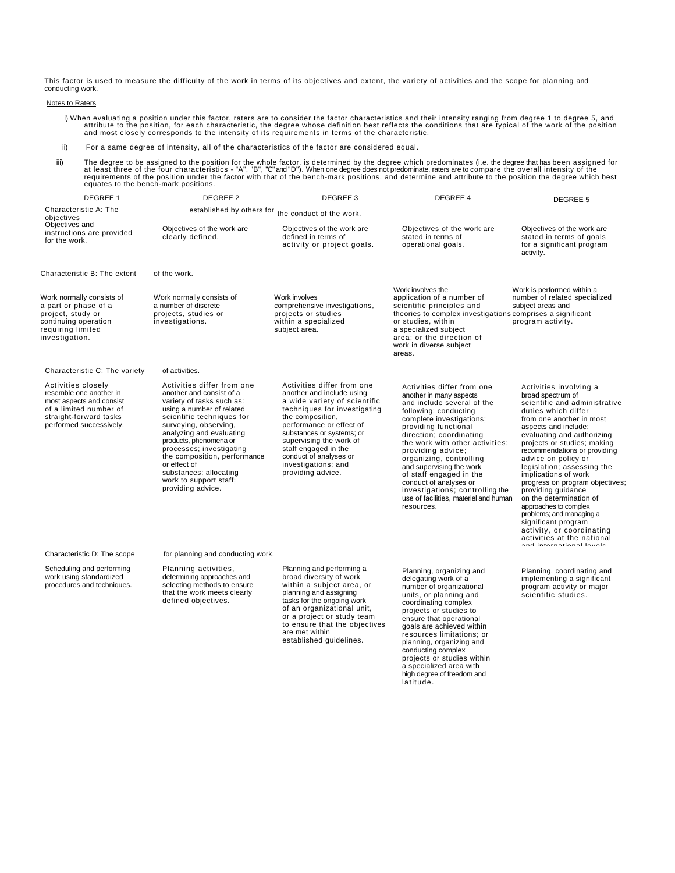This factor is used to measure the difficulty of the work in terms of its objectives and extent, the variety of activities and the scope for planning and conducting work.

### Notes to Raters

i) When evaluating a position under this factor, raters are to consider the factor characteristics and their intensity ranging from degree 1 to degree 5, and<br>attribute to the position, for each characteristic, the degree w

ii) For a same degree of intensity, all of the characteristics of the factor are considered equal.

iii) The degree to be assigned to the position for the whole factor, is determined by the degree which predominates (i.e. the degree that has been assigned for<br>at least three of the four characteristics - "A", "B", "C" and

| DEGREE 1                                                                                                                                                                                | DEGREE 2                                                                                                                                                                                                                                                                                                                                                                                                               | DEGREE 3                                                                                                                                                                                                                                                                                                                      | DEGREE 4                                                                                                                                                                                                                                                                                                                                                                                                                                                  | DEGREE 5                                                                                                                                                                                                                                                                                                                                                                                                                                                                                                                                                                                 |
|-----------------------------------------------------------------------------------------------------------------------------------------------------------------------------------------|------------------------------------------------------------------------------------------------------------------------------------------------------------------------------------------------------------------------------------------------------------------------------------------------------------------------------------------------------------------------------------------------------------------------|-------------------------------------------------------------------------------------------------------------------------------------------------------------------------------------------------------------------------------------------------------------------------------------------------------------------------------|-----------------------------------------------------------------------------------------------------------------------------------------------------------------------------------------------------------------------------------------------------------------------------------------------------------------------------------------------------------------------------------------------------------------------------------------------------------|------------------------------------------------------------------------------------------------------------------------------------------------------------------------------------------------------------------------------------------------------------------------------------------------------------------------------------------------------------------------------------------------------------------------------------------------------------------------------------------------------------------------------------------------------------------------------------------|
| Characteristic A: The<br>obiectives                                                                                                                                                     |                                                                                                                                                                                                                                                                                                                                                                                                                        | established by others for the conduct of the work.                                                                                                                                                                                                                                                                            |                                                                                                                                                                                                                                                                                                                                                                                                                                                           |                                                                                                                                                                                                                                                                                                                                                                                                                                                                                                                                                                                          |
| Objectives and<br>instructions are provided<br>for the work.                                                                                                                            | Objectives of the work are<br>clearly defined.                                                                                                                                                                                                                                                                                                                                                                         | Objectives of the work are<br>defined in terms of<br>activity or project goals.                                                                                                                                                                                                                                               | Objectives of the work are<br>stated in terms of<br>operational goals.                                                                                                                                                                                                                                                                                                                                                                                    | Objectives of the work are<br>stated in terms of goals<br>for a significant program<br>activity.                                                                                                                                                                                                                                                                                                                                                                                                                                                                                         |
| Characteristic B: The extent                                                                                                                                                            | of the work.                                                                                                                                                                                                                                                                                                                                                                                                           |                                                                                                                                                                                                                                                                                                                               |                                                                                                                                                                                                                                                                                                                                                                                                                                                           |                                                                                                                                                                                                                                                                                                                                                                                                                                                                                                                                                                                          |
| Work normally consists of<br>a part or phase of a<br>project, study or<br>continuing operation<br>requiring limited<br>investigation.                                                   | Work normally consists of<br>a number of discrete<br>projects, studies or<br>investigations.                                                                                                                                                                                                                                                                                                                           | Work involves<br>comprehensive investigations,<br>projects or studies<br>within a specialized<br>subject area.                                                                                                                                                                                                                | Work involves the<br>application of a number of<br>scientific principles and<br>theories to complex investigations comprises a significant<br>or studies, within<br>a specialized subject<br>area; or the direction of<br>work in diverse subject<br>areas.                                                                                                                                                                                               | Work is performed within a<br>number of related specialized<br>subject areas and<br>program activity.                                                                                                                                                                                                                                                                                                                                                                                                                                                                                    |
| Characteristic C: The variety                                                                                                                                                           | of activities.                                                                                                                                                                                                                                                                                                                                                                                                         |                                                                                                                                                                                                                                                                                                                               |                                                                                                                                                                                                                                                                                                                                                                                                                                                           |                                                                                                                                                                                                                                                                                                                                                                                                                                                                                                                                                                                          |
| Activities closely<br>resemble one another in<br>most aspects and consist<br>of a limited number of<br>straight-forward tasks<br>performed successively.<br>Characteristic D: The scope | Activities differ from one<br>another and consist of a<br>variety of tasks such as:<br>using a number of related<br>scientific techniques for<br>surveying, observing,<br>analyzing and evaluating<br>products, phenomena or<br>processes; investigating<br>the composition, performance<br>or effect of<br>substances; allocating<br>work to support staff;<br>providing advice.<br>for planning and conducting work. | Activities differ from one<br>another and include using<br>a wide variety of scientific<br>techniques for investigating<br>the composition,<br>performance or effect of<br>substances or systems; or<br>supervising the work of<br>staff engaged in the<br>conduct of analyses or<br>investigations; and<br>providing advice. | Activities differ from one<br>another in many aspects<br>and include several of the<br>following: conducting<br>complete investigations;<br>providing functional<br>direction; coordinating<br>the work with other activities;<br>providing advice;<br>organizing, controlling<br>and supervising the work<br>of staff engaged in the<br>conduct of analyses or<br>investigations; controlling the<br>use of facilities, materiel and human<br>resources. | Activities involving a<br>broad spectrum of<br>scientific and administrative<br>duties which differ<br>from one another in most<br>aspects and include:<br>evaluating and authorizing<br>projects or studies; making<br>recommendations or providing<br>advice on policy or<br>legislation; assessing the<br>implications of work<br>progress on program objectives;<br>providing guidance<br>on the determination of<br>approaches to complex<br>problems; and managing a<br>significant program<br>activity, or coordinating<br>activities at the national<br>and international levels |
|                                                                                                                                                                                         |                                                                                                                                                                                                                                                                                                                                                                                                                        |                                                                                                                                                                                                                                                                                                                               |                                                                                                                                                                                                                                                                                                                                                                                                                                                           |                                                                                                                                                                                                                                                                                                                                                                                                                                                                                                                                                                                          |
| Scheduling and performing<br>work using standardized<br>procedures and techniques.                                                                                                      | Planning activities,<br>determining approaches and<br>selecting methods to ensure<br>that the work meets clearly<br>defined objectives.                                                                                                                                                                                                                                                                                | Planning and performing a<br>broad diversity of work<br>within a subject area, or<br>planning and assigning<br>tasks for the ongoing work<br>of an organizational unit,<br>or a project or study team<br>to ensure that the objectives<br>are met within<br>established guidelines.                                           | Planning, organizing and<br>delegating work of a<br>number of organizational<br>units, or planning and<br>coordinating complex<br>projects or studies to<br>ensure that operational<br>goals are achieved within<br>resources limitations; or<br>planning, organizing and<br>conducting complex<br>projects or studies within<br>a specialized area with                                                                                                  | Planning, coordinating and<br>implementing a significant<br>program activity or major<br>scientific studies.                                                                                                                                                                                                                                                                                                                                                                                                                                                                             |

high degree of freedom and latitude.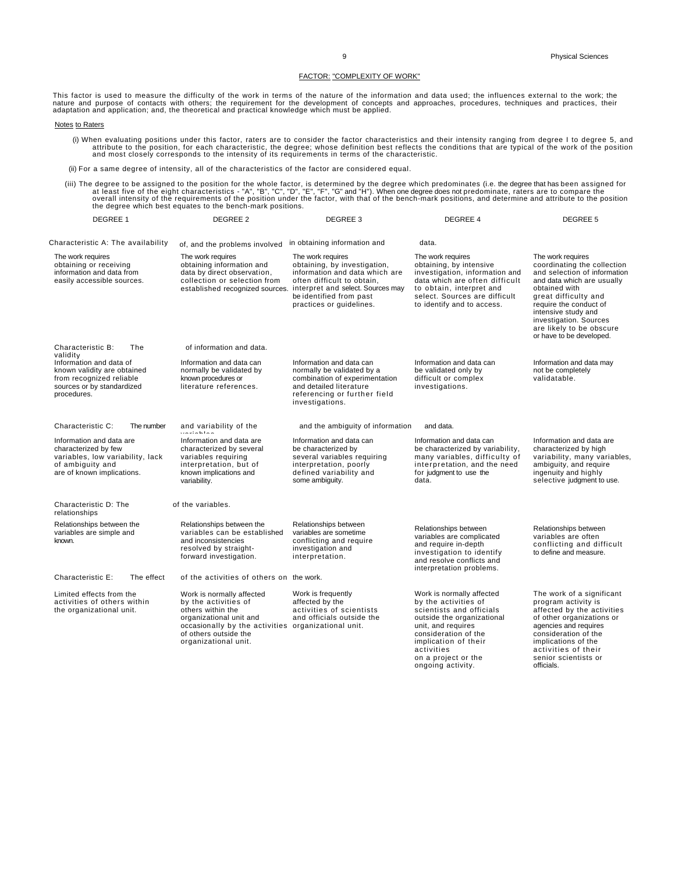### FACTOR: "COMPLEXITY OF WORK"

This factor is used to measure the difficulty of the work in terms of the nature of the information and data used; the influences external to the work; the<br>nature and purpose of contacts with others; the requirement for th

#### Notes to Raters

- (i) When evaluating positions under this factor, raters are to consider the factor characteristics and their intensity ranging from degree 1 to degree 5, and<br>attribute to the position, for each characteristic, the degree;
- (ii) For a same degree of intensity, all of the characteristics of the factor are considered equal.
- (iii) The degree to be assigned to the position for the whole factor, is determined by the degree which predominates (i.e. the degree that has been assigned for at least five of the eight characteristics "A", "B", "C", "

| DEGREE 1                                                                                                                               | DEGREE 2                                                                                                                                                                                                  | DEGREE 3                                                                                                                                                                                                                                      | DEGREE 4                                                                                                                                                                                                                                    | DEGREE 5                                                                                                                                                                                                                                                                                   |
|----------------------------------------------------------------------------------------------------------------------------------------|-----------------------------------------------------------------------------------------------------------------------------------------------------------------------------------------------------------|-----------------------------------------------------------------------------------------------------------------------------------------------------------------------------------------------------------------------------------------------|---------------------------------------------------------------------------------------------------------------------------------------------------------------------------------------------------------------------------------------------|--------------------------------------------------------------------------------------------------------------------------------------------------------------------------------------------------------------------------------------------------------------------------------------------|
| Characteristic A: The availability                                                                                                     | of, and the problems involved                                                                                                                                                                             | in obtaining information and                                                                                                                                                                                                                  | data.                                                                                                                                                                                                                                       |                                                                                                                                                                                                                                                                                            |
| The work requires<br>obtaining or receiving<br>information and data from<br>easily accessible sources.                                 | The work requires<br>obtaining information and<br>data by direct observation,<br>collection or selection from                                                                                             | The work requires<br>obtaining, by investigation,<br>information and data which are<br>often difficult to obtain,<br>established recognized sources. interpret and select. Sources may<br>be identified from past<br>practices or quidelines. | The work requires<br>obtaining, by intensive<br>investigation, information and<br>data which are often difficult<br>to obtain, interpret and<br>select. Sources are difficult<br>to identify and to access.                                 | The work requires<br>coordinating the collection<br>and selection of information<br>and data which are usually<br>obtained with<br>great difficulty and<br>require the conduct of<br>intensive study and<br>investigation. Sources<br>are likely to be obscure<br>or have to be developed. |
| Characteristic B:<br>The<br>validity                                                                                                   | of information and data.                                                                                                                                                                                  |                                                                                                                                                                                                                                               |                                                                                                                                                                                                                                             |                                                                                                                                                                                                                                                                                            |
| Information and data of<br>known validity are obtained<br>from recognized reliable<br>sources or by standardized<br>procedures.        | Information and data can<br>normally be validated by<br>known procedures or<br>literature references.                                                                                                     | Information and data can<br>normally be validated by a<br>combination of experimentation<br>and detailed literature<br>referencing or further field<br>investigations.                                                                        | Information and data can<br>be validated only by<br>difficult or complex<br>investigations.                                                                                                                                                 | Information and data may<br>not be completely<br>validatable.                                                                                                                                                                                                                              |
| Characteristic C:<br>The number                                                                                                        | and variability of the<br>أساسا الماسا فاستساء                                                                                                                                                            | and the ambiguity of information                                                                                                                                                                                                              | and data.                                                                                                                                                                                                                                   |                                                                                                                                                                                                                                                                                            |
| Information and data are<br>characterized by few<br>variables, low variability, lack<br>of ambiguity and<br>are of known implications. | Information and data are<br>characterized by several<br>variables requiring<br>interpretation, but of<br>known implications and<br>variability.                                                           | Information and data can<br>be characterized by<br>several variables requiring<br>interpretation, poorly<br>defined variability and<br>some ambiguity.                                                                                        | Information and data can<br>be characterized by variability,<br>many variables, difficulty of<br>interpretation, and the need<br>for judgment to use the<br>data.                                                                           | Information and data are<br>characterized by high<br>variability, many variables,<br>ambiguity, and require<br>ingenuity and highly<br>selective judgment to use.                                                                                                                          |
| Characteristic D: The<br>relationships                                                                                                 | of the variables.                                                                                                                                                                                         |                                                                                                                                                                                                                                               |                                                                                                                                                                                                                                             |                                                                                                                                                                                                                                                                                            |
| Relationships between the<br>variables are simple and<br>known.                                                                        | Relationships between the<br>variables can be established<br>and inconsistencies<br>resolved by straight-<br>forward investigation.                                                                       | Relationships between<br>variables are sometime<br>conflicting and require<br>investigation and<br>interpretation.                                                                                                                            | Relationships between<br>variables are complicated<br>and require in-depth<br>investigation to identify<br>and resolve conflicts and<br>interpretation problems.                                                                            | Relationships between<br>variables are often<br>conflicting and difficult<br>to define and measure.                                                                                                                                                                                        |
| Characteristic E:<br>The effect                                                                                                        | of the activities of others on the work.                                                                                                                                                                  |                                                                                                                                                                                                                                               |                                                                                                                                                                                                                                             |                                                                                                                                                                                                                                                                                            |
| Limited effects from the<br>activities of others within<br>the organizational unit.                                                    | Work is normally affected<br>by the activities of<br>others within the<br>organizational unit and<br>occasionally by the activities organizational unit.<br>of others outside the<br>organizational unit. | Work is frequently<br>affected by the<br>activities of scientists<br>and officials outside the                                                                                                                                                | Work is normally affected<br>by the activities of<br>scientists and officials<br>outside the organizational<br>unit, and requires<br>consideration of the<br>implication of their<br>activities<br>on a project or the<br>ongoing activity. | The work of a significant<br>program activity is<br>affected by the activities<br>of other organizations or<br>agencies and requires<br>consideration of the<br>implications of the<br>activities of their<br>senior scientists or<br>officials.                                           |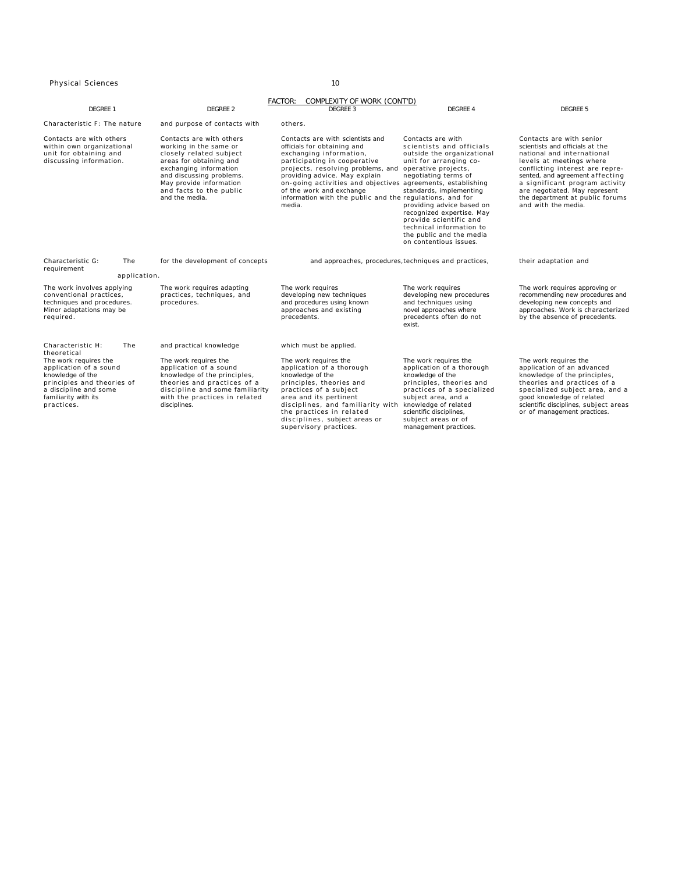### Physical Sciences 10

| <b>DEGREE 1</b>                                                                                                                                                  |              | DEGREE 2                                                                                                                                                                                                                               | <b>FACTOR:</b><br>COMPLEXITY OF WORK (CONT'D)<br>DFGRFF <sub>3</sub>                                                                                                                                                                                                                                                                                              | <b>DEGREE 4</b>                                                                                                                                                                                                                                                                                                                                       | <b>DEGREE 5</b>                                                                                                                                                                                                                                                                                                          |
|------------------------------------------------------------------------------------------------------------------------------------------------------------------|--------------|----------------------------------------------------------------------------------------------------------------------------------------------------------------------------------------------------------------------------------------|-------------------------------------------------------------------------------------------------------------------------------------------------------------------------------------------------------------------------------------------------------------------------------------------------------------------------------------------------------------------|-------------------------------------------------------------------------------------------------------------------------------------------------------------------------------------------------------------------------------------------------------------------------------------------------------------------------------------------------------|--------------------------------------------------------------------------------------------------------------------------------------------------------------------------------------------------------------------------------------------------------------------------------------------------------------------------|
| Characteristic F: The nature                                                                                                                                     |              | and purpose of contacts with                                                                                                                                                                                                           | others.                                                                                                                                                                                                                                                                                                                                                           |                                                                                                                                                                                                                                                                                                                                                       |                                                                                                                                                                                                                                                                                                                          |
| Contacts are with others<br>within own organizational<br>unit for obtaining and<br>discussing information.                                                       |              | Contacts are with others<br>working in the same or<br>closely related subject<br>areas for obtaining and<br>exchanging information<br>and discussing problems.<br>May provide information<br>and facts to the public<br>and the media. | Contacts are with scientists and<br>officials for obtaining and<br>exchanging information,<br>participating in cooperative<br>projects, resolving problems, and<br>providing advice. May explain<br>on-going activities and objectives agreements, establishing<br>of the work and exchange<br>information with the public and the regulations, and for<br>media. | Contacts are with<br>scientists and officials<br>outside the organizational<br>unit for arranging co-<br>operative projects,<br>negotiating terms of<br>standards, implementing<br>providing advice based on<br>recognized expertise. May<br>provide scientific and<br>technical information to<br>the public and the media<br>on contentious issues. | Contacts are with senior<br>scientists and officials at the<br>national and international<br>levels at meetings where<br>conflicting interest are repre-<br>sented, and agreement affecting<br>a significant program activity<br>are negotiated. May represent<br>the department at public forums<br>and with the media. |
| Characteristic G:<br>requirement                                                                                                                                 | The          | for the development of concepts                                                                                                                                                                                                        | and approaches, procedures, techniques and practices,                                                                                                                                                                                                                                                                                                             |                                                                                                                                                                                                                                                                                                                                                       | their adaptation and                                                                                                                                                                                                                                                                                                     |
|                                                                                                                                                                  | application. |                                                                                                                                                                                                                                        |                                                                                                                                                                                                                                                                                                                                                                   |                                                                                                                                                                                                                                                                                                                                                       |                                                                                                                                                                                                                                                                                                                          |
| The work involves applying<br>conventional practices,<br>techniques and procedures.<br>Minor adaptations may be<br>required.                                     |              | The work requires adapting<br>practices, techniques, and<br>procedures.                                                                                                                                                                | The work requires<br>developing new techniques<br>and procedures using known<br>approaches and existing<br>precedents.                                                                                                                                                                                                                                            | The work requires<br>developing new procedures<br>and techniques using<br>novel approaches where<br>precedents often do not<br>exist.                                                                                                                                                                                                                 | The work requires approving or<br>recommending new procedures and<br>developing new concepts and<br>approaches. Work is characterized<br>by the absence of precedents.                                                                                                                                                   |
| Characteristic H:<br>theoretical                                                                                                                                 | The          | and practical knowledge                                                                                                                                                                                                                | which must be applied.                                                                                                                                                                                                                                                                                                                                            |                                                                                                                                                                                                                                                                                                                                                       |                                                                                                                                                                                                                                                                                                                          |
| The work requires the<br>application of a sound<br>knowledge of the<br>principles and theories of<br>a discipline and some<br>familiarity with its<br>practices. |              | The work requires the<br>application of a sound<br>knowledge of the principles,<br>theories and practices of a<br>discipline and some familiarity<br>with the practices in related<br>disciplines.                                     | The work requires the<br>application of a thorough<br>knowledge of the<br>principles, theories and<br>practices of a subject<br>area and its pertinent<br>disciplines, and familiarity with<br>the practices in related<br>disciplines, subject areas or<br>supervisory practices.                                                                                | The work requires the<br>application of a thorough<br>knowledge of the<br>principles, theories and<br>practices of a specialized<br>subject area, and a<br>knowledge of related<br>scientific disciplines,<br>subject areas or of<br>management practices.                                                                                            | The work requires the<br>application of an advanced<br>knowledge of the principles,<br>theories and practices of a<br>specialized subject area, and a<br>good knowledge of related<br>scientific disciplines, subject areas<br>or of management practices.                                                               |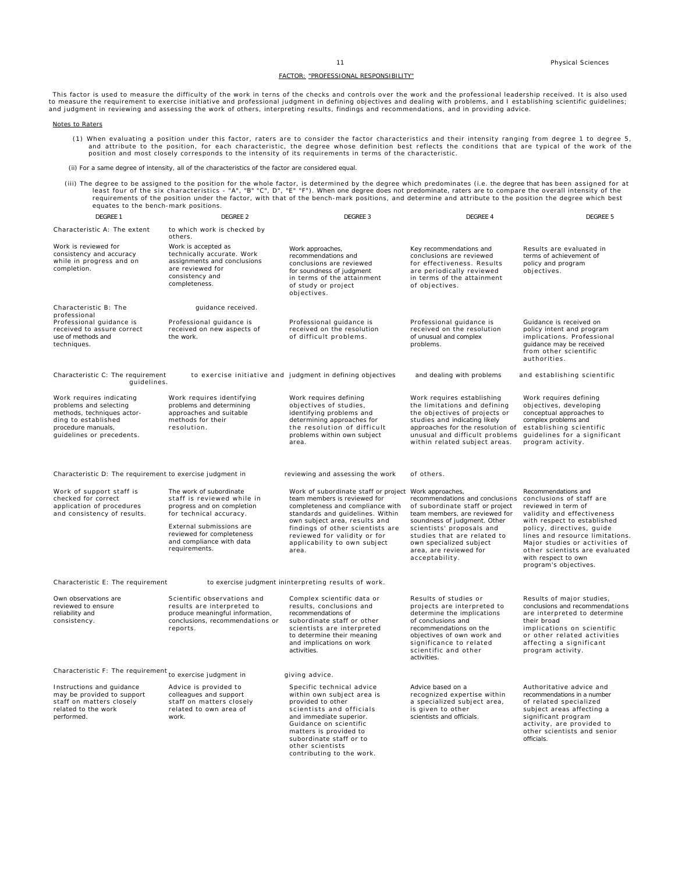#### FACTOR: "PROFESSIONAL RESPONSIBILITY"

This factor is used to measure the difficulty of the work in terns of the checks and controls over the work and the professional leadership received. It is also used<br>to measure the requirement to exercise initiative and pr

#### Notes to Raters

,1) When evaluating a position under this factor, raters are to consider the factor characteristics and their intensity ranging from degree 1 to degree 5,<br>and attribute to the position, for each characteristic, the degree

(ii) For a same degree of intensity, all of the characteristics of the factor are considered equal.

iii) The degree to be assigned to the position for the whole factor, is determined by the degree which predominates (i.e. the degree that has been assigned for at), "E" "F" F" (F" is "F" f" is deast four of the six charact equates to the bench-mark positions.

| DEGREE 1                                                                                                                                                   | <b>DEGREE 2</b>                                                                                                                                                                                                      | DEGREE 3                                                                                                                                                                                                                                                                                                    | DEGREE 4                                                                                                                                                                                                                                                                | DEGREE 5                                                                                                                                                                                                                                                                                                                |
|------------------------------------------------------------------------------------------------------------------------------------------------------------|----------------------------------------------------------------------------------------------------------------------------------------------------------------------------------------------------------------------|-------------------------------------------------------------------------------------------------------------------------------------------------------------------------------------------------------------------------------------------------------------------------------------------------------------|-------------------------------------------------------------------------------------------------------------------------------------------------------------------------------------------------------------------------------------------------------------------------|-------------------------------------------------------------------------------------------------------------------------------------------------------------------------------------------------------------------------------------------------------------------------------------------------------------------------|
| Characteristic A: The extent                                                                                                                               | to which work is checked by<br>others.                                                                                                                                                                               |                                                                                                                                                                                                                                                                                                             |                                                                                                                                                                                                                                                                         |                                                                                                                                                                                                                                                                                                                         |
| Work is reviewed for<br>consistency and accuracy<br>while in progress and on<br>completion.                                                                | Work is accepted as<br>technically accurate. Work<br>assignments and conclusions<br>are reviewed for<br>consistency and<br>completeness.                                                                             | Work approaches,<br>recommendations and<br>conclusions are reviewed<br>for soundness of judgment<br>in terms of the attainment<br>of study or project<br>objectives.                                                                                                                                        | Key recommendations and<br>conclusions are reviewed<br>for effectiveness. Results<br>are periodically reviewed<br>in terms of the attainment<br>of objectives.                                                                                                          | Results are evaluated in<br>terms of achievement of<br>policy and program<br>objectives.                                                                                                                                                                                                                                |
| Characteristic B: The<br>professional                                                                                                                      | guidance received.                                                                                                                                                                                                   |                                                                                                                                                                                                                                                                                                             |                                                                                                                                                                                                                                                                         |                                                                                                                                                                                                                                                                                                                         |
| Professional quidance is<br>received to assure correct<br>use of methods and<br>techniques.                                                                | Professional quidance is<br>received on new aspects of<br>the work.                                                                                                                                                  | Professional quidance is<br>received on the resolution<br>of difficult problems.                                                                                                                                                                                                                            | Professional quidance is<br>received on the resolution<br>of unusual and complex<br>problems.                                                                                                                                                                           | Guidance is received on<br>policy intent and program<br>implications. Professional<br>quidance may be received<br>from other scientific<br>authorities.                                                                                                                                                                 |
| Characteristic C: The requirement<br>quidelines.                                                                                                           |                                                                                                                                                                                                                      | to exercise initiative and judgment in defining objectives                                                                                                                                                                                                                                                  | and dealing with problems                                                                                                                                                                                                                                               | and establishing scientific                                                                                                                                                                                                                                                                                             |
| Work requires indicating<br>problems and selecting<br>methods, techniques actor-<br>ding to established<br>procedure manuals,<br>guidelines or precedents. | Work requires identifying<br>problems and determining<br>approaches and suitable<br>methods for their<br>resolution.                                                                                                 | Work requires defining<br>objectives of studies,<br>identifying problems and<br>determining approaches for<br>the resolution of difficult<br>problems within own subject<br>area.                                                                                                                           | Work requires establishing<br>the limitations and defining<br>the objectives of projects or<br>studies and indicating likely<br>approaches for the resolution of<br>unusual and difficult problems<br>within related subject areas.                                     | Work requires defining<br>objectives, developing<br>conceptual approaches to<br>complex problems and<br>establishing scientific<br>guidelines for a significant<br>program activity.                                                                                                                                    |
| Characteristic D: The requirement to exercise judgment in                                                                                                  |                                                                                                                                                                                                                      | reviewing and assessing the work                                                                                                                                                                                                                                                                            | of others.                                                                                                                                                                                                                                                              |                                                                                                                                                                                                                                                                                                                         |
| Work of support staff is<br>checked for correct<br>application of procedures<br>and consistency of results.                                                | The work of subordinate<br>staff is reviewed while in<br>progress and on completion<br>for technical accuracy.<br>External submissions are<br>reviewed for completeness<br>and compliance with data<br>requirements. | Work of subordinate staff or project Work approaches,<br>team members is reviewed for<br>completeness and compliance with<br>standards and guidelines. Within<br>own subject area, results and<br>findings of other scientists are<br>reviewed for validity or for<br>applicability to own subject<br>area. | recommendations and conclusions<br>of subordinate staff or project<br>team members, are reviewed for<br>soundness of judgment. Other<br>scientists' proposals and<br>studies that are related to<br>own specialized subject<br>area, are reviewed for<br>acceptability. | Recommendations and<br>conclusions of staff are<br>reviewed in term of<br>validity and effectiveness<br>with respect to established<br>policy, directives, guide<br>lines and resource limitations.<br>Major studies or activities of<br>other scientists are evaluated<br>with respect to own<br>program's objectives. |
| Characteristic E: The requirement                                                                                                                          |                                                                                                                                                                                                                      | to exercise judgment ininterpreting results of work.                                                                                                                                                                                                                                                        |                                                                                                                                                                                                                                                                         |                                                                                                                                                                                                                                                                                                                         |
| Own observations are<br>reviewed to ensure<br>reliability and<br>consistency.                                                                              | Scientific observations and<br>results are interpreted to<br>produce meaningful information,<br>conclusions, recommendations or<br>reports.                                                                          | Complex scientific data or<br>results, conclusions and<br>recommendations of<br>subordinate staff or other<br>scientists are interpreted<br>to determine their meaning<br>and implications on work<br>activities.                                                                                           | Results of studies or<br>projects are interpreted to<br>determine the implications<br>of conclusions and<br>recommendations on the<br>objectives of own work and<br>significance to related<br>scientific and other<br>activities.                                      | Results of major studies,<br>conclusions and recommendations<br>are interpreted to determine<br>their broad<br>implications on scientific<br>or other related activities<br>affecting a significant<br>program activity.                                                                                                |
| Characteristic F: The requirement to exercise judgment in                                                                                                  |                                                                                                                                                                                                                      | giving advice.                                                                                                                                                                                                                                                                                              |                                                                                                                                                                                                                                                                         |                                                                                                                                                                                                                                                                                                                         |
| Instructions and guidance<br>may be provided to support<br>staff on matters closely<br>related to the work<br>performed.                                   | Advice is provided to<br>colleagues and support<br>staff on matters closely<br>related to own area of<br>work.                                                                                                       | Specific technical advice<br>within own subject area is<br>provided to other<br>scientists and officials<br>and immediate superior.<br>Guidance on scientific<br>matters is provided to<br>subordinate staff or to<br>other scientists<br>contributing to the work.                                         | Advice based on a<br>recognized expertise within<br>a specialized subject area,<br>is given to other<br>scientists and officials.                                                                                                                                       | Authoritative advice and<br>recommendations in a number<br>of related specialized<br>subject areas affecting a<br>significant program<br>activity, are provided to<br>other scientists and senior<br>officials.                                                                                                         |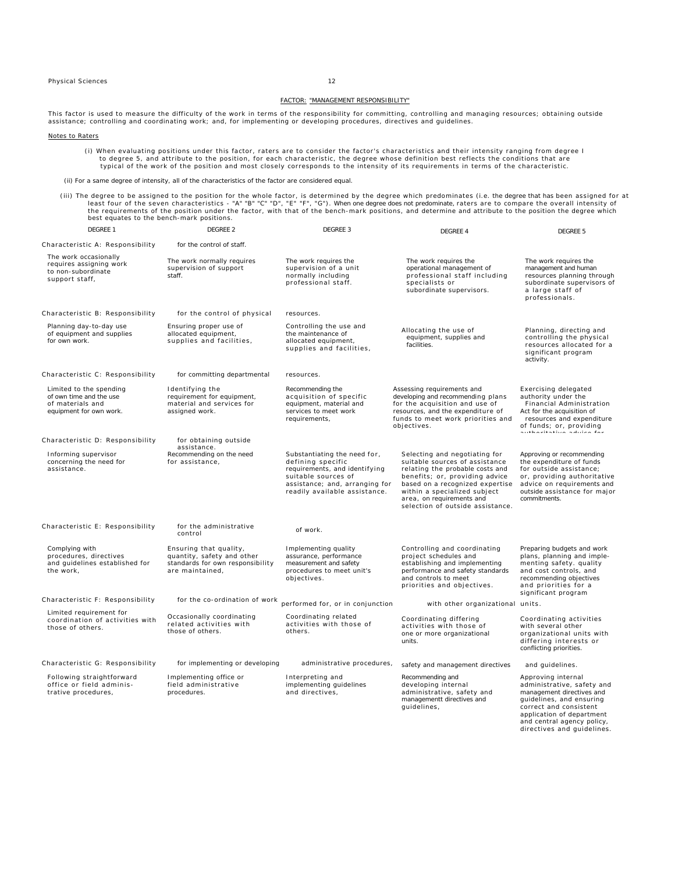### FACTOR: "MANAGEMENT RESPONSIBILITY"

This factor is used to measure the difficulty of the work in terms of the responsibility for committing, controlling and managing resources; obtaining outside<br>assistance; controlling and coordinating work; and, for impleme

#### Notes to Raters

(i) When evaluating positions under this factor, raters are to consider the factor's characteristics and their intensity ranging from degree I to degree 5, and attribute to the position, for each characteristic, the degree whose definition best reflects the conditions that are<br>typical of the work of the position and most closely corresponds to the intensity of it

(ii) For a same degree of intensity, all of the characteristics of the factor are considered equal.

(iii) The degree to be assigned to the position for the whole factor, is determined by the degree which predominates (i.e. the degree that has been assigned for at least four of the seven characteristics - "A" "B" "C" "D",

| <b>DEGREE 1</b>                                                                                   | DEGREE 2                                                                                                    | DEGREE 3                                                                                                                                                                     | DEGREE 4                                                                                                                                                                                                                                                                 | <b>DEGREE 5</b>                                                                                                                                                                                                              |
|---------------------------------------------------------------------------------------------------|-------------------------------------------------------------------------------------------------------------|------------------------------------------------------------------------------------------------------------------------------------------------------------------------------|--------------------------------------------------------------------------------------------------------------------------------------------------------------------------------------------------------------------------------------------------------------------------|------------------------------------------------------------------------------------------------------------------------------------------------------------------------------------------------------------------------------|
| Characteristic A: Responsibility                                                                  | for the control of staff.                                                                                   |                                                                                                                                                                              |                                                                                                                                                                                                                                                                          |                                                                                                                                                                                                                              |
| The work occasionally<br>requires assigning work<br>to non-subordinate<br>support staff,          | The work normally requires<br>supervision of support<br>staff.                                              | The work requires the<br>supervision of a unit<br>normally including<br>professional staff.                                                                                  | The work requires the<br>operational management of<br>professional staff including<br>specialists or<br>subordinate supervisors.                                                                                                                                         | The work requires the<br>management and human<br>resources planning through<br>subordinate supervisors of<br>a large staff of<br>professionals.                                                                              |
| Characteristic B: Responsibility                                                                  | for the control of physical                                                                                 | resources.                                                                                                                                                                   |                                                                                                                                                                                                                                                                          |                                                                                                                                                                                                                              |
| Planning day-to-day use<br>of equipment and supplies<br>for own work.                             | Ensuring proper use of<br>allocated equipment,<br>supplies and facilities,                                  | Controlling the use and<br>the maintenance of<br>allocated equipment,<br>supplies and facilities,                                                                            | Allocating the use of<br>equipment, supplies and<br>facilities.                                                                                                                                                                                                          | Planning, directing and<br>controlling the physical<br>resources allocated for a<br>significant program<br>activity.                                                                                                         |
| Characteristic C: Responsibility                                                                  | for committing departmental                                                                                 | resources.                                                                                                                                                                   |                                                                                                                                                                                                                                                                          |                                                                                                                                                                                                                              |
| Limited to the spending<br>of own time and the use<br>of materials and<br>equipment for own work. | Identifying the<br>requirement for equipment,<br>material and services for<br>assigned work.                | Recommending the<br>acquisition of specific<br>equipment, material and<br>services to meet work<br>requirements,                                                             | Assessing requirements and<br>developing and recommending plans<br>for the acquisition and use of<br>resources, and the expenditure of<br>funds to meet work priorities and<br>objectives.                                                                               | <b>Exercising delegated</b><br>authority under the<br>Financial Administration<br>Act for the acquisition of<br>resources and expenditure<br>of funds; or, providing<br>بالأطا الانداديات أالديادة والمادون والاديات         |
| Characteristic D: Responsibility                                                                  | for obtaining outside<br>assistance.                                                                        |                                                                                                                                                                              |                                                                                                                                                                                                                                                                          |                                                                                                                                                                                                                              |
| Informing supervisor<br>concerning the need for<br>assistance.                                    | Recommending on the need<br>for assistance,                                                                 | Substantiating the need for,<br>defining specific<br>requirements, and identifying<br>suitable sources of<br>assistance; and, arranging for<br>readily available assistance. | Selecting and negotiating for<br>suitable sources of assistance<br>relating the probable costs and<br>benefits; or, providing advice<br>based on a recognized expertise<br>within a specialized subject<br>area, on requirements and<br>selection of outside assistance. | Approving or recommending<br>the expenditure of funds<br>for outside assistance;<br>or, providing authoritative<br>advice on requirements and<br>outside assistance for major<br>commitments.                                |
| Characteristic E: Responsibility                                                                  | for the administrative<br>control                                                                           | of work.                                                                                                                                                                     |                                                                                                                                                                                                                                                                          |                                                                                                                                                                                                                              |
| Complying with<br>procedures, directives<br>and quidelines established for<br>the work,           | Ensuring that quality,<br>quantity, safety and other<br>standards for own responsibility<br>are maintained, | Implementing quality<br>assurance, performance<br>measurement and safety<br>procedures to meet unit's<br>objectives.                                                         | Controlling and coordinating<br>project schedules and<br>establishing and implementing<br>performance and safety standards<br>and controls to meet<br>priorities and objectives.                                                                                         | Preparing budgets and work<br>plans, planning and imple-<br>menting safety. quality<br>and cost controls, and<br>recommending objectives<br>and priorities for a<br>significant program                                      |
| Characteristic F: Responsibility                                                                  | for the co-ordination of work                                                                               | performed for, or in conjunction                                                                                                                                             | with other organizational units.                                                                                                                                                                                                                                         |                                                                                                                                                                                                                              |
| Limited requirement for<br>coordination of activities with<br>those of others.                    | Occasionally coordinating<br>related activities with<br>those of others.                                    | Coordinating related<br>activities with those of<br>others.                                                                                                                  | Coordinating differing<br>activities with those of<br>one or more organizational<br>units.                                                                                                                                                                               | Coordinating activities<br>with several other<br>organizational units with<br>differing interests or<br>conflicting priorities.                                                                                              |
| Characteristic G: Responsibility                                                                  | for implementing or developing                                                                              | administrative procedures,                                                                                                                                                   | safety and management directives                                                                                                                                                                                                                                         | and guidelines.                                                                                                                                                                                                              |
| Following straightforward<br>office or field adminis-<br>trative procedures,                      | Implementing office or<br>field administrative<br>procedures.                                               | Interpreting and<br>implementing quidelines<br>and directives,                                                                                                               | Recommending and<br>developing internal<br>administrative, safety and<br>managementt directives and<br>guidelines,                                                                                                                                                       | Approving internal<br>administrative, safety and<br>management directives and<br>quidelines, and ensuring<br>correct and consistent<br>application of department<br>and central agency policy,<br>directives and quidelines. |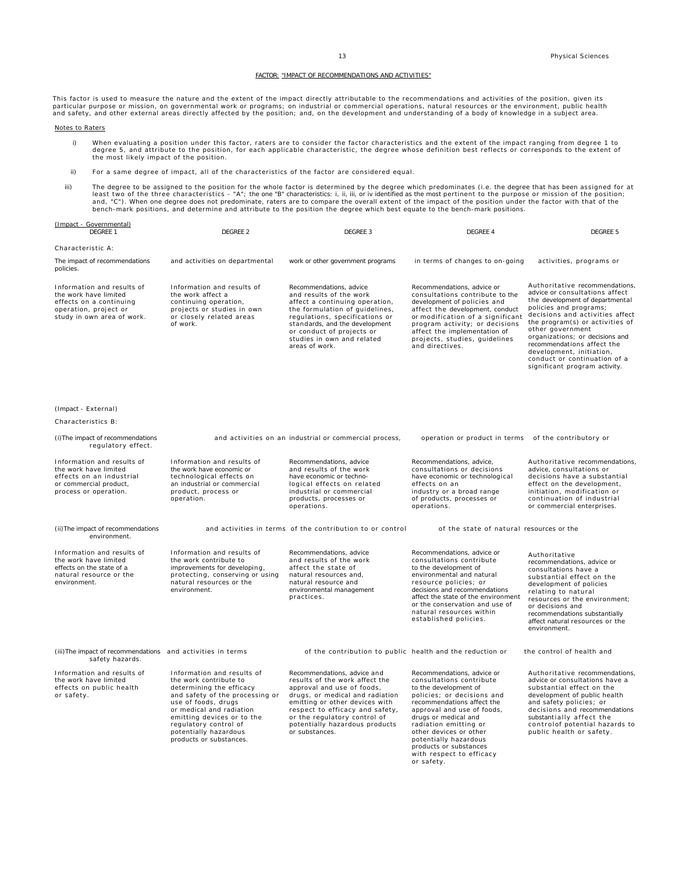#### FACTOR: "IMPACT OF RECOMMENDATIONS AND ACTIVITIES"

This factor is used to measure the nature and the extent of the impact directly attributable to the recommendations and activities of the position, given its<br>particular purpose or mission, on governmental work or programs;

#### Notes to Raters

- i) When evaluating a position under this factor, raters are to consider the factor characteristics and the extent of the impact ranging from degree 1 to<br>degree 5, and attribute to the position, for each applicable characte
- ii) For a same degree of impact, all of the characteristics of the factor are considered equal.
- iii) The degree to be assigned to the position for the whole factor is determined by the degree which predominates (i.e. the degree that has been assigned for at least two of the three characteristics "A"; the one "B" ch

| (Impact - Governmental)<br>DEGREE 1                                                                                                   | <b>DEGREE 2</b>                                                                                                                                                                                                                                                                   | <b>DEGREE 3</b>                                                                                                                                                                                                                                                                         | DEGREE 4                                                                                                                                                                                                                                                                                                                                          | DEGREE 5                                                                                                                                                                                                                                                                                                                                                                              |  |  |  |  |  |
|---------------------------------------------------------------------------------------------------------------------------------------|-----------------------------------------------------------------------------------------------------------------------------------------------------------------------------------------------------------------------------------------------------------------------------------|-----------------------------------------------------------------------------------------------------------------------------------------------------------------------------------------------------------------------------------------------------------------------------------------|---------------------------------------------------------------------------------------------------------------------------------------------------------------------------------------------------------------------------------------------------------------------------------------------------------------------------------------------------|---------------------------------------------------------------------------------------------------------------------------------------------------------------------------------------------------------------------------------------------------------------------------------------------------------------------------------------------------------------------------------------|--|--|--|--|--|
| Characteristic A:                                                                                                                     |                                                                                                                                                                                                                                                                                   |                                                                                                                                                                                                                                                                                         |                                                                                                                                                                                                                                                                                                                                                   |                                                                                                                                                                                                                                                                                                                                                                                       |  |  |  |  |  |
| The impact of recommendations<br>policies.                                                                                            | and activities on departmental                                                                                                                                                                                                                                                    | work or other government programs                                                                                                                                                                                                                                                       | in terms of changes to on-going                                                                                                                                                                                                                                                                                                                   | activities, programs or                                                                                                                                                                                                                                                                                                                                                               |  |  |  |  |  |
| Information and results of<br>the work have limited<br>effects on a continuing<br>operation, project or<br>study in own area of work. | Information and results of<br>the work affect a<br>continuing operation,<br>projects or studies in own<br>or closely related areas<br>of work.                                                                                                                                    | Recommendations, advice<br>and results of the work<br>affect a continuing operation,<br>the formulation of quidelines,<br>regulations, specifications or<br>standards, and the development<br>or conduct of projects or<br>studies in own and related<br>areas of work.                 | Recommendations, advice or<br>consultations contribute to the<br>development of policies and<br>affect the development, conduct<br>or modification of a significant<br>program activity; or decisions<br>affect the implementation of<br>projects, studies, guidelines<br>and directives.                                                         | Authoritative recommendations.<br>advice or consultations affect<br>the development of departmental<br>policies and programs;<br>decisions and activities affect<br>the program(s) or activities of<br>other government<br>organizations; or decisions and<br>recommendations affect the<br>development, initiation,<br>conduct or continuation of a<br>significant program activity. |  |  |  |  |  |
| (Impact - External)                                                                                                                   |                                                                                                                                                                                                                                                                                   |                                                                                                                                                                                                                                                                                         |                                                                                                                                                                                                                                                                                                                                                   |                                                                                                                                                                                                                                                                                                                                                                                       |  |  |  |  |  |
| Characteristics B:                                                                                                                    |                                                                                                                                                                                                                                                                                   |                                                                                                                                                                                                                                                                                         |                                                                                                                                                                                                                                                                                                                                                   |                                                                                                                                                                                                                                                                                                                                                                                       |  |  |  |  |  |
| (i) The impact of recommendations<br>regulatory effect.                                                                               |                                                                                                                                                                                                                                                                                   | and activities on an industrial or commercial process,                                                                                                                                                                                                                                  | operation or product in terms of the contributory or                                                                                                                                                                                                                                                                                              |                                                                                                                                                                                                                                                                                                                                                                                       |  |  |  |  |  |
| Information and results of<br>the work have limited<br>effects on an industrial<br>or commercial product,<br>process or operation.    | Information and results of<br>the work have economic or<br>technological effects on<br>an industrial or commercial<br>product, process or<br>operation.                                                                                                                           | Recommendations, advice<br>and results of the work<br>have economic or techno-<br>logical effects on related<br>industrial or commercial<br>products, processes or<br>operations.                                                                                                       | Recommendations, advice,<br>consultations or decisions<br>have economic or technological<br>effects on an<br>industry or a broad range<br>of products, processes or<br>operations.                                                                                                                                                                | Authoritative recommendations,<br>advice, consultations or<br>decisions have a substantial<br>effect on the development.<br>initiation, modification or<br>continuation of industrial<br>or commercial enterprises.                                                                                                                                                                   |  |  |  |  |  |
| (ii) The impact of recommendations<br>environment.                                                                                    |                                                                                                                                                                                                                                                                                   | and activities in terms of the contribution to or control                                                                                                                                                                                                                               | of the state of natural resources or the                                                                                                                                                                                                                                                                                                          |                                                                                                                                                                                                                                                                                                                                                                                       |  |  |  |  |  |
| Information and results of<br>the work have limited<br>effects on the state of a<br>natural resource or the<br>environment.           | Information and results of<br>the work contribute to<br>improvements for developing,<br>protecting, conserving or using<br>natural resources or the<br>environment.                                                                                                               | Recommendations, advice<br>and results of the work<br>affect the state of<br>natural resources and.<br>natural resource and<br>environmental management<br>practices.                                                                                                                   | Recommendations, advice or<br>consultations contribute<br>to the development of<br>environmental and natural<br>resource policies; or<br>decisions and recommendations<br>affect the state of the environment<br>or the conservation and use of<br>natural resources within<br>established policies.                                              | Authoritative<br>recommendations, advice or<br>consultations have a<br>substantial effect on the<br>development of policies<br>relating to natural<br>resources or the environment;<br>or decisions and<br>recommendations substantially<br>affect natural resources or the<br>environment.                                                                                           |  |  |  |  |  |
| (iii) The impact of recommendations and activities in terms<br>safety hazards.                                                        |                                                                                                                                                                                                                                                                                   | of the contribution to public health and the reduction or                                                                                                                                                                                                                               |                                                                                                                                                                                                                                                                                                                                                   | the control of health and                                                                                                                                                                                                                                                                                                                                                             |  |  |  |  |  |
| Information and results of<br>the work have limited<br>effects on public health<br>or safety.                                         | Information and results of<br>the work contribute to<br>determining the efficacy<br>and safety of the processing or<br>use of foods, drugs<br>or medical and radiation<br>emitting devices or to the<br>regulatory control of<br>potentially hazardous<br>products or substances. | Recommendations, advice and<br>results of the work affect the<br>approval and use of foods,<br>drugs, or medical and radiation<br>emitting or other devices with<br>respect to efficacy and safety,<br>or the regulatory control of<br>potentially hazardous products<br>or substances. | Recommendations, advice or<br>consultations contribute<br>to the development of<br>policies; or decisions and<br>recommendations affect the<br>approval and use of foods,<br>drugs or medical and<br>radiation emitting or<br>other devices or other<br>potentially hazardous<br>products or substances<br>with respect to efficacy<br>or safety. | Authoritative recommendations,<br>advice or consultations have a<br>substantial effect on the<br>development of public health<br>and safety policies; or<br>decisions and recommendations<br>substantially affect the<br>controlof potential hazards to<br>public health or safety.                                                                                                   |  |  |  |  |  |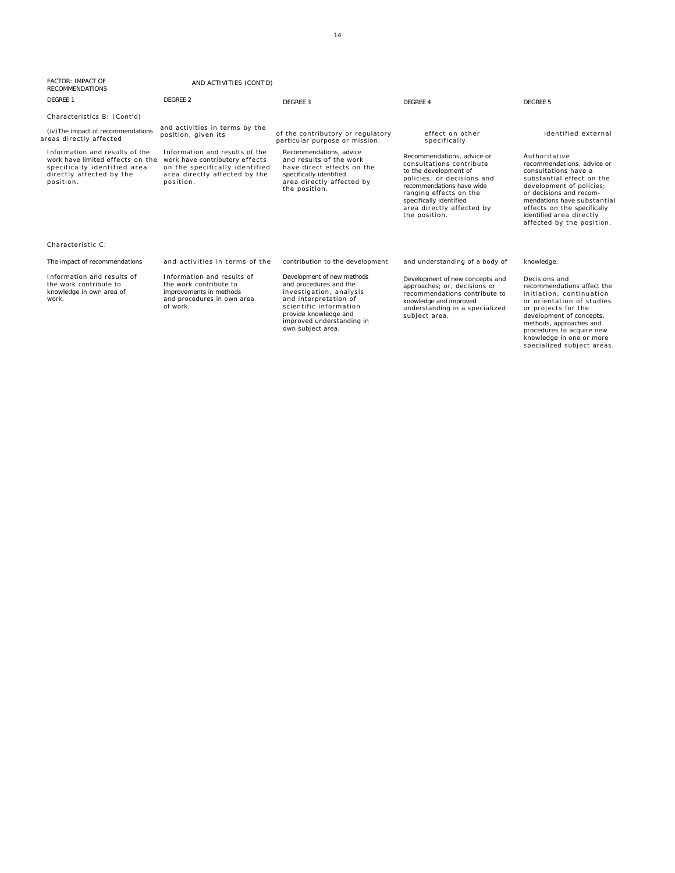| <b>FACTOR: IMPACT OF</b><br><b>RECOMMENDATIONS</b>                                                                                          | AND ACTIVITIES (CONT'D)                                                                                                                          |                                                                                                                                                                                                               |                                                                                                                                                                                                                                               |                                                                                                                                                                                                                                                                                |
|---------------------------------------------------------------------------------------------------------------------------------------------|--------------------------------------------------------------------------------------------------------------------------------------------------|---------------------------------------------------------------------------------------------------------------------------------------------------------------------------------------------------------------|-----------------------------------------------------------------------------------------------------------------------------------------------------------------------------------------------------------------------------------------------|--------------------------------------------------------------------------------------------------------------------------------------------------------------------------------------------------------------------------------------------------------------------------------|
| <b>DEGREE 1</b>                                                                                                                             | <b>DEGREE 2</b>                                                                                                                                  | <b>DEGREE 3</b>                                                                                                                                                                                               | <b>DEGREE 4</b>                                                                                                                                                                                                                               | <b>DEGREE 5</b>                                                                                                                                                                                                                                                                |
| Characteristics B: (Cont'd)                                                                                                                 |                                                                                                                                                  |                                                                                                                                                                                                               |                                                                                                                                                                                                                                               |                                                                                                                                                                                                                                                                                |
| (iv) The impact of recommendations<br>areas directly affected                                                                               | and activities in terms by the<br>position, given its                                                                                            | of the contributory or regulatory<br>particular purpose or mission.                                                                                                                                           | effect on other<br>specifically                                                                                                                                                                                                               | identified external                                                                                                                                                                                                                                                            |
| Information and results of the<br>work have limited effects on the<br>specifically identified area<br>directly affected by the<br>position. | Information and results of the<br>work have contributory effects<br>on the specifically identified<br>area directly affected by the<br>position. | Recommendations, advice<br>and results of the work<br>have direct effects on the<br>specifically identified<br>area directly affected by<br>the position.                                                     | Recommendations, advice or<br>consultations contribute<br>to the development of<br>policies; or decisions and<br>recommendations have wide<br>ranging effects on the<br>specifically identified<br>area directly affected by<br>the position. | Authoritative<br>recommendations, advice or<br>consultations have a<br>substantial effect on the<br>development of policies;<br>or decisions and recom-<br>mendations have substantial<br>effects on the specifically<br>identified area directly<br>affected by the position. |
| Characteristic C:                                                                                                                           |                                                                                                                                                  |                                                                                                                                                                                                               |                                                                                                                                                                                                                                               |                                                                                                                                                                                                                                                                                |
| The impact of recommendations                                                                                                               | and activities in terms of the                                                                                                                   | contribution to the development                                                                                                                                                                               | and understanding of a body of                                                                                                                                                                                                                | knowledge.                                                                                                                                                                                                                                                                     |
| Information and results of<br>the work contribute to<br>knowledge in own area of<br>work.                                                   | Information and results of<br>the work contribute to<br>improvements in methods<br>and procedures in own area<br>of work.                        | Development of new methods<br>and procedures and the<br>investigation, analysis<br>and interpretation of<br>scientific information<br>provide knowledge and<br>improved understanding in<br>own subject area. | Development of new concepts and<br>approaches; or, decisions or<br>recommendations contribute to<br>knowledge and improved<br>understanding in a specialized<br>subject area.                                                                 | Decisions and<br>recommendations affect the<br>initiation, continuation<br>or orientation of studies<br>or projects for the<br>development of concepts,<br>methods, approaches and<br>procedures to acquire new<br>knowledge in one or more<br>specialized subject areas.      |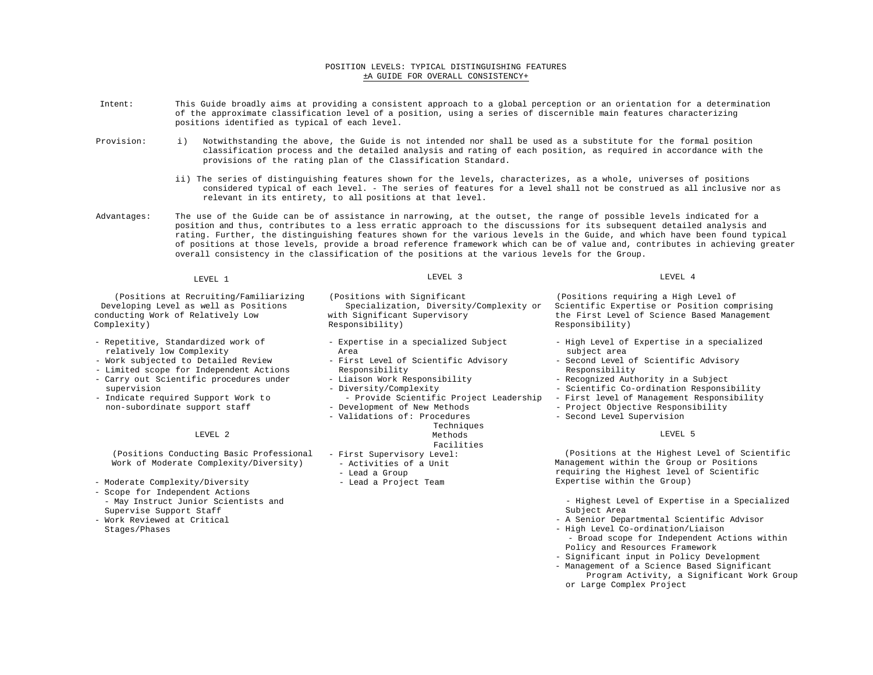#### POSITION LEVELS: TYPICAL DISTINGUISHING FEATURES ±A GUIDE FOR OVERALL CONSISTENCY+

- Intent: This Guide broadly aims at providing a consistent approach to a global perception or an orientation for a determination of the approximate classification level of a position, using a series of discernible main features characterizing positions identified as typical of each level.
- 
- Provision: i) Notwithstanding the above, the Guide is not intended nor shall be used as a substitute for the formal position classification process and the detailed analysis and rating of each position, as required in accordance with the provisions of the rating plan of the Classification Standard.
	- ii) The series of distinguishing features shown for the levels, characterizes, as a whole, universes of positions considered typical of each level. - The series of features for a level shall not be construed as all inclusive nor as relevant in its entirety, to all positions at that level.
- Advantages: The use of the Guide can be of assistance in narrowing, at the outset, the range of possible levels indicated for a position and thus, contributes to a less erratic approach to the discussions for its subsequent detailed analysis and rating. Further, the distinguishing features shown for the various levels in the Guide, and which have been found typical of positions at those levels, provide a broad reference framework which can be of value and, contributes in achieving greater overall consistency in the classification of the positions at the various levels for the Group.

| LEVEL 1                                                                                                                                                                                                                                                                             | LEVEL 3                                                                                                                                                                                                                                                                      | LEVEL 4                                                                                                                                                                                                                                                                                                                     |
|-------------------------------------------------------------------------------------------------------------------------------------------------------------------------------------------------------------------------------------------------------------------------------------|------------------------------------------------------------------------------------------------------------------------------------------------------------------------------------------------------------------------------------------------------------------------------|-----------------------------------------------------------------------------------------------------------------------------------------------------------------------------------------------------------------------------------------------------------------------------------------------------------------------------|
| (Positions at Recruiting/Familiarizing<br>Developing Level as well as Positions<br>conducting Work of Relatively Low<br>Complexity)                                                                                                                                                 | (Positions with Significant<br>Specialization, Diversity/Complexity or<br>with Significant Supervisory<br>Responsibility)                                                                                                                                                    | (Positions requiring a High Level of<br>Scientific Expertise or Position comprising<br>the First Level of Science Based Management<br>Responsibility)                                                                                                                                                                       |
| - Repetitive, Standardized work of<br>relatively low Complexity<br>- Work subjected to Detailed Review<br>- Limited scope for Independent Actions<br>- Carry out Scientific procedures under<br>supervision<br>- Indicate required Support Work to<br>non-subordinate support staff | - Expertise in a specialized Subject<br>Area<br>- First Level of Scientific Advisory<br>Responsibility<br>- Liaison Work Responsibility<br>- Diversity/Complexity<br>- Provide Scientific Project Leadership<br>- Development of New Methods<br>- Validations of: Procedures | - High Level of Expertise in a specialized<br>subject area<br>- Second Level of Scientific Advisory<br>Responsibility<br>- Recognized Authority in a Subject<br>- Scientific Co-ordination Responsibility<br>- First level of Management Responsibility<br>- Project Objective Responsibility<br>- Second Level Supervision |
| LEVEL 2                                                                                                                                                                                                                                                                             | Techniques<br>Methods<br>Facilities                                                                                                                                                                                                                                          | LEVEL 5                                                                                                                                                                                                                                                                                                                     |
| (Positions Conducting Basic Professional<br>Work of Moderate Complexity/Diversity)                                                                                                                                                                                                  | - First Supervisory Level:<br>- Activities of a Unit<br>- Lead a Group                                                                                                                                                                                                       | (Positions at the Highest Level of Scientific<br>Management within the Group or Positions<br>requiring the Highest level of Scientific                                                                                                                                                                                      |
| - Moderate Complexity/Diversity<br>- Scope for Independent Actions<br>- May Instruct Junior Scientists and<br>Supervise Support Staff<br>- Work Reviewed at Critical<br>Stages/Phases                                                                                               | - Lead a Project Team                                                                                                                                                                                                                                                        | Expertise within the Group)<br>- Highest Level of Expertise in a Specialized<br>Subject Area<br>- A Senior Departmental Scientific Advisor<br>- High Level Co-ordination/Liaison                                                                                                                                            |

- Broad scope for Independent Actions within Policy and Resources Framework
- Significant input in Policy Development
- Management of a Science Based Significant Program Activity, a Significant Work Group or Large Complex Project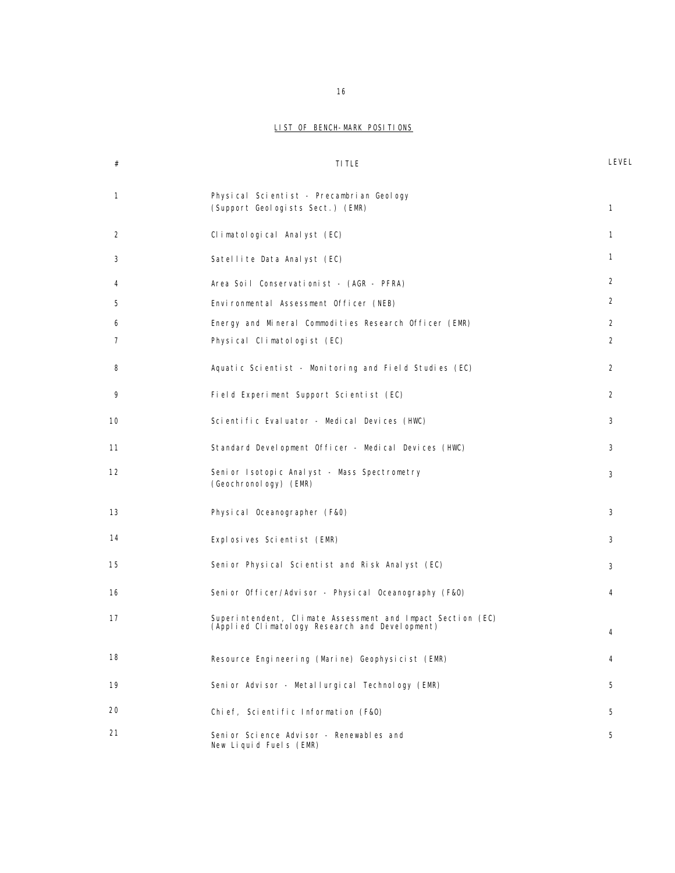### LIST OF BENCH-MARK POSITIONS

| #  | <b>TITLE</b>                                                                                                 | LEVEL          |
|----|--------------------------------------------------------------------------------------------------------------|----------------|
| 1  | Physical Scientist - Precambrian Geology<br>(Support Geologists Sect.) (EMR)                                 | 1              |
| 2  | Climatological Analyst (EC)                                                                                  | 1              |
| 3  | Satellite Data Analyst (EC)                                                                                  | 1              |
| 4  | Area Soil Conservationist - (AGR - PFRA)                                                                     | 2              |
| 5  | Environmental Assessment Officer (NEB)                                                                       | 2              |
| 6  | Energy and Mineral Commodities Research Officer (EMR)                                                        | $\overline{2}$ |
| 7  | Physical Climatologist (EC)                                                                                  | 2              |
| 8  | Aquatic Scientist - Monitoring and Field Studies (EC)                                                        | 2              |
| 9  | Field Experiment Support Scientist (EC)                                                                      | 2              |
| 10 | Scientific Evaluator - Medical Devices (HWC)                                                                 | 3              |
| 11 | Standard Development Officer - Medical Devices (HWC)                                                         | 3              |
| 12 | Seni or Isotopic Analyst - Mass Spectrometry<br>(Geochronol ogy) (EMR)                                       | 3              |
| 13 | Physical Oceanographer (F&O)                                                                                 | 3              |
| 14 | Explosives Scientist (EMR)                                                                                   | 3              |
| 15 | Senior Physical Scientist and Risk Analyst (EC)                                                              | 3              |
| 16 | Seni or Offi cer/Advi sor - Physi cal Oceanography (F&O)                                                     | 4              |
| 17 | Superintendent, Climate Assessment and Impact Section (EC)<br>(Applied Climatology Research and Development) | 4              |
| 18 | Resource Engineering (Marine) Geophysicist (EMR)                                                             | 4              |
| 19 | Seni or Advisor - Metallurgical Technology (EMR)                                                             | 5              |
| 20 | Chief, Scientific Information (F&O)                                                                          | 5              |
| 21 | Seni or Sci ence Advi sor - Renewabl es and<br>New Liquid Fuels (EMR)                                        | 5              |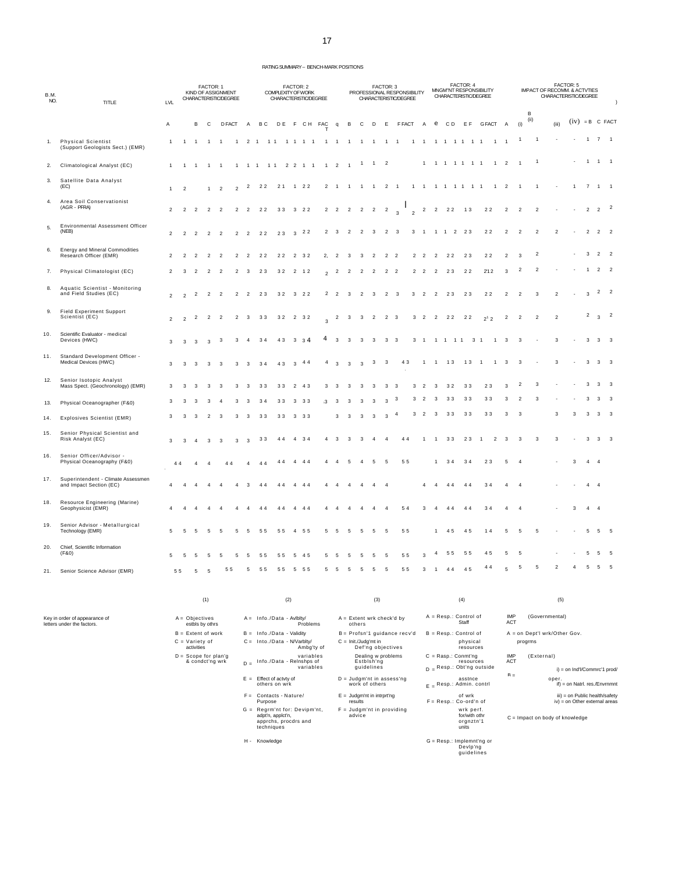### RATING SUMMARY – BENCH-MARK POSITIONS

| B.M.<br>NO. | TITLE                                                         | <b>LVL</b>     |                |                          | FACTOR: 1                | KIND OF ASSIGNMENT<br><b>CHARACTERISTIC/DEGREE</b> |                |                         |                         | COMPLEXITY OF WORK<br><b>CHARACTERISTIC/DEGREE</b> |                | FACTOR: 2       |                         |                |                |                |                | FACTOR: 3               | PROFESSIONAL RESPONSIBILITY<br><b>CHARACTERISTIC/DEGREE</b> |                                            |                |                |                              | FACTOR: 4 | MNGM"NT RESPONSIBILITY<br><b>CHARACTERISTIC/DEGREE</b> |                |                |           | IMPACT OF RECOMM. & ACTVTIES |                | FACTOR: 5<br>CHARACTERISTIC/DEGREE |                |                     | $\lambda$                |
|-------------|---------------------------------------------------------------|----------------|----------------|--------------------------|--------------------------|----------------------------------------------------|----------------|-------------------------|-------------------------|----------------------------------------------------|----------------|-----------------|-------------------------|----------------|----------------|----------------|----------------|-------------------------|-------------------------------------------------------------|--------------------------------------------|----------------|----------------|------------------------------|-----------|--------------------------------------------------------|----------------|----------------|-----------|------------------------------|----------------|------------------------------------|----------------|---------------------|--------------------------|
|             |                                                               | Α              |                | В                        | C                        | <b>D FACT</b>                                      |                | $\overline{A}$          | B C                     | D E                                                |                |                 | F CH FAC                | q              | в              | C              | D              | E                       | F FACT                                                      | $\overline{A}$                             |                | e              | CD                           | E F       | GFACT A                                                |                | (i)            | В<br>(ii) |                              | (iii)          | $(iv) = B C FACT$                  |                |                     |                          |
| 1.          | <b>Physical Scientist</b><br>(Support Geologists Sect.) (EMR) | $\mathbf{1}$   |                | $1 \t1 \t1 \t1$          |                          |                                                    |                |                         | 1 2 1 1 1 1 1 1 1 1 1 1 |                                                    |                |                 |                         |                |                | $\overline{1}$ | $\overline{1}$ | 1 1                     |                                                             | $\overline{1}$                             | $\overline{1}$ |                | 1 1 1 1 1 1                  |           | $\overline{1}$                                         | $\overline{1}$ | $\overline{1}$ |           |                              |                |                                    | $\overline{1}$ | $\overline{7}$      |                          |
| 2.          | Climatological Analyst (EC)                                   | $\mathbf{1}$   | $\overline{1}$ | $\overline{1}$           | $\overline{1}$           | $\overline{1}$                                     | $\mathbf{1}$   | $\overline{1}$          | 1 1<br>$\overline{1}$   |                                                    |                | $2 \t2 \t1 \t1$ | $\overline{1}$          | $\overline{2}$ | $\overline{1}$ | $\mathbf{1}$   | $\overline{1}$ | $\overline{2}$          |                                                             |                                            | $\mathbf{1}$   |                | 1 1 1 1 1 1                  |           | $\overline{1}$                                         | $\overline{2}$ | $\overline{1}$ |           | $\overline{1}$               |                |                                    | $\overline{1}$ | 1                   | $\overline{1}$           |
| 3.          | Satellite Data Analyst<br>(EC)                                | $\mathbf{1}$   | $\overline{2}$ |                          | $\overline{1}$           | $\overline{2}$                                     | $\mathcal{L}$  | $\overline{2}$          | 22                      | 21                                                 |                | $1 \quad 22$    | $\overline{a}$          | $\overline{1}$ | $\overline{1}$ | $\overline{1}$ | $\mathbf{1}$   | $\overline{2}$          | $\overline{1}$                                              | $\overline{1}$<br>$\mathbf{1}$             |                |                | 1 1 1 1 1 1                  |           | $\overline{1}$                                         | $\overline{2}$ | $\overline{1}$ |           | $\overline{1}$               |                | $\overline{1}$                     | $\overline{7}$ | $1 \quad 1$         |                          |
| 4.          | Area Soil Conservationist<br>(AGR - PFRA)                     | $\overline{2}$ | $\overline{2}$ | $\overline{2}$           | $\overline{2}$           | $\overline{2}$                                     | $\overline{2}$ | $\overline{2}$          | 22                      | 33                                                 |                | $3 \t22$        |                         | $2 \quad 2$    | $\overline{2}$ | $\overline{2}$ | $\overline{2}$ | $\overline{\mathbf{2}}$ |                                                             |                                            | $\overline{2}$ |                | $2 \t22$                     | 13        | 22                                                     | $\overline{2}$ |                |           | $\overline{2}$               |                |                                    | $\overline{2}$ | $\overline{2}$      | $\overline{\phantom{a}}$ |
| 5.          | Environmental Assessment Officer<br>(NEB)                     | $\overline{2}$ | $\overline{2}$ | $\overline{2}$           | $\overline{2}$           | $\overline{2}$                                     | $\mathfrak{p}$ | $\overline{2}$          | 22                      | 23                                                 |                | $3^{22}$        | $\overline{2}$          | $_{3}$         | $\overline{2}$ | $\overline{2}$ | 3              | 2 3                     |                                                             | 3<br>$\overline{1}$                        |                |                | $1 \quad 1 \quad 2 \quad 23$ |           | 22                                                     | $\overline{2}$ | $\mathcal{P}$  |           | $\mathcal{P}$                | $\mathfrak{p}$ |                                    |                | $2 \quad 2 \quad 2$ |                          |
| 6.          | Energy and Mineral Commodities<br>Research Officer (EMR)      | $\overline{2}$ | $\overline{2}$ | $\overline{2}$           | $\overline{2}$           | $\overline{\phantom{a}}$                           | $\mathfrak{p}$ | $\overline{2}$          | 22                      | 22                                                 |                | 2 3 2           | 2,                      | $\overline{2}$ | 3              | 3              | $\overline{2}$ | $\overline{2}$          | $\overline{2}$                                              | $\overline{2}$<br>$\overline{2}$           |                | $\overline{2}$ | 22                           | 23        | 22                                                     | $\overline{2}$ | 3              |           | $\overline{2}$               |                |                                    | 3              | $\overline{2}$      | $\overline{\phantom{a}}$ |
| 7.          | Physical Climatologist (EC)                                   | $\mathfrak{p}$ | 3              | $\overline{\phantom{a}}$ | $\overline{\phantom{a}}$ | $\overline{\phantom{a}}$                           | $\mathfrak{p}$ | $\mathbf{3}$            | 23                      | 32                                                 |                | 2 1 2           | $\mathfrak{p}$          | 2              | -2             | $\overline{2}$ | 2              | $\overline{2}$          | -2                                                          | $\mathfrak{p}$<br>$\overline{\phantom{a}}$ |                | $\mathcal{P}$  | 23                           | 22        | 212                                                    | 3              | 2              |           | $\mathcal{P}$                |                |                                    | $\overline{1}$ | $\overline{2}$      | $\overline{2}$           |
| 8.          | Aquatic Scientist - Monitoring<br>and Field Studies (EC)      | $\overline{2}$ | $\overline{2}$ | $\overline{2}$           | $\overline{2}$           | $\overline{2}$                                     | $\overline{2}$ | $\overline{2}$          | 23                      | 32                                                 |                | 3 2 2           | $\overline{2}$          | $\overline{2}$ | 3              | $\overline{2}$ | 3              | $\overline{2}$          | 3                                                           | 3<br>$\overline{2}$                        |                | $\overline{2}$ | 23                           | 23        | 22                                                     | $\mathcal{P}$  | $\overline{2}$ |           | 3                            | $\mathfrak{p}$ |                                    | 3              | $\overline{a}$      | $\overline{2}$           |
| 9.          | <b>Field Experiment Support</b><br>Scientist (EC)             | $\overline{2}$ | $\overline{2}$ | $\overline{2}$           | $\overline{2}$           | $\overline{2}$                                     | $\overline{2}$ | $\overline{\mathbf{3}}$ | 33                      | 32                                                 |                | 2 3 2           | $\overline{\mathbf{3}}$ | $\overline{2}$ | 3              | 3              | $\overline{2}$ | $\overline{2}$          | $\overline{\mathbf{3}}$                                     | 3<br>$\overline{2}$                        |                | $\overline{2}$ | 22                           | 22        | $2^1$ 2                                                | $\overline{2}$ | $\overline{2}$ |           | $\mathcal{P}$                | $\mathfrak{p}$ |                                    | $\overline{a}$ | $3^2$               |                          |
| 10.         | Scientific Evaluator - medical<br>Devices (HWC)               | 3              | 3              | 3                        | $\mathbf{3}$             | 3                                                  | 3              | $\overline{4}$          | 34                      | 43                                                 |                | $3 \t3 \t4$     | 4                       | 3              | 3              | 3              | 3              | 3                       | $\mathbf{3}$                                                | 3<br>$\overline{1}$                        |                | $\mathbf{1}$   | $1 \t1 \t1$                  |           | 3 <sub>1</sub><br>$\overline{1}$                       | 3              | 3              |           |                              | 3              |                                    | 3              | 3 <sub>3</sub>      |                          |
| 11.         | Standard Development Officer -<br>Medical Devices (HWC)       | 3              | $\mathbf{3}$   | $\mathbf{3}$             | $\mathbf{3}$             | $\mathbf{3}$                                       | 3              | $\mathbf{3}$            | 34                      | 43                                                 | $\mathbf{3}$   | 44              | 4                       | $\overline{3}$ | 3              | $\overline{3}$ | 3              | $\mathbf{3}$            | 43                                                          |                                            | $\mathbf{1}$   | $\overline{1}$ | 13                           | 13        | $\overline{1}$<br>$\overline{1}$                       | 3              | 3              |           |                              | 3              |                                    | 3              | $\mathbf{3}$        | $\overline{\mathbf{3}}$  |
| 12.         | Senior Isotopic Analyst<br>Mass Spect. (Geochronology) (EMR)  | 3              | 3              | 3                        | 3                        | 3                                                  | 3              | $\mathbf{3}$            | 33                      | 33                                                 |                | 2, 43           | 3                       | 3              | Э              | 3              | 3              | 3                       | Э                                                           | 3<br>$\overline{\phantom{a}}$              |                | -3             | 32                           | 33        | 23                                                     | 3              | $\overline{2}$ |           | 3                            |                |                                    | 3              | 3                   | $\mathbf{3}$             |
| 13.         | Physical Oceanographer (F&0)                                  | 3              | 3              | $\mathbf{3}$             | $\mathbf{3}$             | $\overline{4}$                                     | 3              | $\mathbf{3}$            | 34                      | 33                                                 |                | 3 3 3           | 3                       | 3              | $\mathbf{3}$   | $\mathbf{3}$   | $\mathbf{3}$   | $\overline{\mathbf{3}}$ | 3                                                           | $\overline{2}$<br>3                        |                | 3              | 33                           | 33        | 33                                                     | 3              | 2              |           | 3                            |                |                                    | 3              | 3                   | $\mathbf{3}$             |
| 14.         | Explosives Scientist (EMR)                                    | 3              | 3              | 3                        | $\overline{2}$           | -3                                                 | 3              | $\overline{\mathbf{3}}$ | 33                      | 33                                                 |                | 3 3 3           |                         | 3              | 3              | $\mathbf{3}$   | 3              | $\mathbf{3}$            | $\overline{4}$                                              | 3 <sub>2</sub>                             |                | $\mathbf{3}$   | 33                           | 33        | 33                                                     | 3              | $\mathbf{3}$   |           |                              | 3              | 3                                  | 3              | 3 <sub>3</sub>      |                          |
| 15.         | Senior Physical Scientist and<br>Risk Analyst (EC)            | $\mathbf{3}$   | $\mathbf{3}$   | $\overline{4}$           | 3                        | $\mathbf{3}$                                       | 3              | $\overline{3}$          | 33                      | 44                                                 | $\overline{4}$ | 34              | $\overline{4}$          | $\overline{3}$ | 3              | $\mathbf{3}$   | $\Delta$       | $\overline{4}$          | 44                                                          | $\overline{1}$                             |                | $\overline{1}$ | 33                           | 23        | $\overline{2}$<br>$\overline{1}$                       | $\mathbf{3}$   | 3              |           | 3                            | $\mathbf{3}$   |                                    | 3              | $\mathbf{3}$        | $\overline{\mathbf{3}}$  |
| 16.         | Senior Officer/Advisor -<br>Physical Oceanography (F&0)       |                | 44             | 4                        | $\overline{4}$           | 44                                                 |                |                         | 44                      | 44                                                 | $\overline{4}$ | 44              | $\overline{4}$          | $\overline{4}$ | 5              | $\overline{4}$ | 5              | 5                       | 55                                                          |                                            |                | $\overline{1}$ | 34                           | 34        | 23                                                     | 5              | $\overline{4}$ |           |                              |                | 3                                  | $\overline{4}$ | $\overline{4}$      |                          |
| 17.         | Superintendent - Climate Assessmen<br>and Impact Section (EC) | $\overline{4}$ | $\overline{4}$ |                          |                          |                                                    |                | 3                       | 44                      | 44                                                 | $\overline{4}$ | 44              | 4                       | $\overline{4}$ | $\overline{4}$ | $\overline{4}$ |                | $\overline{4}$          |                                                             |                                            |                |                | 44                           | 44        | 34                                                     |                |                |           |                              |                |                                    | $\overline{4}$ | $\overline{4}$      |                          |
| 18.         | Resource Engineering (Marine)<br>Geophysicist (EMR)           | 4              | 4              | $\overline{4}$           |                          |                                                    |                | $\overline{4}$          | 44                      | 44                                                 | $\overline{4}$ | 44              | $\overline{\mathbf{4}}$ | $\overline{4}$ | $\overline{4}$ | $\overline{4}$ | $\overline{4}$ | $\overline{4}$          | 54                                                          | 3                                          |                | $\overline{4}$ | 44                           | 44        | 34                                                     |                | $\overline{4}$ |           |                              |                | 3                                  | $\overline{4}$ | $\overline{4}$      |                          |
| 19.         | Senior Advisor - Metallurgical<br>Technology (EMR)            | 5              | 5              | 5                        | 5                        | 5                                                  | 5              | 5                       | 55                      | 55                                                 |                | 4 5 5           | 5                       | 5              | 5              | 5              | 5              | 5                       | 55                                                          |                                            |                | $\mathbf{1}$   | 45                           | 45        | 14                                                     | 5              | 5              |           | 5                            |                |                                    | 5              | 5                   | 5                        |
| 20.         | Chief, Scientific Information<br>(F & 0)                      | 5              | -5             | 5                        | 5                        | 5                                                  | 5              | 5                       | 55                      | 55                                                 |                | 5 4 5           | 5                       | 5              | 5              | 5              | 5              | 5                       | 55                                                          | $\mathbf{\hat{z}}$                         |                |                | 55                           | 55        | 45                                                     |                | 5              |           |                              |                |                                    | 5              | 5                   | -5                       |
| 21.         | Senior Science Advisor (EMR)                                  |                | 55             | 5                        | 5                        | 55                                                 |                | 5                       | 55                      | 55                                                 | 5              | 55              | 5                       | 5              | 5              | 5              | 5              | 5                       | 55                                                          |                                            | 3              |                | 44                           | 45        | 44                                                     | 5              | 5              |           | 5                            | $\mathcal{P}$  | $\Delta$                           | 5              | 5                   | 5                        |

|                                                             | (1)                                       | (2)                                                                                     | (3)                                                | (4)                                                                 | (5)                                                             |
|-------------------------------------------------------------|-------------------------------------------|-----------------------------------------------------------------------------------------|----------------------------------------------------|---------------------------------------------------------------------|-----------------------------------------------------------------|
| Key in order of appearance of<br>letters under the factors. | $A = Objectives$<br>estbls by othrs       | $A = \ln f_0$ ./Data - Avibity/<br>Problems                                             | $A =$ Extent wrk check'd by<br>others              | $A = Resp$ .: Control of<br>Staff                                   | IMP<br>(Governmental)<br>ACT                                    |
|                                                             | $B =$ Extent of work                      | $B = \ln f_0$ ./Data - Validity                                                         | $B = Profsn'1$ quidance recv'd                     | $B = Resp$ .: Control of                                            | A = on Dept'l wrk/Other Gov.                                    |
|                                                             | $C = Variety of$<br>activities            | $C =$ Into./Data - N/Varbity/<br>Ambg'ty of                                             | $C = \text{Init./Judg'mt in}$<br>Def'ng objectives | physical<br>resources                                               | progrms                                                         |
|                                                             | $D =$ Scope for plan'g<br>& condct'ng wrk | variables<br>Info./Data - Reinshps of<br>$D =$<br>variables                             | Dealing w problems<br>Estblsh'ng<br>quidelines     | $C = Rasp$ .: Conmt'ng<br>resources<br>$D = Resp$ .: Obt'ng outside | IMP<br>(External)<br>ACT<br>i) = on Ind'l/Commrc'1 prod/        |
|                                                             |                                           | $E =$ Effect of actvty of<br>others on wrk                                              | $D = Judgm'nt$ in assess'ng<br>work of others      | asstnce<br>$F =$ Resp.: Admin. contrl                               | $R =$<br>oper.<br>if) = on Natrl. res./Envrnmnt                 |
|                                                             |                                           | $F =$ Contacts - Nature/<br>Purpose                                                     | $E =$ Judgm'nt in intrprt'ng<br>results            | of wrk<br>$F = Resp$ .: Co-ord'n of                                 | iii) = on Public health/safety<br>iv) = on Other external areas |
|                                                             |                                           | G = Regrm'nt for: Devipm'nt,<br>adpt'n, applct'n,<br>apprchs, procdrs and<br>techniques | $F = Judgm'nt$ in providing<br>advice              | wrk perf.<br>for/with othr<br>orgnztn'1<br>units                    | $C =$ Impact on body of knowledge                               |
|                                                             |                                           | н.<br>Knowledge                                                                         |                                                    | $G = Resp$ .: Implemnt'ng or<br>Devlp'ng<br>quidelines              |                                                                 |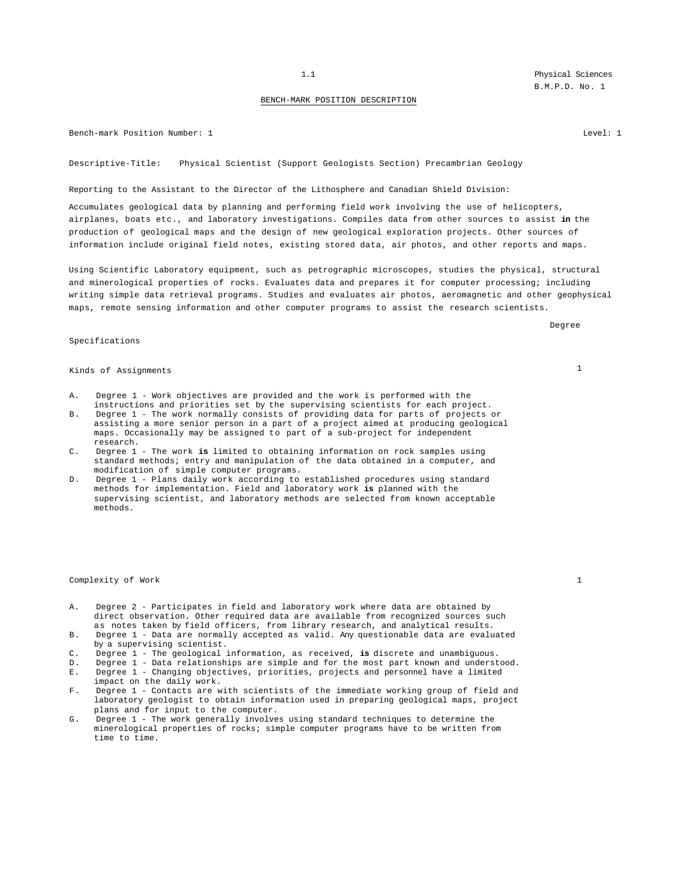### BENCH-MARK POSITION DESCRIPTION

Bench-mark Position Number: 1 and 1. Evel: 1 and 1. Evel: 1 and 1. Evel: 1 and 1. Evel: 1 and 1. Evel: 1 and 1. Evel: 1 and 1. Evel: 1 and 1. Evel: 1 and 1. Evel: 1 and 1. Evel: 1 and 1. Evel: 1 and 1. Evel: 1 and 1. Evel:

Descriptive-Title: Physical Scientist (Support Geologists Section) Precambrian Geology

Reporting to the Assistant to the Director of the Lithosphere and Canadian Shield Division:

Accumulates geological data by planning and performing field work involving the use of helicopters, airplanes, boats etc., and laboratory investigations. Compiles data from other sources to assist **in** the production of geological maps and the design of new geological exploration projects. Other sources of information include original field notes, existing stored data, air photos, and other reports and maps.

Using Scientific Laboratory equipment, such as petrographic microscopes, studies the physical, structural and minerological properties of rocks. Evaluates data and prepares it for computer processing; including writing simple data retrieval programs. Studies and evaluates air photos, aeromagnetic and other geophysical maps, remote sensing information and other computer programs to assist the research scientists.

### Specifications

### Kinds of Assignments 1

- A. Degree 1 Work objectives are provided and the work is performed with the instructions and priorities set by the supervising scientists for each project.
- B. Degree 1 The work normally consists of providing data for parts of projects or assisting a more senior person in a part of a project aimed at producing geological maps. Occasionally may be assigned to part of a sub-project for independent research.
- C. Degree 1 The work **is** limited to obtaining information on rock samples using standard methods; entry and manipulation of the data obtained in a computer, and modification of simple computer programs.
- D. Degree 1 Plans daily work according to established procedures using standard methods for implementation. Field and laboratory work **is** planned with the supervising scientist, and laboratory methods are selected from known acceptable methods.

### Complexity of Work 1

- A. Degree 2 Participates in field and laboratory work where data are obtained by direct observation. Other required data are available from recognized sources such as notes taken by field officers, from library research, and analytical results.
- B. Degree 1 Data are normally accepted as valid. Any questionable data are evaluated by a supervising scientist.
- C. Degree 1 The geological information, as received, **is** discrete and unambiguous.
- D. Degree 1 Data relationships are simple and for the most part known and understood.<br>E. Degree 1 Changing objectives, priorities, projects and personnel have a limited E. Degree 1 - Changing objectives, priorities, projects and personnel have a limited
- impact on the daily work.
- F. Degree 1 Contacts are with scientists of the immediate working group of field and laboratory geologist to obtain information used in preparing geological maps, project plans and for input to the computer.
- G. Degree 1 The work generally involves using standard techniques to determine the minerological properties of rocks; simple computer programs have to be written from time to time.

Degree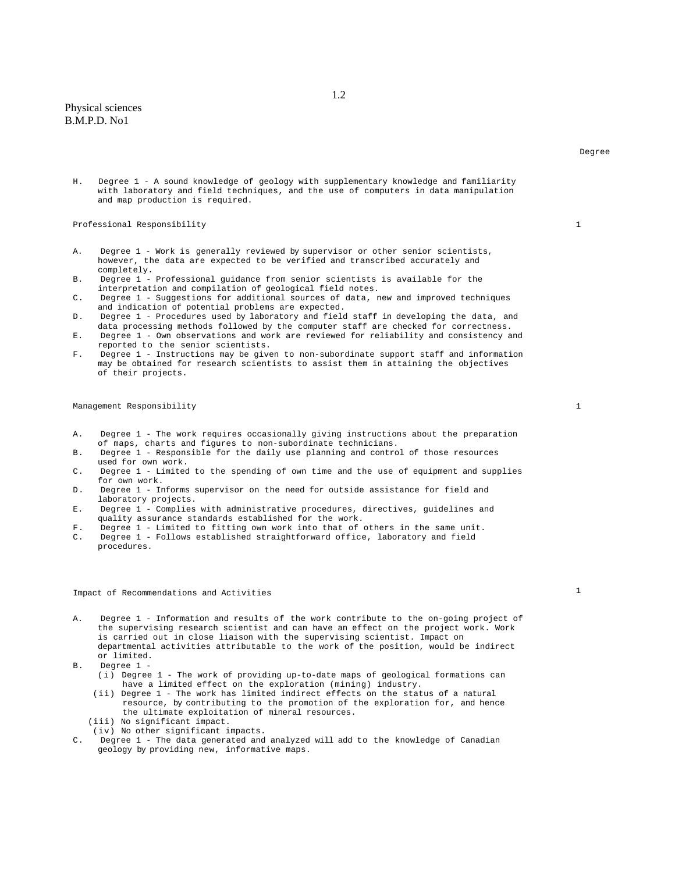### Physical sciences B.M.P.D. No1

H. Degree 1 - A sound knowledge of geology with supplementary knowledge and familiarity with laboratory and field techniques, and the use of computers in data manipulation and map production is required.

Professional Responsibility 1

- A. Degree 1 Work is generally reviewed by supervisor or other senior scientists, however, the data are expected to be verified and transcribed accurately and completely.
- B. Degree 1 Professional guidance from senior scientists is available for the interpretation and compilation of geological field notes.
- C. Degree 1 Suggestions for additional sources of data, new and improved techniques and indication of potential problems are expected.
- D. Degree 1 Procedures used by laboratory and field staff in developing the data, and
- data processing methods followed by the computer staff are checked for correctness. E. Degree 1 - Own observations and work are reviewed for reliability and consistency and reported to the senior scientists.
- F. Degree 1 Instructions may be given to non-subordinate support staff and information may be obtained for research scientists to assist them in attaining the objectives of their projects.

### Management Responsibility 1

- A. Degree 1 The work requires occasionally giving instructions about the preparation of maps, charts and figures to non-subordinate technicians.
- B. Degree 1 Responsible for the daily use planning and control of those resources used for own work.
- C. Degree 1 Limited to the spending of own time and the use of equipment and supplies for own work.
- D. Degree 1 Informs supervisor on the need for outside assistance for field and laboratory projects.
- E. Degree 1 Complies with administrative procedures, directives, guidelines and quality assurance standards established for the work.
- F. Degree 1 Limited to fitting own work into that of others in the same unit.<br>C. Degree 1 Follows established straightforward office. Jaboratory and field
- Degree 1 Follows established straightforward office, laboratory and field procedures.

Impact of Recommendations and Activities 1 and  $\frac{1}{2}$ 

- A. Degree 1 Information and results of the work contribute to the on-going project of the supervising research scientist and can have an effect on the project work. Work is carried out in close liaison with the supervising scientist. Impact on departmental activities attributable to the work of the position, would be indirect or limited.
- B. Degree 1
	- (i) Degree 1 The work of providing up-to-date maps of geological formations can have a limited effect on the exploration (mining) industry.
	- (ii) Degree 1 The work has limited indirect effects on the status of a natural resource, by contributing to the promotion of the exploration for, and hence the ultimate exploitation of mineral resources.
	- (iii) No significant impact.
	- (iv) No other significant impacts.
- C. Degree 1 The data generated and analyzed will add to the knowledge of Canadian geology by providing new, informative maps.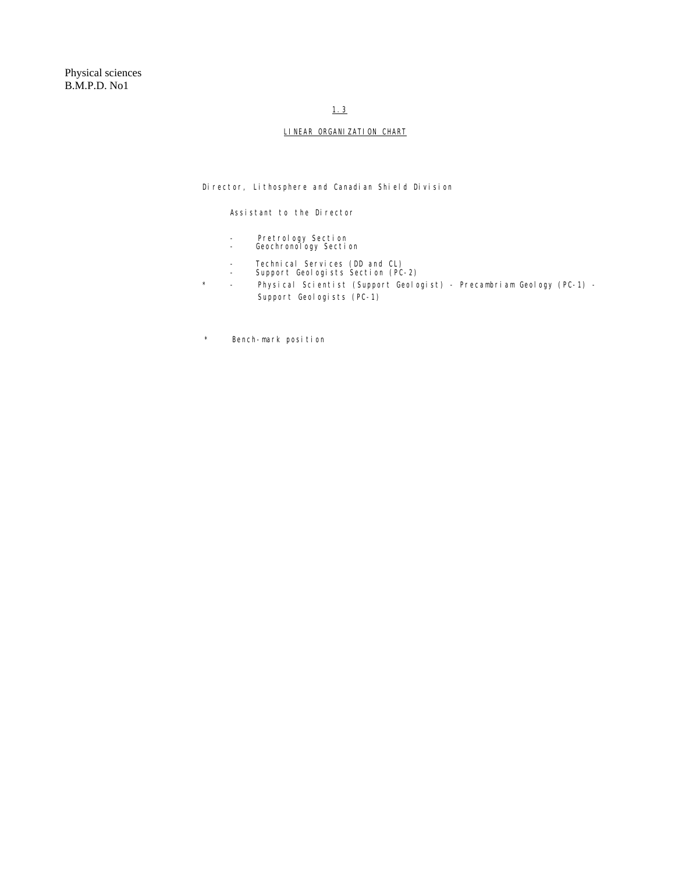### 1.3

### LINEAR ORGANIZATION CHART

Director, Lithosphere and Canadian Shield Division

Assistant to the Director

- Pretrology Section Geochronology Section
- 
- Technical Services (DD and CL) Support Geologists Section (PC-2)
- \* Physical Scientist (Support Geologist) Precambriam Geology (PC-1) Support Geologists (PC-1)
- \* Bench-mark position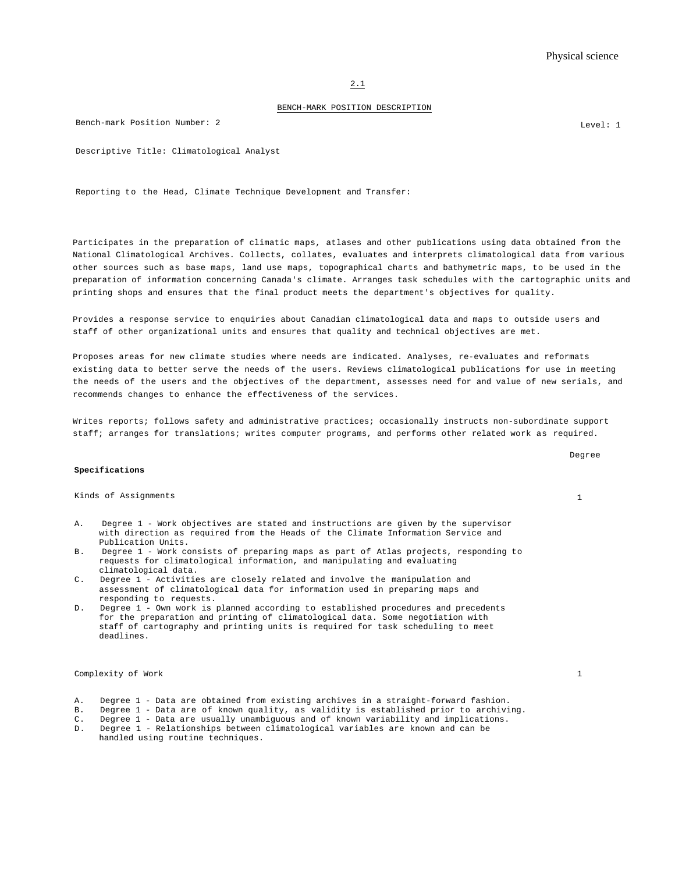### BENCH-MARK POSITION DESCRIPTION

Bench-mark Position Number: 2 Level: 1

Descriptive Title: Climatological Analyst

Reporting to the Head, Climate Technique Development and Transfer:

Participates in the preparation of climatic maps, atlases and other publications using data obtained from the National Climatological Archives. Collects, collates, evaluates and interprets climatological data from various other sources such as base maps, land use maps, topographical charts and bathymetric maps, to be used in the preparation of information concerning Canada's climate. Arranges task schedules with the cartographic units and printing shops and ensures that the final product meets the department's objectives for quality.

Provides a response service to enquiries about Canadian climatological data and maps to outside users and staff of other organizational units and ensures that quality and technical objectives are met.

Proposes areas for new climate studies where needs are indicated. Analyses, re-evaluates and reformats existing data to better serve the needs of the users. Reviews climatological publications for use in meeting the needs of the users and the objectives of the department, assesses need for and value of new serials, and recommends changes to enhance the effectiveness of the services.

Writes reports; follows safety and administrative practices; occasionally instructs non-subordinate support staff; arranges for translations; writes computer programs, and performs other related work as required.

#### **Specifications**

Kinds of Assignments 1

- A. Degree 1 Work objectives are stated and instructions are given by the supervisor with direction as required from the Heads of the Climate Information Service and Publication Units.
- B. Degree 1 Work consists of preparing maps as part of Atlas projects, responding to requests for climatological information, and manipulating and evaluating climatological data.
- C. Degree 1 Activities are closely related and involve the manipulation and assessment of climatological data for information used in preparing maps and responding to requests.
- D. Degree 1 Own work is planned according to established procedures and precedents for the preparation and printing of climatological data. Some negotiation with staff of cartography and printing units is required for task scheduling to meet deadlines.

Complexity of Work 1

- A. Degree 1 Data are obtained from existing archives in a straight-forward fashion.<br>B. Degree 1 Data are of known quality, as validity is established prior to archivi
- B. Degree 1 Data are of known quality, as validity is established prior to archiving.<br>C. Degree 1 Data are usually unambiguous and of known variability and implications.
- Degree 1 Data are usually unambiguous and of known variability and implications.
- D. Degree 1 Relationships between climatological variables are known and can be handled using routine techniques.

Degree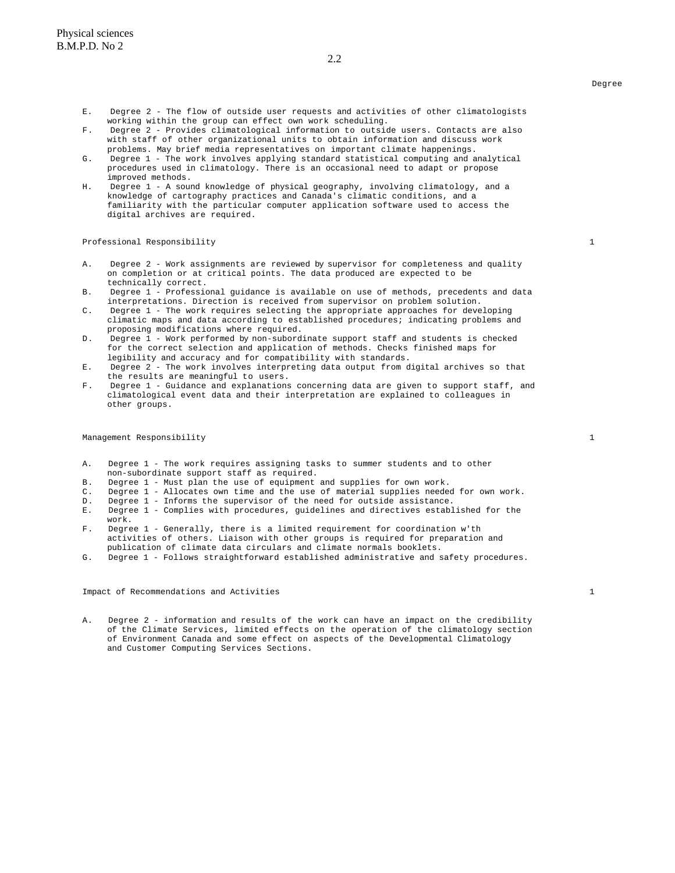E. Degree 2 - The flow of outside user requests and activities of other climatologists working within the group can effect own work scheduling.

2.2

- F. Degree 2 Provides climatological information to outside users. Contacts are also with staff of other organizational units to obtain information and discuss work problems. May brief media representatives on important climate happenings.
- G. Degree 1 The work involves applying standard statistical computing and analytical procedures used in climatology. There is an occasional need to adapt or propose improved methods.
- H. Degree 1 A sound knowledge of physical geography, involving climatology, and a knowledge of cartography practices and Canada's climatic conditions, and a familiarity with the particular computer application software used to access the digital archives are required.

Professional Responsibility 1

- A. Degree 2 Work assignments are reviewed by supervisor for completeness and quality on completion or at critical points. The data produced are expected to be technically correct.
- B. Degree 1 Professional guidance is available on use of methods, precedents and data interpretations. Direction is received from supervisor on problem solution.
- C. Degree 1 The work requires selecting the appropriate approaches for developing climatic maps and data according to established procedures; indicating problems and proposing modifications where required.
- D. Degree 1 Work performed by non-subordinate support staff and students is checked for the correct selection and application of methods. Checks finished maps for legibility and accuracy and for compatibility with standards.
- E. Degree 2 The work involves interpreting data output from digital archives so that the results are meaningful to users.
- F. Degree 1 Guidance and explanations concerning data are given to support staff, and climatological event data and their interpretation are explained to colleagues in other groups.

Management Responsibility 1

- A. Degree 1 The work requires assigning tasks to summer students and to other non-subordinate support staff as required.
- B. Degree 1 Must plan the use of equipment and supplies for own work.<br>C. Degree 1 Allocates own time and the use of material supplies neede
- C. Degree  $1$  Allocates own time and the use of material supplies needed for own work.<br>D. Degree  $1$  Informs the supervisor of the need for outside assistance
- D. Degree 1 Informs the supervisor of the need for outside assistance.
- E. Degree 1 Complies with procedures, guidelines and directives established for the work.
- F. Degree 1 Generally, there is a limited requirement for coordination w'th activities of others. Liaison with other groups is required for preparation and publication of climate data circulars and climate normals booklets.
- G. Degree 1 Follows straightforward established administrative and safety procedures.

Impact of Recommendations and Activities 1

A. Degree 2 - information and results of the work can have an impact on the credibility of the Climate Services, limited effects on the operation of the climatology section of Environment Canada and some effect on aspects of the Developmental Climatology and Customer Computing Services Sections.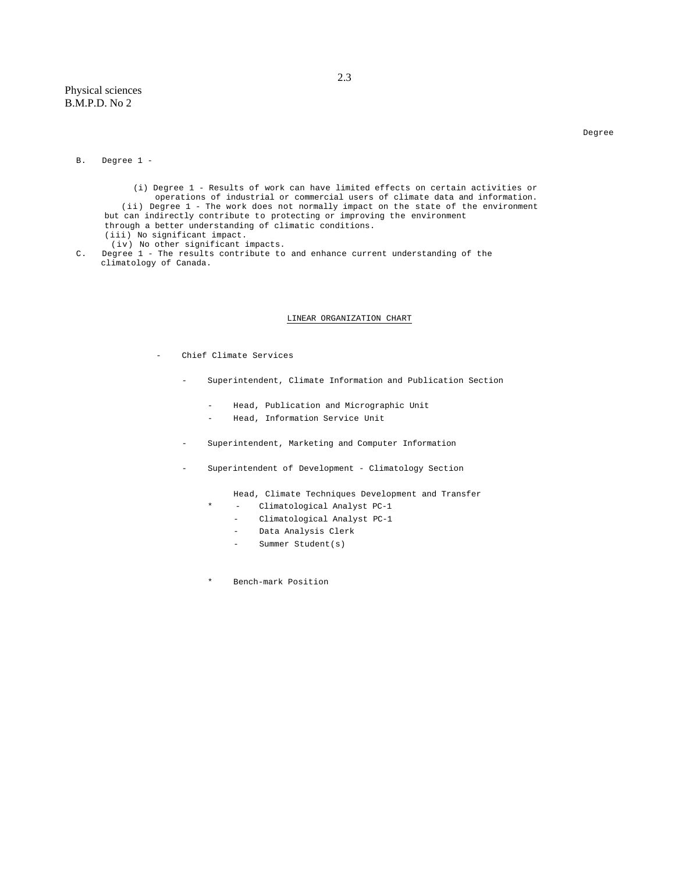B. Degree 1 -

(i) Degree 1 - Results of work can have limited effects on certain activities or operations of industrial or commercial users of climate data and information. (ii) Degree 1 - The work does not normally impact on the state of the environment but can indirectly contribute to protecting or improving the environment through a better understanding of climatic conditions. (iii) No significant impact.

- (iv) No other significant impacts.
- C. Degree 1 The results contribute to and enhance current understanding of the climatology of Canada.

### LINEAR ORGANIZATION CHART

- Chief Climate Services
	- Superintendent, Climate Information and Publication Section
		- Head, Publication and Micrographic Unit
		- Head, Information Service Unit
	- Superintendent, Marketing and Computer Information
	- Superintendent of Development Climatology Section
		- Head, Climate Techniques Development and Transfer
		- Climatological Analyst PC-1
			- Climatological Analyst PC-1
			- Data Analysis Clerk
			- Summer Student(s)
		- Bench-mark Position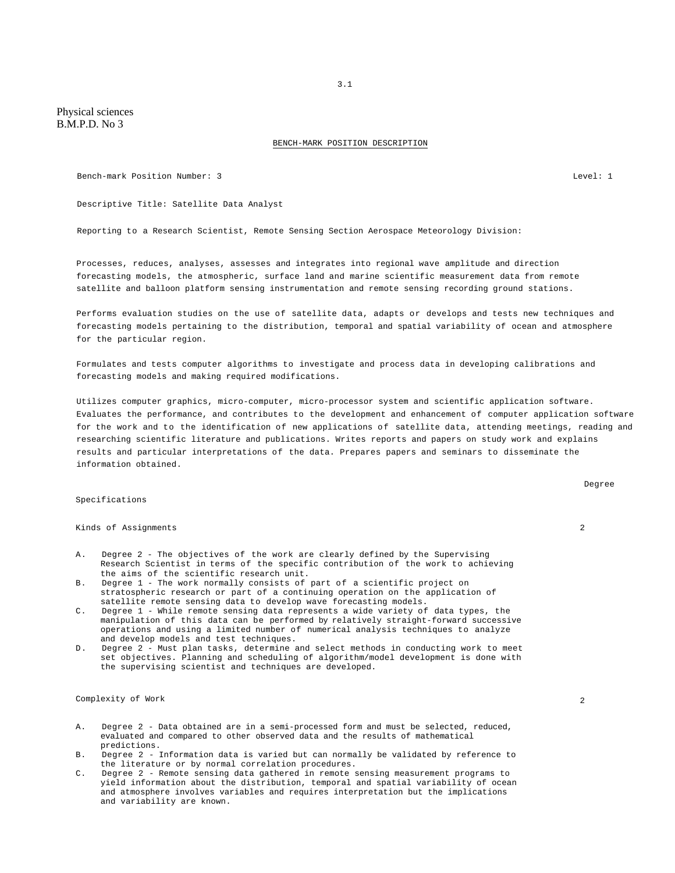### Physical sciences B.M.P.D. No 3

### BENCH-MARK POSITION DESCRIPTION

Bench-mark Position Number: 3 Level: 1

Descriptive Title: Satellite Data Analyst

Reporting to a Research Scientist, Remote Sensing Section Aerospace Meteorology Division:

Processes, reduces, analyses, assesses and integrates into regional wave amplitude and direction forecasting models, the atmospheric, surface land and marine scientific measurement data from remote satellite and balloon platform sensing instrumentation and remote sensing recording ground stations.

Performs evaluation studies on the use of satellite data, adapts or develops and tests new techniques and forecasting models pertaining to the distribution, temporal and spatial variability of ocean and atmosphere for the particular region.

Formulates and tests computer algorithms to investigate and process data in developing calibrations and forecasting models and making required modifications.

Utilizes computer graphics, micro-computer, micro-processor system and scientific application software. Evaluates the performance, and contributes to the development and enhancement of computer application software for the work and to the identification of new applications of satellite data, attending meetings, reading and researching scientific literature and publications. Writes reports and papers on study work and explains results and particular interpretations of the data. Prepares papers and seminars to disseminate the information obtained.

### Specifications

### Kinds of Assignments 2

- A. Degree 2 The objectives of the work are clearly defined by the Supervising Research Scientist in terms of the specific contribution of the work to achieving the aims of the scientific research unit.
- B. Degree 1 The work normally consists of part of a scientific project on stratospheric research or part of a continuing operation on the application of satellite remote sensing data to develop wave forecasting models.
- Degree 1 While remote sensing data represents a wide variety of data types, the manipulation of this data can be performed by relatively straight-forward successive operations and using a limited number of numerical analysis techniques to analyze and develop models and test techniques.
- Degree 2 Must plan tasks, determine and select methods in conducting work to meet set objectives. Planning and scheduling of algorithm/model development is done with the supervising scientist and techniques are developed.

Complexity of Work 2

- A. Degree 2 Data obtained are in a semi-processed form and must be selected, reduced, evaluated and compared to other observed data and the results of mathematical predictions.
- B. Degree 2 Information data is varied but can normally be validated by reference to the literature or by normal correlation procedures.
- C. Degree 2 Remote sensing data gathered in remote sensing measurement programs to yield information about the distribution, temporal and spatial variability of ocean and atmosphere involves variables and requires interpretation but the implications and variability are known.

Degree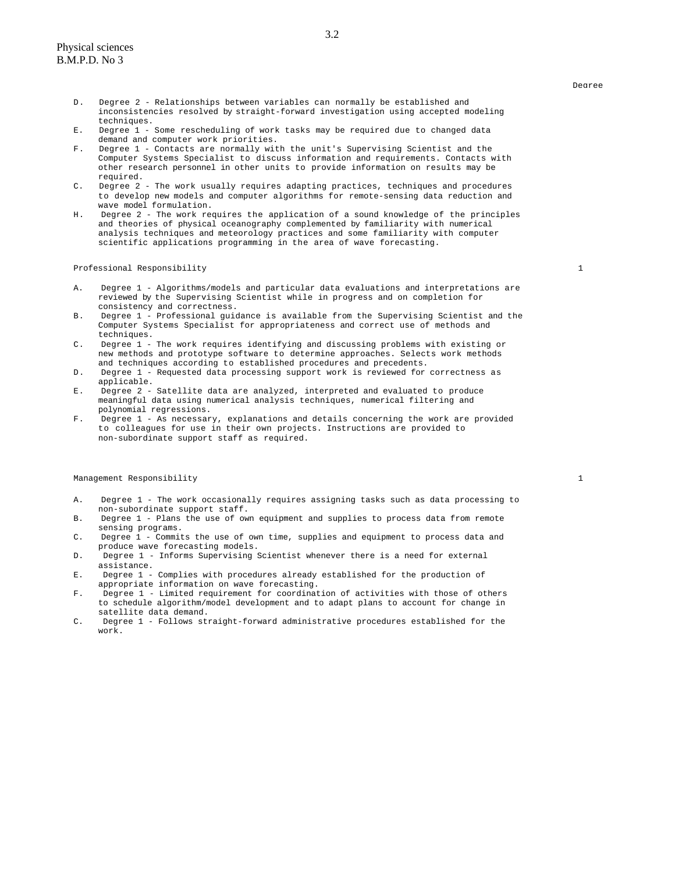- D. Degree 2 Relationships between variables can normally be established and inconsistencies resolved by straight-forward investigation using accepted modeling techniques.
- E. Degree 1 Some rescheduling of work tasks may be required due to changed data demand and computer work priorities.
- Degree 1 Contacts are normally with the unit's Supervising Scientist and the Computer Systems Specialist to discuss information and requirements. Contacts with other research personnel in other units to provide information on results may be required.
- C. Degree 2 The work usually requires adapting practices, techniques and procedures to develop new models and computer algorithms for remote-sensing data reduction and wave model formulation.
- H. Degree 2 The work requires the application of a sound knowledge of the principles and theories of physical oceanography complemented by familiarity with numerical analysis techniques and meteorology practices and some familiarity with computer scientific applications programming in the area of wave forecasting.

Professional Responsibility 1

- A. Degree 1 Algorithms/models and particular data evaluations and interpretations are reviewed by the Supervising Scientist while in progress and on completion for consistency and correctness.
- B. Degree 1 Professional guidance is available from the Supervising Scientist and the Computer Systems Specialist for appropriateness and correct use of methods and techniques.
- C. Degree 1 The work requires identifying and discussing problems with existing or new methods and prototype software to determine approaches. Selects work methods and techniques according to established procedures and precedents.
- D. Degree 1 Requested data processing support work is reviewed for correctness as applicable.
- E. Degree 2 Satellite data are analyzed, interpreted and evaluated to produce meaningful data using numerical analysis techniques, numerical filtering and polynomial regressions.
- F. Degree 1 As necessary, explanations and details concerning the work are provided to colleagues for use in their own projects. Instructions are provided to non-subordinate support staff as required.

### Management Responsibility 1

- A. Degree 1 The work occasionally requires assigning tasks such as data processing to non-subordinate support staff.
- B. Degree 1 Plans the use of own equipment and supplies to process data from remote sensing programs.
- C. Degree 1 Commits the use of own time, supplies and equipment to process data and produce wave forecasting models.
- D. Degree 1 Informs Supervising Scientist whenever there is a need for external assistance.
- E. Degree 1 Complies with procedures already established for the production of appropriate information on wave forecasting.
- F. Degree 1 Limited requirement for coordination of activities with those of others to schedule algorithm/model development and to adapt plans to account for change in satellite data demand.
- C. Degree 1 Follows straight-forward administrative procedures established for the work.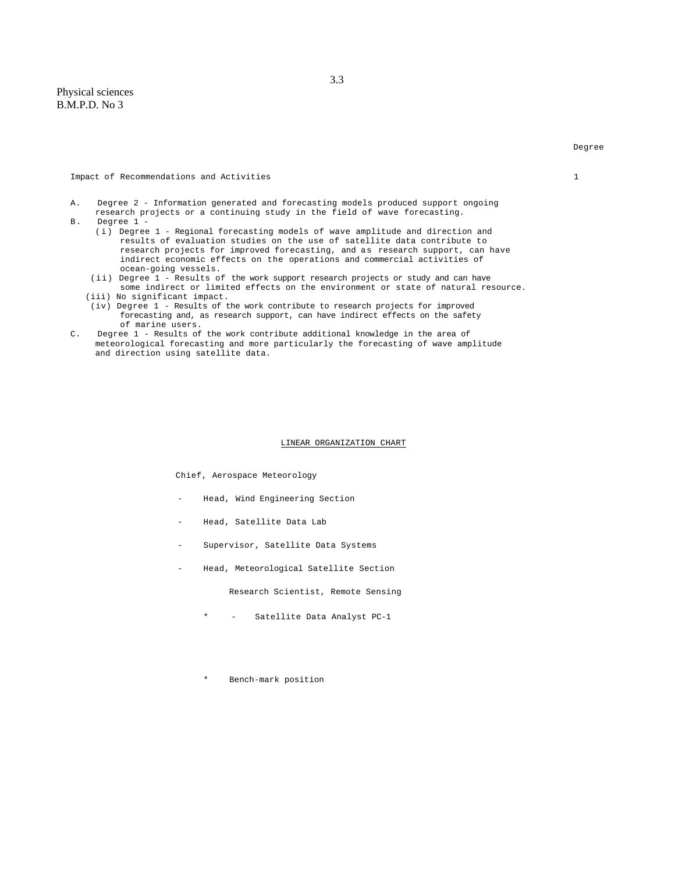Physical sciences B.M.P.D. No 3

Impact of Recommendations and Activities 1

- A. Degree 2 Information generated and forecasting models produced support ongoing research projects or a continuing study in the field of wave forecasting. B. Degree 1 -
	- (i) Degree 1 Regional forecasting models of wave amplitude and direction and results of evaluation studies on the use of satellite data contribute to research projects for improved forecasting, and as research support, can have indirect economic effects on the operations and commercial activities of ocean-going vessels.
		- (ii) Degree 1 Results of the work support research projects or study and can have some indirect or limited effects on the environment or state of natural resource.
	- (iii) No significant impact.
	- (iv) Degree 1 Results of the work contribute to research projects for improved forecasting and, as research support, can have indirect effects on the safety of marine users.
- C. Degree 1 Results of the work contribute additional knowledge in the area of meteorological forecasting and more particularly the forecasting of wave amplitude and direction using satellite data.

### LINEAR ORGANIZATION CHART

Chief, Aerospace Meteorology

- Head, Wind Engineering Section
- Head, Satellite Data Lab
- Supervisor, Satellite Data Systems
- Head, Meteorological Satellite Section

Research Scientist, Remote Sensing

- Satellite Data Analyst PC-1
- Bench-mark position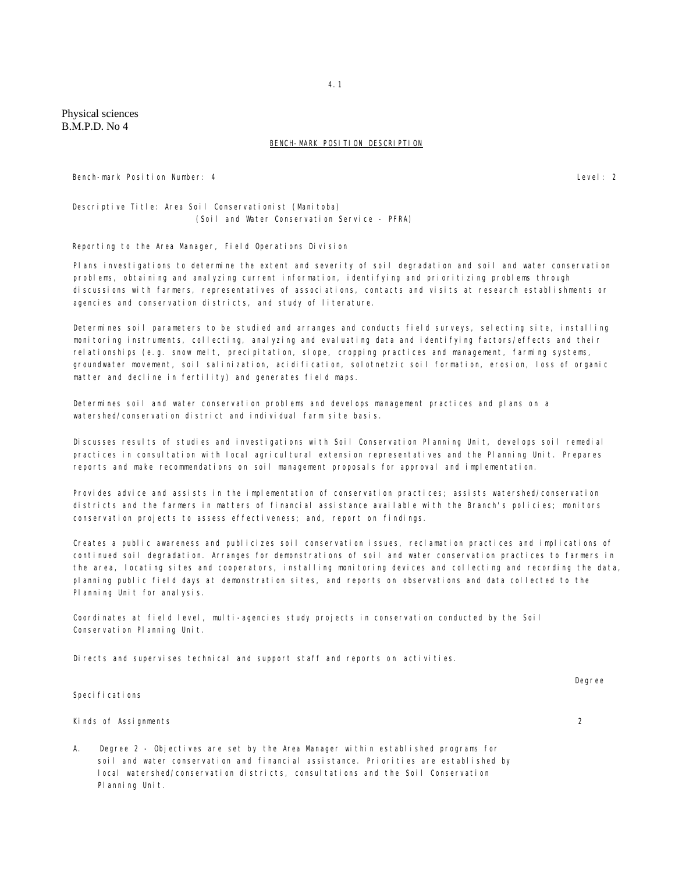Physical sciences B.M.P.D. No 4

### BENCH-MARK POSITION DESCRIPTION

Bench-mark Position Number: 4 Level: 2

Descriptive Title: Area Soil Conservationist (Manitoba) (Soil and Water Conservation Service - PFRA)

Reporting to the Area Manager, Field Operations Division

Plans investigations to determine the extent and severity of soil degradation and soil and water conservation problems, obtaining and analyzing current information, identifying and prioritizing problems through discussions with farmers, representatives of associations, contacts and visits at research establishments or agencies and conservation districts, and study of literature.

Determines soil parameters to be studied and arranges and conducts field surveys, selecting site, installing monitoring instruments, collecting, analyzing and evaluating data and identifying factors/effects and their relationships (e.g. snow melt, precipitation, slope, cropping practices and management, farming systems, groundwater movement, soil salinization, acidification, solotnetzic soil formation, erosion, loss of organic matter and decline in fertility) and generates field maps.

Determines soil and water conservation problems and develops management practices and plans on a watershed/conservation district and individual farm site basis.

Discusses results of studies and investigations with Soil Conservation Planning Unit, develops soil remedial practices in consultation with local agricultural extension representatives and the Planning Unit. Prepares reports and make recommendations on soil management proposals for approval and implementation.

Provides advice and assists in the implementation of conservation practices; assists watershed/conservation districts and the farmers in matters of financial assistance available with the Branch's policies; monitors conservation projects to assess effectiveness; and, report on findings.

Creates a public awareness and publicizes soil conservation issues, reclamation practices and implications of continued soil degradation. Arranges for demonstrations of soil and water conservation practices to farmers in the area, locating sites and cooperators, installing monitoring devices and collecting and recording the data, planning public field days at demonstration sites, and reports on observations and data collected to the Planning Unit for analysis.

Coordinates at field level, multi-agencies study projects in conservation conducted by the Soil Conservation Planning Unit.

Directs and supervises technical and support staff and reports on activities.

Degree

Specifications

Kinds of Assignments 2

A. Degree 2 - Objectives are set by the Area Manager within established programs for soil and water conservation and financial assistance. Priorities are established by local watershed/conservation districts, consultations and the Soil Conservation Planning Unit.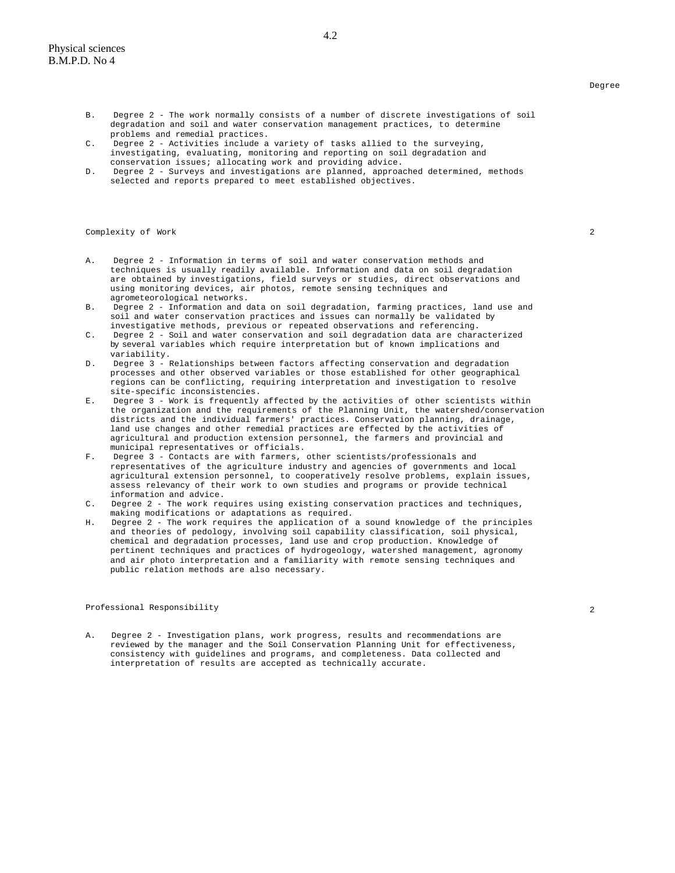- C. Degree 2 Activities include a variety of tasks allied to the surveying, investigating, evaluating, monitoring and reporting on soil degradation and conservation issues; allocating work and providing advice.
- D. Degree 2 Surveys and investigations are planned, approached determined, methods selected and reports prepared to meet established objectives.

Complexity of Work 2

- A. Degree 2 Information in terms of soil and water conservation methods and techniques is usually readily available. Information and data on soil degradation are obtained by investigations, field surveys or studies, direct observations and using monitoring devices, air photos, remote sensing techniques and agrometeorological networks.
- B. Degree 2 Information and data on soil degradation, farming practices, land use and soil and water conservation practices and issues can normally be validated by investigative methods, previous or repeated observations and referencing.
- C. Degree 2 Soil and water conservation and soil degradation data are characterized by several variables which require interpretation but of known implications and variability.
- D. Degree 3 Relationships between factors affecting conservation and degradation processes and other observed variables or those established for other geographical regions can be conflicting, requiring interpretation and investigation to resolve site-specific inconsistencies.
- E. Degree 3 Work is frequently affected by the activities of other scientists within the organization and the requirements of the Planning Unit, the watershed/conservation districts and the individual farmers' practices. Conservation planning, drainage, land use changes and other remedial practices are effected by the activities of agricultural and production extension personnel, the farmers and provincial and municipal representatives or officials.
- F. Degree 3 Contacts are with farmers, other scientists/professionals and representatives of the agriculture industry and agencies of governments and local agricultural extension personnel, to cooperatively resolve problems, explain issues, assess relevancy of their work to own studies and programs or provide technical information and advice.
- C. Degree 2 The work requires using existing conservation practices and techniques, making modifications or adaptations as required.
- H. Degree 2 The work requires the application of a sound knowledge of the principles and theories of pedology, involving soil capability classification, soil physical, chemical and degradation processes, land use and crop production. Knowledge of pertinent techniques and practices of hydrogeology, watershed management, agronomy and air photo interpretation and a familiarity with remote sensing techniques and public relation methods are also necessary.

Professional Responsibility 2

A. Degree 2 - Investigation plans, work progress, results and recommendations are reviewed by the manager and the Soil Conservation Planning Unit for effectiveness, consistency with guidelines and programs, and completeness. Data collected and interpretation of results are accepted as technically accurate.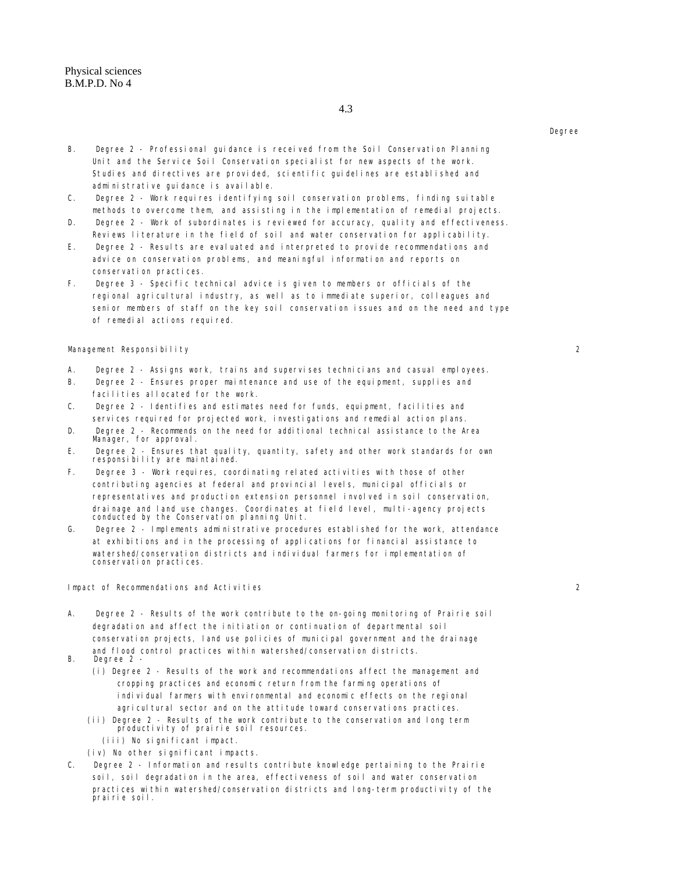### Physical sciences B.M.P.D. No 4

Degree

- B. Degree 2 Professional guidance is received from the Soil Conservation Planning Unit and the Service Soil Conservation specialist for new aspects of the work. Studies and directives are provided, scientific guidelines are established and administrative guidance is available.
- C. Degree 2 Work requires identifying soil conservation problems, finding suitable methods to overcome them, and assisting in the implementation of remedial projects.
- D. Degree 2 Work of subordinates is reviewed for accuracy, quality and effectiveness. Reviews literature in the field of soil and water conservation for applicability.
- E. Degree 2 Results are evaluated and interpreted to provide recommendations and advice on conservation problems, and meaningful information and reports on conservation practices.
- F. Degree 3 Specific technical advice is given to members or officials of the regional agricultural industry, as well as to immediate superior, colleagues and senior members of staff on the key soil conservation issues and on the need and type of remedial actions required.

### Management Responsibility 2

- A. Degree 2 Assigns work, trains and supervises technicians and casual employees.
- B. Degree 2 Ensures proper maintenance and use of the equipment, supplies and facilities allocated for the work.
- C. Degree 2 Identifies and estimates need for funds, equipment, facilities and services required for projected work, investigations and remedial action plans.
- D. Degree 2 Recommends on the need for additional technical assistance to the Area Manager, for approval.
- E. Degree 2 Ensures that quality, quantity, safety and other work standards for own responsibility are maintained.
- F. Degree 3 Work requires, coordinating related activities with those of other contributing agencies at federal and provincial levels, municipal officials or representatives and production extension personnel involved in soil conservation, drainage and land use changes. Coordinates at field level, multi-agency projects conducted by the Conservation planning Unit.
- G. Degree 2 Implements administrative procedures established for the work, attendance at exhibitions and in the processing of applications for financial assistance to watershed/conservation districts and individual farmers for implementation of conservation practices.

Impact of Recommendations and Activities 2

- A. Degree 2 Results of the work contribute to the on-going monitoring of Prairie soil degradation and affect the initiation or continuation of departmental soil conservation projects, land use policies of municipal government and the drainage and flood control practices within watershed/conservation districts.
- B. Degree 2
	- (i) Degree 2 Results of the work and recommendations affect the management and cropping practices and economic return from the farming operations of individual farmers with environmental and economic effects on the regional agricultural sector and on the attitude toward conservations practices.
	- (ii) Degree 2 Results of the work contribute to the conservation and long term productivity of prairie soil resources.
		- (iii) No significant impact.
	- (iv) No other significant impacts.
- C. Degree 2 Information and results contribute knowledge pertaining to the Prairie soil, soil degradation in the area, effectiveness of soil and water conservation practices within watershed/conservation districts and long-term productivity of the prairie soil.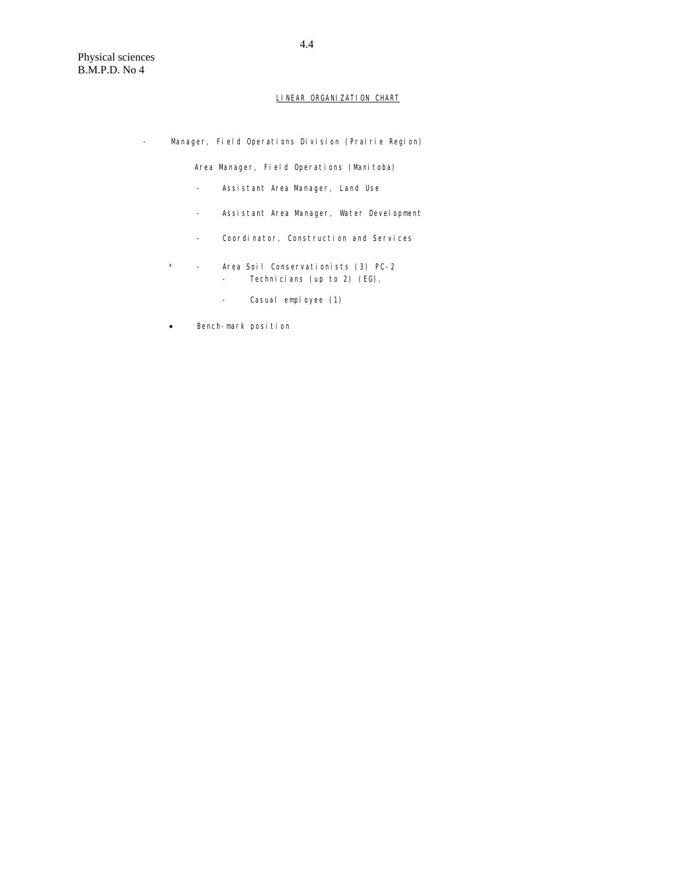### LINEAR ORGANIZATION CHART

- Manager, Field Operations Division (Prairie Region)

Area Manager, Field Operations (Manitoba)

- Assistant Area Manager, Land Use
- Assistant Area Manager, Water Development
- Coordinator, Construction and Services
- \* Area Soil Conservationists (3) PC-2 - Technicians (up to 2) (EG),
	- Casual employee (1)
- Bench-mark position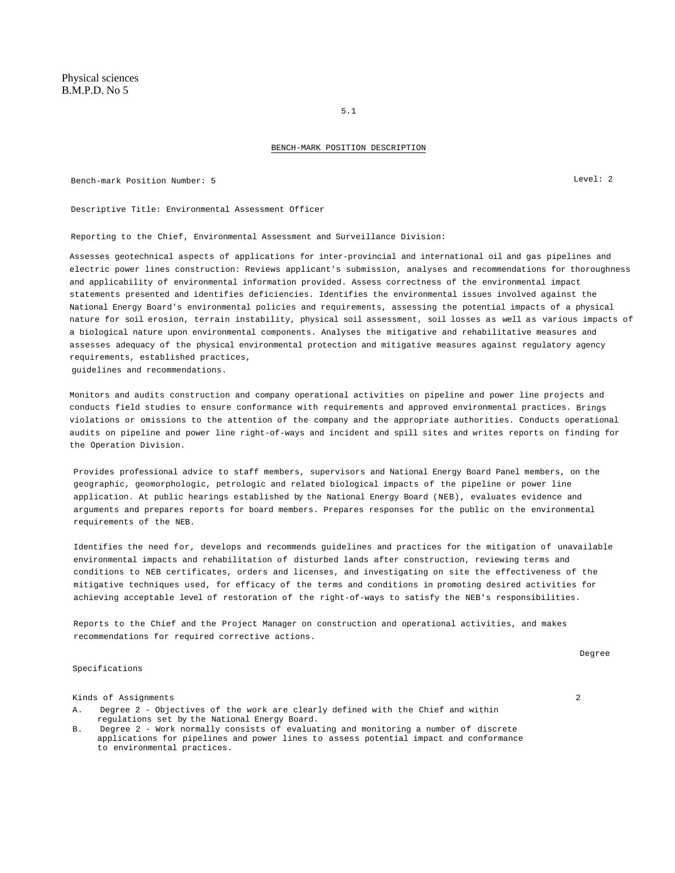### 5.1

#### BENCH-MARK POSITION DESCRIPTION

Bench-mark Position Number: 5 Level: 2

Descriptive Title: Environmental Assessment Officer

Reporting to the Chief, Environmental Assessment and Surveillance Division:

Assesses geotechnical aspects of applications for inter-provincial and international oil and gas pipelines and electric power lines construction: Reviews applicant's submission, analyses and recommendations for thoroughness and applicability of environmental information provided. Assess correctness of the environmental impact statements presented and identifies deficiencies. Identifies the environmental issues involved against the National Energy Board's environmental policies and requirements, assessing the potential impacts of a physical nature for soil erosion, terrain instability, physical soil assessment, soil losses as well as various impacts of a biological nature upon environmental components. Analyses the mitigative and rehabilitative measures and assesses adequacy of the physical environmental protection and mitigative measures against regulatory agency requirements, established practices,

guidelines and recommendations.

Monitors and audits construction and company operational activities on pipeline and power line projects and conducts field studies to ensure conformance with requirements and approved environmental practices. Brings violations or omissions to the attention of the company and the appropriate authorities. Conducts operational audits on pipeline and power line right-of-ways and incident and spill sites and writes reports on finding for the Operation Division.

Provides professional advice to staff members, supervisors and National Energy Board Panel members, on the geographic, geomorphologic, petrologic and related biological impacts of the pipeline or power line application. At public hearings established by the National Energy Board (NEB), evaluates evidence and arguments and prepares reports for board members. Prepares responses for the public on the environmental requirements of the NEB.

Identifies the need for, develops and recommends guidelines and practices for the mitigation of unavailable environmental impacts and rehabilitation of disturbed lands after construction, reviewing terms and conditions to NEB certificates, orders and licenses, and investigating on site the effectiveness of the mitigative techniques used, for efficacy of the terms and conditions in promoting desired activities for achieving acceptable level of restoration of the right-of-ways to satisfy the NEB's responsibilities.

Reports to the Chief and the Project Manager on construction and operational activities, and makes recommendations for required corrective actions.

#### Specifications

Degree

#### Kinds of Assignments 2

- A. Degree 2 Objectives of the work are clearly defined with the Chief and within regulations set by the National Energy Board.
- B. Degree 2 Work normally consists of evaluating and monitoring a number of discrete applications for pipelines and power lines to assess potential impact and conformance to environmental practices.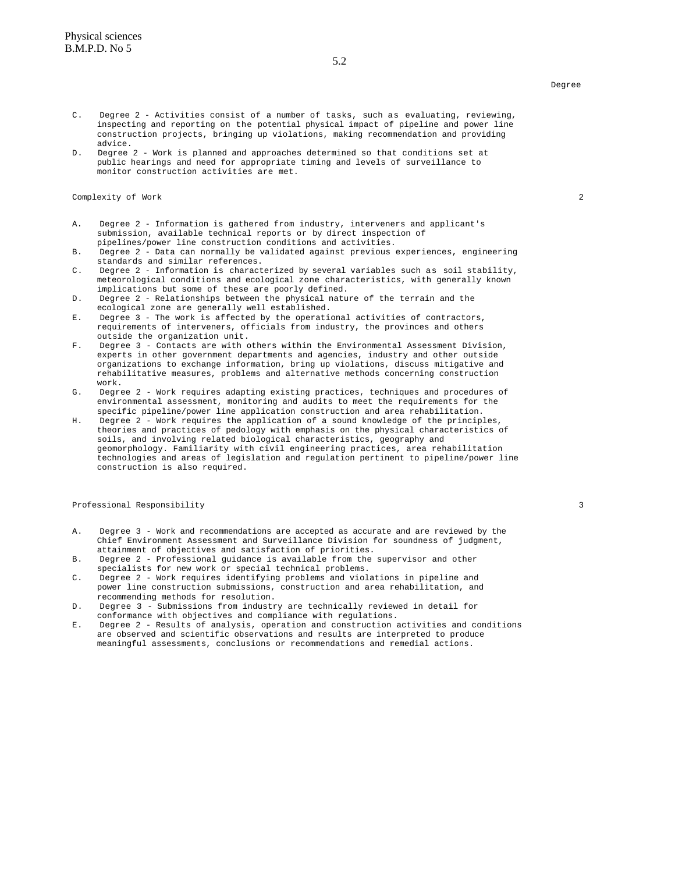Degree

- C. Degree 2 Activities consist of a number of tasks, such as evaluating, reviewing, inspecting and reporting on the potential physical impact of pipeline and power line construction projects, bringing up violations, making recommendation and providing advice.
- D. Degree 2 Work is planned and approaches determined so that conditions set at public hearings and need for appropriate timing and levels of surveillance to monitor construction activities are met.

Complexity of Work 2

- A. Degree 2 Information is gathered from industry, interveners and applicant's submission, available technical reports or by direct inspection of pipelines/power line construction conditions and activities.
- B. Degree 2 Data can normally be validated against previous experiences, engineering standards and similar references.
- C. Degree 2 Information is characterized by several variables such as soil stability, meteorological conditions and ecological zone characteristics, with generally known implications but some of these are poorly defined.
- D. Degree 2 Relationships between the physical nature of the terrain and the ecological zone are generally well established.
- E. Degree 3 The work is affected by the operational activities of contractors, requirements of interveners, officials from industry, the provinces and others outside the organization unit.
- F. Degree 3 Contacts are with others within the Environmental Assessment Division, experts in other government departments and agencies, industry and other outside organizations to exchange information, bring up violations, discuss mitigative and rehabilitative measures, problems and alternative methods concerning construction work.
- G. Degree 2 Work requires adapting existing practices, techniques and procedures of environmental assessment, monitoring and audits to meet the requirements for the specific pipeline/power line application construction and area rehabilitation.
- H. Degree 2 Work requires the application of a sound knowledge of the principles, theories and practices of pedology with emphasis on the physical characteristics of soils, and involving related biological characteristics, geography and geomorphology. Familiarity with civil engineering practices, area rehabilitation technologies and areas of legislation and regulation pertinent to pipeline/power line construction is also required.

Professional Responsibility 3

- A. Degree 3 Work and recommendations are accepted as accurate and are reviewed by the Chief Environment Assessment and Surveillance Division for soundness of judgment, attainment of objectives and satisfaction of priorities.
- B. Degree 2 Professional guidance is available from the supervisor and other specialists for new work or special technical problems.
- C. Degree 2 Work requires identifying problems and violations in pipeline and power line construction submissions, construction and area rehabilitation, and recommending methods for resolution.
- D. Degree 3 Submissions from industry are technically reviewed in detail for conformance with objectives and compliance with regulations.
- E. Degree 2 Results of analysis, operation and construction activities and conditions are observed and scientific observations and results are interpreted to produce meaningful assessments, conclusions or recommendations and remedial actions.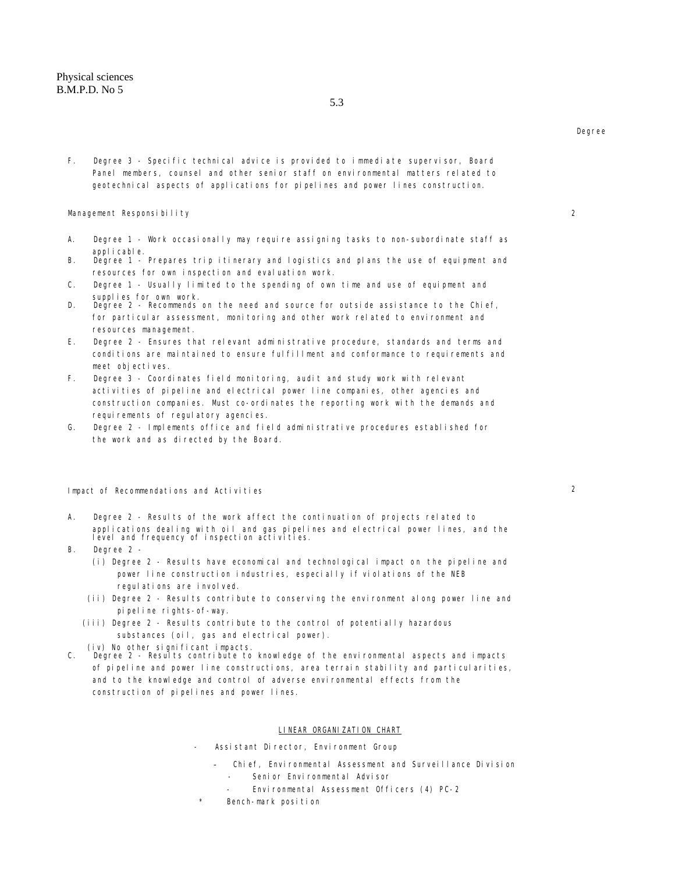# Physical sciences B.M.P.D. No 5

### Degree

F. Degree 3 - Specific technical advice is provided to immediate supervisor, Board Panel members, counsel and other senior staff on environmental matters related to geotechnical aspects of applications for pipelines and power lines construction.

Management Responsibility 2

- A. Degree 1 Work occasionally may require assigning tasks to non-subordinate staff as appl i cable.
- B. Degree 1 Prepares trip itinerary and logistics and plans the use of equipment and resources for own inspection and evaluation work.
- C. Degree 1 Usually limited to the spending of own time and use of equipment and supplies for own work.
- D. Degree 2 Recommends on the need and source for outside assistance to the Chief, for particular assessment, monitoring and other work related to environment and resources management.
- E. Degree 2 Ensures that relevant administrative procedure, standards and terms and conditions are maintained to ensure fulfillment and conformance to requirements and meet objectives.
- F. Degree 3 Coordinates field monitoring, audit and study work with relevant activities of pipeline and electrical power line companies, other agencies and construction companies. Must co-ordinates the reporting work with the demands and requirements of regulatory agencies.
- G. Degree 2 Implements office and field administrative procedures established for the work and as directed by the Board.

# Impact of Recommendations and Activities 2

- A. Degree 2 Results of the work affect the continuation of projects related to applications dealing with oil and gas pipelines and electrical power lines, and the level and frequency of inspection activities.
- B. Degree 2
	- (i) Degree 2 Results have economical and technological impact on the pipeline and power line construction industries, especially if violations of the NEB regulations are involved.
	- (ii) Degree 2 Results contribute to conserving the environment along power line and pipeline rights-of-way.
	- (iii) Degree 2 Results contribute to the control of potentially hazardous substances (oil, gas and electrical power).
	- (iv) No other significant impacts.
- C. Degree 2 Results contribute to knowledge of the environmental aspects and impacts of pipeline and power line constructions, area terrain stability and particularities, and to the knowledge and control of adverse environmental effects from the construction of pipelines and power lines.

#### LINEAR ORGANIZATION CHART

- Assistant Director, Environment Group
	- Chief, Environmental Assessment and Surveillance Division
		- Senior Environmental Advisor
		- Environmental Assessment Officers (4) PC-2
- Bench-mark position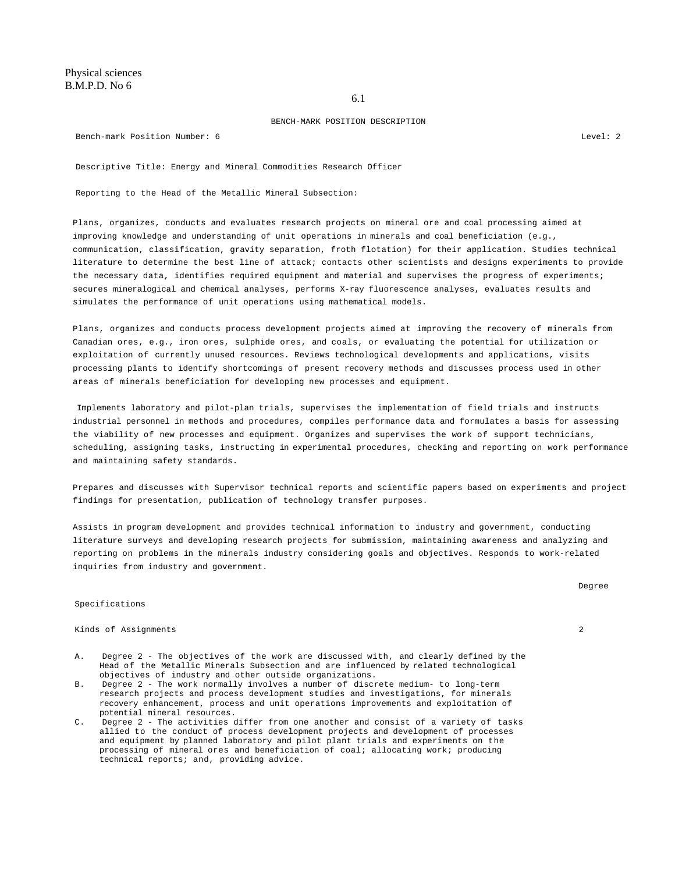#### BENCH-MARK POSITION DESCRIPTION

Bench-mark Position Number: 6 Level: 2

Descriptive Title: Energy and Mineral Commodities Research Officer

Reporting to the Head of the Metallic Mineral Subsection:

Plans, organizes, conducts and evaluates research projects on mineral ore and coal processing aimed at improving knowledge and understanding of unit operations in minerals and coal beneficiation (e.g., communication, classification, gravity separation, froth flotation) for their application. Studies technical literature to determine the best line of attack; contacts other scientists and designs experiments to provide the necessary data, identifies required equipment and material and supervises the progress of experiments; secures mineralogical and chemical analyses, performs X-ray fluorescence analyses, evaluates results and simulates the performance of unit operations using mathematical models.

Plans, organizes and conducts process development projects aimed at improving the recovery of minerals from Canadian ores, e.g., iron ores, sulphide ores, and coals, or evaluating the potential for utilization or exploitation of currently unused resources. Reviews technological developments and applications, visits processing plants to identify shortcomings of present recovery methods and discusses process used in other areas of minerals beneficiation for developing new processes and equipment.

Implements laboratory and pilot-plan trials, supervises the implementation of field trials and instructs industrial personnel in methods and procedures, compiles performance data and formulates a basis for assessing the viability of new processes and equipment. Organizes and supervises the work of support technicians, scheduling, assigning tasks, instructing in experimental procedures, checking and reporting on work performance and maintaining safety standards.

Prepares and discusses with Supervisor technical reports and scientific papers based on experiments and project findings for presentation, publication of technology transfer purposes.

Assists in program development and provides technical information to industry and government, conducting literature surveys and developing research projects for submission, maintaining awareness and analyzing and reporting on problems in the minerals industry considering goals and objectives. Responds to work-related inquiries from industry and government.

#### Specifications

#### Kinds of Assignments 2

- A. Degree 2 The objectives of the work are discussed with, and clearly defined by the Head of the Metallic Minerals Subsection and are influenced by related technological objectives of industry and other outside organizations.
- B. Degree 2 The work normally involves a number of discrete medium- to long-term research projects and process development studies and investigations, for minerals recovery enhancement, process and unit operations improvements and exploitation of potential mineral resources.
- C. Degree 2 The activities differ from one another and consist of a variety of tasks allied to the conduct of process development projects and development of processes and equipment by planned laboratory and pilot plant trials and experiments on the processing of mineral ores and beneficiation of coal; allocating work; producing technical reports; and, providing advice.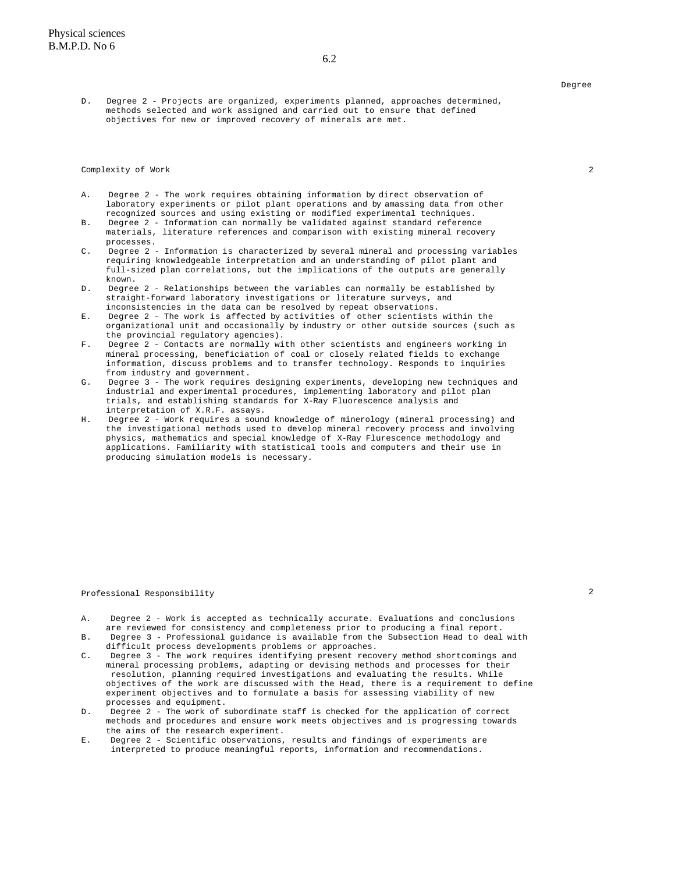D. Degree 2 - Projects are organized, experiments planned, approaches determined, methods selected and work assigned and carried out to ensure that defined objectives for new or improved recovery of minerals are met.

Complexity of Work 2

- A. Degree 2 The work requires obtaining information by direct observation of laboratory experiments or pilot plant operations and by amassing data from other recognized sources and using existing or modified experimental techniques.
- B. Degree 2 Information can normally be validated against standard reference materials, literature references and comparison with existing mineral recovery processes.
- C. Degree 2 Information is characterized by several mineral and processing variables requiring knowledgeable interpretation and an understanding of pilot plant and full-sized plan correlations, but the implications of the outputs are generally known.
- D. Degree 2 Relationships between the variables can normally be established by straight-forward laboratory investigations or literature surveys, and inconsistencies in the data can be resolved by repeat observations.
- E. Degree 2 The work is affected by activities of other scientists within the organizational unit and occasionally by industry or other outside sources (such as the provincial regulatory agencies).
- F. Degree 2 Contacts are normally with other scientists and engineers working in mineral processing, beneficiation of coal or closely related fields to exchange information, discuss problems and to transfer technology. Responds to inquiries from industry and government.
- G. Degree 3 The work requires designing experiments, developing new techniques and industrial and experimental procedures, implementing laboratory and pilot plan trials, and establishing standards for X-Ray Fluorescence analysis and interpretation of X.R.F. assays.
- H. Degree 2 Work requires a sound knowledge of minerology (mineral processing) and the investigational methods used to develop mineral recovery process and involving physics, mathematics and special knowledge of X-Ray Flurescence methodology and applications. Familiarity with statistical tools and computers and their use in producing simulation models is necessary.

Professional Responsibility 2

- 
- A. Degree 2 Work is accepted as technically accurate. Evaluations and conclusions are reviewed for consistency and completeness prior to producing a final report.
- B. Degree 3 Professional guidance is available from the Subsection Head to deal with difficult process developments problems or approaches.
- C. Degree 3 The work requires identifying present recovery method shortcomings and mineral processing problems, adapting or devising methods and processes for their resolution, planning required investigations and evaluating the results. While objectives of the work are discussed with the Head, there is a requirement to define experiment objectives and to formulate a basis for assessing viability of new processes and equipment.
- D. Degree 2 The work of subordinate staff is checked for the application of correct methods and procedures and ensure work meets objectives and is progressing towards the aims of the research experiment.
- E. Degree 2 Scientific observations, results and findings of experiments are interpreted to produce meaningful reports, information and recommendations.

Degree

6.2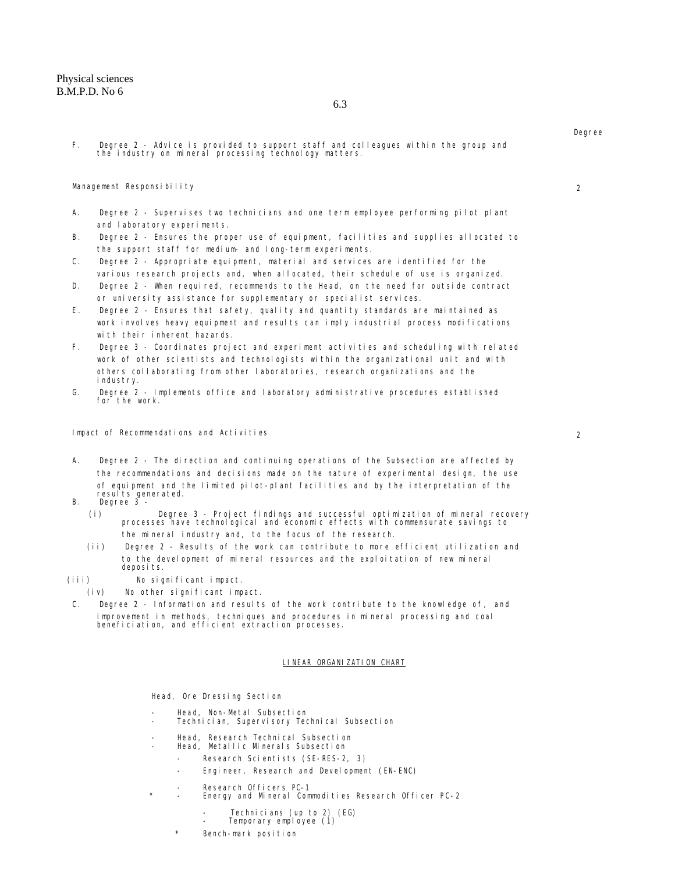Physical sciences B.M.P.D. No 6

F. Degree 2 - Advice is provided to support staff and colleagues within the group and the industry on mineral processing technology matters.

Management Responsibility 2

- A. Degree 2 Supervises two technicians and one term employee performing pilot plant and laboratory experiments.
- B. Degree 2 Ensures the proper use of equipment, facilities and supplies allocated to the support staff for medium- and long-term experiments.
- C. Degree 2 Appropriate equipment, material and services are identified for the various research projects and, when allocated, their schedule of use is organized.
- D. Degree 2 When required, recommends to the Head, on the need for outside contract or university assistance for supplementary or specialist services.
- E. Degree 2 Ensures that safety, quality and quantity standards are maintained as work involves heavy equipment and results can imply industrial process modifications with their inherent hazards.
- F. Degree 3 Coordinates project and experiment activities and scheduling with related work of other scientists and technologists within the organizational unit and with others collaborating from other laboratories, research organizations and the i ndustry.
- G. Degree 2 Implements office and laboratory administrative procedures established for the work.

Impact of Recommendations and Activities 2

- A. Degree 2 The direction and continuing operations of the Subsection are affected by the recommendations and decisions made on the nature of experimental design, the use of equipment and the limited pilot-plant facilities and by the interpretation of the results generated. B. Degree 3 -
	- - (i) Degree 3 Project findings and successful optimization of mineral recovery processes have technological and economic effects with commensurate savings to the mineral industry and, to the focus of the research.
		- (ii) Degree 2 Results of the work can contribute to more efficient utilization and to the development of mineral resources and the exploitation of new mineral deposits.
- (iii) No significant impact.
	- (iv) No other significant impact.
- C. Degree 2 Information and results of the work contribute to the knowledge of, and improvement in methods, techniques and procedures in mineral processing and coal beneficiation, and efficient extraction processes.

#### LINEAR ORGANIZATION CHART

Head, Ore Dressing Section

- Head, Non-Metal Subsection
- Technician, Supervisory Technical Subsection
- Head, Research Technical Subsection Head, Metallic Minerals Subsection
	- - Research Scientists (SE-RES-2, 3)
		- Engineer, Research and Development (EN-ENC)
- Research Officers PC-1 Energy and Mineral Commodities Research Officer PC-2
	- Technicians (up to 2) (EG)
	- Temporary employee (1)
	- Bench-mark position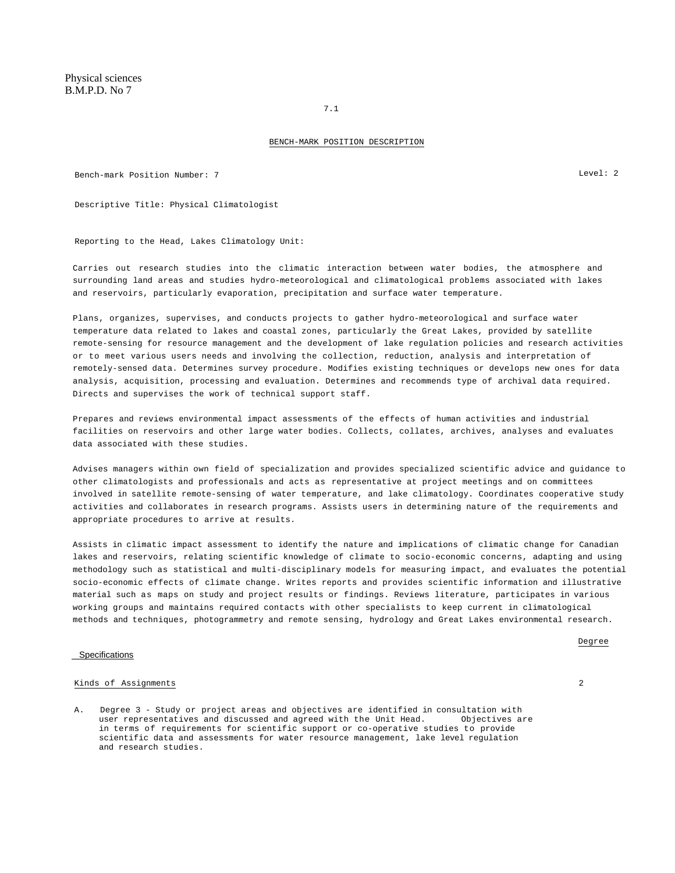Physical sciences B.M.P.D. No 7

7.1

#### BENCH-MARK POSITION DESCRIPTION

Bench-mark Position Number: 7 Level: 2

Descriptive Title: Physical Climatologist

Reporting to the Head, Lakes Climatology Unit:

Carries out research studies into the climatic interaction between water bodies, the atmosphere and surrounding land areas and studies hydro-meteorological and climatological problems associated with lakes and reservoirs, particularly evaporation, precipitation and surface water temperature.

Plans, organizes, supervises, and conducts projects to gather hydro-meteorological and surface water temperature data related to lakes and coastal zones, particularly the Great Lakes, provided by satellite remote-sensing for resource management and the development of lake regulation policies and research activities or to meet various users needs and involving the collection, reduction, analysis and interpretation of remotely-sensed data. Determines survey procedure. Modifies existing techniques or develops new ones for data analysis, acquisition, processing and evaluation. Determines and recommends type of archival data required. Directs and supervises the work of technical support staff.

Prepares and reviews environmental impact assessments of the effects of human activities and industrial facilities on reservoirs and other large water bodies. Collects, collates, archives, analyses and evaluates data associated with these studies.

Advises managers within own field of specialization and provides specialized scientific advice and guidance to other climatologists and professionals and acts as representative at project meetings and on committees involved in satellite remote-sensing of water temperature, and lake climatology. Coordinates cooperative study activities and collaborates in research programs. Assists users in determining nature of the requirements and appropriate procedures to arrive at results.

Assists in climatic impact assessment to identify the nature and implications of climatic change for Canadian lakes and reservoirs, relating scientific knowledge of climate to socio-economic concerns, adapting and using methodology such as statistical and multi-disciplinary models for measuring impact, and evaluates the potential socio-economic effects of climate change. Writes reports and provides scientific information and illustrative material such as maps on study and project results or findings. Reviews literature, participates in various working groups and maintains required contacts with other specialists to keep current in climatological methods and techniques, photogrammetry and remote sensing, hydrology and Great Lakes environmental research.

### **Specifications**

## Kinds of Assignments 2

A. Degree 3 - Study or project areas and objectives are identified in consultation with<br>user representatives and discussed and agreed with the Unit Head. Objectives are user representatives and discussed and agreed with the Unit Head. in terms of requirements for scientific support or co-operative studies to provide scientific data and assessments for water resource management, lake level regulation and research studies.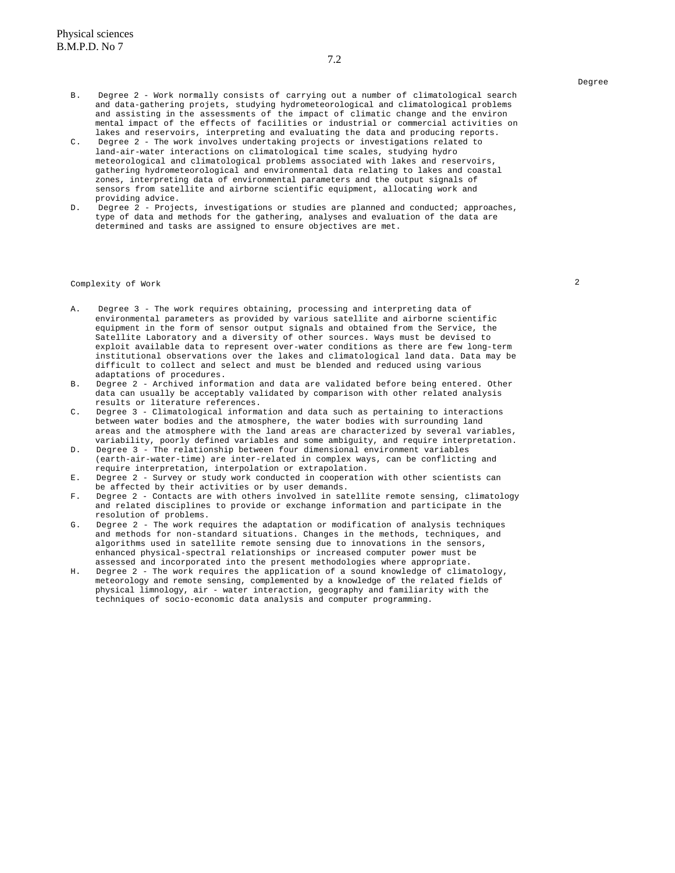- B. Degree 2 Work normally consists of carrying out a number of climatological search and data-gathering projets, studying hydrometeorological and climatological problems and assisting in the assessments of the impact of climatic change and the environ mental impact of the effects of facilities or industrial or commercial activities on lakes and reservoirs, interpreting and evaluating the data and producing reports.
- C. Degree 2 The work involves undertaking projects or investigations related to land-air-water interactions on climatological time scales, studying hydro meteorological and climatological problems associated with lakes and reservoirs, gathering hydrometeorological and environmental data relating to lakes and coastal zones, interpreting data of environmental parameters and the output signals of sensors from satellite and airborne scientific equipment, allocating work and providing advice.
- D. Degree 2 Projects, investigations or studies are planned and conducted; approaches, type of data and methods for the gathering, analyses and evaluation of the data are determined and tasks are assigned to ensure objectives are met.

# Complexity of Work 2

- A. Degree 3 The work requires obtaining, processing and interpreting data of environmental parameters as provided by various satellite and airborne scientific equipment in the form of sensor output signals and obtained from the Service, the Satellite Laboratory and a diversity of other sources. Ways must be devised to exploit available data to represent over-water conditions as there are few long-term institutional observations over the lakes and climatological land data. Data may be difficult to collect and select and must be blended and reduced using various adaptations of procedures.
- B. Degree 2 Archived information and data are validated before being entered. Other data can usually be acceptably validated by comparison with other related analysis results or literature references.
- C. Degree 3 Climatological information and data such as pertaining to interactions between water bodies and the atmosphere, the water bodies with surrounding land areas and the atmosphere with the land areas are characterized by several variables, variability, poorly defined variables and some ambiguity, and require interpretation.
- D. Degree 3 The relationship between four dimensional environment variables (earth-air-water-time) are inter-related in complex ways, can be conflicting and require interpretation, interpolation or extrapolation.
- E. Degree 2 Survey or study work conducted in cooperation with other scientists can be affected by their activities or by user demands.
- F. Degree 2 Contacts are with others involved in satellite remote sensing, climatology and related disciplines to provide or exchange information and participate in the resolution of problems.
- G. Degree 2 The work requires the adaptation or modification of analysis techniques and methods for non-standard situations. Changes in the methods, techniques, and algorithms used in satellite remote sensing due to innovations in the sensors, enhanced physical-spectral relationships or increased computer power must be assessed and incorporated into the present methodologies where appropriate.
- H. Degree 2 The work requires the application of a sound knowledge of climatology, meteorology and remote sensing, complemented by a knowledge of the related fields of physical limnology, air - water interaction, geography and familiarity with the techniques of socio-economic data analysis and computer programming.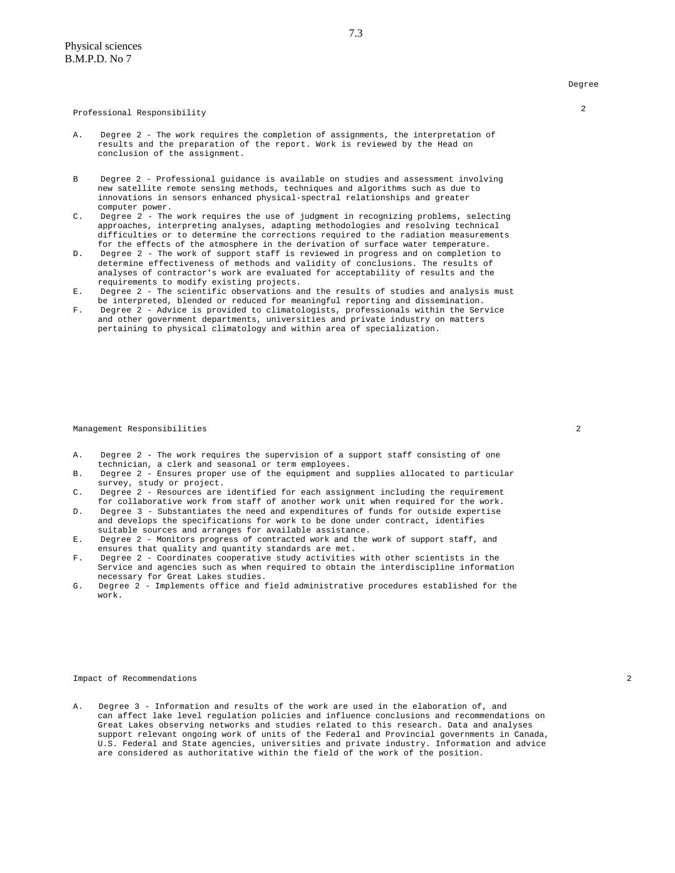# Professional Responsibility <sup>2</sup>

- A. Degree 2 The work requires the completion of assignments, the interpretation of results and the preparation of the report. Work is reviewed by the Head on conclusion of the assignment.
- B Degree 2 Professional guidance is available on studies and assessment involving new satellite remote sensing methods, techniques and algorithms such as due to innovations in sensors enhanced physical-spectral relationships and greater computer power.
- C. Degree 2 The work requires the use of judgment in recognizing problems, selecting approaches, interpreting analyses, adapting methodologies and resolving technical difficulties or to determine the corrections required to the radiation measurements for the effects of the atmosphere in the derivation of surface water temperature.
- D. Degree 2 The work of support staff is reviewed in progress and on completion to determine effectiveness of methods and validity of conclusions. The results of analyses of contractor's work are evaluated for acceptability of results and the requirements to modify existing projects.
- E. Degree 2 The scientific observations and the results of studies and analysis must be interpreted, blended or reduced for meaningful reporting and dissemination.
- F. Degree 2 Advice is provided to climatologists, professionals within the Service and other government departments, universities and private industry on matters pertaining to physical climatology and within area of specialization.

### Management Responsibilities 2

- A. Degree 2 The work requires the supervision of a support staff consisting of one technician, a clerk and seasonal or term employees.
- B. Degree 2 Ensures proper use of the equipment and supplies allocated to particular survey, study or project.
- C. Degree 2 Resources are identified for each assignment including the requirement for collaborative work from staff of another work unit when required for the work.
- D. Degree 3 Substantiates the need and expenditures of funds for outside expertise and develops the specifications for work to be done under contract, identifies suitable sources and arranges for available assistance.
- E. Degree 2 Monitors progress of contracted work and the work of support staff, and ensures that quality and quantity standards are met.
- F. Degree 2 Coordinates cooperative study activities with other scientists in the Service and agencies such as when required to obtain the interdiscipline information necessary for Great Lakes studies.
- G. Degree 2 Implements office and field administrative procedures established for the work.

Impact of Recommendations 2

A. Degree 3 - Information and results of the work are used in the elaboration of, and can affect lake level regulation policies and influence conclusions and recommendations on Great Lakes observing networks and studies related to this research. Data and analyses support relevant ongoing work of units of the Federal and Provincial governments in Canada, U.S. Federal and State agencies, universities and private industry. Information and advice are considered as authoritative within the field of the work of the position.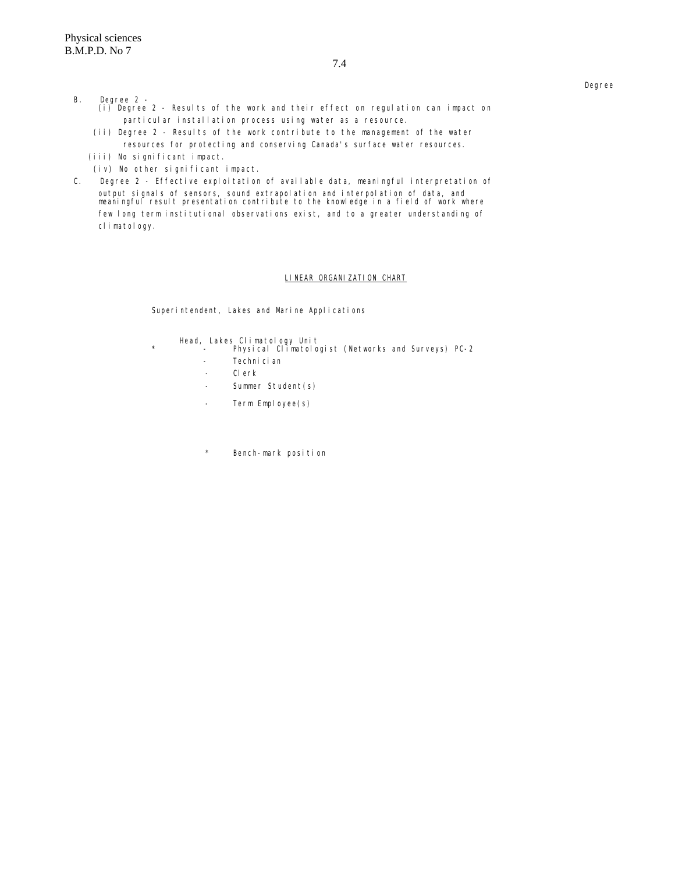- B. Degree 2
	- (i) Degree 2 Results of the work and their effect on regulation can impact on particular installation process using water as a resource.
	- (ii) Degree 2 Results of the work contribute to the management of the water resources for protecting and conserving Canada's surface water resources.
	- (iii) No significant impact.
	- (iv) No other significant impact.
- C. Degree 2 Effective exploitation of available data, meaningful interpretation of output signals of sensors, sound extrapolation and interpolation of data, and meaningful result presentation contribute to the knowledge in a field of work where few long term institutional observations exist, and to a greater understanding of climatology.

### LINEAR ORGANIZATION CHART

Superintendent, Lakes and Marine Applications

- Head, Lakes Climatology Unit<br>- Physical Climatologist (Networks and Surveys) PC-2
	- Technician
	- Clerk
	- Summer Student(s)
	- Term Employee(s)
	- \* Bench-mark position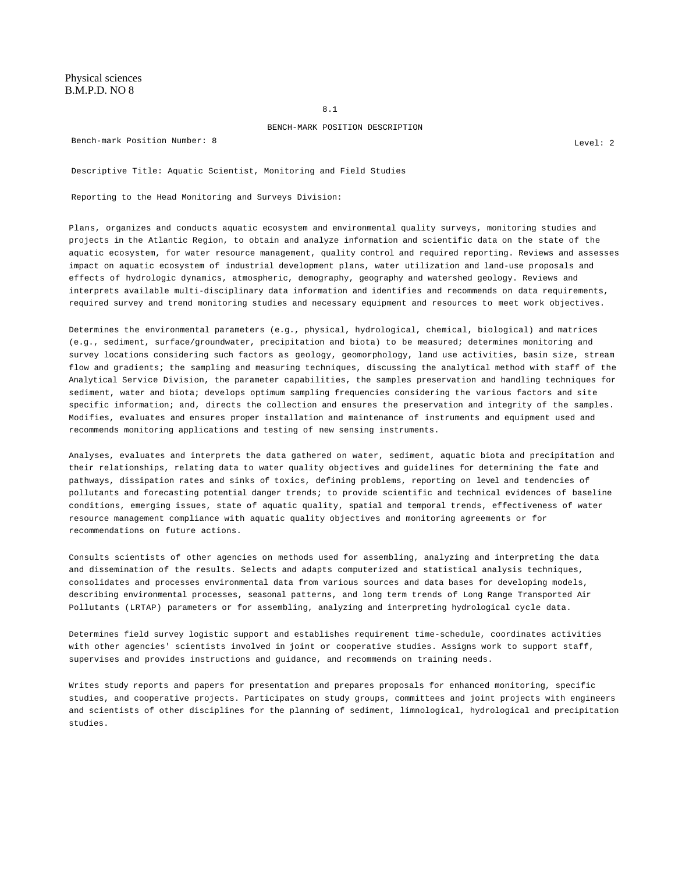Physical sciences B.M.P.D. NO 8

8.1

#### BENCH-MARK POSITION DESCRIPTION

Bench-mark Position Number: 8 Level: 2

Descriptive Title: Aquatic Scientist, Monitoring and Field Studies

Reporting to the Head Monitoring and Surveys Division:

Plans, organizes and conducts aquatic ecosystem and environmental quality surveys, monitoring studies and projects in the Atlantic Region, to obtain and analyze information and scientific data on the state of the aquatic ecosystem, for water resource management, quality control and required reporting. Reviews and assesses impact on aquatic ecosystem of industrial development plans, water utilization and land-use proposals and effects of hydrologic dynamics, atmospheric, demography, geography and watershed geology. Reviews and interprets available multi-disciplinary data information and identifies and recommends on data requirements, required survey and trend monitoring studies and necessary equipment and resources to meet work objectives.

Determines the environmental parameters (e.g., physical, hydrological, chemical, biological) and matrices (e.g., sediment, surface/groundwater, precipitation and biota) to be measured; determines monitoring and survey locations considering such factors as geology, geomorphology, land use activities, basin size, stream flow and gradients; the sampling and measuring techniques, discussing the analytical method with staff of the Analytical Service Division, the parameter capabilities, the samples preservation and handling techniques for sediment, water and biota; develops optimum sampling frequencies considering the various factors and site specific information; and, directs the collection and ensures the preservation and integrity of the samples. Modifies, evaluates and ensures proper installation and maintenance of instruments and equipment used and recommends monitoring applications and testing of new sensing instruments.

Analyses, evaluates and interprets the data gathered on water, sediment, aquatic biota and precipitation and their relationships, relating data to water quality objectives and guidelines for determining the fate and pathways, dissipation rates and sinks of toxics, defining problems, reporting on level and tendencies of pollutants and forecasting potential danger trends; to provide scientific and technical evidences of baseline conditions, emerging issues, state of aquatic quality, spatial and temporal trends, effectiveness of water resource management compliance with aquatic quality objectives and monitoring agreements or for recommendations on future actions.

Consults scientists of other agencies on methods used for assembling, analyzing and interpreting the data and dissemination of the results. Selects and adapts computerized and statistical analysis techniques, consolidates and processes environmental data from various sources and data bases for developing models, describing environmental processes, seasonal patterns, and long term trends of Long Range Transported Air Pollutants (LRTAP) parameters or for assembling, analyzing and interpreting hydrological cycle data.

Determines field survey logistic support and establishes requirement time-schedule, coordinates activities with other agencies' scientists involved in joint or cooperative studies. Assigns work to support staff, supervises and provides instructions and guidance, and recommends on training needs.

Writes study reports and papers for presentation and prepares proposals for enhanced monitoring, specific studies, and cooperative projects. Participates on study groups, committees and joint projects with engineers and scientists of other disciplines for the planning of sediment, limnological, hydrological and precipitation studies.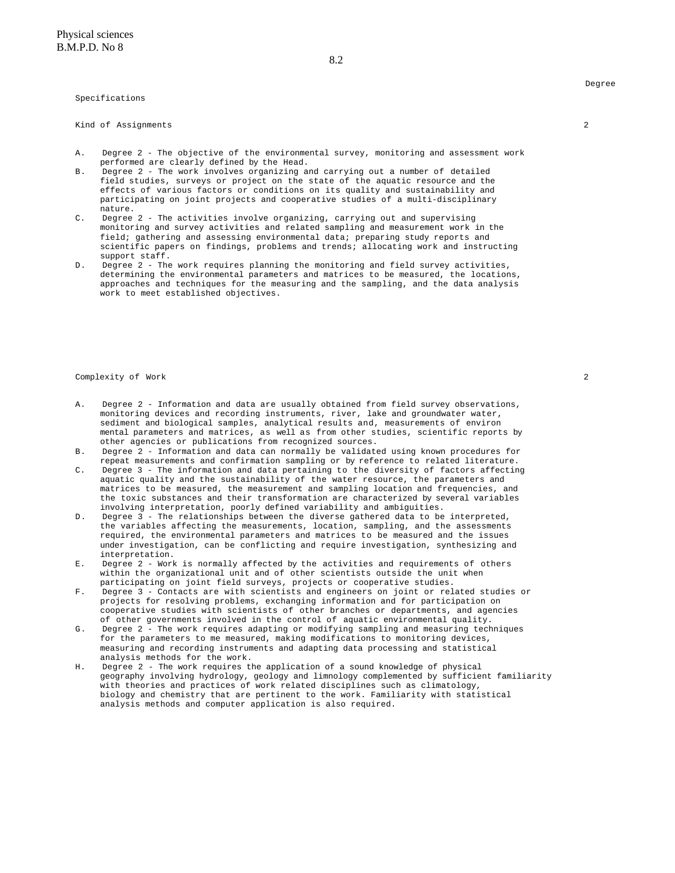Specifications

Kind of Assignments 2

A. Degree 2 - The objective of the environmental survey, monitoring and assessment work performed are clearly defined by the Head.

8.2

- B. Degree 2 The work involves organizing and carrying out a number of detailed field studies, surveys or project on the state of the aquatic resource and the effects of various factors or conditions on its quality and sustainability and participating on joint projects and cooperative studies of a multi-disciplinary nature.
- C. Degree 2 The activities involve organizing, carrying out and supervising monitoring and survey activities and related sampling and measurement work in the field; gathering and assessing environmental data; preparing study reports and scientific papers on findings, problems and trends; allocating work and instructing support staff.
- D. Degree 2 The work requires planning the monitoring and field survey activities, determining the environmental parameters and matrices to be measured, the locations, approaches and techniques for the measuring and the sampling, and the data analysis work to meet established objectives.

Complexity of Work 2

- A. Degree 2 Information and data are usually obtained from field survey observations, monitoring devices and recording instruments, river, lake and groundwater water, sediment and biological samples, analytical results and, measurements of environ mental parameters and matrices, as well as from other studies, scientific reports by other agencies or publications from recognized sources.
- B. Degree 2 Information and data can normally be validated using known procedures for repeat measurements and confirmation sampling or by reference to related literature.
- C. Degree 3 The information and data pertaining to the diversity of factors affecting aquatic quality and the sustainability of the water resource, the parameters and matrices to be measured, the measurement and sampling location and frequencies, and the toxic substances and their transformation are characterized by several variables involving interpretation, poorly defined variability and ambiguities.
- D. Degree 3 The relationships between the diverse gathered data to be interpreted, the variables affecting the measurements, location, sampling, and the assessments required, the environmental parameters and matrices to be measured and the issues under investigation, can be conflicting and require investigation, synthesizing and interpretation.
- E. Degree 2 Work is normally affected by the activities and requirements of others within the organizational unit and of other scientists outside the unit when participating on joint field surveys, projects or cooperative studies.
- F. Degree 3 Contacts are with scientists and engineers on joint or related studies or projects for resolving problems, exchanging information and for participation on cooperative studies with scientists of other branches or departments, and agencies of other governments involved in the control of aquatic environmental quality.
- G. Degree 2 The work requires adapting or modifying sampling and measuring techniques for the parameters to me measured, making modifications to monitoring devices, measuring and recording instruments and adapting data processing and statistical analysis methods for the work.
- H. Degree 2 The work requires the application of a sound knowledge of physical geography involving hydrology, geology and limnology complemented by sufficient familiarity with theories and practices of work related disciplines such as climatology, biology and chemistry that are pertinent to the work. Familiarity with statistical analysis methods and computer application is also required.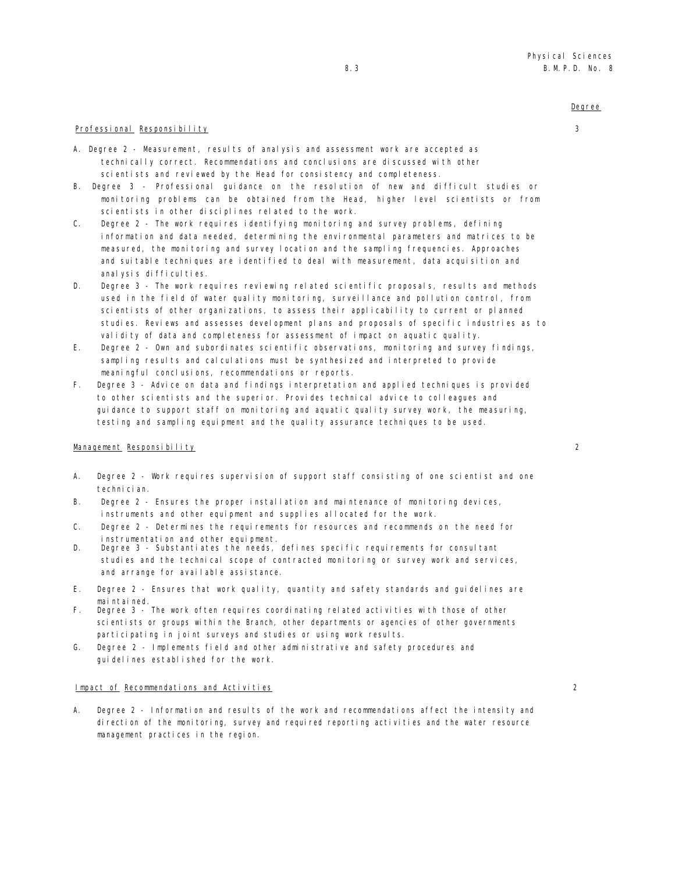# Professional Responsibility 3

- A. Degree 2 Measurement, results of analysis and assessment work are accepted as technically correct. Recommendations and conclusions are discussed with other scientists and reviewed by the Head for consistency and completeness.
- B. Degree 3 Professional guidance on the resolution of new and difficult studies or monitoring problems can be obtained from the Head, higher level scientists or from scientists in other disciplines related to the work.
- C. Degree 2 The work requires identifying monitoring and survey problems, defining information and data needed, determining the environmental parameters and matrices to be measured, the monitoring and survey location and the sampling frequencies. Approaches and suitable techniques are identified to deal with measurement, data acquisition and anal ysis difficulties.
- D. Degree 3 The work requires reviewing related scientific proposals, results and methods used in the field of water quality monitoring, surveillance and pollution control, from scientists of other organizations, to assess their applicability to current or planned studies. Reviews and assesses development plans and proposals of specific industries as to validity of data and completeness for assessment of impact on aquatic quality.
- E. Degree 2 Own and subordinates scientific observations, monitoring and survey findings, sampling results and calculations must be synthesized and interpreted to provide meaningful conclusions, recommendations or reports.
- F. Degree 3 Advice on data and findings interpretation and applied techniques is provided to other scientists and the superior. Provides technical advice to colleagues and guidance to support staff on monitoring and aquatic quality survey work, the measuring, testing and sampling equipment and the quality assurance techniques to be used.

### Management Responsibility 2

- 
- A. Degree 2 Work requires supervision of support staff consisting of one scientist and one technician.
- B. Degree 2 Ensures the proper installation and maintenance of monitoring devices, instruments and other equipment and supplies allocated for the work.
- C. Degree 2 Determines the requirements for resources and recommends on the need for instrumentation and other equipment. D. Degree 3 - Substantiates the needs, defines specific requirements for consultant
- studies and the technical scope of contracted monitoring or survey work and services, and arrange for available assistance.
- E. Degree 2 Ensures that work quality, quantity and safety standards and guidelines are mai ntai ned.
- F. Degree 3 The work often requires coordinating related activities with those of other scientists or groups within the Branch, other departments or agencies of other governments participating in joint surveys and studies or using work results.
- G. Degree 2 Implements field and other administrative and safety procedures and guidelines established for the work.

### Impact of Recommendations and Activities 2

A. Degree 2 - Information and results of the work and recommendations affect the intensity and direction of the monitoring, survey and required reporting activities and the water resource management practices in the region.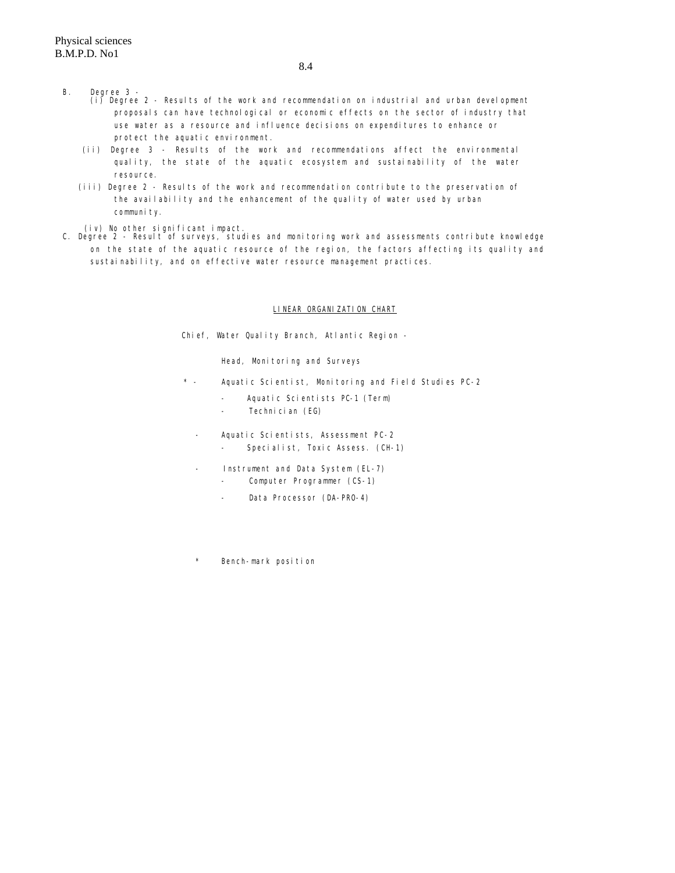- B. Degree 3
	- $(i)$  Degree 2 Results of the work and recommendation on industrial and urban development proposals can have technological or economic effects on the sector of industry that use water as a resource and influence decisions on expenditures to enhance or protect the aquatic environment.
	- (ii) Degree 3 Results of the work and recommendations affect the environmental quality, the state of the aquatic ecosystem and sustainability of the water resource.
	- (iii) Degree 2 Results of the work and recommendation contribute to the preservation of the availability and the enhancement of the quality of water used by urban community.
	-
- (iv) No other significant impact. C. Degree 2 Result of surveys, studies and monitoring work and assessments contribute knowledge on the state of the aquatic resource of the region, the factors affecting its quality and sustainability, and on effective water resource management practices.

# LINEAR ORGANIZATION CHART

Chief, Water Quality Branch, Atlantic Region -

Head, Monitoring and Surveys

- \* Aquatic Scientist, Monitoring and Field Studies PC-2
	- Aquatic Scientists PC-1 (Term)
	- Technician (EG)
	- Aquatic Scientists, Assessment PC-2 Specialist, Toxic Assess. (CH-1)
	- Instrument and Data System (EL-7)
		- Computer Programmer (CS-1)
		- Data Processor (DA-PRO-4)
	- Bench-mark position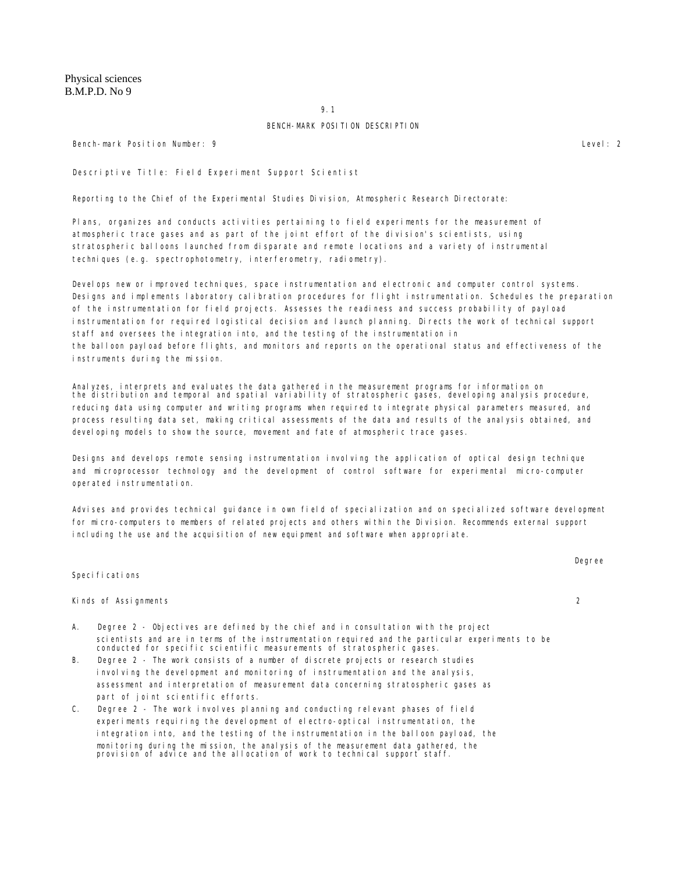Physical sciences B.M.P.D. No 9

9.1

# BENCH-MARK POSITION DESCRIPTION

Bench-mark Position Number: 9 Level: 2

Descriptive Title: Field Experiment Support Scientist

Reporting to the Chief of the Experimental Studies Division, Atmospheric Research Directorate:

Plans, organizes and conducts activities pertaining to field experiments for the measurement of atmospheric trace gases and as part of the joint effort of the division's scientists, using stratospheric balloons launched from disparate and remote locations and a variety of instrumental techniques (e.g. spectrophotometry, interferometry, radiometry).

Develops new or improved techniques, space instrumentation and electronic and computer control systems. Designs and implements laboratory calibration procedures for flight instrumentation. Schedules the preparation of the instrumentation for field projects. Assesses the readiness and success probability of payload instrumentation for required logistical decision and launch planning. Directs the work of technical support staff and oversees the integration into, and the testing of the instrumentation in the balloon payload before flights, and monitors and reports on the operational status and effectiveness of the instruments during the mission.

Analyzes, interprets and evaluates the data gathered in the measurement programs for information on the distribution and temporal and spatial variability of stratospheric gases, developing analysis procedure, reducing data using computer and writing programs when required to integrate physical parameters measured, and process resulting data set, making critical assessments of the data and results of the analysis obtained, and developing models to show the source, movement and fate of atmospheric trace gases.

Designs and develops remote sensing instrumentation involving the application of optical design technique and microprocessor technology and the development of control software for experimental micro-computer operated instrumentation.

Advises and provides technical guidance in own field of specialization and on specialized software development for micro-computers to members of related projects and others within the Division. Recommends external support including the use and the acquisition of new equipment and software when appropriate.

#### Specifications

### Kinds of Assignments 2

- A. Degree 2 Objectives are defined by the chief and in consultation with the project scientists and are in terms of the instrumentation required and the particular experiments to be conducted for specific scientific measurements of stratospheric gases.
- B. Degree 2 The work consists of a number of discrete projects or research studies involving the development and monitoring of instrumentation and the analysis, assessment and interpretation of measurement data concerning stratospheric gases as part of joint scientific efforts.
- C. Degree 2 The work involves planning and conducting relevant phases of field experiments requiring the development of electro-optical instrumentation, the integration into, and the testing of the instrumentation in the balloon payload, the monitoring during the mission, the analysis of the measurement data gathered, the provision of advice and the allocation of work to technical support staff.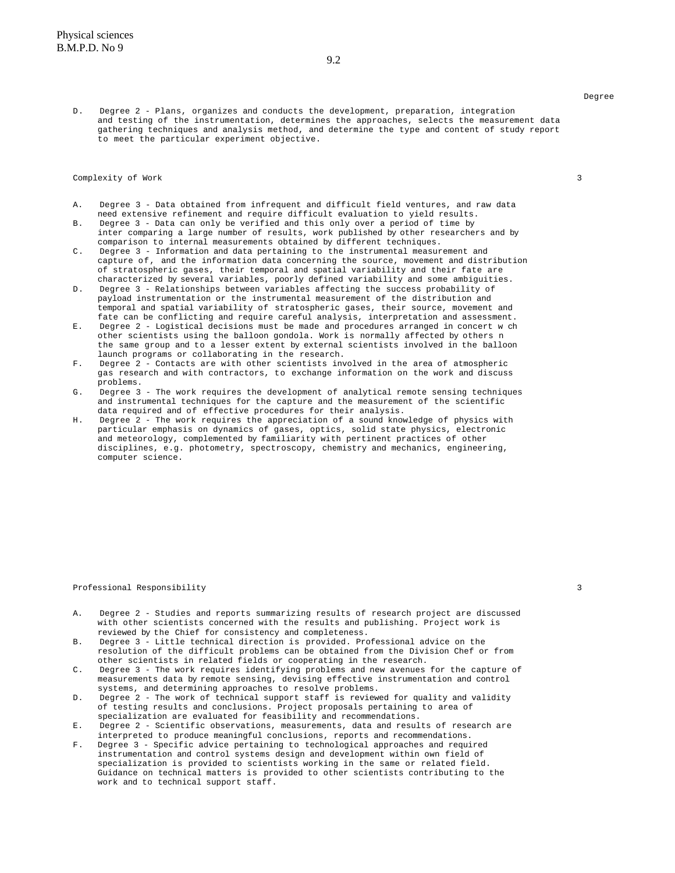Degree

D. Degree 2 - Plans, organizes and conducts the development, preparation, integration and testing of the instrumentation, determines the approaches, selects the measurement data gathering techniques and analysis method, and determine the type and content of study report to meet the particular experiment objective.

# Complexity of Work 3

- A. Degree 3 Data obtained from infrequent and difficult field ventures, and raw data need extensive refinement and require difficult evaluation to yield results.
- B. Degree 3 Data can only be verified and this only over a period of time by inter comparing a large number of results, work published by other researchers and by comparison to internal measurements obtained by different techniques.
- C. Degree 3 Information and data pertaining to the instrumental measurement and capture of, and the information data concerning the source, movement and distribution of stratospheric gases, their temporal and spatial variability and their fate are characterized by several variables, poorly defined variability and some ambiguities.
- D. Degree 3 Relationships between variables affecting the success probability of payload instrumentation or the instrumental measurement of the distribution and temporal and spatial variability of stratospheric gases, their source, movement and fate can be conflicting and require careful analysis, interpretation and assessment.
- E. Degree 2 Logistical decisions must be made and procedures arranged in concert w ch other scientists using the balloon gondola. Work is normally affected by others n the same group and to a lesser extent by external scientists involved in the balloon launch programs or collaborating in the research.
- F. Degree 2 Contacts are with other scientists involved in the area of atmospheric gas research and with contractors, to exchange information on the work and discuss problems.
- G. Degree 3 The work requires the development of analytical remote sensing techniques and instrumental techniques for the capture and the measurement of the scientific data required and of effective procedures for their analysis.
- H. Degree 2 The work requires the appreciation of a sound knowledge of physics with particular emphasis on dynamics of gases, optics, solid state physics, electronic and meteorology, complemented by familiarity with pertinent practices of other disciplines, e.g. photometry, spectroscopy, chemistry and mechanics, engineering, computer science.

## Professional Responsibility 3

- A. Degree 2 Studies and reports summarizing results of research project are discussed with other scientists concerned with the results and publishing. Project work is reviewed by the Chief for consistency and completeness.
- B. Degree 3 Little technical direction is provided. Professional advice on the resolution of the difficult problems can be obtained from the Division Chef or from other scientists in related fields or cooperating in the research.
- C. Degree 3 The work requires identifying problems and new avenues for the capture of measurements data by remote sensing, devising effective instrumentation and control systems, and determining approaches to resolve problems.
- D. Degree 2 The work of technical support staff is reviewed for quality and validity of testing results and conclusions. Project proposals pertaining to area of specialization are evaluated for feasibility and recommendations.
- E. Degree 2 Scientific observations, measurements, data and results of research are interpreted to produce meaningful conclusions, reports and recommendations.
- Degree 3 Specific advice pertaining to technological approaches and required instrumentation and control systems design and development within own field of specialization is provided to scientists working in the same or related field. Guidance on technical matters is provided to other scientists contributing to the work and to technical support staff.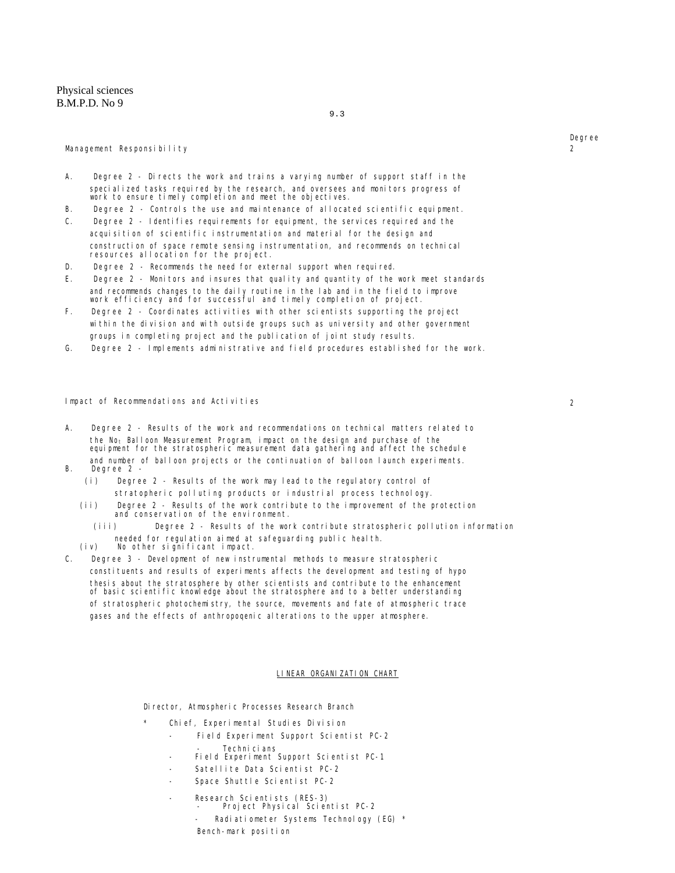# Physical sciences B.M.P.D. No 9

Management Responsibility 2

- A. Degree 2 Directs the work and trains a varying number of support staff in the specialized tasks required by the research, and oversees and monitors progress of work to ensure timely completion and meet the objectives.
- B. Degree 2 Controls the use and maintenance of allocated scientific equipment.
- C. Degree 2 Identifies requirements for equipment, the services required and the acquisition of scientific instrumentation and material for the design and construction of space remote sensing instrumentation, and recommends on technical resources allocation for the project.
- D. Degree 2 Recommends the need for external support when required.
- E. Degree 2 Monitors and insures that quality and quantity of the work meet standards and recommends changes to the daily routine in the lab and in the field to improve work efficiency and for successful and timely completion of project.
- F. Degree 2 Coordinates activities with other scientists supporting the project within the division and with outside groups such as university and other government groups in completing project and the publication of joint study results.
- G. Degree 2 Implements administrative and field procedures established for the work.

### Impact of Recommendations and Activities 2

- A. Degree 2 Results of the work and recommendations on technical matters related to the No<sub>t</sub> Balloon Measurement Program, impact on the design and purchase of the<br>equipment for the stratospheric measurement data gathering and affect the schedule and number of balloon projects or the continuation of balloon launch experiments.
- B. Degree 2
	- (i) Degree 2 Results of the work may lead to the regulatory control of stratopheric polluting products or industrial process technology.
	- (ii) Degree 2 Results of the work contribute to the improvement of the protection and conservation of the environment.
		- (iii) Degree 2 Results of the work contribute stratospheric pollution information
		- needed for regulation aimed at safeguarding public health.
	- (iv) No other significant impact.
- C. Degree 3 Development of new instrumental methods to measure stratospheric constituents and results of experiments affects the development and testing of hypo thesis about the stratosphere by other scientists and contribute to the enhancement of basic scientific knowledge about the stratosphere and to a better understanding of stratospheric photochemistry, the source, movements and fate of atmospheric trace gases and the effects of anthropoqenic alterations to the upper atmosphere.

# LINEAR ORGANIZATION CHART

Director, Atmospheric Processes Research Branch

- Chief, Experimental Studies Division
	- Field Experiment Support Scientist PC-2 Techni ci ans
	- Field Experiment Support Scientist PC-1
	- Satellite Data Scientist PC-2
	- Space Shuttle Scientist PC-2
	- Research Scientists (RES-3) Project Physical Scientist PC-2
		- Radiatiometer Systems Technology (EG) \* Bench-mark position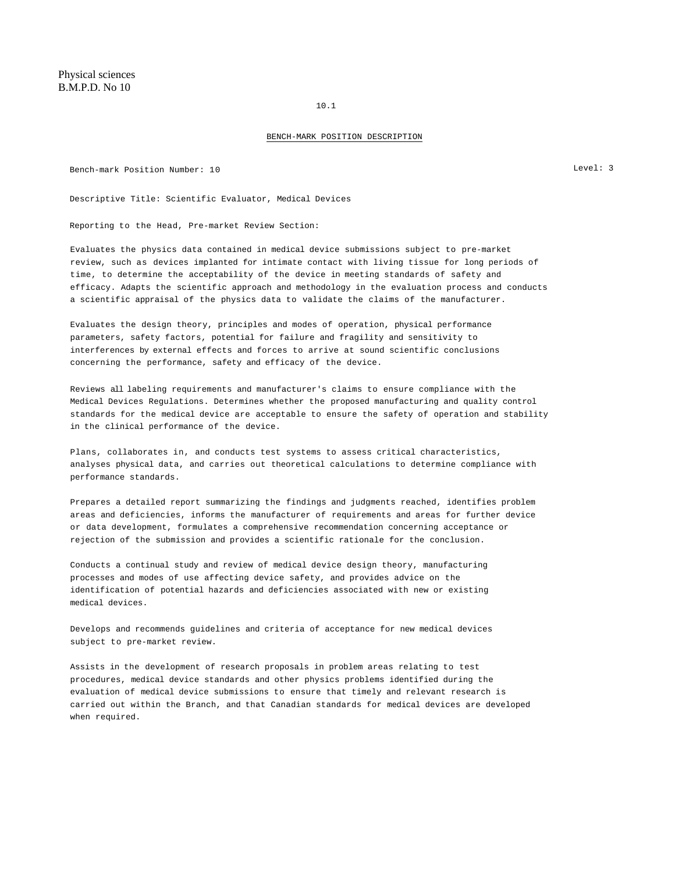Physical sciences B.M.P.D. No 10

10.1

#### BENCH-MARK POSITION DESCRIPTION

Bench-mark Position Number: 10 Level: 3

Descriptive Title: Scientific Evaluator, Medical Devices

Reporting to the Head, Pre-market Review Section:

Evaluates the physics data contained in medical device submissions subject to pre-market review, such as devices implanted for intimate contact with living tissue for long periods of time, to determine the acceptability of the device in meeting standards of safety and efficacy. Adapts the scientific approach and methodology in the evaluation process and conducts a scientific appraisal of the physics data to validate the claims of the manufacturer.

Evaluates the design theory, principles and modes of operation, physical performance parameters, safety factors, potential for failure and fragility and sensitivity to interferences by external effects and forces to arrive at sound scientific conclusions concerning the performance, safety and efficacy of the device.

Reviews all labeling requirements and manufacturer's claims to ensure compliance with the Medical Devices Regulations. Determines whether the proposed manufacturing and quality control standards for the medical device are acceptable to ensure the safety of operation and stability in the clinical performance of the device.

Plans, collaborates in, and conducts test systems to assess critical characteristics, analyses physical data, and carries out theoretical calculations to determine compliance with performance standards.

Prepares a detailed report summarizing the findings and judgments reached, identifies problem areas and deficiencies, informs the manufacturer of requirements and areas for further device or data development, formulates a comprehensive recommendation concerning acceptance or rejection of the submission and provides a scientific rationale for the conclusion.

Conducts a continual study and review of medical device design theory, manufacturing processes and modes of use affecting device safety, and provides advice on the identification of potential hazards and deficiencies associated with new or existing medical devices.

Develops and recommends guidelines and criteria of acceptance for new medical devices subject to pre-market review.

Assists in the development of research proposals in problem areas relating to test procedures, medical device standards and other physics problems identified during the evaluation of medical device submissions to ensure that timely and relevant research is carried out within the Branch, and that Canadian standards for medical devices are developed when required.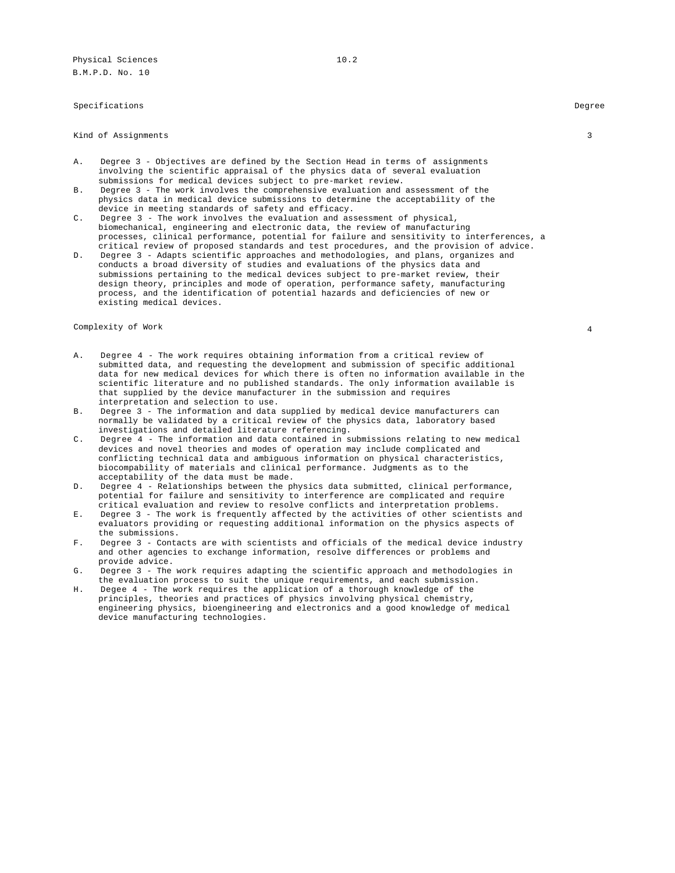Physical Sciences 10.2 B.M.P.D. No. 10

#### Specifications Degree

Kind of Assignments 3

- A. Degree 3 Objectives are defined by the Section Head in terms of assignments involving the scientific appraisal of the physics data of several evaluation submissions for medical devices subject to pre-market review.
- B. Degree 3 The work involves the comprehensive evaluation and assessment of the physics data in medical device submissions to determine the acceptability of the device in meeting standards of safety and efficacy.
- C. Degree 3 The work involves the evaluation and assessment of physical, biomechanical, engineering and electronic data, the review of manufacturing processes, clinical performance, potential for failure and sensitivity to interferences, a critical review of proposed standards and test procedures, and the provision of advice.
- D. Degree 3 Adapts scientific approaches and methodologies, and plans, organizes and conducts a broad diversity of studies and evaluations of the physics data and submissions pertaining to the medical devices subject to pre-market review, their design theory, principles and mode of operation, performance safety, manufacturing process, and the identification of potential hazards and deficiencies of new or existing medical devices.

Complexity of Work 4

- A. Degree 4 The work requires obtaining information from a critical review of submitted data, and requesting the development and submission of specific additional data for new medical devices for which there is often no information available in the scientific literature and no published standards. The only information available is that supplied by the device manufacturer in the submission and requires interpretation and selection to use.
- B. Degree 3 The information and data supplied by medical device manufacturers can normally be validated by a critical review of the physics data, laboratory based investigations and detailed literature referencing.
- C. Degree 4 The information and data contained in submissions relating to new medical devices and novel theories and modes of operation may include complicated and conflicting technical data and ambiguous information on physical characteristics, biocompability of materials and clinical performance. Judgments as to the acceptability of the data must be made.
- D. Degree 4 Relationships between the physics data submitted, clinical performance, potential for failure and sensitivity to interference are complicated and require critical evaluation and review to resolve conflicts and interpretation problems.
- E. Degree 3 The work is frequently affected by the activities of other scientists and evaluators providing or requesting additional information on the physics aspects of the submissions.
- F. Degree 3 Contacts are with scientists and officials of the medical device industry and other agencies to exchange information, resolve differences or problems and provide advice.
- G. Degree 3 The work requires adapting the scientific approach and methodologies in the evaluation process to suit the unique requirements, and each submission.
- H. Degee 4 The work requires the application of a thorough knowledge of the principles, theories and practices of physics involving physical chemistry, engineering physics, bioengineering and electronics and a good knowledge of medical device manufacturing technologies.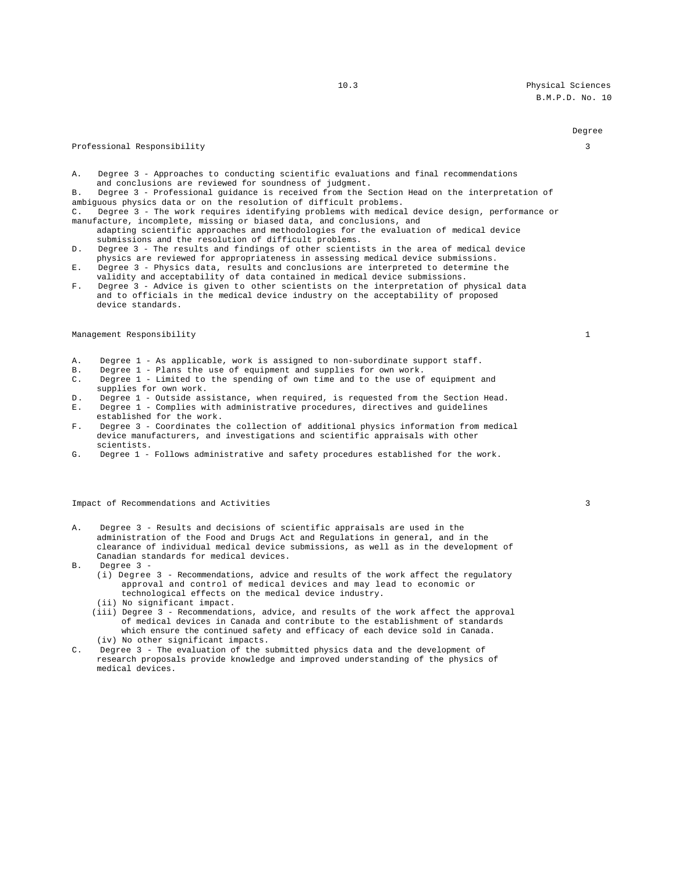### Professional Responsibility 3

- A. Degree 3 Approaches to conducting scientific evaluations and final recommendations and conclusions are reviewed for soundness of judgment.
- B. Degree 3 Professional guidance is received from the Section Head on the interpretation of ambiguous physics data or on the resolution of difficult problems.
- Degree 3 The work requires identifying problems with medical device design, performance or manufacture, incomplete, missing or biased data, and conclusions, and
- adapting scientific approaches and methodologies for the evaluation of medical device submissions and the resolution of difficult problems.
- D. Degree 3 The results and findings of other scientists in the area of medical device physics are reviewed for appropriateness in assessing medical device submissions. E. Degree 3 - Physics data, results and conclusions are interpreted to determine the
- validity and acceptability of data contained in medical device submissions.
- F. Degree 3 Advice is given to other scientists on the interpretation of physical data and to officials in the medical device industry on the acceptability of proposed device standards.

#### Management Responsibility 1

- A. Degree 1 As applicable, work is assigned to non-subordinate support staff.<br>B. Degree 1 Plans the use of equipment and supplies for own work.
- Degree 1 Plans the use of equipment and supplies for own work.
- C. Degree 1 Limited to the spending of own time and to the use of equipment and supplies for own work.
- D. Degree 1 Outside assistance, when required, is requested from the Section Head.<br>E. Degree 1 Complies with administrative procedures, directives and guidelines
- Degree 1 Complies with administrative procedures, directives and guidelines established for the work.
- F. Degree 3 Coordinates the collection of additional physics information from medical device manufacturers, and investigations and scientific appraisals with other scientists.
- G. Degree 1 Follows administrative and safety procedures established for the work.

#### Impact of Recommendations and Activities 3

- A. Degree 3 Results and decisions of scientific appraisals are used in the administration of the Food and Drugs Act and Regulations in general, and in the clearance of individual medical device submissions, as well as in the development of Canadian standards for medical devices.
- B. Degree 3
	- (i) Degree 3 Recommendations, advice and results of the work affect the regulatory approval and control of medical devices and may lead to economic or technological effects on the medical device industry.
	- (ii) No significant impact.
	- (iii) Degree 3 Recommendations, advice, and results of the work affect the approval of medical devices in Canada and contribute to the establishment of standards which ensure the continued safety and efficacy of each device sold in Canada. (iv) No other significant impacts.
- C. Degree 3 The evaluation of the submitted physics data and the development of research proposals provide knowledge and improved understanding of the physics of medical devices.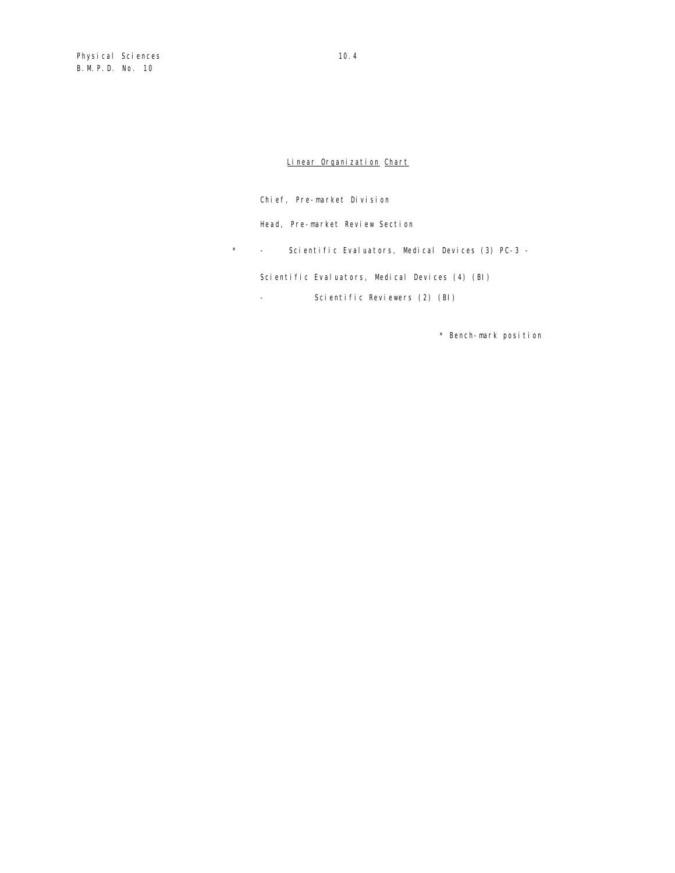Linear Organization Chart

Chief, Pre-market Division

Head, Pre-market Review Section

\* - Scientific Evaluators, Medical Devices (3) PC-3 -

Scientific Evaluators, Medical Devices (4) (BI)

- Scientific Reviewers (2) (BI)

\* Bench-mark position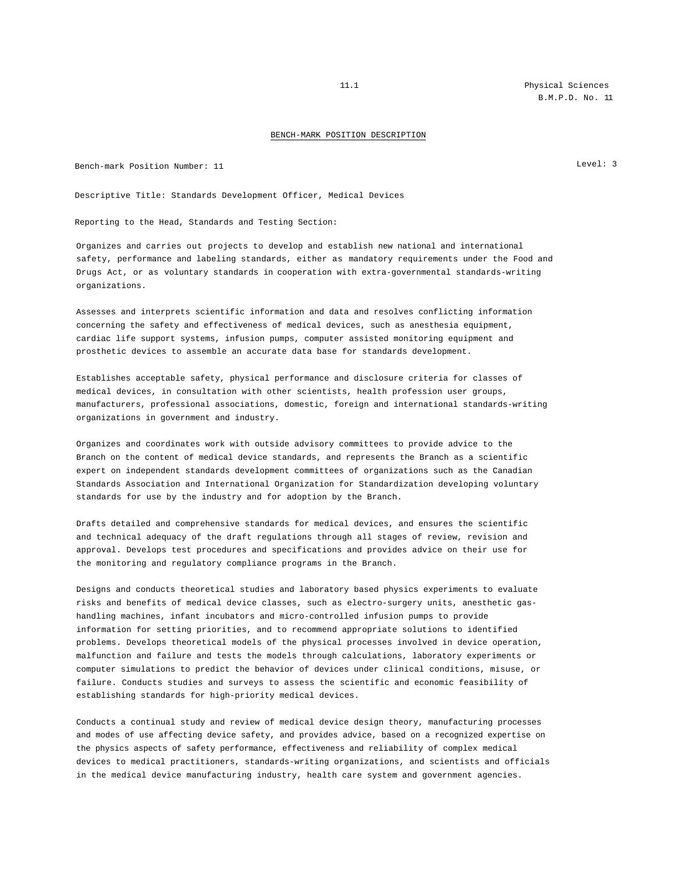### BENCH-MARK POSITION DESCRIPTION

Bench-mark Position Number: 11 Level: 3

Descriptive Title: Standards Development Officer, Medical Devices

Reporting to the Head, Standards and Testing Section:

Organizes and carries out projects to develop and establish new national and international safety, performance and labeling standards, either as mandatory requirements under the Food and Drugs Act, or as voluntary standards in cooperation with extra-governmental standards-writing organizations.

Assesses and interprets scientific information and data and resolves conflicting information concerning the safety and effectiveness of medical devices, such as anesthesia equipment, cardiac life support systems, infusion pumps, computer assisted monitoring equipment and prosthetic devices to assemble an accurate data base for standards development.

Establishes acceptable safety, physical performance and disclosure criteria for classes of medical devices, in consultation with other scientists, health profession user groups, manufacturers, professional associations, domestic, foreign and international standards-writing organizations in government and industry.

Organizes and coordinates work with outside advisory committees to provide advice to the Branch on the content of medical device standards, and represents the Branch as a scientific expert on independent standards development committees of organizations such as the Canadian Standards Association and International Organization for Standardization developing voluntary standards for use by the industry and for adoption by the Branch.

Drafts detailed and comprehensive standards for medical devices, and ensures the scientific and technical adequacy of the draft regulations through all stages of review, revision and approval. Develops test procedures and specifications and provides advice on their use for the monitoring and regulatory compliance programs in the Branch.

Designs and conducts theoretical studies and laboratory based physics experiments to evaluate risks and benefits of medical device classes, such as electro-surgery units, anesthetic gashandling machines, infant incubators and micro-controlled infusion pumps to provide information for setting priorities, and to recommend appropriate solutions to identified problems. Develops theoretical models of the physical processes involved in device operation, malfunction and failure and tests the models through calculations, laboratory experiments or computer simulations to predict the behavior of devices under clinical conditions, misuse, or failure. Conducts studies and surveys to assess the scientific and economic feasibility of establishing standards for high-priority medical devices.

Conducts a continual study and review of medical device design theory, manufacturing processes and modes of use affecting device safety, and provides advice, based on a recognized expertise on the physics aspects of safety performance, effectiveness and reliability of complex medical devices to medical practitioners, standards-writing organizations, and scientists and officials in the medical device manufacturing industry, health care system and government agencies.

B.M.P.D. No. 11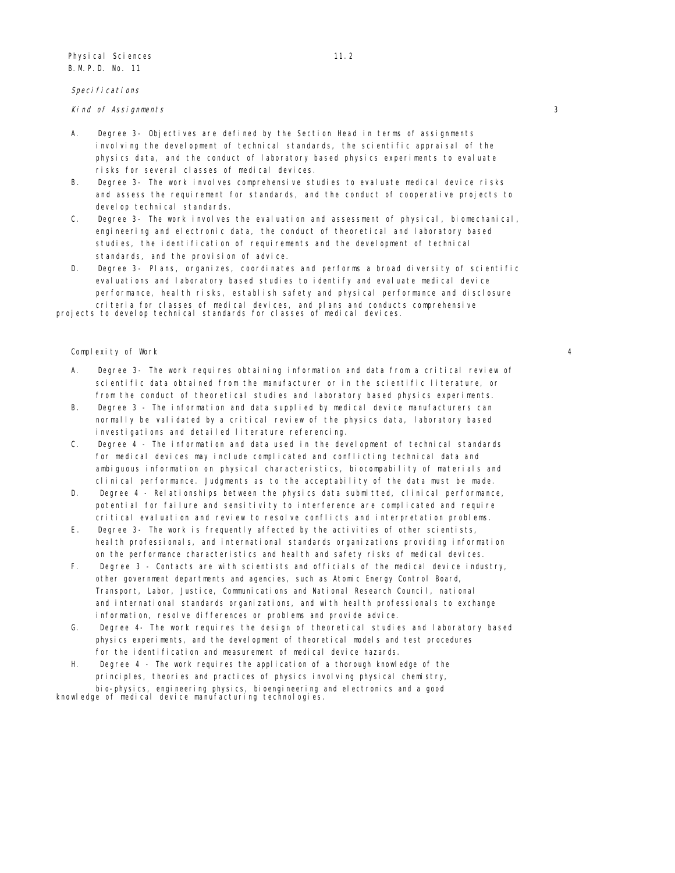### Speci fi cati ons

Kind of Assignments 3

- A. Degree 3- Objectives are defined by the Section Head in terms of assignments involving the development of technical standards, the scientific appraisal of the physics data, and the conduct of laboratory based physics experiments to evaluate risks for several classes of medical devices.
- B. Degree 3- The work involves comprehensive studies to evaluate medical device risks and assess the requirement for standards, and the conduct of cooperative projects to devel op technical standards.
- C. Degree 3- The work involves the evaluation and assessment of physical, biomechanical, engineering and electronic data, the conduct of theoretical and laboratory based studies, the identification of requirements and the development of technical standards, and the provision of advice.
- D. Degree 3- Plans, organizes, coordinates and performs a broad diversity of scientific evaluations and laboratory based studies to identify and evaluate medical device performance, health risks, establish safety and physical performance and disclosure

criteria for classes of medical devices, and plans and conducts comprehensive projects to develop technical standards for classes of medical devices.

### Complexity of Work 4

- A. Degree 3- The work requires obtaining information and data from a critical review of scientific data obtained from the manufacturer or in the scientific literature, or from the conduct of theoretical studies and laboratory based physics experiments.
- B. Degree 3 The information and data supplied by medical device manufacturers can normally be validated by a critical review of the physics data, laboratory based investigations and detailed literature referencing.
- C. Degree 4 The information and data used in the development of technical standards for medical devices may include complicated and conflicting technical data and ambiguous information on physical characteristics, biocompability of materials and clinical performance. Judgments as to the acceptability of the data must be made.
- D. Degree 4 Relationships between the physics data submitted, clinical performance, potential for failure and sensitivity to interference are complicated and require critical evaluation and review to resolve conflicts and interpretation problems.
- E. Degree 3- The work is frequently affected by the activities of other scientists, health professionals, and international standards organizations providing information on the performance characteristics and health and safety risks of medical devices.
- F. Degree 3 Contacts are with scientists and officials of the medical device industry, other government departments and agencies, such as Atomic Energy Control Board, Transport, Labor, Justice, Communications and National Research Council, national and international standards organizations, and with health professionals to exchange information, resolve differences or problems and provide advice.
- G. Degree 4- The work requires the design of theoretical studies and laboratory based physics experiments, and the development of theoretical models and test procedures for the identification and measurement of medical device hazards.
- H. Degree 4 The work requires the application of a thorough knowledge of the principles, theories and practices of physics involving physical chemistry, bio-physics, engineering physics, bioengineering and electronics and a good

knowledge of medical device manufacturing technologies.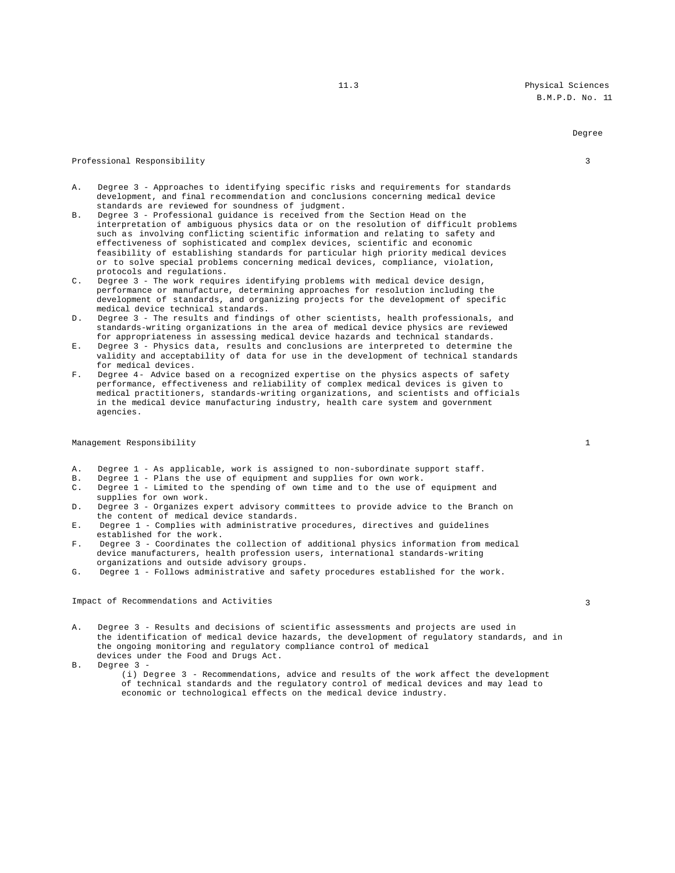#### Degree

#### Professional Responsibility 3

- A. Degree 3 Approaches to identifying specific risks and requirements for standards development, and final recommendation and conclusions concerning medical device standards are reviewed for soundness of judgment.
- B. Degree 3 Professional guidance is received from the Section Head on the interpretation of ambiguous physics data or on the resolution of difficult problems such as involving conflicting scientific information and relating to safety and effectiveness of sophisticated and complex devices, scientific and economic feasibility of establishing standards for particular high priority medical devices or to solve special problems concerning medical devices, compliance, violation, protocols and regulations.
- C. Degree 3 The work requires identifying problems with medical device design, performance or manufacture, determining approaches for resolution including the development of standards, and organizing projects for the development of specific medical device technical standards.
- D. Degree 3 The results and findings of other scientists, health professionals, and standards-writing organizations in the area of medical device physics are reviewed for appropriateness in assessing medical device hazards and technical standards.
- E. Degree 3 Physics data, results and conclusions are interpreted to determine the validity and acceptability of data for use in the development of technical standards for medical devices.
- F. Degree 4- Advice based on a recognized expertise on the physics aspects of safety performance, effectiveness and reliability of complex medical devices is given to medical practitioners, standards-writing organizations, and scientists and officials in the medical device manufacturing industry, health care system and government agencies.

### Management Responsibility 1

- A. Degree 1 As applicable, work is assigned to non-subordinate support staff.
- B. Degree 1 Plans the use of equipment and supplies for own work.
- C. Degree 1 Limited to the spending of own time and to the use of equipment and supplies for own work.
- D. Degree 3 Organizes expert advisory committees to provide advice to the Branch on the content of medical device standards.
- E. Degree 1 Complies with administrative procedures, directives and guidelines established for the work.
- F. Degree 3 Coordinates the collection of additional physics information from medical device manufacturers, health profession users, international standards-writing organizations and outside advisory groups.
- G. Degree 1 Follows administrative and safety procedures established for the work.

### Impact of Recommendations and Activities 3

A. Degree 3 - Results and decisions of scientific assessments and projects are used in the identification of medical device hazards, the development of regulatory standards, and in the ongoing monitoring and regulatory compliance control of medical devices under the Food and Drugs Act.

B. Degree 3 -

(i) Degree 3 - Recommendations, advice and results of the work affect the development of technical standards and the regulatory control of medical devices and may lead to economic or technological effects on the medical device industry.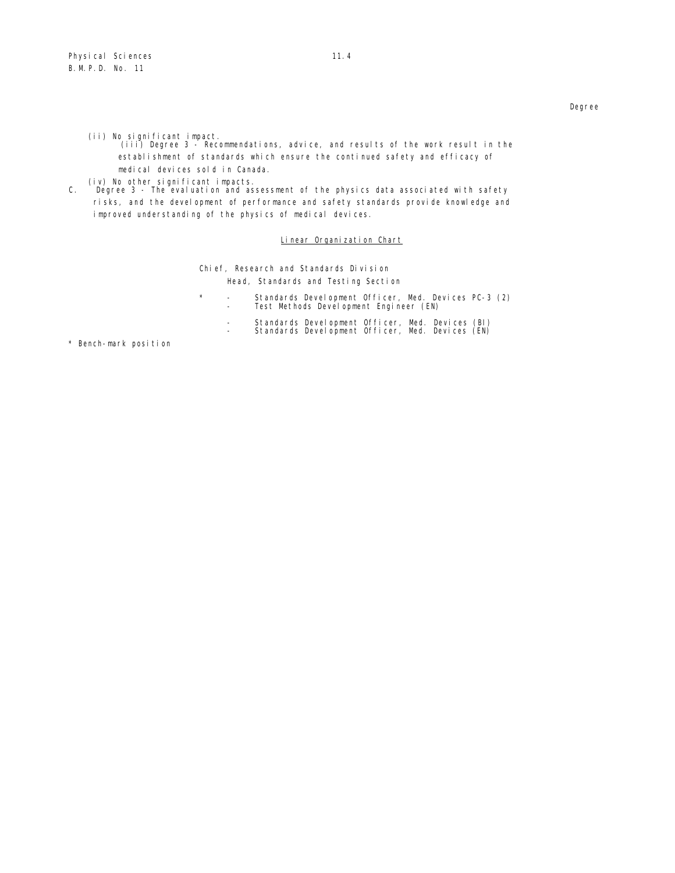- 
- (ii) No significant impact. (iii) Degree 3 Recommendations, advice, and results of the work result in the establishment of standards which ensure the continued safety and efficacy of medical devices sold in Canada.
- 
- (iv) No other significant impacts. C. Degree 3 The evaluation and assessment of the physics data associated with safety risks, and the development of performance and safety standards provide knowledge and improved understanding of the physics of medical devices.

### Linear Organization Chart

- Chief, Research and Standards Division Head, Standards and Testing Section
- \* Standards Development Officer, Med. Devices PC-3 (2) Test Methods Development Engineer (EN)
	- Standards Development Officer, Med. Devices (BI) Standards Development Officer, Med. Devices (EN)
- \* Bench-mark position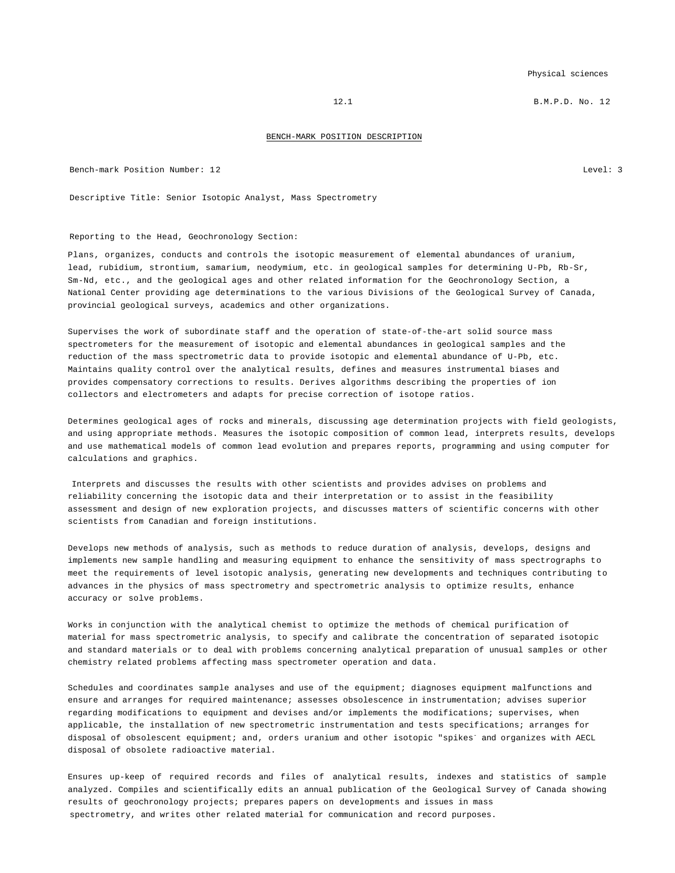Physical sciences

12.1 B.M.P.D. No. 12

#### BENCH-MARK POSITION DESCRIPTION

Bench-mark Position Number: 12 Level: 3

Descriptive Title: Senior Isotopic Analyst, Mass Spectrometry

### Reporting to the Head, Geochronology Section:

Plans, organizes, conducts and controls the isotopic measurement of elemental abundances of uranium, lead, rubidium, strontium, samarium, neodymium, etc. in geological samples for determining U-Pb, Rb-Sr, Sm-Nd, etc., and the geological ages and other related information for the Geochronology Section, a National Center providing age determinations to the various Divisions of the Geological Survey of Canada, provincial geological surveys, academics and other organizations.

Supervises the work of subordinate staff and the operation of state-of-the-art solid source mass spectrometers for the measurement of isotopic and elemental abundances in geological samples and the reduction of the mass spectrometric data to provide isotopic and elemental abundance of U-Pb, etc. Maintains quality control over the analytical results, defines and measures instrumental biases and provides compensatory corrections to results. Derives algorithms describing the properties of ion collectors and electrometers and adapts for precise correction of isotope ratios.

Determines geological ages of rocks and minerals, discussing age determination projects with field geologists, and using appropriate methods. Measures the isotopic composition of common lead, interprets results, develops and use mathematical models of common lead evolution and prepares reports, programming and using computer for calculations and graphics.

Interprets and discusses the results with other scientists and provides advises on problems and reliability concerning the isotopic data and their interpretation or to assist in the feasibility assessment and design of new exploration projects, and discusses matters of scientific concerns with other scientists from Canadian and foreign institutions.

Develops new methods of analysis, such as methods to reduce duration of analysis, develops, designs and implements new sample handling and measuring equipment to enhance the sensitivity of mass spectrographs to meet the requirements of level isotopic analysis, generating new developments and techniques contributing to advances in the physics of mass spectrometry and spectrometric analysis to optimize results, enhance accuracy or solve problems.

Works in conjunction with the analytical chemist to optimize the methods of chemical purification of material for mass spectrometric analysis, to specify and calibrate the concentration of separated isotopic and standard materials or to deal with problems concerning analytical preparation of unusual samples or other chemistry related problems affecting mass spectrometer operation and data.

Schedules and coordinates sample analyses and use of the equipment; diagnoses equipment malfunctions and ensure and arranges for required maintenance; assesses obsolescence in instrumentation; advises superior regarding modifications to equipment and devises and/or implements the modifications; supervises, when applicable, the installation of new spectrometric instrumentation and tests specifications; arranges for disposal of obsolescent equipment; and, orders uranium and other isotopic "spikes<sup>-</sup> and organizes with AECL disposal of obsolete radioactive material.

Ensures up-keep of required records and files of analytical results, indexes and statistics of sample analyzed. Compiles and scientifically edits an annual publication of the Geological Survey of Canada showing results of geochronology projects; prepares papers on developments and issues in mass spectrometry, and writes other related material for communication and record purposes.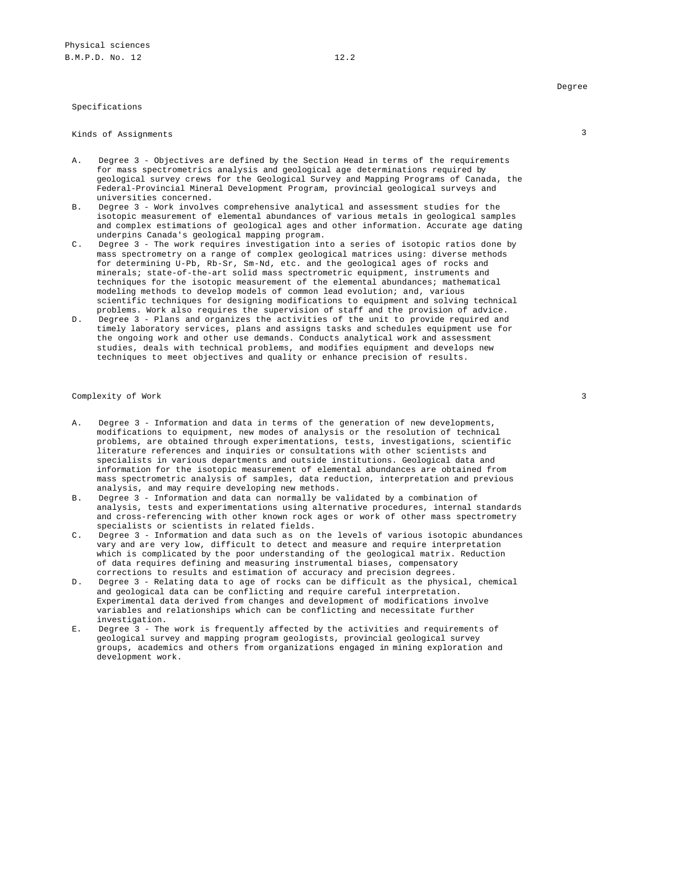# Specifications

Kinds of Assignments 3

A. Degree 3 - Objectives are defined by the Section Head in terms of the requirements for mass spectrometrics analysis and geological age determinations required by geological survey crews for the Geological Survey and Mapping Programs of Canada, the Federal-Provincial Mineral Development Program, provincial geological surveys and universities concerned.

- B. Degree 3 Work involves comprehensive analytical and assessment studies for the isotopic measurement of elemental abundances of various metals in geological samples and complex estimations of geological ages and other information. Accurate age dating underpins Canada's geological mapping program.
- C. Degree 3 The work requires investigation into a series of isotopic ratios done by mass spectrometry on a range of complex geological matrices using: diverse methods for determining U-Pb, Rb-Sr, Sm-Nd, etc. and the geological ages of rocks and minerals; state-of-the-art solid mass spectrometric equipment, instruments and techniques for the isotopic measurement of the elemental abundances; mathematical modeling methods to develop models of common lead evolution; and, various scientific techniques for designing modifications to equipment and solving technical problems. Work also requires the supervision of staff and the provision of advice.
- D. Degree 3 Plans and organizes the activities of the unit to provide required and timely laboratory services, plans and assigns tasks and schedules equipment use for the ongoing work and other use demands. Conducts analytical work and assessment studies, deals with technical problems, and modifies equipment and develops new techniques to meet objectives and quality or enhance precision of results.

### Complexity of Work 3

- A. Degree 3 Information and data in terms of the generation of new developments, modifications to equipment, new modes of analysis or the resolution of technical problems, are obtained through experimentations, tests, investigations, scientific literature references and inquiries or consultations with other scientists and specialists in various departments and outside institutions. Geological data and information for the isotopic measurement of elemental abundances are obtained from mass spectrometric analysis of samples, data reduction, interpretation and previous analysis, and may require developing new methods.
- B. Degree 3 Information and data can normally be validated by a combination of analysis, tests and experimentations using alternative procedures, internal standards and cross-referencing with other known rock ages or work of other mass spectrometry specialists or scientists in related fields.
- C. Degree 3 Information and data such as on the levels of various isotopic abundances vary and are very low, difficult to detect and measure and require interpretation which is complicated by the poor understanding of the geological matrix. Reduction of data requires defining and measuring instrumental biases, compensatory corrections to results and estimation of accuracy and precision degrees.
- D. Degree 3 Relating data to age of rocks can be difficult as the physical, chemical and geological data can be conflicting and require careful interpretation. Experimental data derived from changes and development of modifications involve variables and relationships which can be conflicting and necessitate further investigation.
- E. Degree 3 The work is frequently affected by the activities and requirements of geological survey and mapping program geologists, provincial geological survey groups, academics and others from organizations engaged in mining exploration and development work.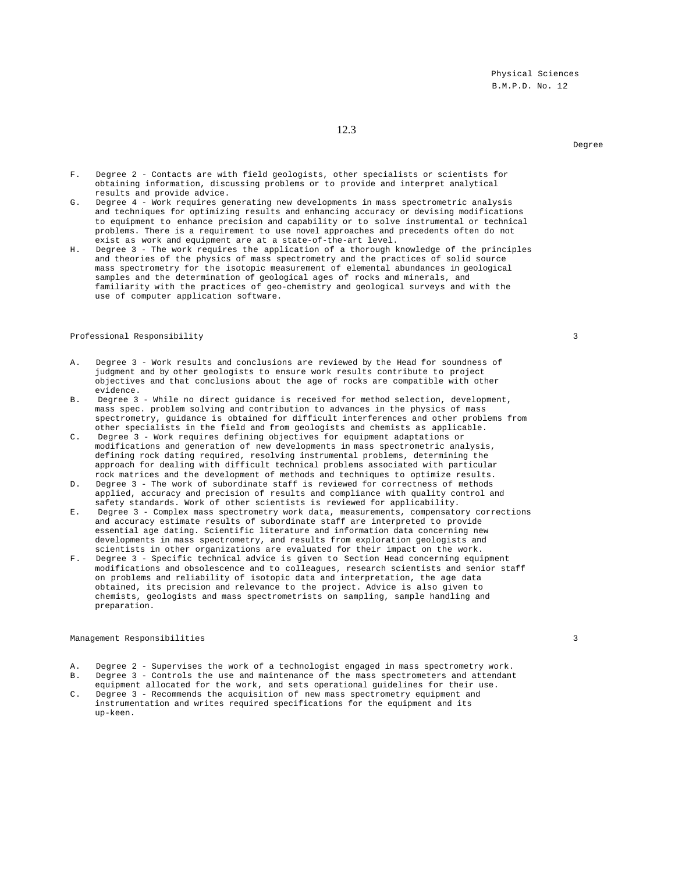#### Degree

- F. Degree 2 Contacts are with field geologists, other specialists or scientists for obtaining information, discussing problems or to provide and interpret analytical results and provide advice.
- G. Degree 4 Work requires generating new developments in mass spectrometric analysis and techniques for optimizing results and enhancing accuracy or devising modifications to equipment to enhance precision and capability or to solve instrumental or technical problems. There is a requirement to use novel approaches and precedents often do not exist as work and equipment are at a state-of-the-art level.
- H. Degree 3 The work requires the application of a thorough knowledge of the principles and theories of the physics of mass spectrometry and the practices of solid source mass spectrometry for the isotopic measurement of elemental abundances in geological samples and the determination of geological ages of rocks and minerals, and familiarity with the practices of geo-chemistry and geological surveys and with the use of computer application software.

#### Professional Responsibility 3

- A. Degree 3 Work results and conclusions are reviewed by the Head for soundness of judgment and by other geologists to ensure work results contribute to project objectives and that conclusions about the age of rocks are compatible with other evidence.
- B. Degree 3 While no direct guidance is received for method selection, development, mass spec. problem solving and contribution to advances in the physics of mass spectrometry, guidance is obtained for difficult interferences and other problems from other specialists in the field and from geologists and chemists as applicable.
- C. Degree 3 Work requires defining objectives for equipment adaptations or modifications and generation of new developments in mass spectrometric analysis, defining rock dating required, resolving instrumental problems, determining the approach for dealing with difficult technical problems associated with particular rock matrices and the development of methods and techniques to optimize results.
- D. Degree 3 The work of subordinate staff is reviewed for correctness of methods applied, accuracy and precision of results and compliance with quality control and safety standards. Work of other scientists is reviewed for applicability.
- E. Degree 3 Complex mass spectrometry work data, measurements, compensatory corrections and accuracy estimate results of subordinate staff are interpreted to provide essential age dating. Scientific literature and information data concerning new developments in mass spectrometry, and results from exploration geologists and scientists in other organizations are evaluated for their impact on the work.
- F. Degree 3 Specific technical advice is given to Section Head concerning equipment modifications and obsolescence and to colleagues, research scientists and senior staff on problems and reliability of isotopic data and interpretation, the age data obtained, its precision and relevance to the project. Advice is also given to chemists, geologists and mass spectrometrists on sampling, sample handling and preparation.

#### Management Responsibilities 3

- A. Degree 2 Supervises the work of a technologist engaged in mass spectrometry work.
- B. Degree 3 Controls the use and maintenance of the mass spectrometers and attendant
- equipment allocated for the work, and sets operational guidelines for their use. C. Degree 3 - Recommends the acquisition of new mass spectrometry equipment and
- instrumentation and writes required specifications for the equipment and its up-keen.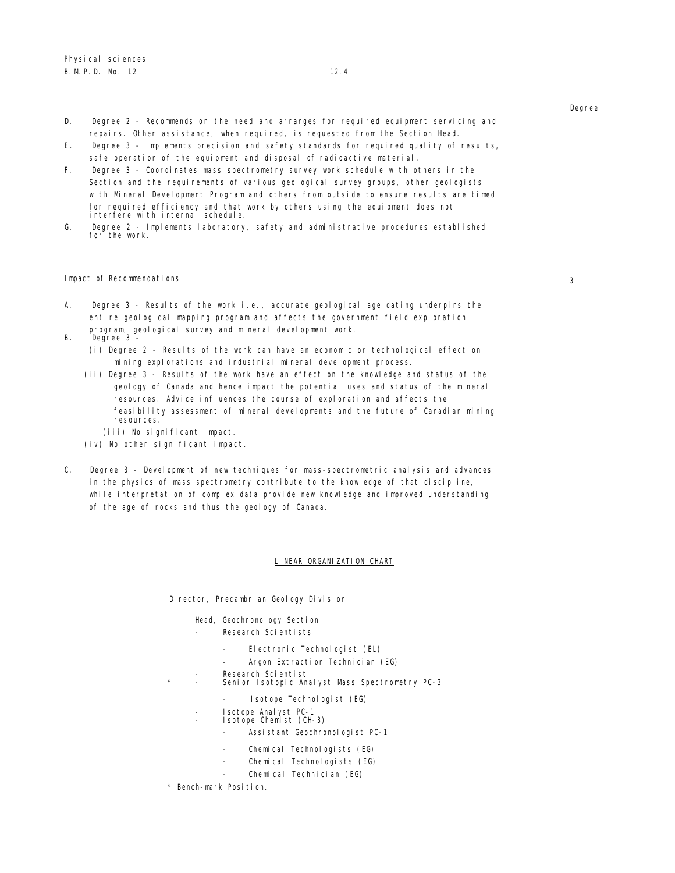- D. Degree 2 Recommends on the need and arranges for required equipment servicing and repairs. Other assistance, when required, is requested from the Section Head.
- E. Degree 3 Implements precision and safety standards for required quality of results, safe operation of the equipment and disposal of radioactive material.
- F. Degree 3 Coordinates mass spectrometry survey work schedule with others in the Section and the requirements of various geological survey groups, other geologists with Mineral Development Program and others from outside to ensure results are timed for required efficiency and that work by others using the equipment does not interfere with internal schedule.
- G. Degree 2 Implements laboratory, safety and administrative procedures established for the work.

### **Impact of Recommendations** 3

- A. Degree 3 Results of the work i.e., accurate geological age dating underpins the entire geological mapping program and affects the government field exploration program, geological survey and mineral development work. B. Degree 3 -
- - (i) Degree 2 Results of the work can have an economic or technological effect on mining explorations and industrial mineral development process.
	- (ii) Degree 3 Results of the work have an effect on the knowledge and status of the geology of Canada and hence impact the potential uses and status of the mineral resources. Advice influences the course of exploration and affects the feasibility assessment of mineral developments and the future of Canadian mining resources.
		- (iii) No significant impact.
	- $(iv)$  No other significant impact.
- C. Degree 3 Development of new techniques for mass-spectrometric analysis and advances in the physics of mass spectrometry contribute to the knowledge of that discipline, while interpretation of complex data provide new knowledge and improved understanding of the age of rocks and thus the geology of Canada.

#### LINEAR ORGANIZATION CHART

Director, Precambrian Geology Division

Head, Geochronology Section

- Research Scientists
	- El ectronic Technologist (EL)
	- Argon Extraction Technician (EG)
- Research Scientist
- Senior Isotopic Analyst Mass Spectrometry PC-3
	- I sotope Technologist (EG)
	- Isotope Analyst PC-1
	- I sotope Chemist (CH-3)
		- Assistant Geochronologist PC-1
		- Chemical Technologists (EG)
		- Chemical Technologists (EG)
		- Chemical Technician (EG)
- \* Bench-mark Position.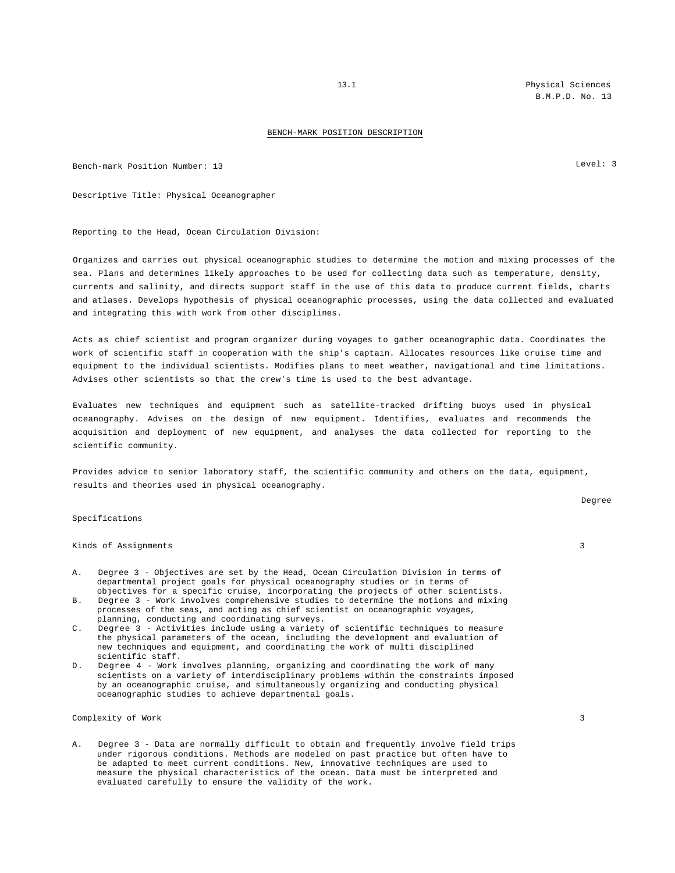#### BENCH-MARK POSITION DESCRIPTION

Bench-mark Position Number: 13 Level: 3

Descriptive Title: Physical Oceanographer

Reporting to the Head, Ocean Circulation Division:

Organizes and carries out physical oceanographic studies to determine the motion and mixing processes of the sea. Plans and determines likely approaches to be used for collecting data such as temperature, density, currents and salinity, and directs support staff in the use of this data to produce current fields, charts and atlases. Develops hypothesis of physical oceanographic processes, using the data collected and evaluated and integrating this with work from other disciplines.

Acts as chief scientist and program organizer during voyages to gather oceanographic data. Coordinates the work of scientific staff in cooperation with the ship's captain. Allocates resources like cruise time and equipment to the individual scientists. Modifies plans to meet weather, navigational and time limitations. Advises other scientists so that the crew's time is used to the best advantage.

Evaluates new techniques and equipment such as satellite-tracked drifting buoys used in physical oceanography. Advises on the design of new equipment. Identifies, evaluates and recommends the acquisition and deployment of new equipment, and analyses the data collected for reporting to the scientific community.

Provides advice to senior laboratory staff, the scientific community and others on the data, equipment, results and theories used in physical oceanography.

Specifications

Kinds of Assignments 3

- A. Degree 3 Objectives are set by the Head, Ocean Circulation Division in terms of departmental project goals for physical oceanography studies or in terms of objectives for a specific cruise, incorporating the projects of other scientists.
- B. Degree 3 Work involves comprehensive studies to determine the motions and mixing processes of the seas, and acting as chief scientist on oceanographic voyages, planning, conducting and coordinating surveys.
- C. Degree 3 Activities include using a variety of scientific techniques to measure the physical parameters of the ocean, including the development and evaluation of new techniques and equipment, and coordinating the work of multi disciplined scientific staff.
- D. Degree 4 Work involves planning, organizing and coordinating the work of many scientists on a variety of interdisciplinary problems within the constraints imposed by an oceanographic cruise, and simultaneously organizing and conducting physical oceanographic studies to achieve departmental goals.

Complexity of Work 3

A. Degree 3 - Data are normally difficult to obtain and frequently involve field trips under rigorous conditions. Methods are modeled on past practice but often have to be adapted to meet current conditions. New, innovative techniques are used to measure the physical characteristics of the ocean. Data must be interpreted and evaluated carefully to ensure the validity of the work.

13.1 Physical Sciences B.M.P.D. No. 13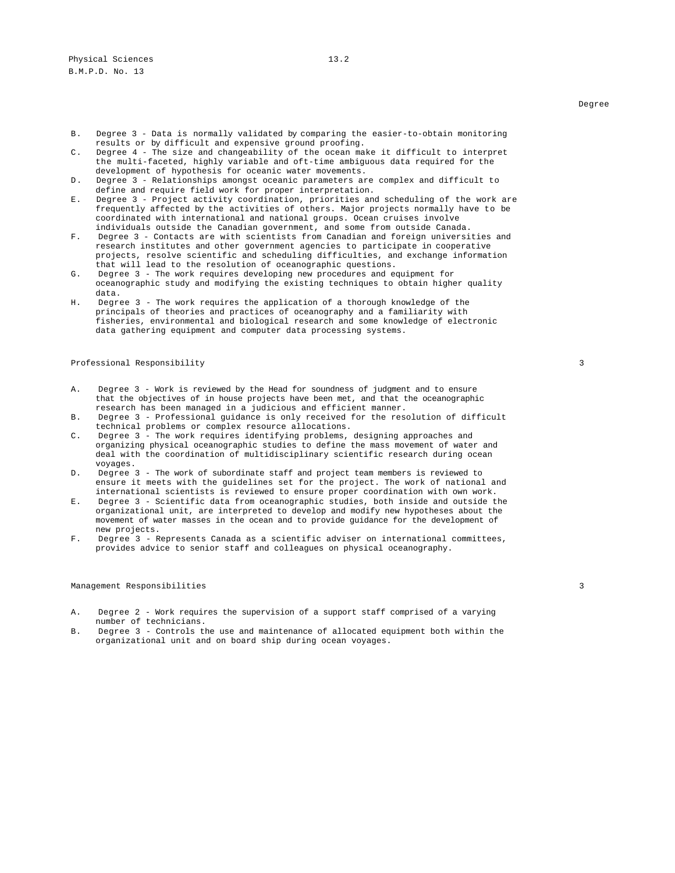- B. Degree 3 Data is normally validated by comparing the easier-to-obtain monitoring results or by difficult and expensive ground proofing.
- C. Degree 4 The size and changeability of the ocean make it difficult to interpret the multi-faceted, highly variable and oft-time ambiguous data required for the development of hypothesis for oceanic water movements.
- D. Degree 3 Relationships amongst oceanic parameters are complex and difficult to define and require field work for proper interpretation.
- E. Degree 3 Project activity coordination, priorities and scheduling of the work are frequently affected by the activities of others. Major projects normally have to be coordinated with international and national groups. Ocean cruises involve individuals outside the Canadian government, and some from outside Canada.
- F. Degree 3 Contacts are with scientists from Canadian and foreign universities and research institutes and other government agencies to participate in cooperative projects, resolve scientific and scheduling difficulties, and exchange information that will lead to the resolution of oceanographic questions.
- G. Degree 3 The work requires developing new procedures and equipment for oceanographic study and modifying the existing techniques to obtain higher quality data.
- H. Degree 3 The work requires the application of a thorough knowledge of the principals of theories and practices of oceanography and a familiarity with fisheries, environmental and biological research and some knowledge of electronic data gathering equipment and computer data processing systems.

#### Professional Responsibility 3

- A. Degree 3 Work is reviewed by the Head for soundness of judgment and to ensure that the objectives of in house projects have been met, and that the oceanographic research has been managed in a judicious and efficient manner.
- B. Degree 3 Professional guidance is only received for the resolution of difficult technical problems or complex resource allocations.
- C. Degree 3 The work requires identifying problems, designing approaches and organizing physical oceanographic studies to define the mass movement of water and deal with the coordination of multidisciplinary scientific research during ocean voyages.
- D. Degree 3 The work of subordinate staff and project team members is reviewed to ensure it meets with the guidelines set for the project. The work of national and international scientists is reviewed to ensure proper coordination with own work.
- E. Degree 3 Scientific data from oceanographic studies, both inside and outside the organizational unit, are interpreted to develop and modify new hypotheses about the movement of water masses in the ocean and to provide guidance for the development of new projects.
- F. Degree 3 Represents Canada as a scientific adviser on international committees, provides advice to senior staff and colleagues on physical oceanography.

#### Management Responsibilities 3

- A. Degree 2 Work requires the supervision of a support staff comprised of a varying number of technicians.
- B. Degree 3 Controls the use and maintenance of allocated equipment both within the organizational unit and on board ship during ocean voyages.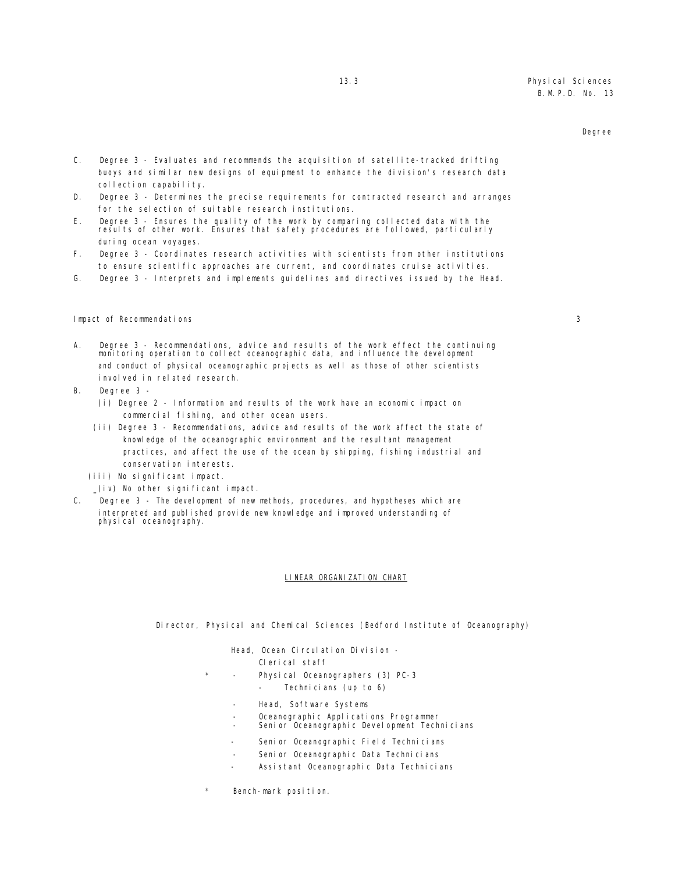- C. Degree 3 Evaluates and recommends the acquisition of satellite-tracked drifting buoys and similar new designs of equipment to enhance the division's research data collection capability.
- D. Degree 3 Determines the precise requirements for contracted research and arranges for the selection of suitable research institutions.
- E. Degree 3 Ensures the quality of the work by comparing collected data with the results of other work. Ensures that safety procedures are followed, particularly during ocean voyages.
- F. Degree 3 Coordinates research activities with scientists from other institutions to ensure scientific approaches are current, and coordinates cruise activities.
- G. Degree 3 Interprets and implements guidelines and directives issued by the Head.

### **Impact of Recommendations** 3

- A. Degree 3 Recommendations, advice and results of the work effect the continuing monitoring operation to collect oceanographic data, and influence the development and conduct of physical oceanographic projects as well as those of other scientists involved in related research.
- B. Degree 3
	- (i) Degree 2 Information and results of the work have an economic impact on commercial fishing, and other ocean users.
	- (ii) Degree 3 Recommendations, advice and results of the work affect the state of knowledge of the oceanographic environment and the resultant management practices, and affect the use of the ocean by shipping, fishing industrial and conservation interests.
	- (iii) No significant impact.
	- $(iv)$  No other significant impact.
- C. Degree 3 The development of new methods, procedures, and hypotheses which are interpreted and published provide new knowledge and improved understanding of physical oceanography.

# LINEAR ORGANIZATION CHART

Director, Physical and Chemical Sciences (Bedford Institute of Oceanography)

Head, Ocean Circulation Division - Clerical staff

- Physical Oceanographers (3) PC-3
	- Technicians (up to 6)
	- Head, Software Systems
	-
	- Oceanographic Applications Programmer Senior Oceanographic Development Technicians
	- Senior Oceanographic Field Technicians
	- Senior Oceanographic Data Technicians
	- Assistant Oceanographic Data Technicians
- Bench-mark position.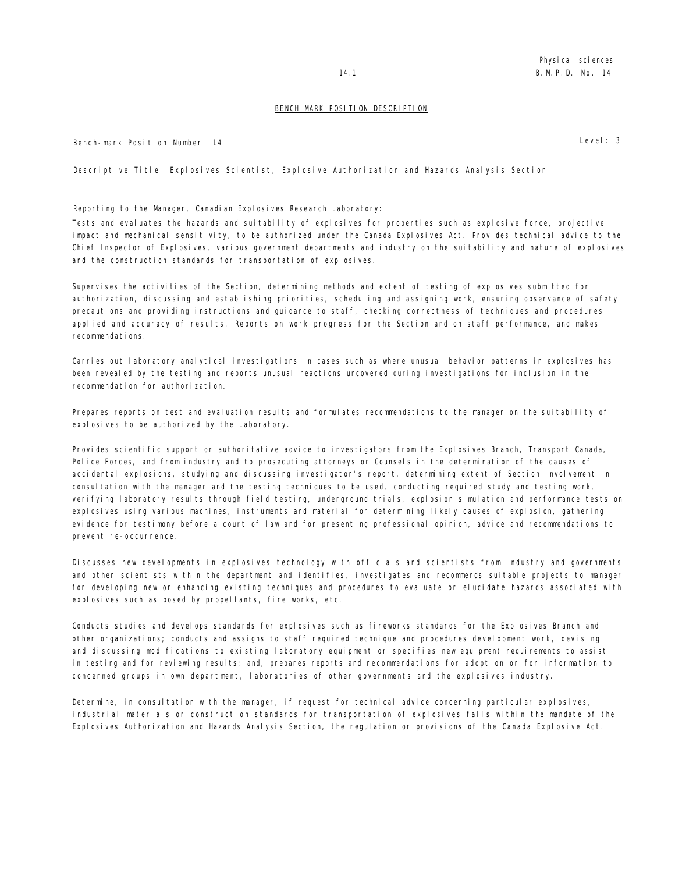### BENCH MARK POSITION DESCRIPTION

Bench-mark Position Number: 14 Level: 3

Descriptive Title: Explosives Scientist, Explosive Authorization and Hazards Analysis Section

#### Reporting to the Manager, Canadian Explosives Research Laboratory:

Tests and evaluates the hazards and suitability of explosives for properties such as explosive force, projective impact and mechanical sensitivity, to be authorized under the Canada Explosives Act. Provides technical advice to the Chief Inspector of Explosives, various government departments and industry on the suitability and nature of explosives and the construction standards for transportation of explosives.

Supervises the activities of the Section, determining methods and extent of testing of explosives submitted for authorization, discussing and establishing priorities, scheduling and assigning work, ensuring observance of safety precautions and providing instructions and guidance to staff, checking correctness of techniques and procedures applied and accuracy of results. Reports on work progress for the Section and on staff performance, and makes recommendations.

Carries out laboratory analytical investigations in cases such as where unusual behavior patterns in explosives has been revealed by the testing and reports unusual reactions uncovered during investigations for inclusion in the recommendation for authorization.

Prepares reports on test and evaluation results and formulates recommendations to the manager on the suitability of explosives to be authorized by the Laboratory.

Provides scientific support or authoritative advice to investigators from the Explosives Branch, Transport Canada, Police Forces, and from industry and to prosecuting attorneys or Counsels in the determination of the causes of accidental explosions, studying and discussing investigator's report, determining extent of Section involvement in consultation with the manager and the testing techniques to be used, conducting required study and testing work, verifying laboratory results through field testing, underground trials, explosion simulation and performance tests on explosives using various machines, instruments and material for determining likely causes of explosion, gathering evidence for testimony before a court of law and for presenting professional opinion, advice and recommendations to prevent re-occurrence.

Discusses new developments in explosives technology with officials and scientists from industry and governments and other scientists within the department and identifies, investigates and recommends suitable projects to manager for developing new or enhancing existing techniques and procedures to evaluate or elucidate hazards associated with explosives such as posed by propellants, fire works, etc.

Conducts studies and develops standards for explosives such as fireworks standards for the Explosives Branch and other organizations; conducts and assigns to staff required technique and procedures development work, devising and discussing modifications to existing laboratory equipment or specifies new equipment requirements to assist in testing and for reviewing results; and, prepares reports and recommendations for adoption or for information to concerned groups in own department, laboratories of other governments and the explosives industry.

Determine, in consultation with the manager, if request for technical advice concerning particular explosives, industrial materials or construction standards for transportation of explosives falls within the mandate of the Explosives Authorization and Hazards Analysis Section, the regulation or provisions of the Canada Explosive Act.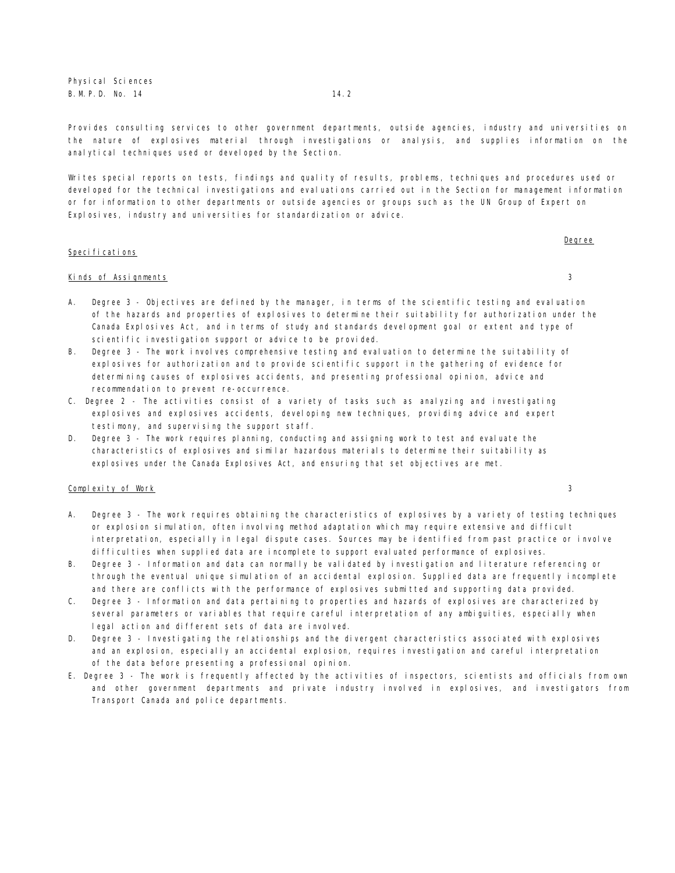Physical Sciences B. M. P. D. No. 14 14.2

Provides consulting services to other government departments, outside agencies, industry and universities on the nature of explosives material through investigations or analysis, and supplies information on the anal ytical techniques used or developed by the Section.

Writes special reports on tests, findings and quality of results, problems, techniques and procedures used or developed for the technical investigations and evaluations carried out in the Section for management information or for information to other departments or outside agencies or groups such as the UN Group of Expert on Explosives, industry and universities for standardization or advice.

### Specifications

### Kinds of Assignments 3

- A. Degree 3 Objectives are defined by the manager, in terms of the scientific testing and evaluation of the hazards and properties of explosives to determine their suitability for authorization under the Canada Explosives Act, and in terms of study and standards development goal or extent and type of scientific investigation support or advice to be provided.
- B. Degree 3 The work involves comprehensive testing and evaluation to determine the suitability of explosives for authorization and to provide scientific support in the gathering of evidence for determining causes of explosives accidents, and presenting professional opinion, advice and recommendation to prevent re-occurrence.
- C. Degree 2 The activities consist of a variety of tasks such as analyzing and investigating explosives and explosives accidents, developing new techniques, providing advice and expert testimony, and supervising the support staff.
- D. Degree 3 The work requires planning, conducting and assigning work to test and evaluate the characteristics of explosives and similar hazardous materials to determine their suitability as explosives under the Canada Explosives Act, and ensuring that set objectives are met.

### Complexity of Work 3

- A. Degree 3 The work requires obtaining the characteristics of explosives by a variety of testing techniques or explosion simulation, often involving method adaptation which may require extensive and difficult interpretation, especially in legal dispute cases. Sources may be identified from past practice or involve difficulties when supplied data are incomplete to support evaluated performance of explosives.
- B. Degree 3 Information and data can normally be validated by investigation and literature referencing or through the eventual unique simulation of an accidental explosion. Supplied data are frequently incomplete and there are conflicts with the performance of explosives submitted and supporting data provided.
- C. Degree 3 Information and data pertaining to properties and hazards of explosives are characterized by several parameters or variables that require careful interpretation of any ambiguities, especially when legal action and different sets of data are involved.
- D. Degree 3 Investigating the relationships and the divergent characteristics associated with explosives and an explosion, especially an accidental explosion, requires investigation and careful interpretation of the data before presenting a professional opinion.
- E. Degree 3 The work is frequently affected by the activities of inspectors, scientists and officials from own and other government departments and private industry involved in explosives, and investigators from Transport Canada and police departments.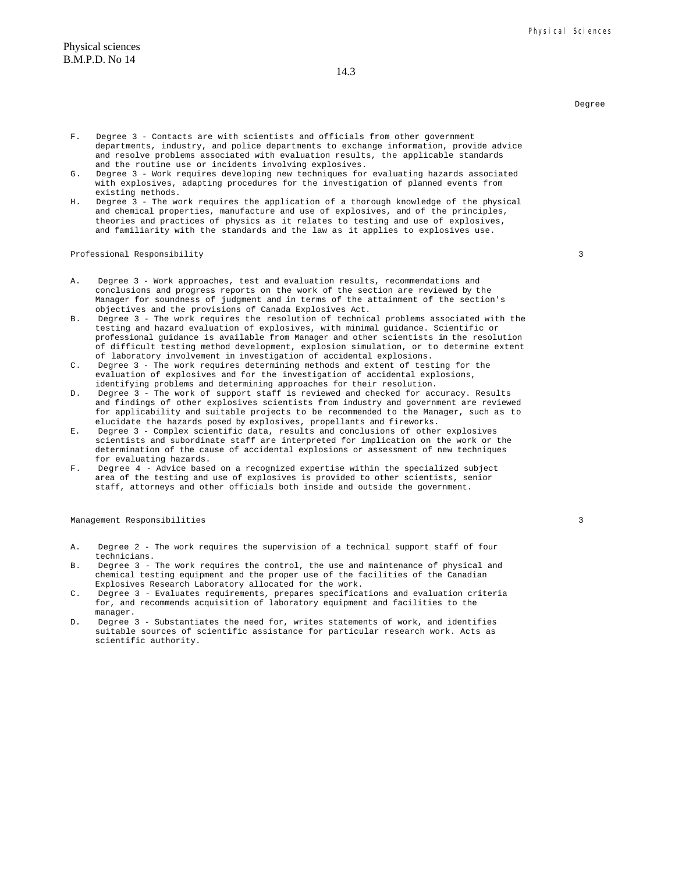Degree

- F. Degree 3 Contacts are with scientists and officials from other government departments, industry, and police departments to exchange information, provide advice and resolve problems associated with evaluation results, the applicable standards and the routine use or incidents involving explosives.
- G. Degree 3 Work requires developing new techniques for evaluating hazards associated with explosives, adapting procedures for the investigation of planned events from existing methods.
- H. Degree 3 The work requires the application of a thorough knowledge of the physical and chemical properties, manufacture and use of explosives, and of the principles, theories and practices of physics as it relates to testing and use of explosives, and familiarity with the standards and the law as it applies to explosives use.

### Professional Responsibility 3

- A. Degree 3 Work approaches, test and evaluation results, recommendations and conclusions and progress reports on the work of the section are reviewed by the Manager for soundness of judgment and in terms of the attainment of the section's objectives and the provisions of Canada Explosives Act.
- B. Degree 3 The work requires the resolution of technical problems associated with the testing and hazard evaluation of explosives, with minimal guidance. Scientific or professional guidance is available from Manager and other scientists in the resolution of difficult testing method development, explosion simulation, or to determine extent of laboratory involvement in investigation of accidental explosions.
- C. Degree 3 The work requires determining methods and extent of testing for the evaluation of explosives and for the investigation of accidental explosions, identifying problems and determining approaches for their resolution.
- D. Degree 3 The work of support staff is reviewed and checked for accuracy. Results and findings of other explosives scientists from industry and government are reviewed for applicability and suitable projects to be recommended to the Manager, such as to elucidate the hazards posed by explosives, propellants and fireworks.
- E. Degree 3 Complex scientific data, results and conclusions of other explosives scientists and subordinate staff are interpreted for implication on the work or the determination of the cause of accidental explosions or assessment of new techniques for evaluating hazards.
- F. Degree 4 Advice based on a recognized expertise within the specialized subject area of the testing and use of explosives is provided to other scientists, senior staff, attorneys and other officials both inside and outside the government.

Management Responsibilities 3

- A. Degree 2 The work requires the supervision of a technical support staff of four technicians.
- B. Degree 3 The work requires the control, the use and maintenance of physical and chemical testing equipment and the proper use of the facilities of the Canadian Explosives Research Laboratory allocated for the work.
- C. Degree 3 Evaluates requirements, prepares specifications and evaluation criteria for, and recommends acquisition of laboratory equipment and facilities to the manager.
- D. Degree 3 Substantiates the need for, writes statements of work, and identifies suitable sources of scientific assistance for particular research work. Acts as scientific authority.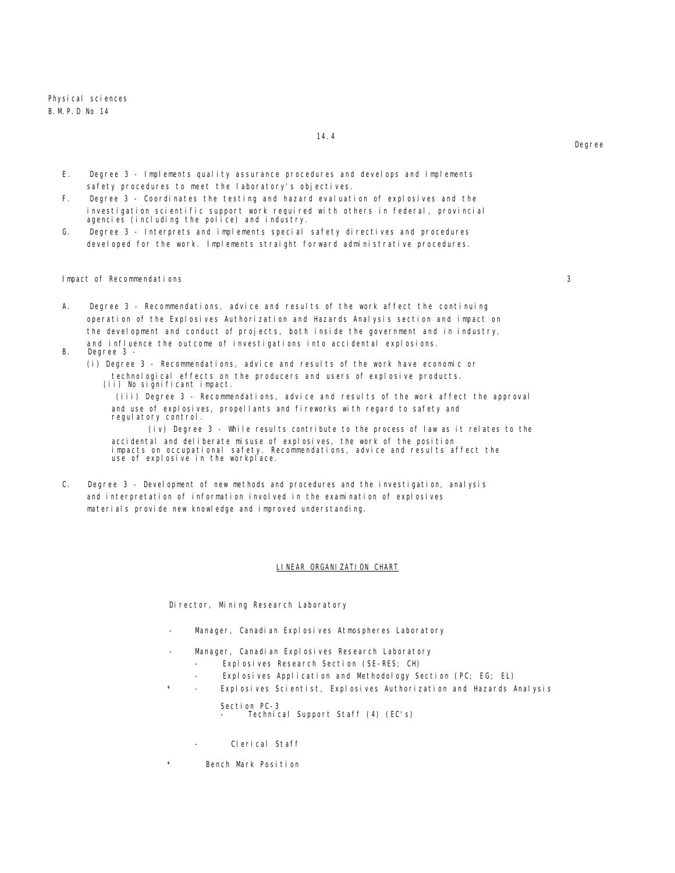Physical sciences B.M.P.D No 14

- E. Degree 3 Implements quality assurance procedures and develops and implements safety procedures to meet the laboratory's objectives.
- F. Degree 3 Coordinates the testing and hazard evaluation of explosives and the investigation scientific support work required with others in federal, provincial agencies (including the police) and industry.
- G. Degree 3 Interprets and implements special safety directives and procedures devel oped for the work. Implements straight forward administrative procedures.

### **Impact of Recommendations** 3

A. Degree 3 - Recommendations, advice and results of the work affect the continuing operation of the Explosives Authorization and Hazards Analysis section and impact on the development and conduct of projects, both inside the government and in industry, and influence the outcome of investigations into accidental explosions.

- B. Degree 3
	- (i) Degree 3 Recommendations, advice and results of the work have economic or technological effects on the producers and users of explosive products. (ii) No significant impact.

(iii) Degree 3 - Recommendations, advice and results of the work affect the approval and use of explosives, propellants and fireworks with regard to safety and regulatory control.

(iv) Degree 3 - While results contribute to the process of law as it relates to the accidental and deliberate misuse of explosives, the work of the position impacts on occupational safety. Recommendations, advice and results affect the use of explosive in the workplace.

C. Degree 3 - Development of new methods and procedures and the investigation, analysis and interpretation of information involved in the examination of explosives materials provide new knowledge and improved understanding.

#### LINEAR ORGANIZATION CHART

Director, Mining Research Laboratory

- Manager, Canadian Explosives Atmospheres Laboratory
- Manager, Canadian Explosives Research Laboratory
	- Explosives Research Section (SE-RES; CH)
	- Explosives Application and Methodology Section (PC; EG; EL)
	- Explosives Scientist, Explosives Authorization and Hazards Analysis
		- Section PC-3 Technical Support Staff (4) (EC's)
	- Clerical Staff
- Bench Mark Position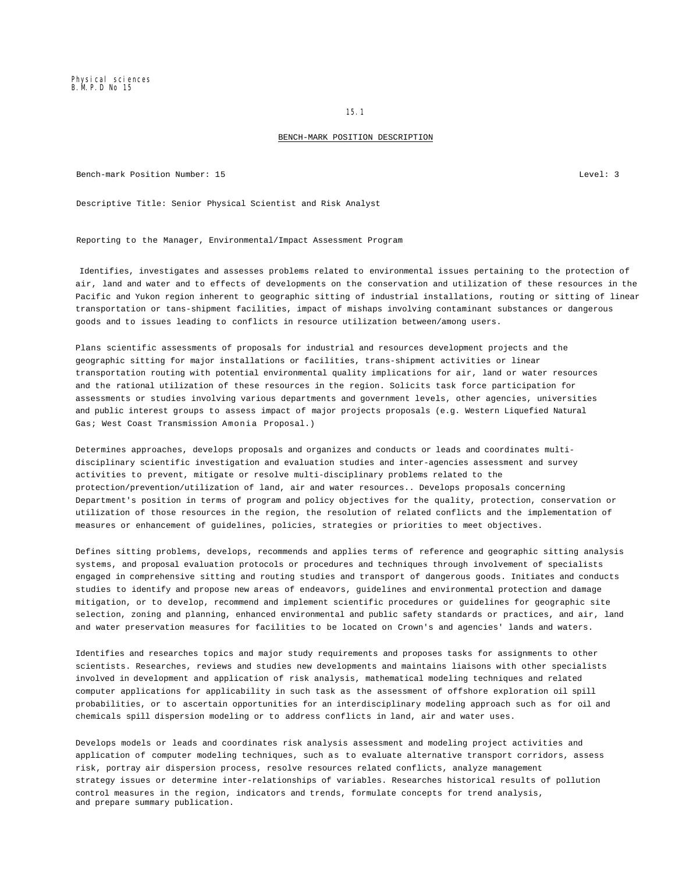Physical sciences B.M.P.D No 15

15.1

#### BENCH-MARK POSITION DESCRIPTION

Bench-mark Position Number: 15 Level: 3

Descriptive Title: Senior Physical Scientist and Risk Analyst

Reporting to the Manager, Environmental/Impact Assessment Program

Identifies, investigates and assesses problems related to environmental issues pertaining to the protection of air, land and water and to effects of developments on the conservation and utilization of these resources in the Pacific and Yukon region inherent to geographic sitting of industrial installations, routing or sitting of linear transportation or tans-shipment facilities, impact of mishaps involving contaminant substances or dangerous goods and to issues leading to conflicts in resource utilization between/among users.

Plans scientific assessments of proposals for industrial and resources development projects and the geographic sitting for major installations or facilities, trans-shipment activities or linear transportation routing with potential environmental quality implications for air, land or water resources and the rational utilization of these resources in the region. Solicits task force participation for assessments or studies involving various departments and government levels, other agencies, universities and public interest groups to assess impact of major projects proposals (e.g. Western Liquefied Natural Gas; West Coast Transmission Amonia Proposal.)

Determines approaches, develops proposals and organizes and conducts or leads and coordinates multidisciplinary scientific investigation and evaluation studies and inter-agencies assessment and survey activities to prevent, mitigate or resolve multi-disciplinary problems related to the protection/prevention/utilization of land, air and water resources.. Develops proposals concerning Department's position in terms of program and policy objectives for the quality, protection, conservation or utilization of those resources in the region, the resolution of related conflicts and the implementation of measures or enhancement of guidelines, policies, strategies or priorities to meet objectives.

Defines sitting problems, develops, recommends and applies terms of reference and geographic sitting analysis systems, and proposal evaluation protocols or procedures and techniques through involvement of specialists engaged in comprehensive sitting and routing studies and transport of dangerous goods. Initiates and conducts studies to identify and propose new areas of endeavors, guidelines and environmental protection and damage mitigation, or to develop, recommend and implement scientific procedures or guidelines for geographic site selection, zoning and planning, enhanced environmental and public safety standards or practices, and air, land and water preservation measures for facilities to be located on Crown's and agencies' lands and waters.

Identifies and researches topics and major study requirements and proposes tasks for assignments to other scientists. Researches, reviews and studies new developments and maintains liaisons with other specialists involved in development and application of risk analysis, mathematical modeling techniques and related computer applications for applicability in such task as the assessment of offshore exploration oil spill probabilities, or to ascertain opportunities for an interdisciplinary modeling approach such as for oil and chemicals spill dispersion modeling or to address conflicts in land, air and water uses.

Develops models or leads and coordinates risk analysis assessment and modeling project activities and application of computer modeling techniques, such as to evaluate alternative transport corridors, assess risk, portray air dispersion process, resolve resources related conflicts, analyze management strategy issues or determine inter-relationships of variables. Researches historical results of pollution control measures in the region, indicators and trends, formulate concepts for trend analysis, and prepare summary publication.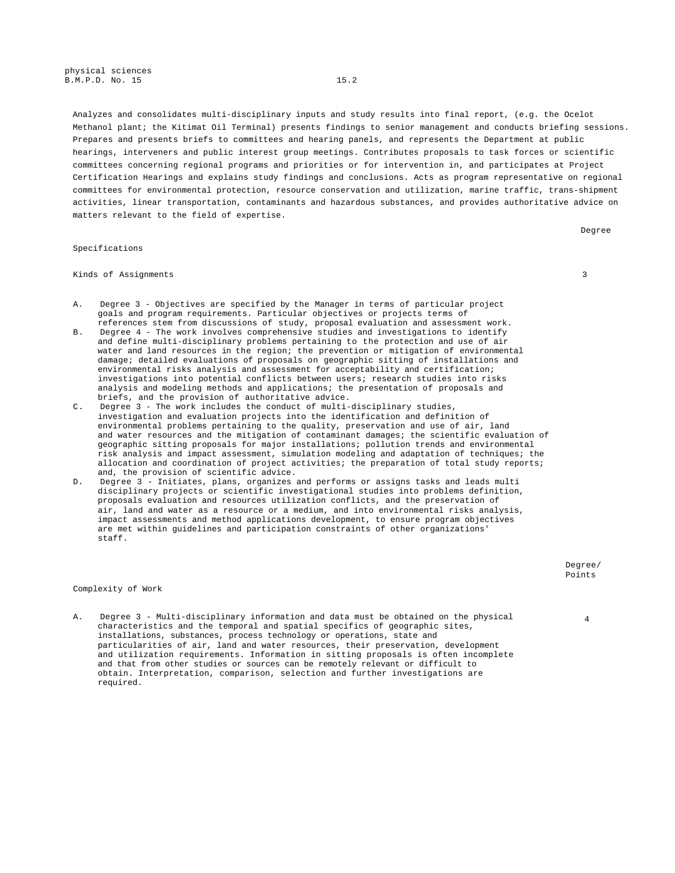Analyzes and consolidates multi-disciplinary inputs and study results into final report, (e.g. the Ocelot Methanol plant; the Kitimat Oil Terminal) presents findings to senior management and conducts briefing sessions. Prepares and presents briefs to committees and hearing panels, and represents the Department at public hearings, interveners and public interest group meetings. Contributes proposals to task forces or scientific committees concerning regional programs and priorities or for intervention in, and participates at Project Certification Hearings and explains study findings and conclusions. Acts as program representative on regional committees for environmental protection, resource conservation and utilization, marine traffic, trans-shipment activities, linear transportation, contaminants and hazardous substances, and provides authoritative advice on matters relevant to the field of expertise.

Specifications

Kinds of Assignments 3

Degree/ Points

4

Degree

- A. Degree 3 Objectives are specified by the Manager in terms of particular project goals and program requirements. Particular objectives or projects terms of references stem from discussions of study, proposal evaluation and assessment work.
- B. Degree 4 The work involves comprehensive studies and investigations to identify and define multi-disciplinary problems pertaining to the protection and use of air water and land resources in the region; the prevention or mitigation of environmental damage; detailed evaluations of proposals on geographic sitting of installations and environmental risks analysis and assessment for acceptability and certification; investigations into potential conflicts between users; research studies into risks analysis and modeling methods and applications; the presentation of proposals and briefs, and the provision of authoritative advice.
- C. Degree 3 The work includes the conduct of multi-disciplinary studies, investigation and evaluation projects into the identification and definition of environmental problems pertaining to the quality, preservation and use of air, land and water resources and the mitigation of contaminant damages; the scientific evaluation of geographic sitting proposals for major installations; pollution trends and environmental risk analysis and impact assessment, simulation modeling and adaptation of techniques; the allocation and coordination of project activities; the preparation of total study reports; and, the provision of scientific advice.
- D. Degree 3 Initiates, plans, organizes and performs or assigns tasks and leads multi disciplinary projects or scientific investigational studies into problems definition, proposals evaluation and resources utilization conflicts, and the preservation of air, land and water as a resource or a medium, and into environmental risks analysis, impact assessments and method applications development, to ensure program objectives are met within guidelines and participation constraints of other organizations' staff.

#### Complexity of Work

A. Degree 3 - Multi-disciplinary information and data must be obtained on the physical characteristics and the temporal and spatial specifics of geographic sites, installations, substances, process technology or operations, state and particularities of air, land and water resources, their preservation, development and utilization requirements. Information in sitting proposals is often incomplete and that from other studies or sources can be remotely relevant or difficult to obtain. Interpretation, comparison, selection and further investigations are required.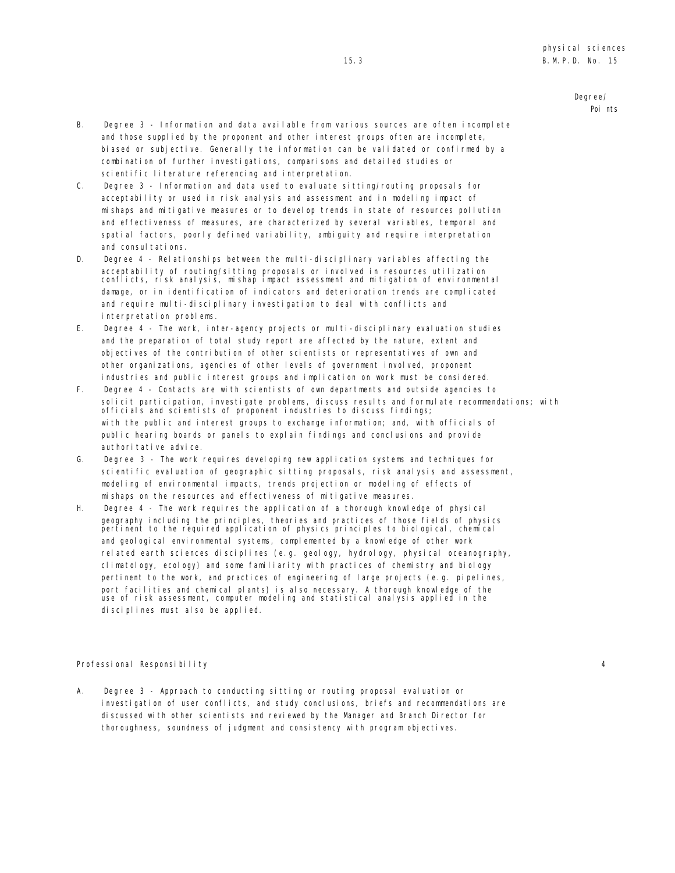physical sciences 15.3 B.M.P.D. No. 15

# Degree/ Poi nts

- B. Degree 3 Information and data available from various sources are often incomplete and those supplied by the proponent and other interest groups often are incomplete, biased or subjective. Generally the information can be validated or confirmed by a combination of further investigations, comparisons and detailed studies or scientific literature referencing and interpretation.
- C. Degree 3 Information and data used to evaluate sitting/routing proposals for acceptability or used in risk analysis and assessment and in modeling impact of mishaps and mitigative measures or to develop trends in state of resources pollution and effectiveness of measures, are characterized by several variables, temporal and spatial factors, poorly defined variability, ambiguity and require interpretation and consultations.
- D. Degree 4 Relationships between the multi-disciplinary variables affecting the acceptability of routing/sitting proposals or involved in resources utilization conflicts, risk analysis, mishap impact assessment and mitigation of environmental damage, or in identification of indicators and deterioration trends are complicated and require multi-disciplinary investigation to deal with conflicts and interpretation problems.
- E. Degree 4 The work, inter-agency projects or multi-disciplinary evaluation studies and the preparation of total study report are affected by the nature, extent and objectives of the contribution of other scientists or representatives of own and other organizations, agencies of other levels of government involved, proponent industries and public interest groups and implication on work must be considered.
- F. Degree 4 Contacts are with scientists of own departments and outside agencies to solicit participation, investigate problems, discuss results and formulate recommendations; with<br>officials and scientists of proponent industries to discuss findings; with the public and interest groups to exchange information; and, with officials of public hearing boards or panels to explain findings and conclusions and provide authori tative advice.
- G. Degree 3 The work requires developing new application systems and techniques for scientific evaluation of geographic sitting proposals, risk analysis and assessment, modeling of environmental impacts, trends projection or modeling of effects of mishaps on the resources and effectiveness of mitigative measures.
- H. Degree 4 The work requires the application of a thorough knowledge of physical geography including the principles, theories and practices of those fields of physics pertinent to the required application of physics principles to biological, chemical and geological environmental systems, complemented by a knowledge of other work related earth sciences disciplines (e.g. geology, hydrology, physical oceanography, climatology, ecology) and some familiarity with practices of chemistry and biology pertinent to the work, and practices of engineering of large projects (e.g. pipelines, port facilities and chemical plants) is also necessary. A thorough knowledge of the use of risk assessment, computer modeling and statistical analysis applied in the disciplines must also be applied.

Professional Responsibility 4

A. Degree 3 - Approach to conducting sitting or routing proposal evaluation or investigation of user conflicts, and study conclusions, briefs and recommendations are discussed with other scientists and reviewed by the Manager and Branch Director for thoroughness, soundness of judgment and consistency with program objectives.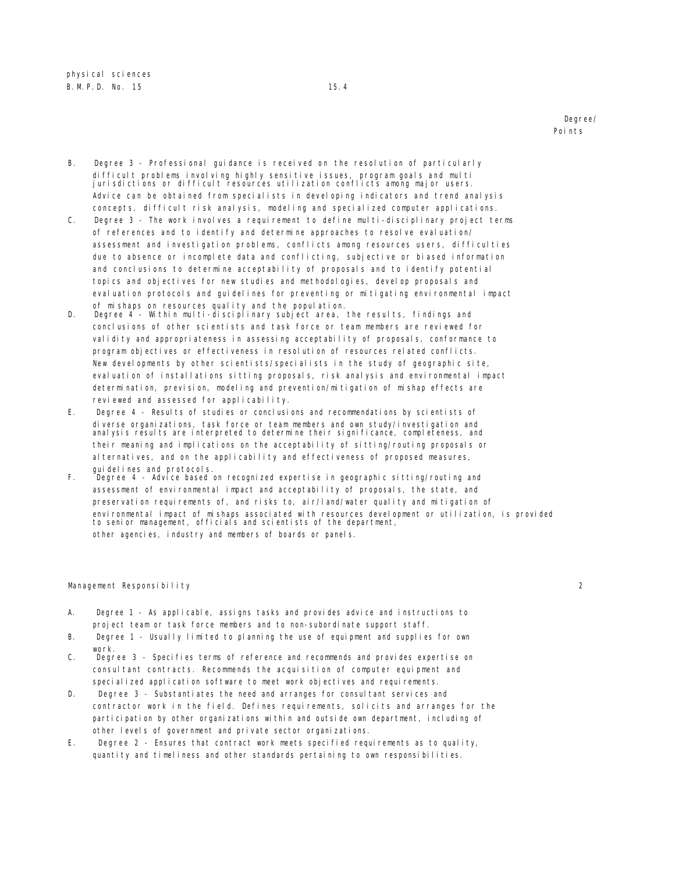physical sciences B. M. P. D. No. 15 15.4

Degree/ Points

- B. Degree 3 Professional guidance is received on the resolution of particularly difficult problems involving highly sensitive issues, program goals and multi jurisdictions or difficult resources utilization conflicts among major users. Advice can be obtained from specialists in developing indicators and trend analysis concepts, difficult risk analysis, modeling and specialized computer applications.
- C. Degree 3 The work involves a requirement to define multi-disciplinary project terms of references and to identify and determine approaches to resolve evaluation/ assessment and investigation problems, conflicts among resources users, difficulties due to absence or incomplete data and conflicting, subjective or biased information and conclusions to determine acceptability of proposals and to identify potential topics and objectives for new studies and methodologies, develop proposals and evaluation protocols and guidelines for preventing or mitigating environmental impact of mishaps on resources quality and the population.
- D. Degree 4 Within multi-disciplinary subject area, the results, findings and conclusions of other scientists and task force or team members are reviewed for validity and appropriateness in assessing acceptability of proposals, conformance to program objectives or effectiveness in resolution of resources related conflicts. New developments by other scientists/specialists in the study of geographic site, evaluation of installations sitting proposals, risk analysis and environmental impact determination, prevision, modeling and prevention/mitigation of mishap effects are reviewed and assessed for applicability.
- E. Degree 4 Results of studies or conclusions and recommendations by scientists of diverse organizations, task force or team members and own study/investigation and analysis results are interpreted to determine their significance, completeness, and their meaning and implications on the acceptability of sitting/routing proposals or alternatives, and on the applicability and effectiveness of proposed measures, guidelines and protocols.
- F. Degree 4 Advice based on recognized expertise in geographic sitting/routing and assessment of environmental impact and acceptability of proposals, the state, and preservation requirements of, and risks to, air/land/water quality and mitigation of environmental impact of mishaps associated with resources development or utilization, is provided to senior management, officials and scientists of the department, other agencies, industry and members of boards or panels.

Management Responsibility 2

- A. Degree 1 As applicable, assigns tasks and provides advice and instructions to project team or task force members and to non-subordinate support staff.
- B. Degree 1 Usually limited to planning the use of equipment and supplies for own work.
- C. Degree 3 Specifies terms of reference and recommends and provides expertise on consultant contracts. Recommends the acquisition of computer equipment and specialized application software to meet work objectives and requirements.
- D. Degree 3 Substantiates the need and arranges for consultant services and contractor work in the field. Defines requirements, solicits and arranges for the participation by other organizations within and outside own department, including of other levels of government and private sector organizations.
- E. Degree 2 Ensures that contract work meets specified requirements as to quality, quantity and timeliness and other standards pertaining to own responsibilities.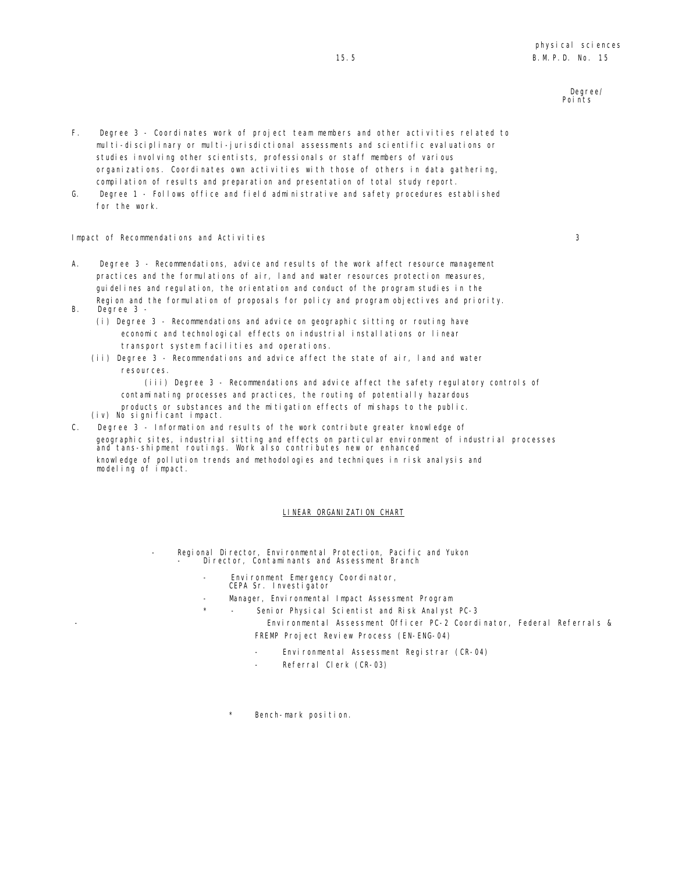Degree/ Poi nts

- F. Degree 3 Coordinates work of project team members and other activities related to multi-disciplinary or multi-jurisdictional assessments and scientific evaluations or studies involving other scientists, professionals or staff members of various organizations. Coordinates own activities with those of others in data gathering, compilation of results and preparation and presentation of total study report.
- G. Degree 1 Follows office and field administrative and safety procedures established for the work.

## Impact of Recommendations and Activities 3

- A. Degree 3 Recommendations, advice and results of the work affect resource management practices and the formulations of air, land and water resources protection measures, guidelines and regulation, the orientation and conduct of the program studies in the Region and the formulation of proposals for policy and program objectives and priority.
- B. Degree 3
	- (i) Degree 3 Recommendations and advice on geographic sitting or routing have economic and technological effects on industrial installations or linear transport system facilities and operations.
	- (ii) Degree 3 Recommendations and advice affect the state of air, land and water resources.
		- (iii) Degree 3 Recommendations and advice affect the safety regulatory controls of contaminating processes and practices, the routing of potentially hazardous
		- products or substances and the mitigation effects of mishaps to the public.
	- $(iv)$  No significant impact.

C. Degree 3 - Information and results of the work contribute greater knowledge of geographic sites, industrial sitting and effects on particular environment of industrial processes and tans-shipment routings. Work also contributes new or enhanced knowledge of pollution trends and methodologies and techniques in risk analysis and<br>modeling of impact.

## LINEAR ORGANIZATION CHART

Regional Director, Environmental Protection, Pacific and Yukon Director, Contaminants and Assessment Branch

- Environment Emergency Coordinator, CEPA Sr. Investigator
	-
- Manager, Environmental Impact Assessment Program
	- Senior Physical Scientist and Risk Analyst PC-3 Environmental Assessment Officer PC-2 Coordinator, Federal Referrals &
		- FREMP Project Review Process (EN-ENG-04)
			- Environmental Assessment Registrar (CR-04)
		- Referral Clerk (CR-03)
	- Bench-mark position.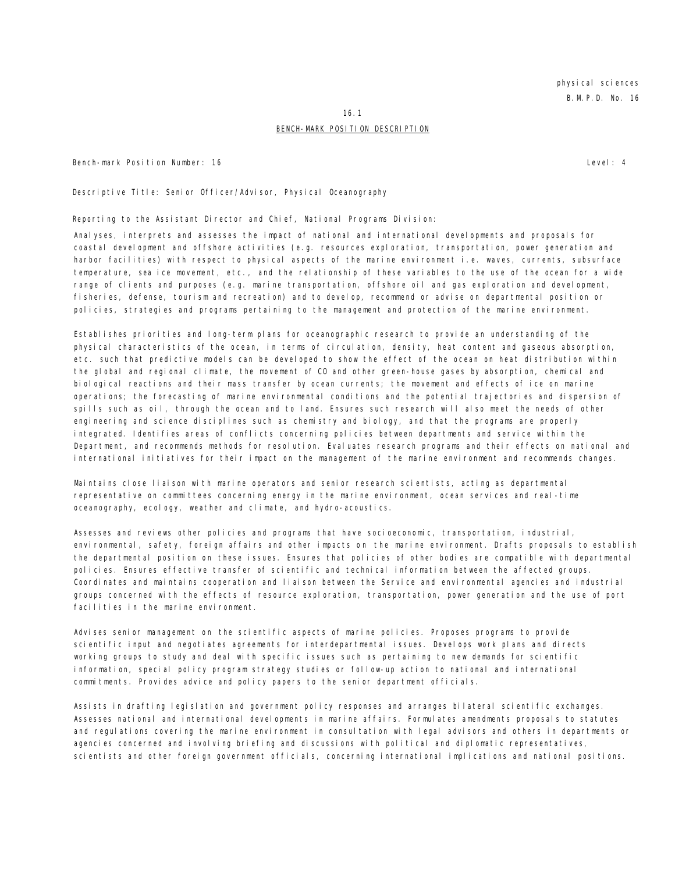## 16.1

# BENCH-MARK POSITION DESCRIPTION

Bench-mark Position Number: 16 Level: 4

Descriptive Title: Senior Officer/Advisor, Physical Oceanography

## Reporting to the Assistant Director and Chief, National Programs Division:

Analyses, interprets and assesses the impact of national and international developments and proposals for coastal development and offshore activities (e.g. resources exploration, transportation, power generation and harbor facilities) with respect to physical aspects of the marine environment i.e. waves, currents, subsurface temperature, sea ice movement, etc., and the relationship of these variables to the use of the ocean for a wide range of clients and purposes (e.g. marine transportation, offshore oil and gas exploration and development, fisheries, defense, tourism and recreation) and to develop, recommend or advise on departmental position or policies, strategies and programs pertaining to the management and protection of the marine environment.

Establishes priorities and long-term plans for oceanographic research to provide an understanding of the physical characteristics of the ocean, in terms of circulation, density, heat content and gaseous absorption, etc. such that predictive models can be developed to show the effect of the ocean on heat distribution within the global and regional climate, the movement of CO and other green-house gases by absorption, chemical and biological reactions and their mass transfer by ocean currents; the movement and effects of ice on marine operations; the forecasting of marine environmental conditions and the potential trajectories and dispersion of spills such as oil, through the ocean and to land. Ensures such research will also meet the needs of other engineering and science disciplines such as chemistry and biology, and that the programs are properly integrated. Identifies areas of conflicts concerning policies between departments and service within the Department, and recommends methods for resolution. Evaluates research programs and their effects on national and international initiatives for their impact on the management of the marine environment and recommends changes.

Maintains close liaison with marine operators and senior research scientists, acting as departmental representative on committees concerning energy in the marine environment, ocean services and real-time oceanography, ecology, weather and climate, and hydro-acoustics.

Assesses and reviews other policies and programs that have socioeconomic, transportation, industrial, environmental, safety, foreign affairs and other impacts on the marine environment. Drafts proposals to establish the departmental position on these issues. Ensures that policies of other bodies are compatible with departmental policies. Ensures effective transfer of scientific and technical information between the affected groups. Coordinates and maintains cooperation and liaison between the Service and environmental agencies and industrial groups concerned with the effects of resource exploration, transportation, power generation and the use of port facilities in the marine environment.

Advises senior management on the scientific aspects of marine policies. Proposes programs to provide scientific input and negotiates agreements for interdepartmental issues. Develops work plans and directs working groups to study and deal with specific issues such as pertaining to new demands for scientific information, special policy program strategy studies or follow-up action to national and international commitments. Provides advice and policy papers to the senior department officials.

Assists in drafting legislation and government policy responses and arranges bilateral scientific exchanges. Assesses national and international developments in marine affairs. Formulates amendments proposals to statutes and regulations covering the marine environment in consultation with legal advisors and others in departments or agencies concerned and involving briefing and discussions with political and diplomatic representatives, scientists and other foreign government officials, concerning international implications and national positions.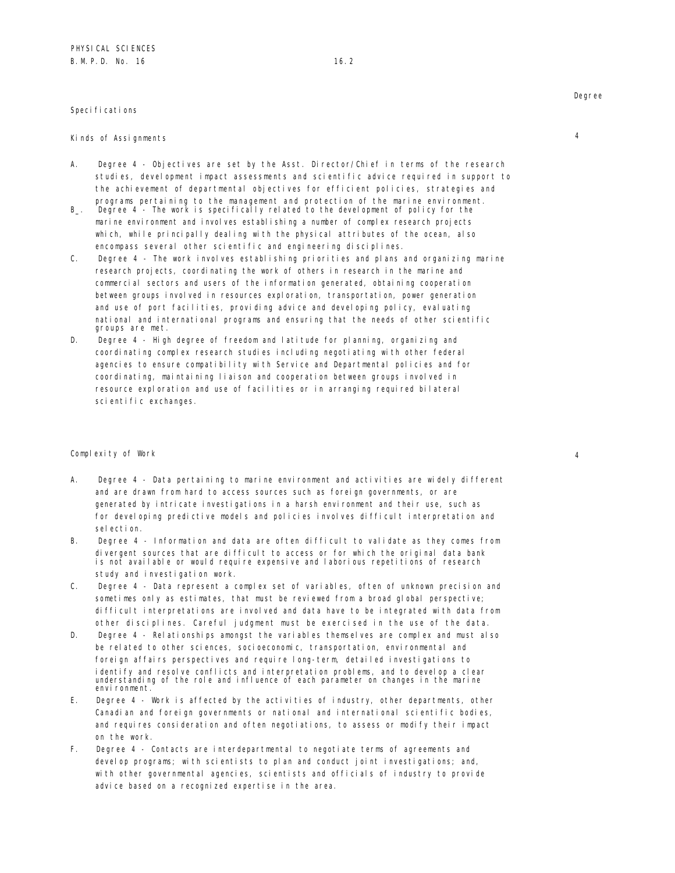# Specifications

Kinds of Assignments 4

- A. Degree 4 Objectives are set by the Asst. Director/Chief in terms of the research studies, development impact assessments and scientific advice required in support to the achievement of departmental objectives for efficient policies, strategies and
- programs pertaining to the management and protection of the marine environment. B\_. Degree 4 The work is specifically related to the development of policy for the marine environment and involves establishing a number of complex research projects which, while principally dealing with the physical attributes of the ocean, also encompass several other scientific and engineering disciplines.
- C. Degree 4 The work involves establishing priorities and plans and organizing marine research projects, coordinating the work of others in research in the marine and commercial sectors and users of the information generated, obtaining cooperation between groups involved in resources exploration, transportation, power generation and use of port facilities, providing advice and developing policy, evaluating national and international programs and ensuring that the needs of other scientific groups are met.
- D. Degree 4 High degree of freedom and latitude for planning, organizing and coordinating complex research studies including negotiating with other federal agencies to ensure compatibility with Service and Departmental policies and for coordinating, maintaining liaison and cooperation between groups involved in resource exploration and use of facilities or in arranging required bilateral scientific exchanges.

## Complexity of Work 4

- A. Degree 4 Data pertaining to marine environment and activities are widely different and are drawn from hard to access sources such as foreign governments, or are generated by intricate investigations in a harsh environment and their use, such as for developing predictive models and policies involves difficult interpretation and selection.
- B. Degree 4 Information and data are often difficult to validate as they comes from divergent sources that are difficult to access or for which the original data bank is not available or would require expensive and laborious repetitions of research study and investigation work.
- C. Degree 4 Data represent a complex set of variables, often of unknown precision and sometimes only as estimates, that must be reviewed from a broad global perspective; difficult interpretations are involved and data have to be integrated with data from other disciplines. Careful judgment must be exercised in the use of the data.
- D. Degree 4 Relationships amongst the variables themselves are complex and must also be related to other sciences, socioeconomic, transportation, environmental and foreign affairs perspectives and require long-term, detailed investigations to identify and resolve conflicts and interpretation problems, and to develop a clear understanding of the role and influence of each parameter on changes in the marine environment.
- E. Degree 4 Work is affected by the activities of industry, other departments, other Canadian and foreign governments or national and international scientific bodies, and requires consideration and often negotiations, to assess or modify their impact on the work.
- F. Degree 4 Contacts are interdepartmental to negotiate terms of agreements and develop programs; with scientists to plan and conduct joint investigations; and, with other governmental agencies, scientists and officials of industry to provide advice based on a recognized expertise in the area.

Degree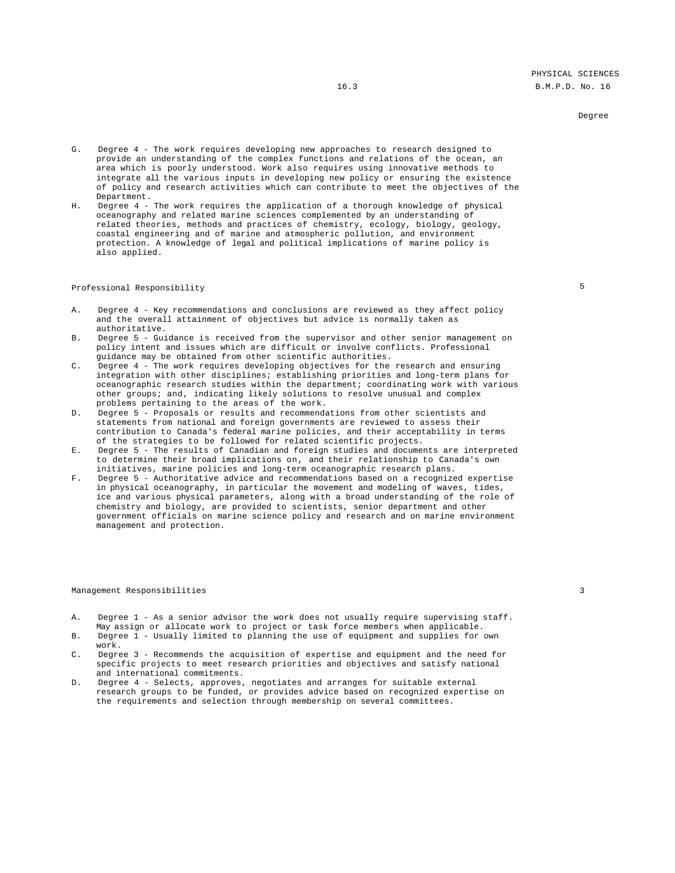### Degree

- G. Degree 4 The work requires developing new approaches to research designed to provide an understanding of the complex functions and relations of the ocean, an area which is poorly understood. Work also requires using innovative methods to integrate all the various inputs in developing new policy or ensuring the existence of policy and research activities which can contribute to meet the objectives of the Department.
- H. Degree 4 The work requires the application of a thorough knowledge of physical oceanography and related marine sciences complemented by an understanding of related theories, methods and practices of chemistry, ecology, biology, geology, coastal engineering and of marine and atmospheric pollution, and environment protection. A knowledge of legal and political implications of marine policy is also applied.

# Professional Responsibility 5

- A. Degree 4 Key recommendations and conclusions are reviewed as they affect policy and the overall attainment of objectives but advice is normally taken as authoritative.
- B. Degree 5 Guidance is received from the supervisor and other senior management on policy intent and issues which are difficult or involve conflicts. Professional guidance may be obtained from other scientific authorities.
- C. Degree 4 The work requires developing objectives for the research and ensuring integration with other disciplines; establishing priorities and long-term plans for oceanographic research studies within the department; coordinating work with various other groups; and, indicating likely solutions to resolve unusual and complex problems pertaining to the areas of the work.
- Degree 5 Proposals or results and recommendations from other scientists and statements from national and foreign governments are reviewed to assess their contribution to Canada's federal marine policies, and their acceptability in terms of the strategies to be followed for related scientific projects.
- E. Degree 5 The results of Canadian and foreign studies and documents are interpreted to determine their broad implications on, and their relationship to Canada's own initiatives, marine policies and long-term oceanographic research plans.
- F. Degree 5 Authoritative advice and recommendations based on a recognized expertise in physical oceanography, in particular the movement and modeling of waves, tides, ice and various physical parameters, along with a broad understanding of the role of chemistry and biology, are provided to scientists, senior department and other government officials on marine science policy and research and on marine environment management and protection.

#### Management Responsibilities 3

- A. Degree 1 As a senior advisor the work does not usually require supervising staff. May assign or allocate work to project or task force members when applicable.
	- B. Degree 1 Usually limited to planning the use of equipment and supplies for own work.
	- C. Degree 3 Recommends the acquisition of expertise and equipment and the need for specific projects to meet research priorities and objectives and satisfy national and international commitments.
	- D. Degree 4 Selects, approves, negotiates and arranges for suitable external research groups to be funded, or provides advice based on recognized expertise on the requirements and selection through membership on several committees.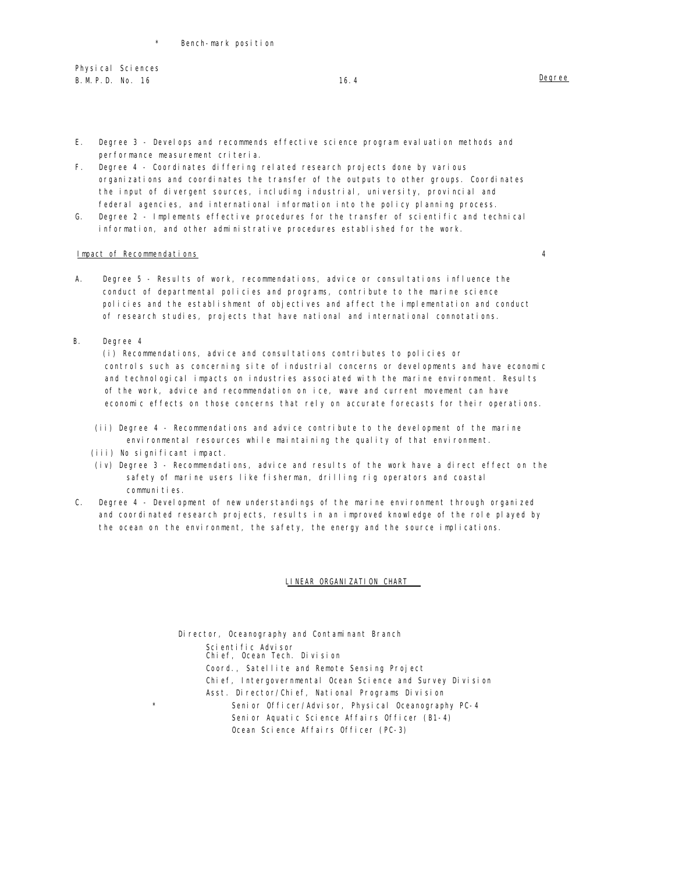Physical Sciences B. M. P. D. No. 16 16.4

- E. Degree 3 Develops and recommends effective science program evaluation methods and performance measurement criteria.
- F. Degree 4 Coordinates differing related research projects done by various organizations and coordinates the transfer of the outputs to other groups. Coordinates the input of divergent sources, including industrial, university, provincial and federal agencies, and international information into the policy planning process.
- G. Degree 2 Implements effective procedures for the transfer of scientific and technical information, and other administrative procedures established for the work.

## Impact of Recommendations 4

A. Degree 5 - Results of work, recommendations, advice or consultations influence the conduct of departmental policies and programs, contribute to the marine science policies and the establishment of objectives and affect the implementation and conduct of research studies, projects that have national and international connotations.

B. Degree 4

 (i) Recommendations, advice and consultations contributes to policies or controls such as concerning site of industrial concerns or developments and have economic and technological impacts on industries associated with the marine environment. Results of the work, advice and recommendation on ice, wave and current movement can have economic effects on those concerns that rely on accurate forecasts for their operations.

- (ii) Degree 4 Recommendations and advice contribute to the development of the marine environmental resources while maintaining the quality of that environment.
- (iii) No significant impact.
- (iv) Degree 3 Recommendations, advice and results of the work have a direct effect on the safety of marine users like fisherman, drilling rig operators and coastal communities.
- C. Degree 4 Development of new understandings of the marine environment through organized and coordinated research projects, results in an improved knowledge of the role played by the ocean on the environment, the safety, the energy and the source implications.

## LINEAR ORGANIZATION CHART

Director, Oceanography and Contaminant Branch Scientific Advisor Chief, Ocean Tech. Division Coord., Satellite and Remote Sensing Project Chief, Intergovernmental Ocean Science and Survey Division Asst. Director/Chief, National Programs Division Seni or Officer/Advisor, Physical Oceanography PC-4 Senior Aquatic Science Affairs Officer (B1-4) Ocean Science Affairs Officer (PC-3)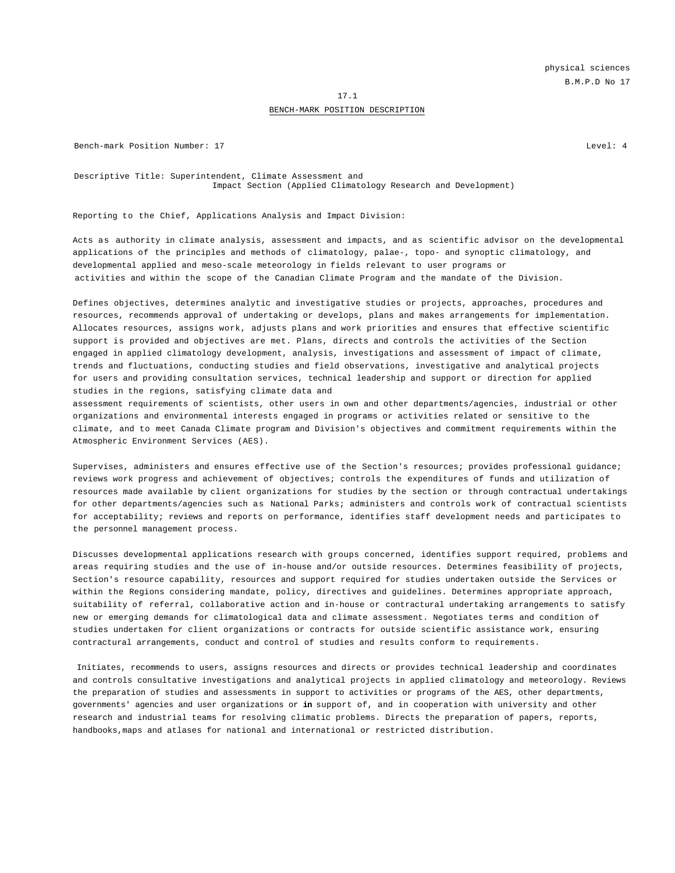17.1

## BENCH-MARK POSITION DESCRIPTION

Bench-mark Position Number: 17 Server 2020 and the server and the server and the server and the server and the server and the server and the server and the server and the server and the server and the server and the server

Descriptive Title: Superintendent, Climate Assessment and Impact Section (Applied Climatology Research and Development)

Reporting to the Chief, Applications Analysis and Impact Division:

Acts as authority in climate analysis, assessment and impacts, and as scientific advisor on the developmental applications of the principles and methods of climatology, palae-, topo- and synoptic climatology, and developmental applied and meso-scale meteorology in fields relevant to user programs or activities and within the scope of the Canadian Climate Program and the mandate of the Division.

Defines objectives, determines analytic and investigative studies or projects, approaches, procedures and resources, recommends approval of undertaking or develops, plans and makes arrangements for implementation. Allocates resources, assigns work, adjusts plans and work priorities and ensures that effective scientific support is provided and objectives are met. Plans, directs and controls the activities of the Section engaged in applied climatology development, analysis, investigations and assessment of impact of climate, trends and fluctuations, conducting studies and field observations, investigative and analytical projects for users and providing consultation services, technical leadership and support or direction for applied studies in the regions, satisfying climate data and

assessment requirements of scientists, other users in own and other departments/agencies, industrial or other organizations and environmental interests engaged in programs or activities related or sensitive to the climate, and to meet Canada Climate program and Division's objectives and commitment requirements within the Atmospheric Environment Services (AES).

Supervises, administers and ensures effective use of the Section's resources; provides professional guidance; reviews work progress and achievement of objectives; controls the expenditures of funds and utilization of resources made available by client organizations for studies by the section or through contractual undertakings for other departments/agencies such as National Parks; administers and controls work of contractual scientists for acceptability; reviews and reports on performance, identifies staff development needs and participates to the personnel management process.

Discusses developmental applications research with groups concerned, identifies support required, problems and areas requiring studies and the use of in-house and/or outside resources. Determines feasibility of projects, Section's resource capability, resources and support required for studies undertaken outside the Services or within the Regions considering mandate, policy, directives and guidelines. Determines appropriate approach, suitability of referral, collaborative action and in-house or contractural undertaking arrangements to satisfy new or emerging demands for climatological data and climate assessment. Negotiates terms and condition of studies undertaken for client organizations or contracts for outside scientific assistance work, ensuring contractural arrangements, conduct and control of studies and results conform to requirements.

Initiates, recommends to users, assigns resources and directs or provides technical leadership and coordinates and controls consultative investigations and analytical projects in applied climatology and meteorology. Reviews the preparation of studies and assessments in support to activities or programs of the AES, other departments, governments' agencies and user organizations or **in** support of, and in cooperation with university and other research and industrial teams for resolving climatic problems. Directs the preparation of papers, reports, handbooks,maps and atlases for national and international or restricted distribution.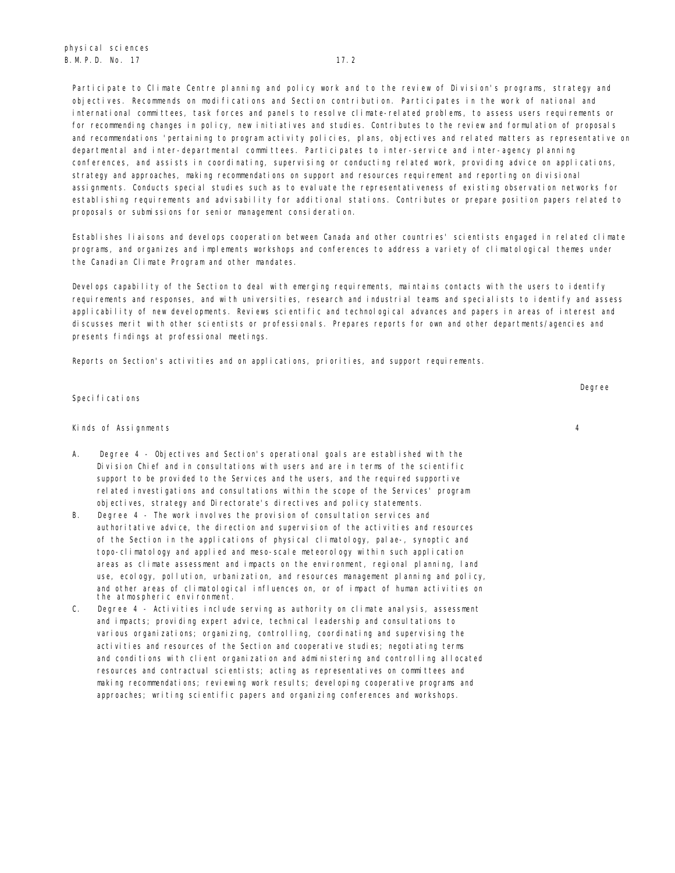Participate to Climate Centre planning and policy work and to the review of Division's programs, strategy and objectives. Recommends on modifications and Section contribution. Participates in the work of national and international committees, task forces and panels to resolve climate-related problems, to assess users requirements or for recommending changes in policy, new initiatives and studies. Contributes to the review and formulation of proposals and recommendations 'pertaining to program activity policies, plans, objectives and related matters as representative on departmental and inter-departmental committees. Participates to inter-service and inter-agency planning conferences, and assists in coordinating, supervising or conducting related work, providing advice on applications, strategy and approaches, making recommendations on support and resources requirement and reporting on divisional assignments. Conducts special studies such as to evaluate the representativeness of existing observation networks for establishing requirements and advisability for additional stations. Contributes or prepare position papers related to proposals or submissions for senior management consideration.

Establishes liaisons and develops cooperation between Canada and other countries' scientists engaged in related climate programs, and organizes and implements workshops and conferences to address a variety of climatological themes under the Canadian Climate Program and other mandates.

Develops capability of the Section to deal with emerging requirements, maintains contacts with the users to identify requirements and responses, and with universities, research and industrial teams and specialists to identify and assess applicability of new developments. Reviews scientific and technological advances and papers in areas of interest and discusses merit with other scientists or professionals. Prepares reports for own and other departments/agencies and presents findings at professional meetings.

Reports on Section's activities and on applications, priorities, and support requirements.

Specifications

Kinds of Assignments 4

- A. Degree 4 Objectives and Section's operational goals are established with the Division Chief and in consultations with users and are in terms of the scientific support to be provided to the Services and the users, and the required supportive related investigations and consultations within the scope of the Services' program objectives, strategy and Directorate's directives and policy statements.
- B. Degree 4 The work involves the provision of consultation services and authoritative advice, the direction and supervision of the activities and resources of the Section in the applications of physical climatology, palae-, synoptic and topo-climatology and applied and meso-scale meteorology within such application areas as climate assessment and impacts on the environment, regional planning, land use, ecology, pollution, urbanization, and resources management planning and policy, and other areas of climatological influences on, or of impact of human activities on the atmospheric environment.
- C. Degree 4 Activities include serving as authority on climate analysis, assessment and impacts; providing expert advice, technical leadership and consultations to various organizations; organizing, controlling, coordinating and supervising the activities and resources of the Section and cooperative studies; negotiating terms and conditions with client organization and administering and controlling allocated resources and contractual scientists; acting as representatives on committees and making recommendations; reviewing work results; developing cooperative programs and approaches; writing scientific papers and organizing conferences and workshops.

Degree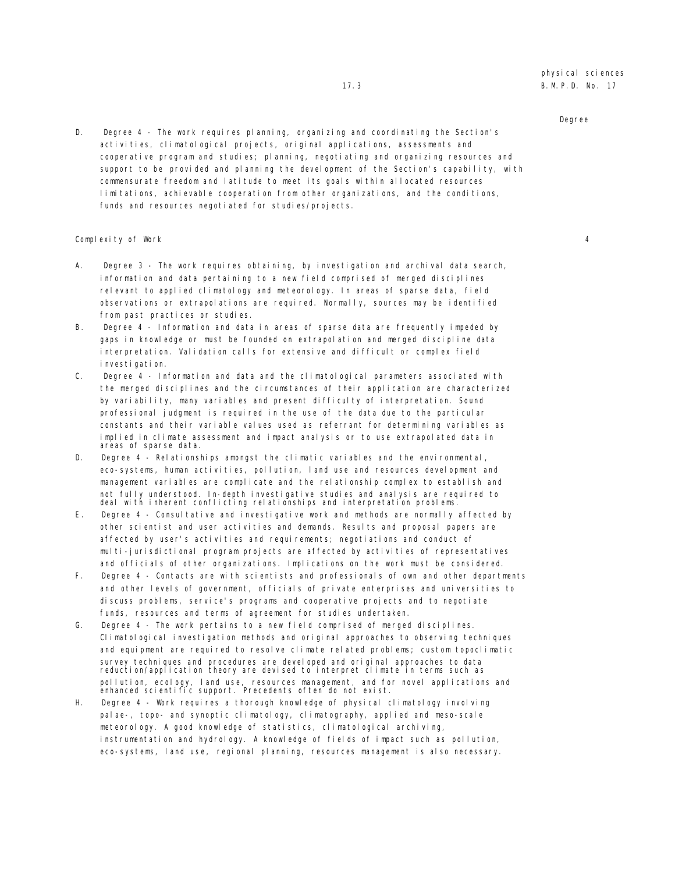## Degree

D. Degree 4 - The work requires planning, organizing and coordinating the Section's activities, climatological projects, original applications, assessments and cooperative program and studies; planning, negotiating and organizing resources and support to be provided and planning the development of the Section's capability, with commensurate freedom and latitude to meet its goals within allocated resources limitations, achievable cooperation from other organizations, and the conditions, funds and resources negotiated for studies/projects.

### Complexity of Work 4

- A. Degree 3 The work requires obtaining, by investigation and archival data search, information and data pertaining to a new field comprised of merged disciplines relevant to applied climatology and meteorology. In areas of sparse data, field observations or extrapolations are required. Normally, sources may be identified from past practices or studies.
- B. Degree 4 Information and data in areas of sparse data are frequently impeded by gaps in knowledge or must be founded on extrapolation and merged discipline data interpretation. Validation calls for extensive and difficult or complex field investigation.
- C. Degree 4 Information and data and the climatological parameters associated with the merged disciplines and the circumstances of their application are characterized by variability, many variables and present difficulty of interpretation. Sound professional judgment is required in the use of the data due to the particular constants and their variable values used as referrant for determining variables as implied in climate assessment and impact analysis or to use extrapolated data in areas of sparse data.
- D. Degree 4 Relationships amongst the climatic variables and the environmental, eco-systems, human activities, pollution, land use and resources development and management variables are complicate and the relationship complex to establish and not fully understood. In-depth investigative studies and analysis are required to deal with inherent conflicting relationships and interpretation problems.
- E. Degree 4 Consultative and investigative work and methods are normally affected by other scientist and user activities and demands. Results and proposal papers are affected by user's activities and requirements; negotiations and conduct of multi-jurisdictional program projects are affected by activities of representatives and officials of other organizations. Implications on the work must be considered.
- F. Degree 4 Contacts are with scientists and professionals of own and other departments and other levels of government, officials of private enterprises and universities to discuss problems, service's programs and cooperative projects and to negotiate funds, resources and terms of agreement for studies undertaken.
- G. Degree 4 The work pertains to a new field comprised of merged disciplines. Climatological investigation methods and original approaches to observing techniques and equipment are required to resolve climate related problems; custom topoclimatic survey techniques and procedures are developed and original approaches to data reduction/application theory are devised to interpret climate in terms such as pollution, ecology, land use, resources management, and for novel applications and enhanced scientific support. Precedents often do not exist.
- H. Degree 4 Work requires a thorough knowledge of physical climatology involving palae-, topo- and synoptic climatology, climatography, applied and meso-scale meteorology. A good knowledge of statistics, climatological archiving, instrumentation and hydrology. A knowledge of fields of impact such as pollution, eco-systems, land use, regional planning, resources management is also necessary.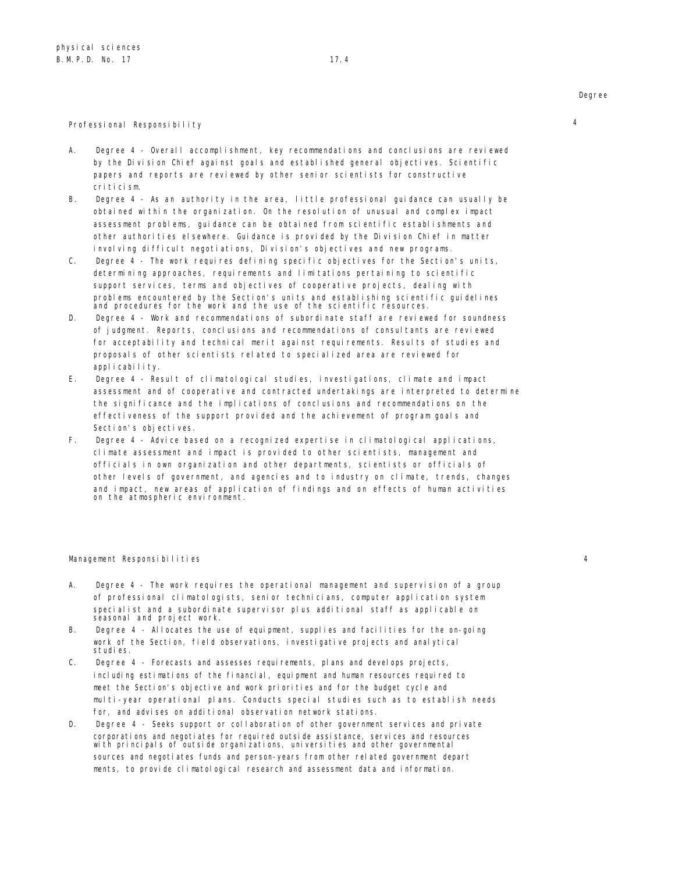# Professional Responsibility 4

- A. Degree 4 Overall accomplishment, key recommendations and conclusions are reviewed by the Division Chief against goals and established general objectives. Scientific papers and reports are reviewed by other senior scientists for constructive criticism.
- B. Degree 4 As an authority in the area, little professional guidance can usually be obtained within the organization. On the resolution of unusual and complex impact assessment problems, guidance can be obtained from scientific establishments and other authorities elsewhere. Guidance is provided by the Division Chief in matter involving difficult negotiations, Division's objectives and new programs.
- C. Degree 4 The work requires defining specific objectives for the Section's units, determining approaches, requirements and limitations pertaining to scientific support services, terms and objectives of cooperative projects, dealing with problems encountered by the Section's units and establishing scientific guidelines and procedures for the work and the use of the scientific resources.
- D. Degree 4 Work and recommendations of subordinate staff are reviewed for soundness of judgment. Reports, conclusions and recommendations of consultants are reviewed for acceptability and technical merit against requirements. Results of studies and proposals of other scientists related to specialized area are reviewed for applicability.
- E. Degree 4 Result of climatological studies, investigations, climate and impact assessment and of cooperative and contracted undertakings are interpreted to determine the significance and the implications of conclusions and recommendations on the effectiveness of the support provided and the achievement of program goals and Section's objectives.
- F. Degree 4 Advice based on a recognized expertise in climatological applications, climate assessment and impact is provided to other scientists, management and officials in own organization and other departments, scientists or officials of other levels of government, and agencies and to industry on climate, trends, changes and impact, new areas of application of findings and on effects of human activities on the atmospheric environment.

## Management Responsibilities 4

- A. Degree 4 The work requires the operational management and supervision of a group of professional climatologists, senior technicians, computer application system specialist and a subordinate supervisor plus additional staff as applicable on seasonal and project work.
- B. Degree 4 Allocates the use of equipment, supplies and facilities for the on-going work of the Section, field observations, investigative projects and analytical studies.
- C. Degree 4 Forecasts and assesses requirements, plans and develops projects, including estimations of the financial, equipment and human resources required to meet the Section's objective and work priorities and for the budget cycle and multi-year operational plans. Conducts special studies such as to establish needs for, and advises on additional observation network stations.
- D. Degree 4 Seeks support or collaboration of other government services and private corporations and negotiates for required outside assistance, services and resources with principals of outside organizations, universities and other governmental sources and negotiates funds and person-years from other related government depart ments, to provide climatological research and assessment data and information.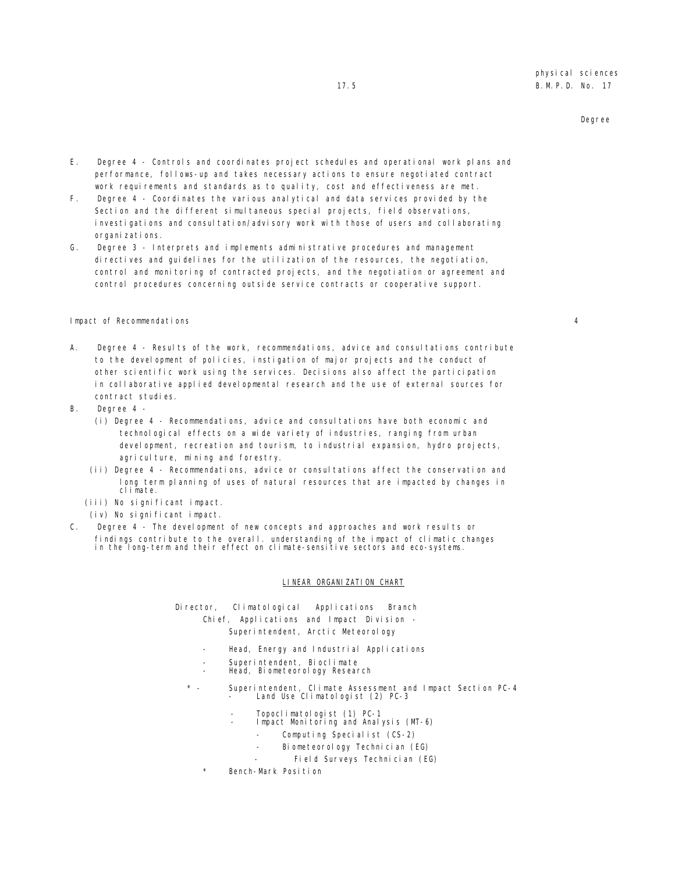# Degree

- E. Degree 4 Controls and coordinates project schedules and operational work plans and performance, follows-up and takes necessary actions to ensure negotiated contract work requirements and standards as to quality, cost and effectiveness are met.
- F . Degree 4 Coordinates the various analytical and data services provided by the Section and the different simultaneous special projects, field observations, investigations and consultation/advisory work with those of users and collaborating organi zati ons.
- G . Degree 3 Interprets and implements administrative procedures and management directives and guidelines for the utilization of the resources, the negotiation, control and monitoring of contracted projects, and the negotiation or agreement and control procedures concerning outside service contracts or cooperative support.

# Impact of Recommendations 4

- A. Degree 4 Results of the work, recommendations, advice and consultations contribute to the development of policies, instigation of major projects and the conduct of other scientific work using the services. Decisions also affect the participation in collaborative applied developmental research and the use of external sources for contract studies.
- B. Degree 4
	- (i) Degree 4 Recommendations, advice and consultations have both economic and technological effects on a wide variety of industries, ranging from urban development, recreation and tourism, to industrial expansion, hydro projects, agriculture, mining and forestry.
	- (ii) Degree 4 Recommendations, advice or consultations affect the conservation and long term planning of uses of natural resources that are impacted by changes in climate.
	- (iii) No significant impact.
	- (iv) No significant impact.
- C. Degree 4 The development of new concepts and approaches and work results or findings contribute to the overall. understanding of the impact of climatic changes in the long-term and their effect on climate-sensitive sectors and eco-systems.

## LINEAR ORGANIZATION CHART

Director, Climatological Applications Branch Chief, Applications and Impact Division - Superintendent, Arctic Meteorology

- Head, Energy and Industrial Applications
- Superintendent, Bioclimate
- Head, Biometeorology Research
- \* Superintendent, Climate Assessment and Impact Section PC-4 Land Use Climatologist (2) PC-3
	-
	- Topoclimatologist (1) PC-1 Impact Monitoring and Analysis (MT-6)
		- Computing Specialist (CS-2)
		- Biometeorology Technician (EG)
		- Field Surveys Technician (EG)
	- Bench-Mark Position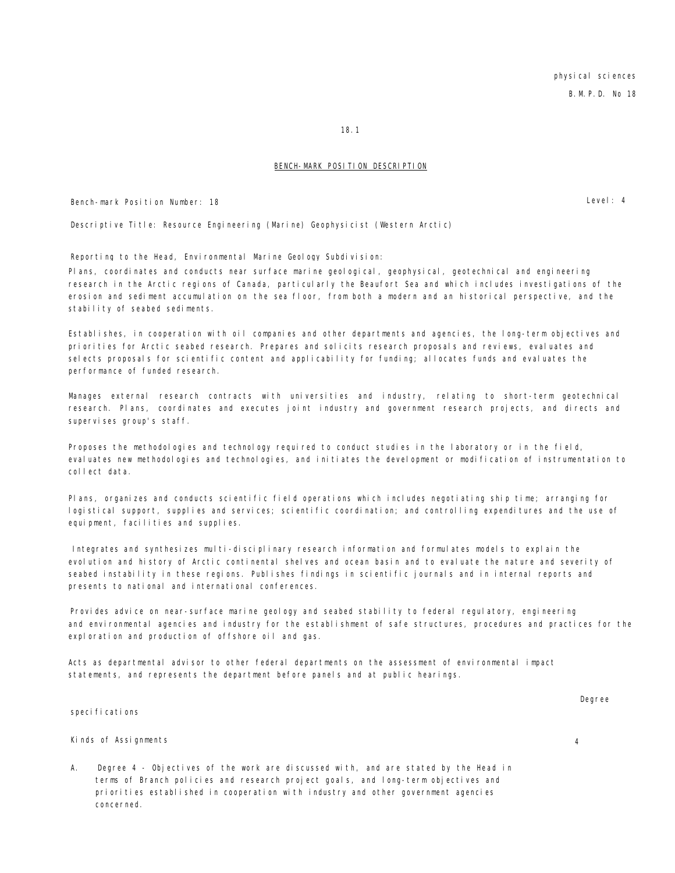18.1

#### BENCH-MARK POSITION DESCRIPTION

Bench-mark Position Number: 18 Level: 4

Descriptive Title: Resource Engineering (Marine) Geophysicist (Western Arctic)

Reporting to the Head, Environmental Marine Geology Subdivision:

Plans, coordinates and conducts near surface marine geological, geophysical, geotechnical and engineering research in the Arctic regions of Canada, particularly the Beaufort Sea and which includes investigations of the erosion and sediment accumulation on the sea floor, from both a modern and an historical perspective, and the stability of seabed sediments.

Establishes, in cooperation with oil companies and other departments and agencies, the long-term objectives and priorities for Arctic seabed research. Prepares and solicits research proposals and reviews, evaluates and selects proposals for scientific content and applicability for funding; allocates funds and evaluates the performance of funded research.

Manages external research contracts with universities and industry, relating to short-term geotechnical research. Plans, coordinates and executes joint industry and government research projects, and directs and supervises group's staff.

Proposes the methodologies and technology required to conduct studies in the laboratory or in the field, evaluates new methodologies and technologies, and initiates the development or modification of instrumentation to collect data.

Plans, organizes and conducts scientific field operations which includes negotiating ship time; arranging for logistical support, supplies and services; scientific coordination; and controlling expenditures and the use of equipment, facilities and supplies.

Integrates and synthesizes multi-disciplinary research information and formulates models to explain the evolution and history of Arctic continental shelves and ocean basin and to evaluate the nature and severity of seabed instability in these regions. Publishes findings in scientific journals and in internal reports and presents to national and international conferences.

Provides advice on near-surface marine geology and seabed stability to federal regulatory, engineering and environmental agencies and industry for the establishment of safe structures, procedures and practices for the exploration and production of offshore oil and gas.

Acts as departmental advisor to other federal departments on the assessment of environmental impact statements, and represents the department before panels and at public hearings.

Degree

specifications

Kinds of Assignments 4

A. Degree 4 - Objectives of the work are discussed with, and are stated by the Head in terms of Branch policies and research project goals, and long-term objectives and priorities established in cooperation with industry and other government agencies concerned.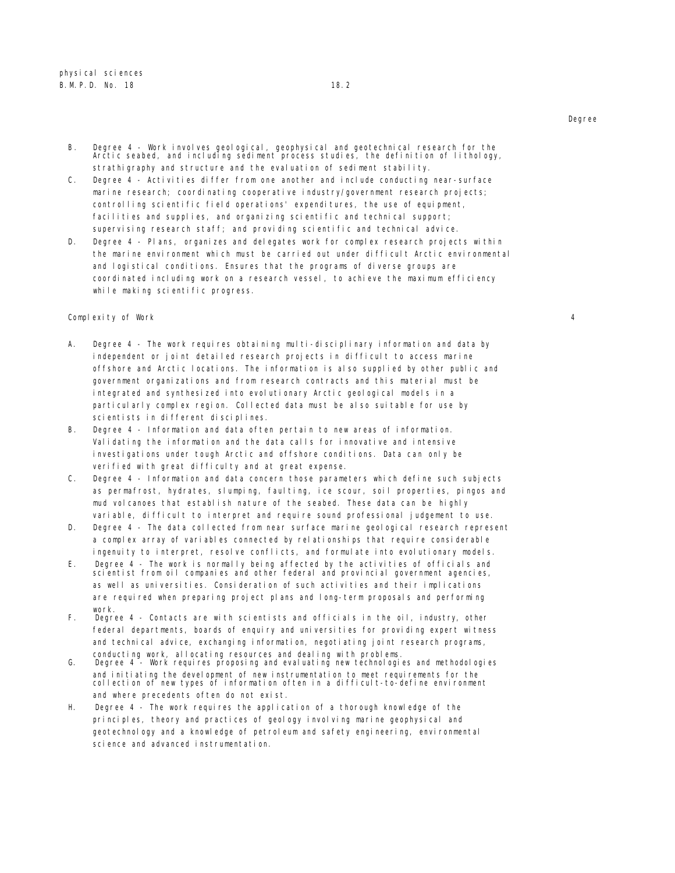physical sciences B. M. P. D. No. 18 18.2

- B . Degree 4 Work involves geological, geophysical and geotechnical research for the Arctic seabed, and including sediment process studies, the definition of lithology, strathigraphy and structure and the evaluation of sediment stability.
- C. Degree 4 Activities differ from one another and include conducting near-surface marine research; coordinating cooperative industry/government research projects; controlling scientific field operations' expenditures, the use of equipment, facilities and supplies, and organizing scientific and technical support; supervising research staff; and providing scientific and technical advice.
- D. Degree 4 Plans, organizes and delegates work for complex research projects within the marine environment which must be carried out under difficult Arctic environmental and logistical conditions. Ensures that the programs of diverse groups are coordinated including work on a research vessel, to achieve the maximum efficiency while making scientific progress.

## Complexity of Work 4

- A. Degree 4 The work requires obtaining multi-disciplinary information and data by independent or joint detailed research projects in difficult to access marine offshore and Arctic locations. The information is also supplied by other public and government organizations and from research contracts and this material must be integrated and synthesized into evolutionary Arctic geological models in a particularly complex region. Collected data must be also suitable for use by scientists in different disciplines.
- B. Degree 4 Information and data often pertain to new areas of information. Validating the information and the data calls for innovative and intensive investigations under tough Arctic and offshore conditions. Data can only be verified with great difficulty and at great expense.
- C. Degree 4 Information and data concern those parameters which define such subjects as permafrost, hydrates, slumping, faulting, ice scour, soil properties, pingos and mud volcanoes that establish nature of the seabed. These data can be highly variable, difficult to interpret and require sound professional judgement to use.
- D. Degree 4 The data collected from near surface marine geological research represent a complex array of variables connected by relationships that require considerable ingenuity to interpret, resolve conflicts, and formulate into evolutionary models.
- E. Degree 4 The work is normally being affected by the activities of officials and scientist from oil companies and other federal and provincial government agencies, as well as universities. Consideration of such activities and their implications are required when preparing project plans and long-term proposals and performing work.
- F. Degree 4 Contacts are with scientists and officials in the oil, industry, other federal departments, boards of enquiry and universities for providing expert witness and technical advice, exchanging information, negotiating joint research programs, conducting work, allocating resources and dealing with problems.
- G. Degree 4 Work requires proposing and evaluating new technologies and methodologies and initiating the development of new instrumentation to meet requirements for the collection of new types of information often in a difficult-to-define environment and where precedents often do not exist.
- H. Degree 4 The work requires the application of a thorough knowledge of the principles, theory and practices of geology involving marine geophysical and geotechnology and a knowledge of petroleum and safety engineering, environmental science and advanced instrumentation.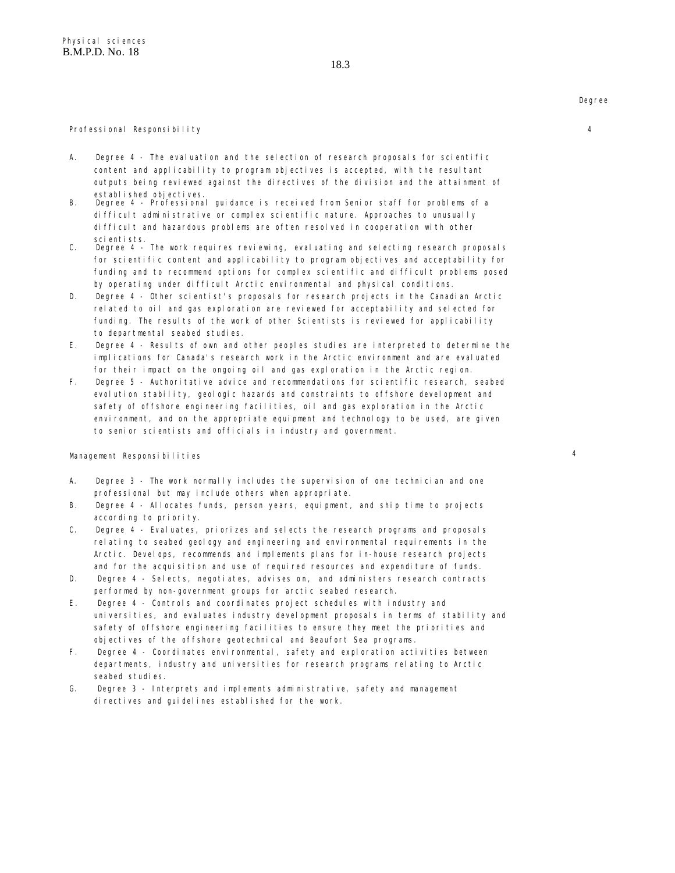Professional Responsibility 4

- A. Degree 4 The evaluation and the selection of research proposals for scientific content and applicability to program objectives is accepted, with the resultant outputs being reviewed against the directives of the division and the attainment of established objectives.
- B. Degree 4 Professional guidance is received from Senior staff for problems of a difficult administrative or complex scientific nature. Approaches to unusually difficult and hazardous problems are often resolved in cooperation with other scientists.
- C. Degree 4 The work requires reviewing, evaluating and selecting research proposals for scientific content and applicability to program objectives and acceptability for funding and to recommend options for complex scientific and difficult problems posed by operating under difficult Arctic environmental and physical conditions.
- D. Degree 4 Other scientist's proposals for research projects in the Canadian Arctic related to oil and gas exploration are reviewed for acceptability and selected for funding. The results of the work of other Scientists is reviewed for applicability to departmental seabed studies.
- E. Degree 4 Results of own and other peoples studies are interpreted to determine the implications for Canada's research work in the Arctic environment and are evaluated for their impact on the ongoing oil and gas exploration in the Arctic region.
- F. Degree 5 Authoritative advice and recommendations for scientific research, seabed evolution stability, geologic hazards and constraints to offshore development and safety of offshore engineering facilities, oil and gas exploration in the Arctic environment, and on the appropriate equipment and technology to be used, are given to senior scientists and officials in industry and government.

Management Responsibilities 4

- A. Degree 3 The work normally includes the supervision of one technician and one professional but may include others when appropriate.
- B. Degree 4 Allocates funds, person years, equipment, and ship time to projects according to priority.
- C. Degree 4 Evaluates, priorizes and selects the research programs and proposals relating to seabed geology and engineering and environmental requirements in the Arctic. Develops, recommends and implements plans for in-house research projects and for the acquisition and use of required resources and expenditure of funds.
- D. Degree 4 Selects, negotiates, advises on, and administers research contracts performed by non-government groups for arctic seabed research.
- E. Degree 4 Controls and coordinates project schedules with industry and universities, and evaluates industry development proposals in terms of stability and safety of offshore engineering facilities to ensure they meet the priorities and objectives of the offshore geotechnical and Beaufort Sea programs.
- F. Degree 4 Coordinates environmental, safety and exploration activities between departments, industry and universities for research programs relating to Arctic seabed studies.
- G. Degree 3 Interprets and implements administrative, safety and management directives and guidelines established for the work.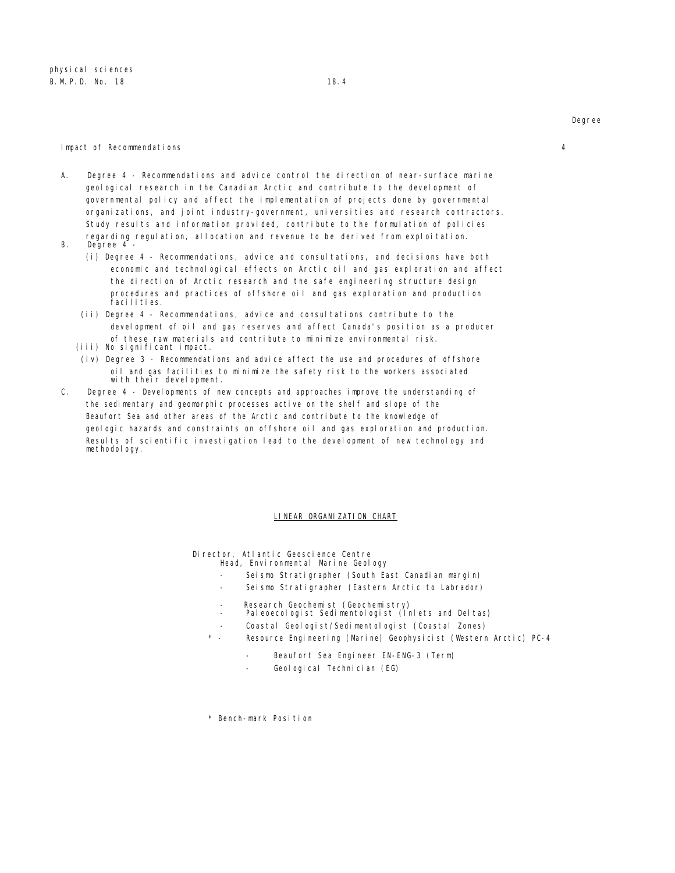physical sciences B.M.P.D. No. 18 18.4

#### **Impact of Recommendations** 4

- A. Degree 4 Recommendations and advice control the direction of near-surface marine geological research in the Canadian Arctic and contribute to the development of governmental policy and affect the implementation of projects done by governmental organizations, and joint industry-government, universities and research contractors. Study results and information provided, contribute to the formulation of policies regarding regulation, allocation and revenue to be derived from exploitation.
- B. Degree 4
	- (i) Degree 4 Recommendations, advice and consultations, and decisions have both economic and technological effects on Arctic oil and gas exploration and affect the direction of Arctic research and the safe engineering structure design procedures and practices of offshore oil and gas exploration and production facilities.
	- (ii) Degree 4 Recommendations, advice and consultations contribute to the devel opment of oil and gas reserves and affect Canada's position as a producer of these raw materials and contribute to minimize environmental risk.
	- (iii) No significant impact.
	- (iv) Degree 3 Recommendations and advice affect the use and procedures of offshore oil and gas facilities to minimize the safety risk to the workers associated with their development.
- C. Degree 4 Developments of new concepts and approaches improve the understanding of the sedimentary and geomorphic processes active on the shelf and slope of the Beaufort Sea and other areas of the Arctic and contribute to the knowledge of geologic hazards and constraints on offshore oil and gas exploration and production. Results of scientific investigation lead to the development of new technology and methodology.

## LINEAR ORGANIZATION CHART

Director, Atlantic Geoscience Centre Head, Environmental Marine Geology

- 
- Seismo Stratigrapher (South East Canadian margin)
- Seismo Stratigrapher (Eastern Arctic to Labrador)
- Research Geochemist (Geochemistry)
- Pal eoecologist Sedimentologist (Inlets and Deltas)
- Coastal Geologist/Sedimentologist (Coastal Zones)
- Resource Engineering (Marine) Geophysicist (Western Arctic) PC-4
	- Beaufort Sea Engineer EN-ENG-3 (Term)
		- Geological Technician (EG)

\* Bench-mark Position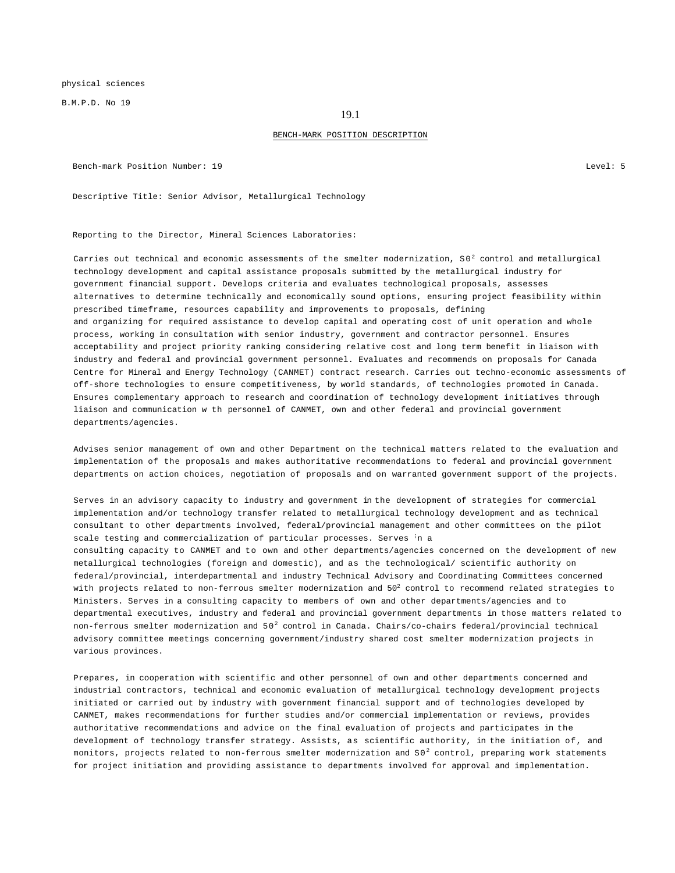physical sciences

B.M.P.D. No 19

# 19.1

# BENCH-MARK POSITION DESCRIPTION

Bench-mark Position Number: 19 Level: 5

Descriptive Title: Senior Advisor, Metallurgical Technology

Reporting to the Director, Mineral Sciences Laboratories:

Carries out technical and economic assessments of the smelter modernization,  $S0<sup>2</sup>$  control and metallurgical technology development and capital assistance proposals submitted by the metallurgical industry for government financial support. Develops criteria and evaluates technological proposals, assesses alternatives to determine technically and economically sound options, ensuring project feasibility within prescribed timeframe, resources capability and improvements to proposals, defining and organizing for required assistance to develop capital and operating cost of unit operation and whole process, working in consultation with senior industry, government and contractor personnel. Ensures acceptability and project priority ranking considering relative cost and long term benefit in liaison with industry and federal and provincial government personnel. Evaluates and recommends on proposals for Canada Centre for Mineral and Energy Technology (CANMET) contract research. Carries out techno-economic assessments of off-shore technologies to ensure competitiveness, by world standards, of technologies promoted in Canada. Ensures complementary approach to research and coordination of technology development initiatives through liaison and communication w th personnel of CANMET, own and other federal and provincial government departments/agencies.

Advises senior management of own and other Department on the technical matters related to the evaluation and implementation of the proposals and makes authoritative recommendations to federal and provincial government departments on action choices, negotiation of proposals and on warranted government support of the projects.

Serves in an advisory capacity to industry and government in the development of strategies for commercial implementation and/or technology transfer related to metallurgical technology development and as technical consultant to other departments involved, federal/provincial management and other committees on the pilot scale testing and commercialization of particular processes. Serves 'n a consulting capacity to CANMET and to own and other departments/agencies concerned on the development of new metallurgical technologies (foreign and domestic), and as the technological/ scientific authority on federal/provincial, interdepartmental and industry Technical Advisory and Coordinating Committees concerned with projects related to non-ferrous smelter modernization and  $50<sup>2</sup>$  control to recommend related strategies to Ministers. Serves in a consulting capacity to members of own and other departments/agencies and to departmental executives, industry and federal and provincial government departments in those matters related to non-ferrous smelter modernization and  $50<sup>2</sup>$  control in Canada. Chairs/co-chairs federal/provincial technical advisory committee meetings concerning government/industry shared cost smelter modernization projects in various provinces.

Prepares, in cooperation with scientific and other personnel of own and other departments concerned and industrial contractors, technical and economic evaluation of metallurgical technology development projects initiated or carried out by industry with government financial support and of technologies developed by CANMET, makes recommendations for further studies and/or commercial implementation or reviews, provides authoritative recommendations and advice on the final evaluation of projects and participates in the development of technology transfer strategy. Assists, as scientific authority, in the initiation of, and monitors, projects related to non-ferrous smelter modernization and  $S0<sup>2</sup>$  control, preparing work statements for project initiation and providing assistance to departments involved for approval and implementation.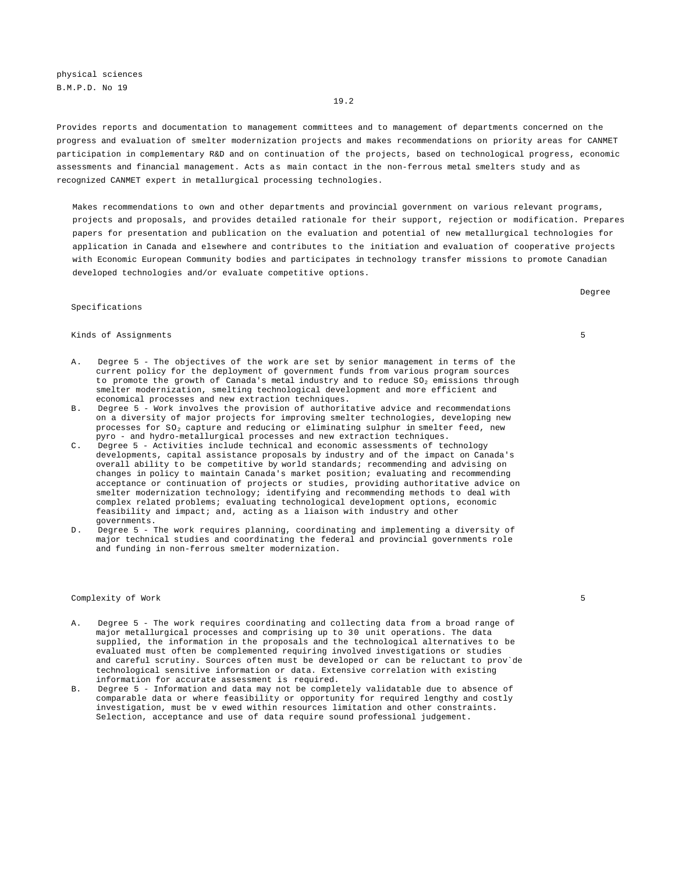physical sciences B.M.P.D. No 19

19.2

Provides reports and documentation to management committees and to management of departments concerned on the progress and evaluation of smelter modernization projects and makes recommendations on priority areas for CANMET participation in complementary R&D and on continuation of the projects, based on technological progress, economic assessments and financial management. Acts as main contact in the non-ferrous metal smelters study and as recognized CANMET expert in metallurgical processing technologies.

Makes recommendations to own and other departments and provincial government on various relevant programs, projects and proposals, and provides detailed rationale for their support, rejection or modification. Prepares papers for presentation and publication on the evaluation and potential of new metallurgical technologies for application in Canada and elsewhere and contributes to the initiation and evaluation of cooperative projects with Economic European Community bodies and participates in technology transfer missions to promote Canadian developed technologies and/or evaluate competitive options.

### Specifications

Kinds of Assignments 5

- A. Degree 5 The objectives of the work are set by senior management in terms of the current policy for the deployment of government funds from various program sources to promote the growth of Canada's metal industry and to reduce  $SO_2$  emissions through smelter modernization, smelting technological development and more efficient and economical processes and new extraction techniques.
- B. Degree 5 Work involves the provision of authoritative advice and recommendations on a diversity of major projects for improving smelter technologies, developing new processes for SO2 capture and reducing or eliminating sulphur in smelter feed, new pyro - and hydro-metallurgical processes and new extraction techniques.
- C. Degree 5 Activities include technical and economic assessments of technology developments, capital assistance proposals by industry and of the impact on Canada's overall ability to be competitive by world standards; recommending and advising on changes in policy to maintain Canada's market position; evaluating and recommending acceptance or continuation of projects or studies, providing authoritative advice on smelter modernization technology; identifying and recommending methods to deal with complex related problems; evaluating technological development options, economic feasibility and impact; and, acting as a liaison with industry and other governments.
- D. Degree 5 The work requires planning, coordinating and implementing a diversity of major technical studies and coordinating the federal and provincial governments role and funding in non-ferrous smelter modernization.

### Complexity of Work 5

- A. Degree 5 The work requires coordinating and collecting data from a broad range of major metallurgical processes and comprising up to 30 unit operations. The data supplied, the information in the proposals and the technological alternatives to be evaluated must often be complemented requiring involved investigations or studies and careful scrutiny. Sources often must be developed or can be reluctant to prov`de technological sensitive information or data. Extensive correlation with existing information for accurate assessment is required.
- B. Degree 5 Information and data may not be completely validatable due to absence of comparable data or where feasibility or opportunity for required lengthy and costly investigation, must be v ewed within resources limitation and other constraints. Selection, acceptance and use of data require sound professional judgement.

Degree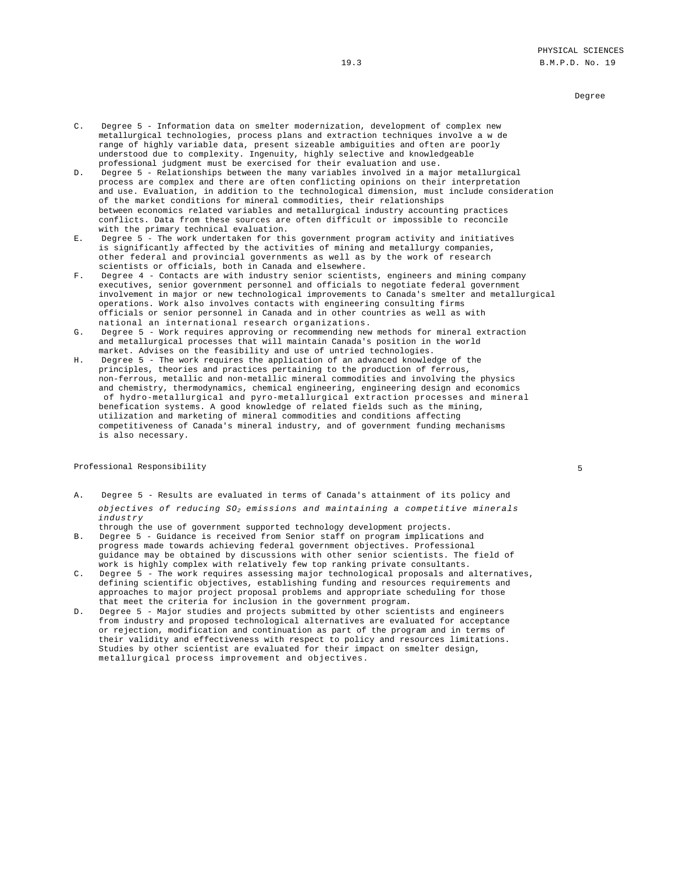Degree

- C. Degree 5 Information data on smelter modernization, development of complex new metallurgical technologies, process plans and extraction techniques involve a w de range of highly variable data, present sizeable ambiguities and often are poorly understood due to complexity. Ingenuity, highly selective and knowledgeable professional judgment must be exercised for their evaluation and use.
- D. Degree 5 Relationships between the many variables involved in a major metallurgical process are complex and there are often conflicting opinions on their interpretation and use. Evaluation, in addition to the technological dimension, must include consideration of the market conditions for mineral commodities, their relationships between economics related variables and metallurgical industry accounting practices conflicts. Data from these sources are often difficult or impossible to reconcile with the primary technical evaluation.
- E. Degree 5 The work undertaken for this government program activity and initiatives is significantly affected by the activities of mining and metallurgy companies, other federal and provincial governments as well as by the work of research scientists or officials, both in Canada and elsewhere.
- F. Degree 4 Contacts are with industry senior scientists, engineers and mining company executives, senior government personnel and officials to negotiate federal government involvement in major or new technological improvements to Canada's smelter and metallurgical operations. Work also involves contacts with engineering consulting firms officials or senior personnel in Canada and in other countries as well as with national an international research organizations.
- G. Degree 5 Work requires approving or recommending new methods for mineral extraction and metallurgical processes that will maintain Canada's position in the world market. Advises on the feasibility and use of untried technologies.
- H. Degree 5 The work requires the application of an advanced knowledge of the principles, theories and practices pertaining to the production of ferrous, non-ferrous, metallic and non-metallic mineral commodities and involving the physics and chemistry, thermodynamics, chemical engineering, engineering design and economics of hydro-metallurgical and pyro-metallurgical extraction processes and mineral benefication systems. A good knowledge of related fields such as the mining, utilization and marketing of mineral commodities and conditions affecting competitiveness of Canada's mineral industry, and of government funding mechanisms is also necessary.

Professional Responsibility 5 and 5 and 5 and 5 and 5 and 5 and 5 and 5 and 5 and 5 and 5 and 5 and 5 and 5 and 5 and 5 and 5 and 5 and 5 and 5 and 5 and 5 and 5 and 5 and 5 and 5 and 5 and 5 and 5 and 5 and 5 and 5 and 5

- A. Degree 5 Results are evaluated in terms of Canada's attainment of its policy and *objectives of reducing SO2 emissions and maintaining a competitive minerals industry*
- through the use of government supported technology development projects. B. Degree 5 - Guidance is received from Senior staff on program implications and progress made towards achieving federal government objectives. Professional guidance may be obtained by discussions with other senior scientists. The field of work is highly complex with relatively few top ranking private consultants.
- C. Degree 5 The work requires assessing major technological proposals and alternatives, defining scientific objectives, establishing funding and resources requirements and approaches to major project proposal problems and appropriate scheduling for those that meet the criteria for inclusion in the government program.
- D. Degree 5 Major studies and projects submitted by other scientists and engineers from industry and proposed technological alternatives are evaluated for acceptance or rejection, modification and continuation as part of the program and in terms of their validity and effectiveness with respect to policy and resources limitations. Studies by other scientist are evaluated for their impact on smelter design, metallurgical process improvement and objectives.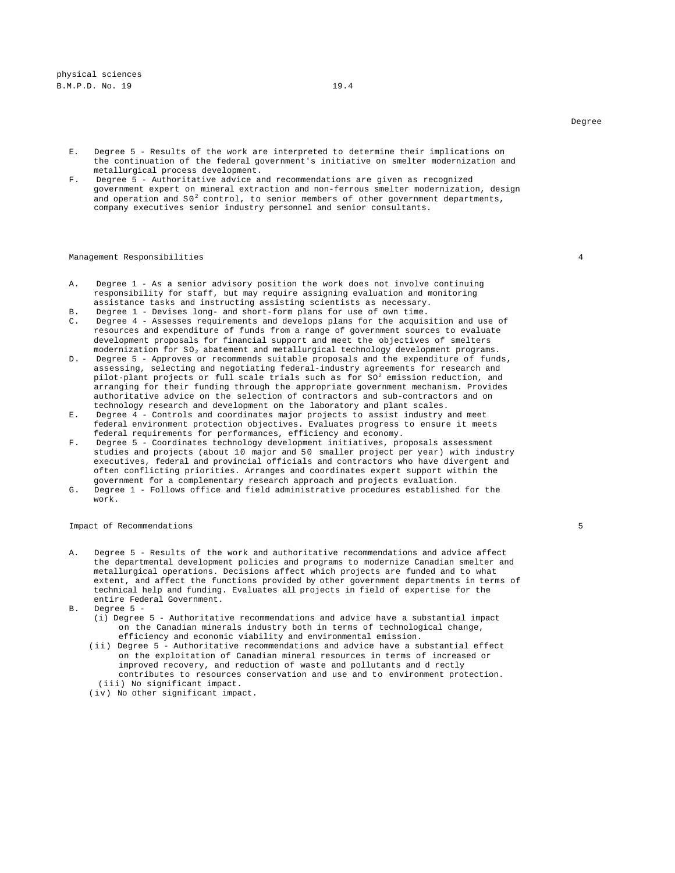# physical sciences B.M.P.D. No. 19 19.4

- E. Degree 5 Results of the work are interpreted to determine their implications on the continuation of the federal government's initiative on smelter modernization and metallurgical process development.
- F. Degree 5 Authoritative advice and recommendations are given as recognized government expert on mineral extraction and non-ferrous smelter modernization, design and operation and  $S0<sup>2</sup>$  control, to senior members of other government departments, company executives senior industry personnel and senior consultants.

### Management Responsibilities 4

- A. Degree 1 As a senior advisory position the work does not involve continuing responsibility for staff, but may require assigning evaluation and monitoring assistance tasks and instructing assisting scientists as necessary.
- B. Degree 1 Devises long- and short-form plans for use of own time.
- C. Degree 4 Assesses requirements and develops plans for the acquisition and use of resources and expenditure of funds from a range of government sources to evaluate development proposals for financial support and meet the objectives of smelters modernization for SO<sub>2</sub> abatement and metallurgical technology development programs.
- D. Degree 5 Approves or recommends suitable proposals and the expenditure of funds, assessing, selecting and negotiating federal-industry agreements for research and pilot-plant projects or full scale trials such as for  $SO^2$  emission reduction, and arranging for their funding through the appropriate government mechanism. Provides authoritative advice on the selection of contractors and sub-contractors and on technology research and development on the laboratory and plant scales.
- E. Degree 4 Controls and coordinates major projects to assist industry and meet federal environment protection objectives. Evaluates progress to ensure it meets federal requirements for performances, efficiency and economy.
- F. Degree 5 Coordinates technology development initiatives, proposals assessment studies and projects (about 10 major and 50 smaller project per year) with industry executives, federal and provincial officials and contractors who have divergent and often conflicting priorities. Arranges and coordinates expert support within the government for a complementary research approach and projects evaluation.
- G. Degree 1 Follows office and field administrative procedures established for the work.

Impact of Recommendations 5

- A. Degree 5 Results of the work and authoritative recommendations and advice affect the departmental development policies and programs to modernize Canadian smelter and metallurgical operations. Decisions affect which projects are funded and to what extent, and affect the functions provided by other government departments in terms of technical help and funding. Evaluates all projects in field of expertise for the entire Federal Government.
- B. Degree 5
	- (i) Degree 5 Authoritative recommendations and advice have a substantial impact on the Canadian minerals industry both in terms of technological change, efficiency and economic viability and environmental emission.
	- (ii) Degree 5 Authoritative recommendations and advice have a substantial effect on the exploitation of Canadian mineral resources in terms of increased or improved recovery, and reduction of waste and pollutants and d rectly contributes to resources conservation and use and to environment protection.
	- (iii) No significant impact.
	- (iv) No other significant impact.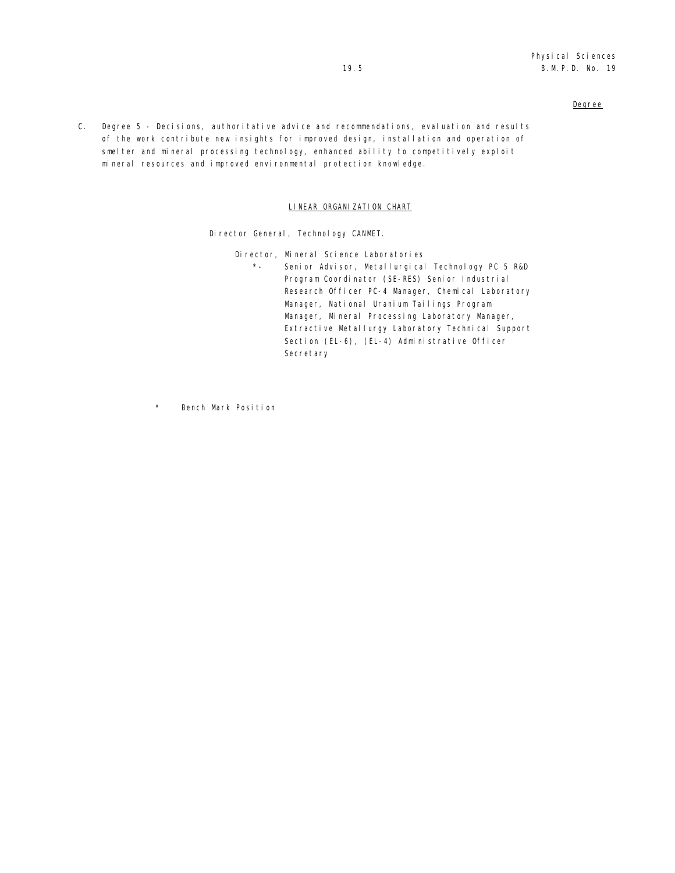## Degree

C. Degree 5 - Decisions, authoritative advice and recommendations, evaluation and results of the work contribute new insights for improved design, installation and operation of smelter and mineral processing technology, enhanced ability to competitively exploit mineral resources and improved environmental protection knowledge.

# LINEAR ORGANIZATION CHART

Director General, Technology CANMET.

- Director, Mineral Science Laboratories
	- \*- Senior Advisor, Metallurgical Technology PC 5 R&D Program Coordinator (SE-RES) Senior Industrial Research Officer PC-4 Manager, Chemical Laboratory Manager, National Uranium Tailings Program Manager, Mineral Processing Laboratory Manager, Extractive Metallurgy Laboratory Technical Support Section (EL-6), (EL-4) Administrative Officer Secretary
- \* Bench Mark Position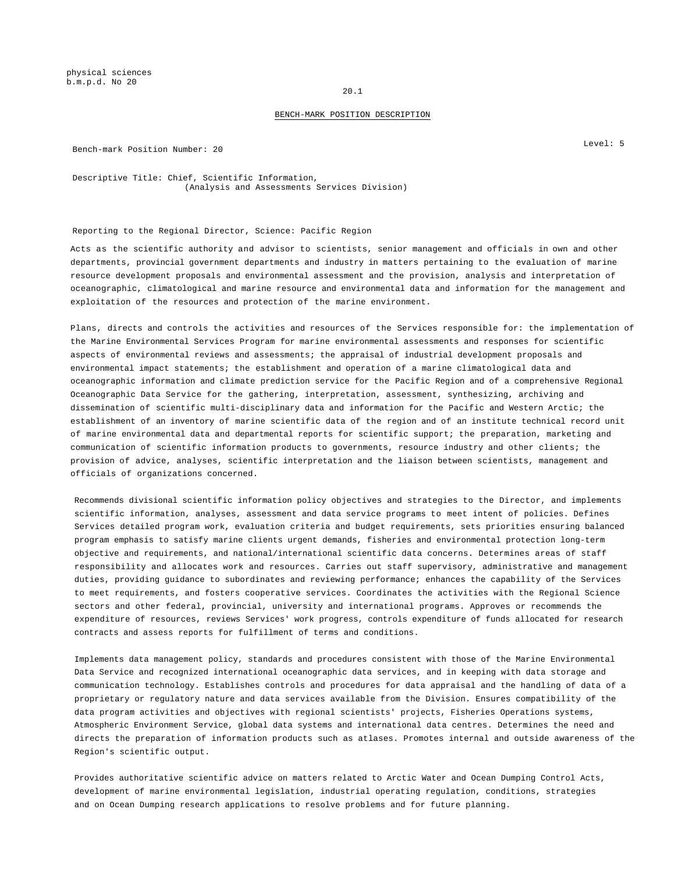physical sciences b.m.p.d. No 20

20.1

### BENCH-MARK POSITION DESCRIPTION

Bench-mark Position Number: 20

Level: 5

Descriptive Title: Chief, Scientific Information, (Analysis and Assessments Services Division)

### Reporting to the Regional Director, Science: Pacific Region

Acts as the scientific authority and advisor to scientists, senior management and officials in own and other departments, provincial government departments and industry in matters pertaining to the evaluation of marine resource development proposals and environmental assessment and the provision, analysis and interpretation of oceanographic, climatological and marine resource and environmental data and information for the management and exploitation of the resources and protection of the marine environment.

Plans, directs and controls the activities and resources of the Services responsible for: the implementation of the Marine Environmental Services Program for marine environmental assessments and responses for scientific aspects of environmental reviews and assessments; the appraisal of industrial development proposals and environmental impact statements; the establishment and operation of a marine climatological data and oceanographic information and climate prediction service for the Pacific Region and of a comprehensive Regional Oceanographic Data Service for the gathering, interpretation, assessment, synthesizing, archiving and dissemination of scientific multi-disciplinary data and information for the Pacific and Western Arctic; the establishment of an inventory of marine scientific data of the region and of an institute technical record unit of marine environmental data and departmental reports for scientific support; the preparation, marketing and communication of scientific information products to governments, resource industry and other clients; the provision of advice, analyses, scientific interpretation and the liaison between scientists, management and officials of organizations concerned.

Recommends divisional scientific information policy objectives and strategies to the Director, and implements scientific information, analyses, assessment and data service programs to meet intent of policies. Defines Services detailed program work, evaluation criteria and budget requirements, sets priorities ensuring balanced program emphasis to satisfy marine clients urgent demands, fisheries and environmental protection long-term objective and requirements, and national/international scientific data concerns. Determines areas of staff responsibility and allocates work and resources. Carries out staff supervisory, administrative and management duties, providing guidance to subordinates and reviewing performance; enhances the capability of the Services to meet requirements, and fosters cooperative services. Coordinates the activities with the Regional Science sectors and other federal, provincial, university and international programs. Approves or recommends the expenditure of resources, reviews Services' work progress, controls expenditure of funds allocated for research contracts and assess reports for fulfillment of terms and conditions.

Implements data management policy, standards and procedures consistent with those of the Marine Environmental Data Service and recognized international oceanographic data services, and in keeping with data storage and communication technology. Establishes controls and procedures for data appraisal and the handling of data of a proprietary or regulatory nature and data services available from the Division. Ensures compatibility of the data program activities and objectives with regional scientists' projects, Fisheries Operations systems, Atmospheric Environment Service, global data systems and international data centres. Determines the need and directs the preparation of information products such as atlases. Promotes internal and outside awareness of the Region's scientific output.

Provides authoritative scientific advice on matters related to Arctic Water and Ocean Dumping Control Acts, development of marine environmental legislation, industrial operating regulation, conditions, strategies and on Ocean Dumping research applications to resolve problems and for future planning.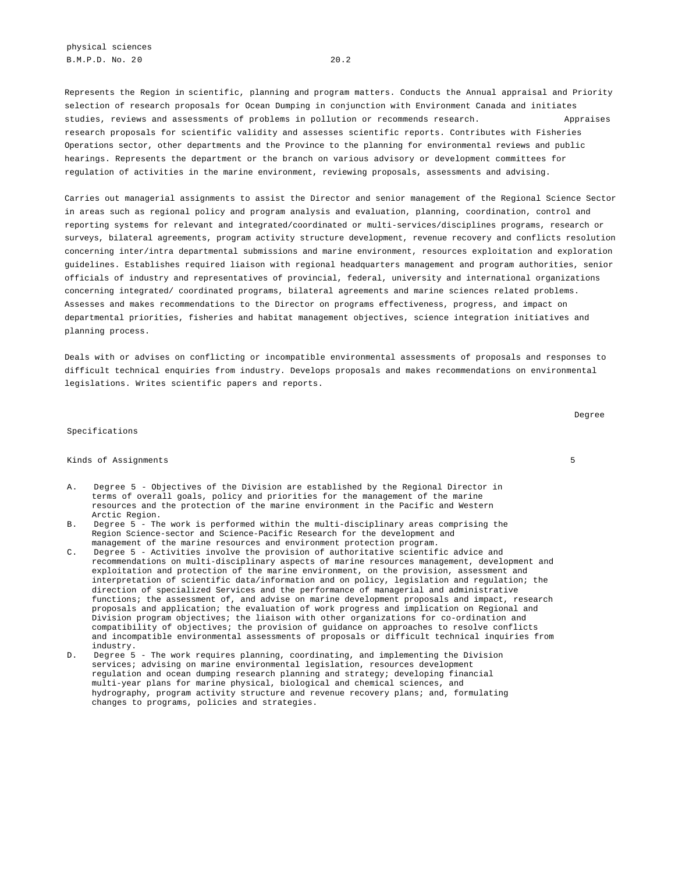Represents the Region in scientific, planning and program matters. Conducts the Annual appraisal and Priority selection of research proposals for Ocean Dumping in conjunction with Environment Canada and initiates studies, reviews and assessments of problems in pollution or recommends research. Appraises research proposals for scientific validity and assesses scientific reports. Contributes with Fisheries Operations sector, other departments and the Province to the planning for environmental reviews and public hearings. Represents the department or the branch on various advisory or development committees for regulation of activities in the marine environment, reviewing proposals, assessments and advising.

Carries out managerial assignments to assist the Director and senior management of the Regional Science Sector in areas such as regional policy and program analysis and evaluation, planning, coordination, control and reporting systems for relevant and integrated/coordinated or multi-services/disciplines programs, research or surveys, bilateral agreements, program activity structure development, revenue recovery and conflicts resolution concerning inter/intra departmental submissions and marine environment, resources exploitation and exploration guidelines. Establishes required liaison with regional headquarters management and program authorities, senior officials of industry and representatives of provincial, federal, university and international organizations concerning integrated/ coordinated programs, bilateral agreements and marine sciences related problems. Assesses and makes recommendations to the Director on programs effectiveness, progress, and impact on departmental priorities, fisheries and habitat management objectives, science integration initiatives and planning process.

Deals with or advises on conflicting or incompatible environmental assessments of proposals and responses to difficult technical enquiries from industry. Develops proposals and makes recommendations on environmental legislations. Writes scientific papers and reports.

### Specifications

### Kinds of Assignments 5

- A. Degree 5 Objectives of the Division are established by the Regional Director in terms of overall goals, policy and priorities for the management of the marine resources and the protection of the marine environment in the Pacific and Western Arctic Region.
- B. Degree 5 The work is performed within the multi-disciplinary areas comprising the Region Science-sector and Science-Pacific Research for the development and management of the marine resources and environment protection program.
- C. Degree 5 Activities involve the provision of authoritative scientific advice and recommendations on multi-disciplinary aspects of marine resources management, development and exploitation and protection of the marine environment, on the provision, assessment and interpretation of scientific data/information and on policy, legislation and regulation; the direction of specialized Services and the performance of managerial and administrative functions; the assessment of, and advise on marine development proposals and impact, research proposals and application; the evaluation of work progress and implication on Regional and Division program objectives; the liaison with other organizations for co-ordination and compatibility of objectives; the provision of guidance on approaches to resolve conflicts and incompatible environmental assessments of proposals or difficult technical inquiries from industry.
- D. Degree 5 The work requires planning, coordinating, and implementing the Division services; advising on marine environmental legislation, resources development regulation and ocean dumping research planning and strategy; developing financial multi-year plans for marine physical, biological and chemical sciences, and hydrography, program activity structure and revenue recovery plans; and, formulating changes to programs, policies and strategies.

Degree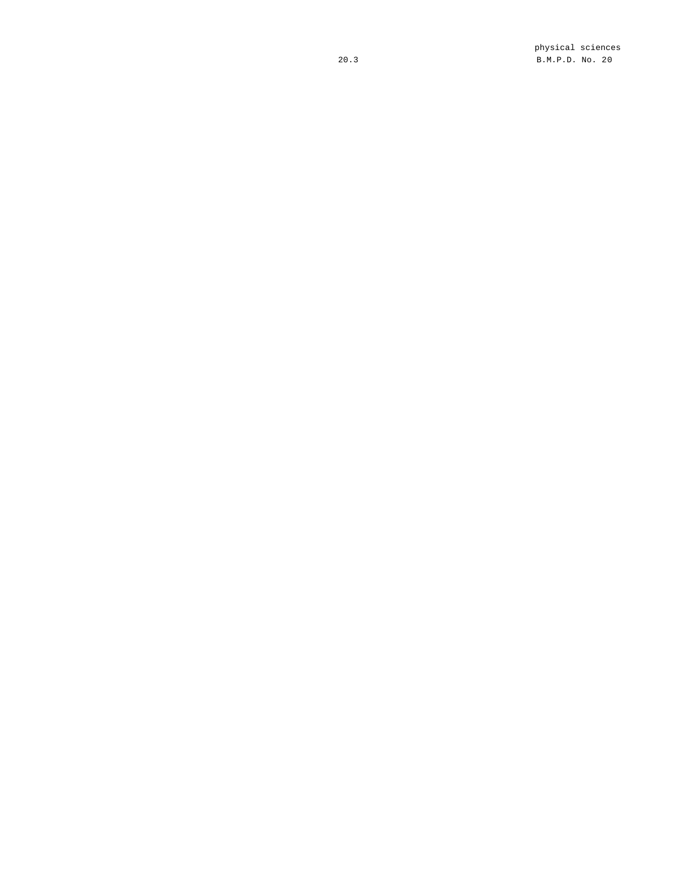physical sciences 20.3 B.M.P.D. No. 20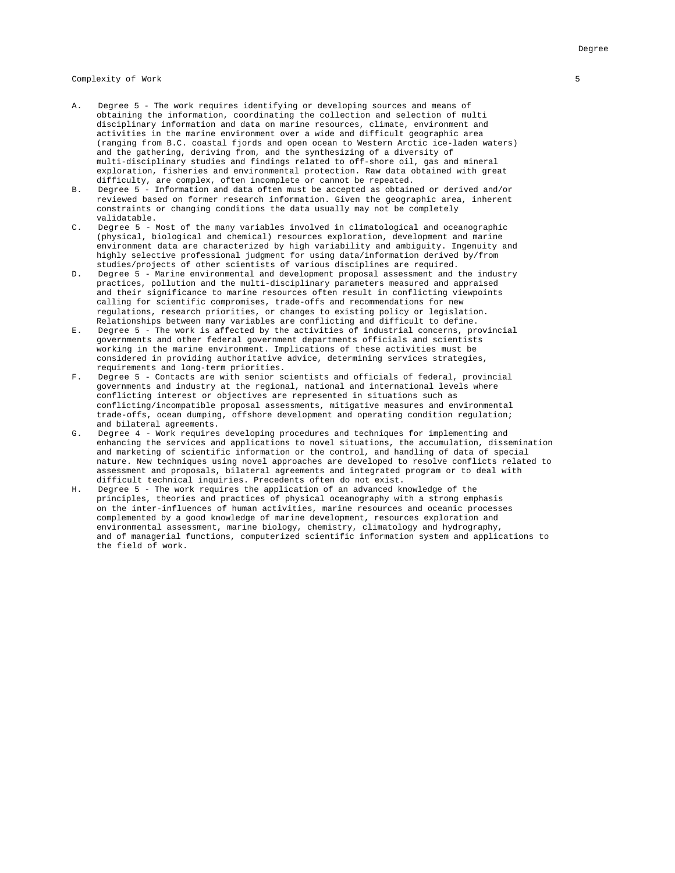- A. Degree 5 The work requires identifying or developing sources and means of obtaining the information, coordinating the collection and selection of multi disciplinary information and data on marine resources, climate, environment and activities in the marine environment over a wide and difficult geographic area (ranging from B.C. coastal fjords and open ocean to Western Arctic ice-laden waters) and the gathering, deriving from, and the synthesizing of a diversity of multi-disciplinary studies and findings related to off-shore oil, gas and mineral exploration, fisheries and environmental protection. Raw data obtained with great difficulty, are complex, often incomplete or cannot be repeated.
- B. Degree 5 Information and data often must be accepted as obtained or derived and/or reviewed based on former research information. Given the geographic area, inherent constraints or changing conditions the data usually may not be completely validatable.
- C. Degree 5 Most of the many variables involved in climatological and oceanographic (physical, biological and chemical) resources exploration, development and marine environment data are characterized by high variability and ambiguity. Ingenuity and highly selective professional judgment for using data/information derived by/from studies/projects of other scientists of various disciplines are required.
- D. Degree 5 Marine environmental and development proposal assessment and the industry practices, pollution and the multi-disciplinary parameters measured and appraised and their significance to marine resources often result in conflicting viewpoints calling for scientific compromises, trade-offs and recommendations for new regulations, research priorities, or changes to existing policy or legislation. Relationships between many variables are conflicting and difficult to define.
- E. Degree 5 The work is affected by the activities of industrial concerns, provincial governments and other federal government departments officials and scientists working in the marine environment. Implications of these activities must be considered in providing authoritative advice, determining services strategies, requirements and long-term priorities.
- F. Degree 5 Contacts are with senior scientists and officials of federal, provincial governments and industry at the regional, national and international levels where conflicting interest or objectives are represented in situations such as conflicting/incompatible proposal assessments, mitigative measures and environmental trade-offs, ocean dumping, offshore development and operating condition regulation; and bilateral agreements.
- G. Degree 4 Work requires developing procedures and techniques for implementing and enhancing the services and applications to novel situations, the accumulation, dissemination and marketing of scientific information or the control, and handling of data of special nature. New techniques using novel approaches are developed to resolve conflicts related to assessment and proposals, bilateral agreements and integrated program or to deal with difficult technical inquiries. Precedents often do not exist.
- H. Degree 5 The work requires the application of an advanced knowledge of the principles, theories and practices of physical oceanography with a strong emphasis on the inter-influences of human activities, marine resources and oceanic processes complemented by a good knowledge of marine development, resources exploration and environmental assessment, marine biology, chemistry, climatology and hydrography, and of managerial functions, computerized scientific information system and applications to the field of work.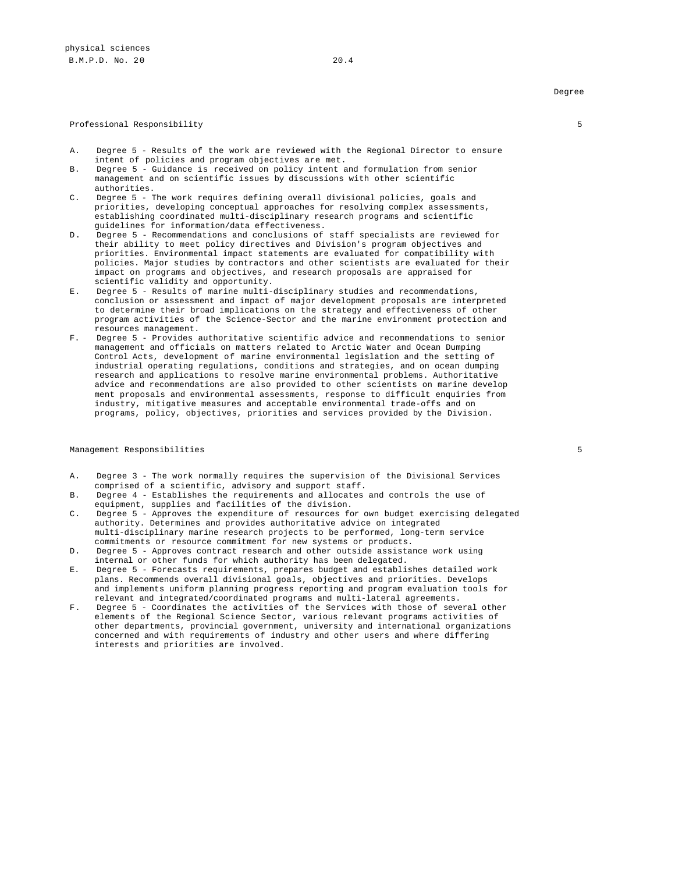- A. Degree 5 Results of the work are reviewed with the Regional Director to ensure intent of policies and program objectives are met.
- B. Degree 5 Guidance is received on policy intent and formulation from senior management and on scientific issues by discussions with other scientific authorities.
- C. Degree 5 The work requires defining overall divisional policies, goals and priorities, developing conceptual approaches for resolving complex assessments, establishing coordinated multi-disciplinary research programs and scientific guidelines for information/data effectiveness.
- D. Degree 5 Recommendations and conclusions of staff specialists are reviewed for their ability to meet policy directives and Division's program objectives and priorities. Environmental impact statements are evaluated for compatibility with policies. Major studies by contractors and other scientists are evaluated for their impact on programs and objectives, and research proposals are appraised for scientific validity and opportunity.
- E. Degree 5 Results of marine multi-disciplinary studies and recommendations, conclusion or assessment and impact of major development proposals are interpreted to determine their broad implications on the strategy and effectiveness of other program activities of the Science-Sector and the marine environment protection and resources management.
- F. Degree 5 Provides authoritative scientific advice and recommendations to senior management and officials on matters related to Arctic Water and Ocean Dumping Control Acts, development of marine environmental legislation and the setting of industrial operating regulations, conditions and strategies, and on ocean dumping research and applications to resolve marine environmental problems. Authoritative advice and recommendations are also provided to other scientists on marine develop ment proposals and environmental assessments, response to difficult enquiries from industry, mitigative measures and acceptable environmental trade-offs and on programs, policy, objectives, priorities and services provided by the Division.

Management Responsibilities 5

- A. Degree 3 The work normally requires the supervision of the Divisional Services comprised of a scientific, advisory and support staff.
- B. Degree 4 Establishes the requirements and allocates and controls the use of equipment, supplies and facilities of the division.
- C. Degree 5 Approves the expenditure of resources for own budget exercising delegated authority. Determines and provides authoritative advice on integrated multi-disciplinary marine research projects to be performed, long-term service commitments or resource commitment for new systems or products.
- D. Degree 5 Approves contract research and other outside assistance work using internal or other funds for which authority has been delegated.
- E. Degree 5 Forecasts requirements, prepares budget and establishes detailed work plans. Recommends overall divisional goals, objectives and priorities. Develops and implements uniform planning progress reporting and program evaluation tools for relevant and integrated/coordinated programs and multi-lateral agreements.
- F. Degree 5 Coordinates the activities of the Services with those of several other elements of the Regional Science Sector, various relevant programs activities of other departments, provincial government, university and international organizations concerned and with requirements of industry and other users and where differing interests and priorities are involved.

Degree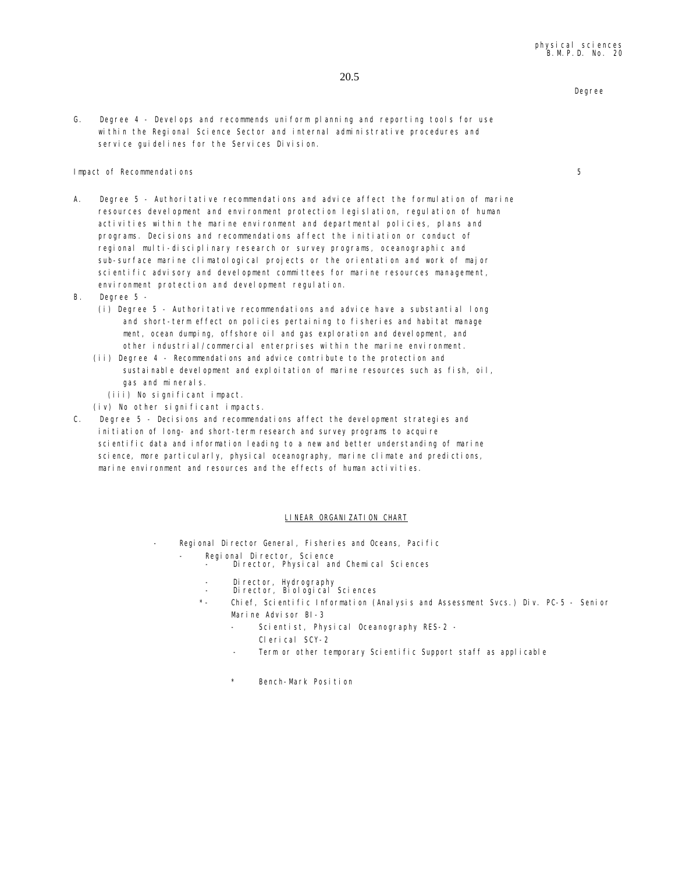G. Degree 4 - Develops and recommends uniform planning and reporting tools for use within the Regional Science Sector and internal administrative procedures and service guidelines for the Services Division.

# **Impact of Recommendations** 5

- A. Degree 5 Authoritative recommendations and advice affect the formulation of marine resources development and environment protection legislation, regulation of human activities within the marine environment and departmental policies, plans and programs. Decisions and recommendations affect the initiation or conduct of regional multi-disciplinary research or survey programs, oceanographic and sub-surface marine climatological projects or the orientation and work of major scientific advisory and development committees for marine resources management, environment protection and development regulation.
- B. Degree 5
	- (i) Degree 5 Authoritative recommendations and advice have a substantial long and short-term effect on policies pertaining to fisheries and habitat manage ment, ocean dumping, offshore oil and gas exploration and development, and other industrial/commercial enterprises within the marine environment.
	- (ii) Degree 4 Recommendations and advice contribute to the protection and sustainable development and exploitation of marine resources such as fish, oil, gas and minerals.
		- (iii) No significant impact.
	- (iv) No other significant impacts.
- C. Degree 5 Decisions and recommendations affect the development strategies and initiation of long- and short-term research and survey programs to acquire scientific data and information leading to a new and better understanding of marine science, more particularly, physical oceanography, marine climate and predictions, marine environment and resources and the effects of human activities.

### LINEAR ORGANIZATION CHART

- Regional Director General, Fisheries and Oceans, Pacific
	- Regional Director, Science
		- Director, Physical and Chemical Sciences
		-
		- Director, Hydrography Director, Biological Sciences
		- \*- Chief, Scientific Information (Analysis and Assessment Svcs.) Div. PC-5 Senior Marine Advisor BI-3
			- Scientist, Physical Oceanography RES-2 -
			- Clerical SCY-2
			- Term or other temporary Scientific Support staff as applicable
			- \* Bench-Mark Position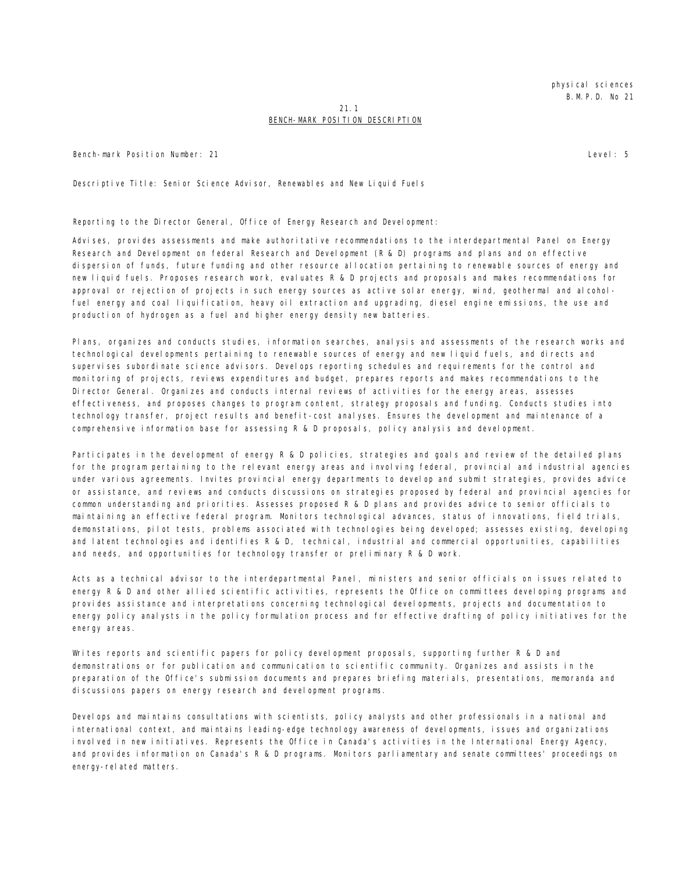# 21.1 BENCH-MARK POSITION DESCRIPTION

Bench-mark Position Number: 21 Level: 5

Descriptive Title: Senior Science Advisor, Renewables and New Liquid Fuels

Reporting to the Director General, Office of Energy Research and Development:

Advises, provides assessments and make authoritative recommendations to the interdepartmental Panel on Energy Research and Development on federal Research and Development (R & D) programs and plans and on effective dispersion of funds, future funding and other resource allocation pertaining to renewable sources of energy and new liquid fuels. Proposes research work, evaluates R & D projects and proposals and makes recommendations for approval or rejection of projects in such energy sources as active solar energy, wind, geothermal and alcoholfuel energy and coal liquification, heavy oil extraction and upgrading, diesel engine emissions, the use and production of hydrogen as a fuel and higher energy density new batteries.

Plans, organizes and conducts studies, information searches, analysis and assessments of the research works and technological developments pertaining to renewable sources of energy and new liquid fuels, and directs and supervises subordinate science advisors. Develops reporting schedules and requirements for the control and monitoring of projects, reviews expenditures and budget, prepares reports and makes recommendations to the Director General. Organizes and conducts internal reviews of activities for the energy areas, assesses effectiveness, and proposes changes to program content, strategy proposals and funding. Conducts studies into technology transfer, project results and benefit-cost analyses. Ensures the development and maintenance of a comprehensive information base for assessing R & D proposals, policy analysis and development.

Participates in the development of energy R & D policies, strategies and goals and review of the detailed plans for the program pertaining to the relevant energy areas and involving federal, provincial and industrial agencies under various agreements. Invites provincial energy departments to develop and submit strategies, provides advice or assistance, and reviews and conducts discussions on strategies proposed by federal and provincial agencies for common understanding and priorities. Assesses proposed R & D plans and provides advice to senior officials to maintaining an effective federal program. Monitors technological advances, status of innovations, field trials, demonstations, pilot tests, problems associated with technologies being developed; assesses existing, developing and latent technologies and identifies R & D, technical, industrial and commercial opportunities, capabilities and needs, and opportunities for technology transfer or preliminary R & D work.

Acts as a technical advisor to the interdepartmental Panel, ministers and senior officials on issues related to energy R & D and other allied scientific activities, represents the Office on committees developing programs and provides assistance and interpretations concerning technological developments, projects and documentation to energy policy analysts in the policy formulation process and for effective drafting of policy initiatives for the energy areas.

Writes reports and scientific papers for policy development proposals, supporting further R & D and demonstrations or for publication and communication to scientific community. Organizes and assists in the preparation of the Office's submission documents and prepares briefing materials, presentations, memoranda and discussions papers on energy research and development programs.

Develops and maintains consultations with scientists, policy analysts and other professionals in a national and international context, and maintains leading-edge technology awareness of developments, issues and organizations involved in new initiatives. Represents the Office in Canada's activities in the International Energy Agency, and provides information on Canada's R & D programs. Monitors parliamentary and senate committees' proceedings on energy-related matters.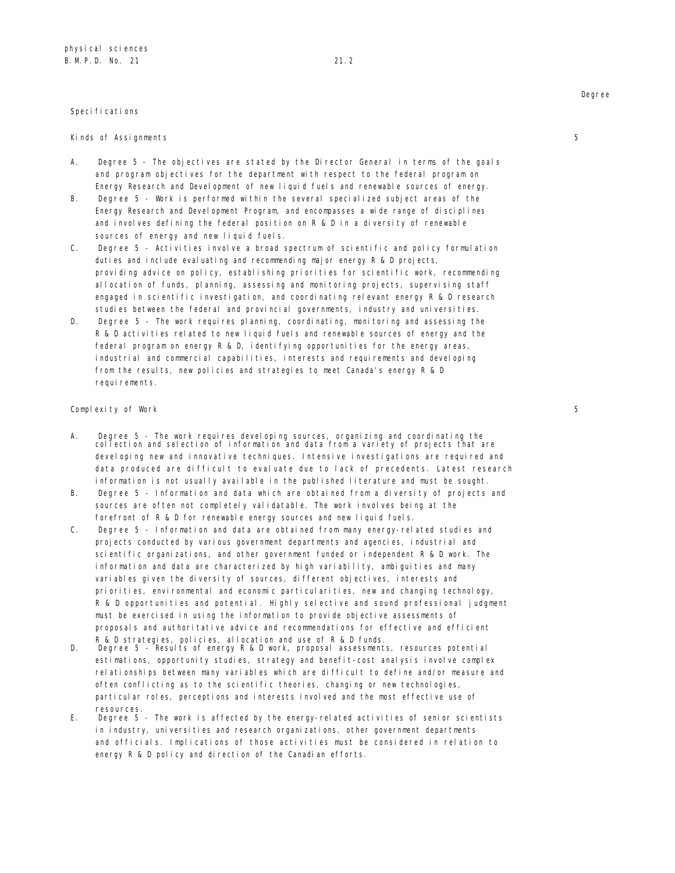## Specifications

Kinds of Assignments 5

- A. Degree 5 The objectives are stated by the Director General in terms of the goals and program objectives for the department with respect to the federal program on Energy Research and Development of new liquid fuels and renewable sources of energy.
- B. Degree 5 Work is performed within the several specialized subject areas of the Energy Research and Development Program, and encompasses a wide range of disciplines and involves defining the federal position on R & D in a diversity of renewable sources of energy and new liquid fuels.
- C. Degree 5 Activities involve a broad spectrum of scientific and policy formulation duties and include evaluating and recommending major energy R & D projects, providing advice on policy, establishing priorities for scientific work, recommending allocation of funds, planning, assessing and monitoring projects, supervising staff engaged in scientific investigation, and coordinating relevant energy R & D research studies between the federal and provincial governments, industry and universities.
- D. Degree 5 The work requires planning, coordinating, monitoring and assessing the R & D activities related to new liquid fuels and renewable sources of energy and the federal program on energy R & D, identifying opportunities for the energy areas, industrial and commercial capabilities, interests and requirements and developing from the results, new policies and strategies to meet Canada's energy R & D requirements.

### Complexity of Work 5

- A. Degree 5 The work requires developing sources, organizing and coordinating the collection and selection of information and data from a variety of projects that are developing new and innovative techniques. Intensive investigations are required and data produced are difficult to evaluate due to lack of precedents. Latest research information is not usually available in the published literature and must be sought.
- B. Degree 5 Information and data which are obtained from a diversity of projects and sources are often not completely validatable. The work involves being at the forefront of R & D for renewable energy sources and new liquid fuels.
- C. Degree 5 Information and data are obtained from many energy-related studies and projects conducted by various government departments and agencies, industrial and scientific organizations, and other government funded or independent R & D work. The information and data are characterized by high variability, ambiguities and many variables given the diversity of sources, different objectives, interests and priorities, environmental and economic particularities, new and changing technology, R & D opportunities and potential. Highly selective and sound professional judgment must be exercised in using the information to provide objective assessments of proposals and authoritative advice and recommendations for effective and efficient R & D strategies, policies, allocation and use of R & D funds.
- D. Degree 5 Results of energy R & D work, proposal assessments, resources potential estimations, opportunity studies, strategy and benefit-cost analysis involve complex relationships between many variables which are difficult to define and/or measure and often conflicting as to the scientific theories, changing or new technologies, particular roles, perceptions and interests involved and the most effective use of
- resources. E. Degree 5 The work is affected by the energy-related activities of senior scientists in industry, universities and research organizations, other government departments and officials. Implications of those activities must be considered in relation to energy R & D policy and direction of the Canadian efforts.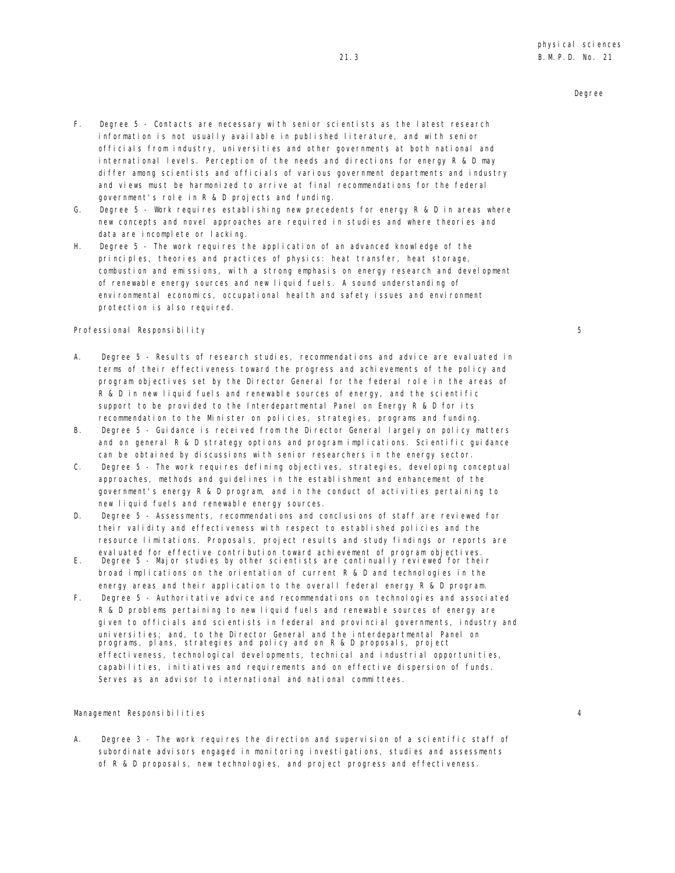### Degree

- F. Degree 5 Contacts are necessary with senior scientists as the latest research information is not usually available in published literature, and with senior officials from industry, universities and other governments at both national and international levels. Perception of the needs and directions for energy R & D may differ among scientists and officials of various government departments and industry and views must be harmonized to arrive at final recommendations for the federal government's role in R & D projects and funding.
- G. Degree 5 Work requires establishing new precedents for energy R & D in areas where new concepts and novel approaches are required in studies and where theories and data are incomplete or lacking.
- H. Degree 5 The work requires the application of an advanced knowledge of the principles, theories and practices of physics: heat transfer, heat storage, combustion and emissions, with a strong emphasis on energy research and development of renewable energy sources and new liquid fuels. A sound understanding of environmental economics, occupational health and safety issues and environment protection is also required.

Professional Responsibility 5 and 5 and 5 and 5 and 5 and 5 and 5 and 5 and 5 and 5 and 5 and 5 and 5 and 5 and 5 and 5 and 5 and 5 and 5 and 5 and 5 and 5 and 5 and 5 and 5 and 5 and 5 and 5 and 5 and 5 and 5 and 5 and 5

- A. Degree 5 Results of research studies, recommendations and advice are evaluated in terms of their effectiveness toward the progress and achievements of the policy and program objectives set by the Director General for the federal role in the areas of R & D in new liquid fuels and renewable sources of energy, and the scientific support to be provided to the Interdepartmental Panel on Energy R & D for its recommendation to the Minister on policies, strategies, programs and funding.
- B. Degree 5 Guidance is received from the Director General largely on policy matters and on general  $R \& D$  strategy options and program implications. Scientific guidance can be obtained by discussions with senior researchers in the energy sector.
- C. Degree 5 The work requires defining objectives, strategies, developing conceptual approaches, methods and guidelines in the establishment and enhancement of the government's energy R & D program, and in the conduct of activities pertaining to new liquid fuels and renewable energy sources.
- D. Degree 5 Assessments, recommendations and conclusions of staff are reviewed for their validity and effectiveness with respect to established policies and the resource limitations. Proposals, project results and study findings or reports are evaluated for effective contribution toward achievement of program objectives.
- E. Degree 5 Major studies by other scientists are continually reviewed for their broad implications on the orientation of current R & D and technologies in the energy areas and their application to the overall federal energy R & D program.
- F. Degree 5 Authoritative advice and recommendations on technologies and associated R & D problems pertaining to new liquid fuels and renewable sources of energy are given to officials and scientists in federal and provincial governments, industry and universities; and, to the Director General and the interdepartmental Panel on programs, plans, strategies and policy and on R & D proposals, project effectiveness, technological developments, technical and industrial opportunities, capabilities, initiatives and requirements and on effective dispersion of funds. Serves as an advisor to international and national committees.

# Management Responsibilities 4

A. Degree 3 - The work requires the direction and supervision of a scientific staff of subordinate advisors engaged in monitoring investigations, studies and assessments of R & D proposals, new technologies, and project progress and effectiveness.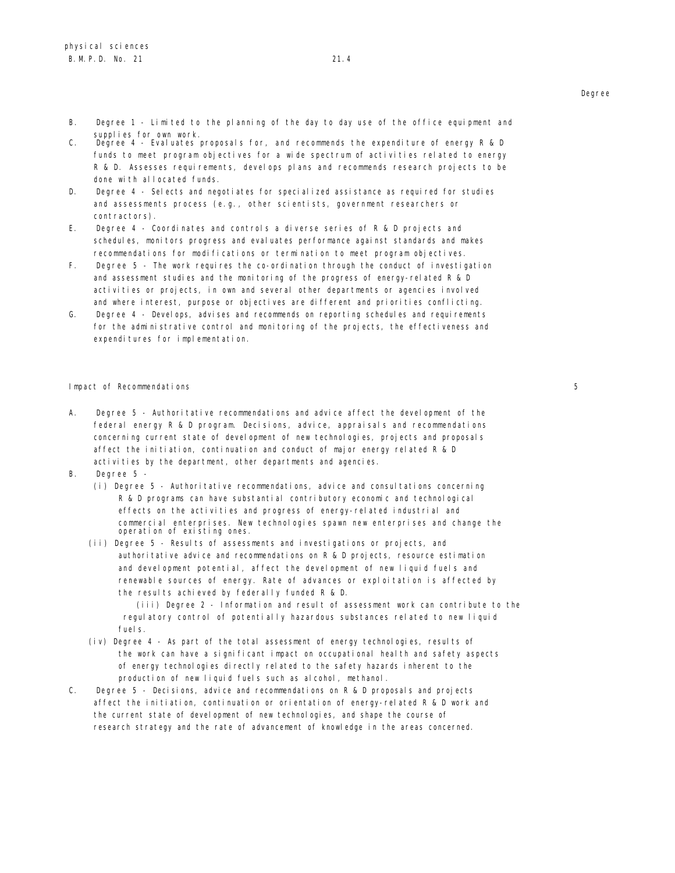- B. Degree 1 Limited to the planning of the day to day use of the office equipment and supplies for own work.
- C. Degree 4 Evaluates proposals for, and recommends the expenditure of energy R & D funds to meet program objectives for a wide spectrum of activities related to energy R & D. Assesses requirements, develops plans and recommends research projects to be done with allocated funds.
- D. Degree 4 Selects and negotiates for specialized assistance as required for studies and assessments process (e.g., other scientists, government researchers or contractors).
- E. Degree 4 Coordinates and controls a diverse series of R & D projects and schedules, monitors progress and evaluates performance against standards and makes recommendations for modifications or termination to meet program objectives.
- F. Degree 5 The work requires the co-ordination through the conduct of investigation and assessment studies and the monitoring of the progress of energy-related R & D activities or projects, in own and several other departments or agencies involved and where interest, purpose or objectives are different and priorities conflicting.
- G. Degree 4 Develops, advises and recommends on reporting schedules and requirements for the administrative control and monitoring of the projects, the effectiveness and expenditures for implementation.

## **Impact of Recommendations** 5

- A. Degree 5 Authoritative recommendations and advice affect the development of the federal energy R & D program. Decisions, advice, appraisals and recommendations concerning current state of development of new technologies, projects and proposals affect the initiation, continuation and conduct of major energy related R & D activities by the department, other departments and agencies.
- B. Degree 5
	- (i) Degree 5 Authoritative recommendations, advice and consultations concerning R & D programs can have substantial contributory economic and technological effects on the activities and progress of energy-related industrial and commercial enterprises. New technologies spawn new enterprises and change the operation of existing ones.
	- (ii) Degree 5 Results of assessments and investigations or projects, and authoritative advice and recommendations on R & D projects, resource estimation and development potential, affect the development of new liquid fuels and renewable sources of energy. Rate of advances or exploitation is affected by the results achieved by federally funded R & D.

(iii) Degree 2 - Information and result of assessment work can contribute to the regulatory control of potentially hazardous substances related to new liquid fuels.

- (iv) Degree 4 As part of the total assessment of energy technologies, results of the work can have a significant impact on occupational health and safety aspects of energy technologies directly related to the safety hazards inherent to the production of new liquid fuels such as alcohol, methanol.
- C. Degree 5 Decisions, advice and recommendations on R & D proposals and projects affect the initiation, continuation or orientation of energy-related R & D work and the current state of development of new technologies, and shape the course of research strategy and the rate of advancement of knowledge in the areas concerned.